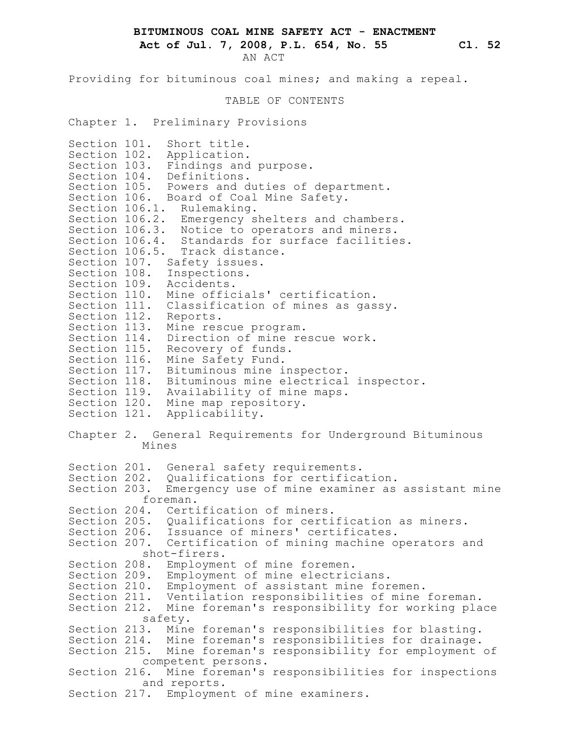**BITUMINOUS COAL MINE SAFETY ACT - ENACTMENT**

**Act of Jul. 7, 2008, P.L. 654, No. 55 Cl. 52**

AN ACT

Providing for bituminous coal mines; and making a repeal. TABLE OF CONTENTS Chapter 1. Preliminary Provisions Section 101. Short title. Section 102. Application. Section 103. Findings and purpose. Section 104. Definitions. Section 105. Powers and duties of department. Section 106. Board of Coal Mine Safety. Section 106.1. Rulemaking. Section 106.2. Emergency shelters and chambers. Section 106.3. Notice to operators and miners. Section 106.4. Standards for surface facilities. Section 106.5. Track distance. Section 107. Safety issues. Section 108. Inspections. Section 109. Accidents. Section 110. Mine officials' certification. Section 111. Classification of mines as gassy. Section 112. Reports. Section 113. Mine rescue program. Section 114. Direction of mine rescue work. Section 115. Recovery of funds. Section 116. Mine Safety Fund. Section 117. Bituminous mine inspector. Section 118. Bituminous mine electrical inspector. Section 119. Availability of mine maps. Section 120. Mine map repository. Section 121. Applicability. Chapter 2. General Requirements for Underground Bituminous Mines Section 201. General safety requirements. Section 202. Qualifications for certification. Section 203. Emergency use of mine examiner as assistant mine foreman. Section 204. Certification of miners. Section 205. Qualifications for certification as miners. Section 206. Issuance of miners' certificates. Section 207. Certification of mining machine operators and shot-firers. Section 208. Employment of mine foremen. Section 209. Employment of mine electricians. Section 210. Employment of assistant mine foremen. Section 211. Ventilation responsibilities of mine foreman. Section 212. Mine foreman's responsibility for working place safety. Section 213. Mine foreman's responsibilities for blasting. Section 214. Mine foreman's responsibilities for drainage. Section 215. Mine foreman's responsibility for employment of competent persons. Section 216. Mine foreman's responsibilities for inspections and reports. Section 217. Employment of mine examiners.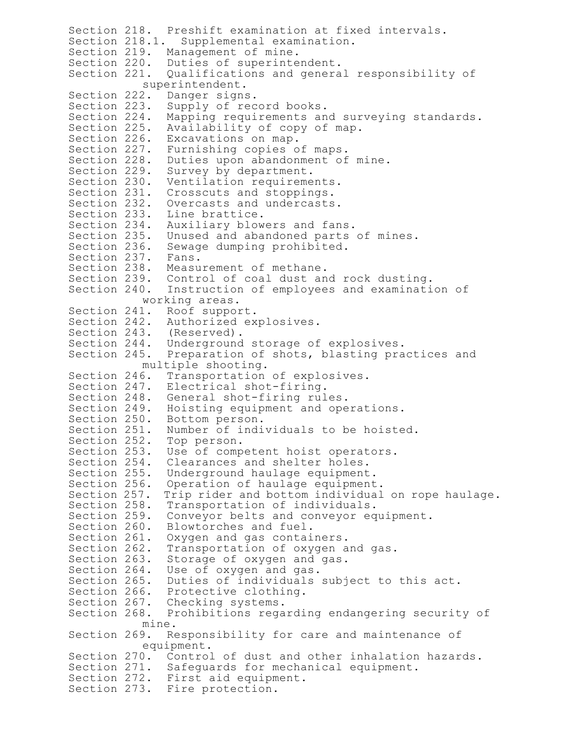Section 218. Preshift examination at fixed intervals. Section 218.1. Supplemental examination. Section 219. Management of mine. Section 220. Duties of superintendent. Section 221. Qualifications and general responsibility of superintendent. Section 222. Danger signs. Section 223. Supply of record books. Section 224. Mapping requirements and surveying standards. Section 225. Availability of copy of map. Section 226. Excavations on map. Section 227. Furnishing copies of maps. Section 228. Duties upon abandonment of mine. Section 229. Survey by department. Section 230. Ventilation requirements. Section 231. Crosscuts and stoppings. Section 232. Overcasts and undercasts. Section 233. Line brattice. Section 234. Auxiliary blowers and fans. Section 235. Unused and abandoned parts of mines. Section 236. Sewage dumping prohibited. Section 237. Fans. Section 238. Measurement of methane. Section 239. Control of coal dust and rock dusting. Section 240. Instruction of employees and examination of working areas. Section 241. Roof support. Section 242. Authorized explosives. Section 243. (Reserved). Section 244. Underground storage of explosives. Section 245. Preparation of shots, blasting practices and multiple shooting. Section 246. Transportation of explosives. Section 247. Electrical shot-firing. Section 248. General shot-firing rules. Section 249. Hoisting equipment and operations. Section 250. Bottom person. Section 251. Number of individuals to be hoisted. Section 252. Top person. Section 253. Use of competent hoist operators. Section 254. Clearances and shelter holes. Section 255. Underground haulage equipment. Section 256. Operation of haulage equipment. Section 257. Trip rider and bottom individual on rope haulage. Section 258. Transportation of individuals. Section 259. Conveyor belts and conveyor equipment. Section 260. Blowtorches and fuel. Section 261. Oxygen and gas containers. Section 262. Transportation of oxygen and gas. Section 263. Storage of oxygen and gas. Section 264. Use of oxygen and gas. Section 265. Duties of individuals subject to this act. Section 266. Protective clothing. Section 267. Checking systems. Section 268. Prohibitions regarding endangering security of mine. Section 269. Responsibility for care and maintenance of equipment. Section 270. Control of dust and other inhalation hazards. Section 271. Safeguards for mechanical equipment. Section 272. First aid equipment. Section 273. Fire protection.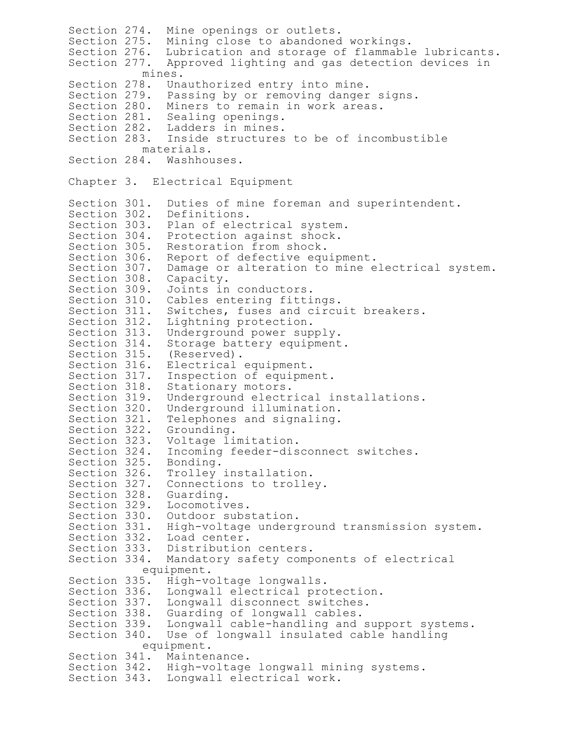Section 274. Mine openings or outlets. Section 275. Mining close to abandoned workings. Section 276. Lubrication and storage of flammable lubricants. Section 277. Approved lighting and gas detection devices in mines. Section 278. Unauthorized entry into mine. Section 279. Passing by or removing danger signs. Section 280. Miners to remain in work areas. Section 281. Sealing openings. Section 282. Ladders in mines. Section 283. Inside structures to be of incombustible materials. Section 284. Washhouses. Chapter 3. Electrical Equipment Section 301. Duties of mine foreman and superintendent. Section 302. Definitions. Section 303. Plan of electrical system. Section 304. Protection against shock. Section 305. Restoration from shock. Section 306. Report of defective equipment. Section 307. Damage or alteration to mine electrical system. Section 308. Capacity. Section 309. Joints in conductors. Section 310. Cables entering fittings. Section 311. Switches, fuses and circuit breakers. Section 312. Lightning protection. Section 313. Underground power supply. Section 314. Storage battery equipment. Section 315. (Reserved). Section 316. Electrical equipment. Section 317. Inspection of equipment. Section 318. Stationary motors. Section 319. Underground electrical installations. Section 320. Underground illumination. Section 321. Telephones and signaling. Section 322. Grounding. Section 323. Voltage limitation. Section 324. Incoming feeder-disconnect switches. Section 325. Bonding. Section 326. Trolley installation. Section 327. Connections to trolley. Section 328. Guarding. Section 329. Locomotives. Section 330. Outdoor substation. Section 331. High-voltage underground transmission system. Section 332. Load center. Section 333. Distribution centers.<br>Section 334. Mandatory safety comp Mandatory safety components of electrical equipment. Section 335. High-voltage longwalls. Section 336. Longwall electrical protection. Section 337. Longwall disconnect switches. Section 338. Guarding of longwall cables. Section 339. Longwall cable-handling and support systems. Section 340. Use of longwall insulated cable handling equipment. Section 341. Maintenance. Section 342. High-voltage longwall mining systems. Section 343. Longwall electrical work.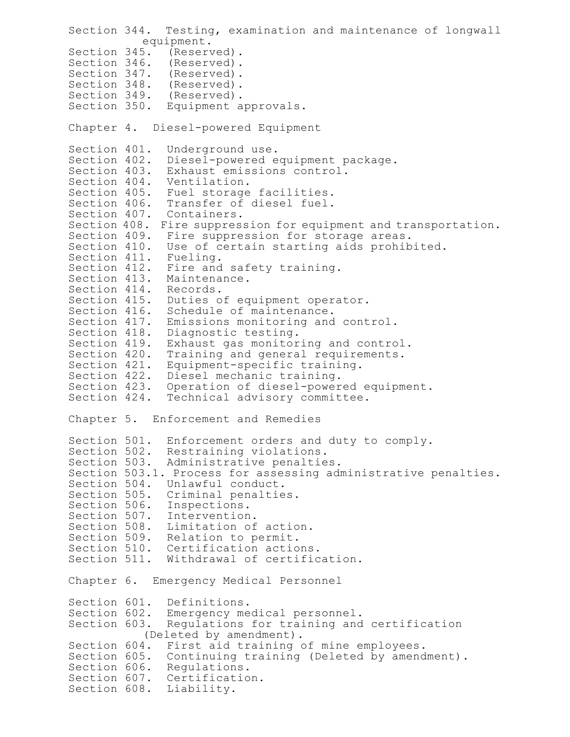```
Section 344. Testing, examination and maintenance of longwall
          equipment.
Section 345. (Reserved).
Section 346. (Reserved).
Section 347. (Reserved).
Section 348. (Reserved).
Section 349. (Reserved).
Section 350. Equipment approvals.
Chapter 4. Diesel-powered Equipment
Section 401. Underground use.
Section 402. Diesel-powered equipment package.
Section 403. Exhaust emissions control.
Section 404. Ventilation.
Section 405. Fuel storage facilities.
Section 406. Transfer of diesel fuel.
Section 407. Containers.
Section 408. Fire suppression for equipment and transportation.
Section 409. Fire suppression for storage areas.
Section 410. Use of certain starting aids prohibited.
Section 411. Fueling.
Section 412. Fire and safety training.
Section 413. Maintenance.
Section 414. Records.
Section 415. Duties of equipment operator.
Section 416. Schedule of maintenance.
Section 417. Emissions monitoring and control.
Section 418. Diagnostic testing.
Section 419. Exhaust gas monitoring and control.
Section 420. Training and general requirements.
Section 421. Equipment-specific training.
Section 422. Diesel mechanic training.
Section 423. Operation of diesel-powered equipment.
Section 424. Technical advisory committee.
Chapter 5. Enforcement and Remedies
Section 501. Enforcement orders and duty to comply.
Section 502. Restraining violations.
Section 503. Administrative penalties.
Section 503.1. Process for assessing administrative penalties.
Section 504. Unlawful conduct.
Section 505. Criminal penalties.
Section 506. Inspections.
Section 507. Intervention.
Section 508. Limitation of action.
Section 509. Relation to permit.
Section 510. Certification actions.
Section 511. Withdrawal of certification.
Chapter 6. Emergency Medical Personnel
Section 601. Definitions.
Section 602. Emergency medical personnel.
Section 603. Regulations for training and certification
          (Deleted by amendment).
Section 604. First aid training of mine employees.
Section 605. Continuing training (Deleted by amendment).
Section 606. Regulations.
Section 607. Certification.
Section 608. Liability.
```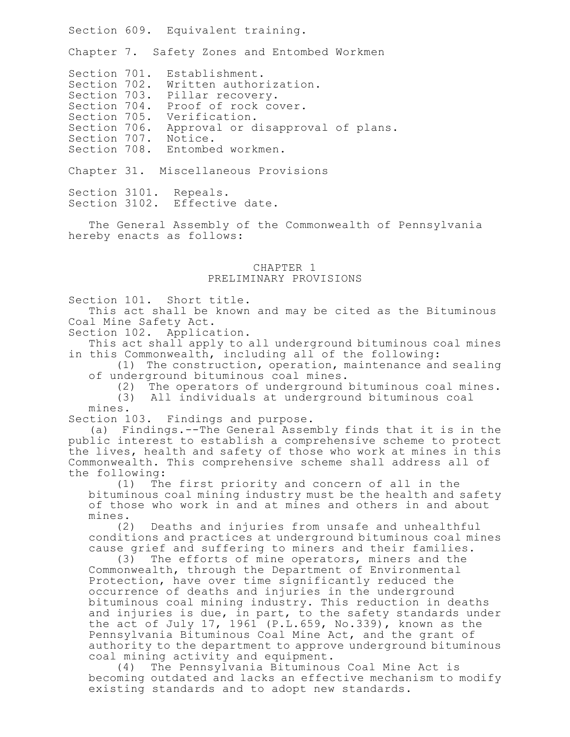Section 609. Equivalent training.

Chapter 7. Safety Zones and Entombed Workmen

Section 701. Establishment.

Section 702. Written authorization.

Section 703. Pillar recovery.

Section 704. Proof of rock cover.

Section 705. Verification.

Section 706. Approval or disapproval of plans.

Section 707. Notice.

Section 708. Entombed workmen.

Chapter 31. Miscellaneous Provisions

Section 3101. Repeals. Section 3102. Effective date.

The General Assembly of the Commonwealth of Pennsylvania hereby enacts as follows:

## CHAPTER 1 PRELIMINARY PROVISIONS

Section 101. Short title.

This act shall be known and may be cited as the Bituminous Coal Mine Safety Act.

Section 102. Application.

This act shall apply to all underground bituminous coal mines in this Commonwealth, including all of the following:

(1) The construction, operation, maintenance and sealing of underground bituminous coal mines.

(2) The operators of underground bituminous coal mines.

(3) All individuals at underground bituminous coal

mines.

Section 103. Findings and purpose.

(a) Findings.--The General Assembly finds that it is in the public interest to establish a comprehensive scheme to protect the lives, health and safety of those who work at mines in this Commonwealth. This comprehensive scheme shall address all of the following:

(1) The first priority and concern of all in the bituminous coal mining industry must be the health and safety of those who work in and at mines and others in and about mines.

(2) Deaths and injuries from unsafe and unhealthful conditions and practices at underground bituminous coal mines cause grief and suffering to miners and their families.

(3) The efforts of mine operators, miners and the Commonwealth, through the Department of Environmental Protection, have over time significantly reduced the occurrence of deaths and injuries in the underground bituminous coal mining industry. This reduction in deaths and injuries is due, in part, to the safety standards under the act of July 17, 1961 (P.L.659, No.339), known as the Pennsylvania Bituminous Coal Mine Act, and the grant of authority to the department to approve underground bituminous coal mining activity and equipment.

(4) The Pennsylvania Bituminous Coal Mine Act is becoming outdated and lacks an effective mechanism to modify existing standards and to adopt new standards.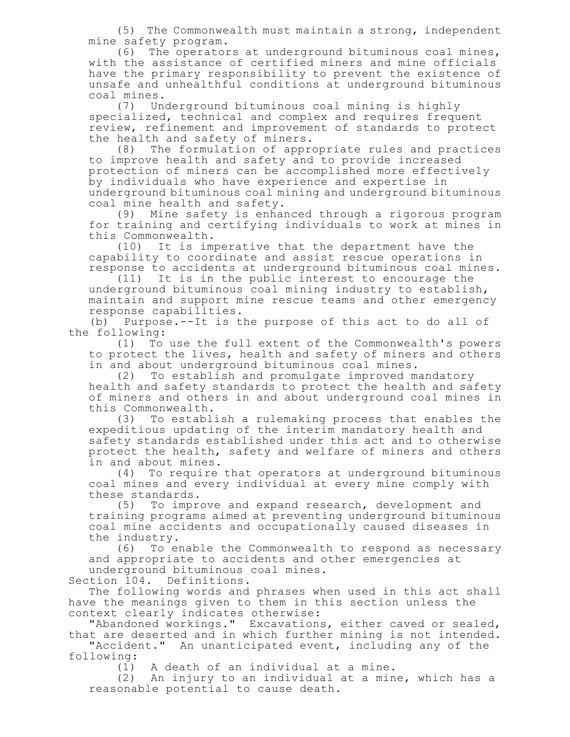(5) The Commonwealth must maintain a strong, independent mine safety program.

(6) The operators at underground bituminous coal mines, with the assistance of certified miners and mine officials have the primary responsibility to prevent the existence of unsafe and unhealthful conditions at underground bituminous coal mines.

(7) Underground bituminous coal mining is highly specialized, technical and complex and requires frequent review, refinement and improvement of standards to protect the health and safety of miners.

(8) The formulation of appropriate rules and practices to improve health and safety and to provide increased protection of miners can be accomplished more effectively by individuals who have experience and expertise in underground bituminous coal mining and underground bituminous coal mine health and safety.

(9) Mine safety is enhanced through a rigorous program for training and certifying individuals to work at mines in this Commonwealth.<br>(10) It is im

It is imperative that the department have the capability to coordinate and assist rescue operations in response to accidents at underground bituminous coal mines.

(11) It is in the public interest to encourage the underground bituminous coal mining industry to establish, maintain and support mine rescue teams and other emergency response capabilities.

(b) Purpose.--It is the purpose of this act to do all of the following:

(1) To use the full extent of the Commonwealth's powers to protect the lives, health and safety of miners and others in and about underground bituminous coal mines.

(2) To establish and promulgate improved mandatory health and safety standards to protect the health and safety of miners and others in and about underground coal mines in this Commonwealth.

(3) To establish a rulemaking process that enables the expeditious updating of the interim mandatory health and safety standards established under this act and to otherwise protect the health, safety and welfare of miners and others in and about mines.

(4) To require that operators at underground bituminous coal mines and every individual at every mine comply with these standards.

(5) To improve and expand research, development and training programs aimed at preventing underground bituminous coal mine accidents and occupationally caused diseases in the industry.

(6) To enable the Commonwealth to respond as necessary and appropriate to accidents and other emergencies at underground bituminous coal mines.

Section 104. Definitions.

The following words and phrases when used in this act shall have the meanings given to them in this section unless the context clearly indicates otherwise:

"Abandoned workings." Excavations, either caved or sealed, that are deserted and in which further mining is not intended.

"Accident." An unanticipated event, including any of the following:

A death of an individual at a mine.

(2) An injury to an individual at a mine, which has a reasonable potential to cause death.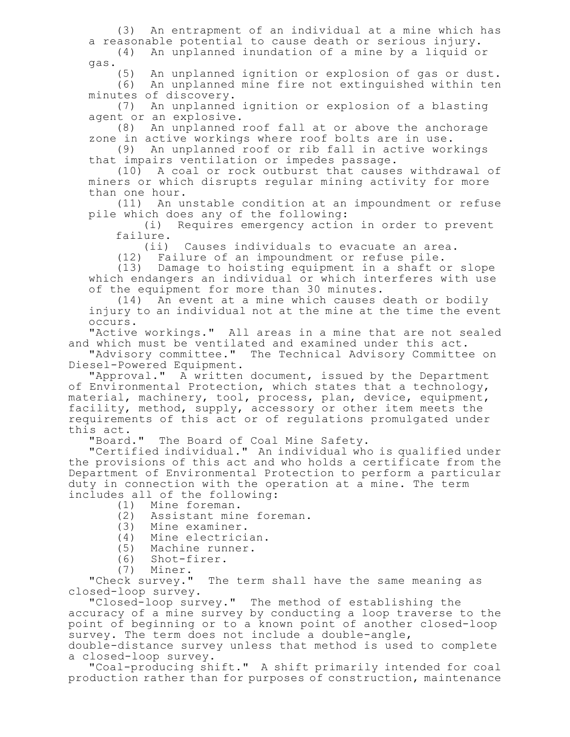(3) An entrapment of an individual at a mine which has a reasonable potential to cause death or serious injury. (4) An unplanned inundation of a mine by a liquid or

gas.

(5) An unplanned ignition or explosion of gas or dust.

(6) An unplanned mine fire not extinguished within ten minutes of discovery.

(7) An unplanned ignition or explosion of a blasting agent or an explosive.

(8) An unplanned roof fall at or above the anchorage zone in active workings where roof bolts are in use.

(9) An unplanned roof or rib fall in active workings that impairs ventilation or impedes passage.

(10) A coal or rock outburst that causes withdrawal of miners or which disrupts regular mining activity for more than one hour.

(11) An unstable condition at an impoundment or refuse pile which does any of the following:

(i) Requires emergency action in order to prevent failure.

(ii) Causes individuals to evacuate an area.

(12) Failure of an impoundment or refuse pile.

(13) Damage to hoisting equipment in a shaft or slope which endangers an individual or which interferes with use of the equipment for more than 30 minutes.

(14) An event at a mine which causes death or bodily injury to an individual not at the mine at the time the event occurs.

"Active workings." All areas in a mine that are not sealed and which must be ventilated and examined under this act.

"Advisory committee." The Technical Advisory Committee on Diesel-Powered Equipment.

"Approval." A written document, issued by the Department of Environmental Protection, which states that a technology, material, machinery, tool, process, plan, device, equipment, facility, method, supply, accessory or other item meets the requirements of this act or of regulations promulgated under this act.<br>"Board."

The Board of Coal Mine Safety.

"Certified individual." An individual who is qualified under the provisions of this act and who holds a certificate from the Department of Environmental Protection to perform a particular duty in connection with the operation at a mine. The term includes all of the following:

- (1) Mine foreman.
- (2) Assistant mine foreman.
- (3) Mine examiner.
- (4) Mine electrician.
- (5) Machine runner.
- (6) Shot-firer.
- 

(7) Miner.<br>"Check survey." The term shall have the same meaning as closed-loop survey.

"Closed-loop survey." The method of establishing the accuracy of a mine survey by conducting a loop traverse to the point of beginning or to a known point of another closed-loop survey. The term does not include a double-angle,

double-distance survey unless that method is used to complete a closed-loop survey.

"Coal-producing shift." A shift primarily intended for coal production rather than for purposes of construction, maintenance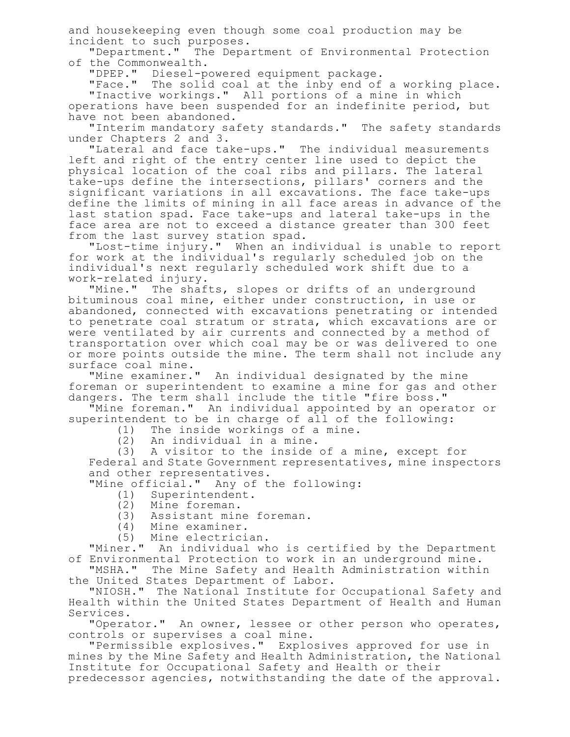and housekeeping even though some coal production may be incident to such purposes.

"Department." The Department of Environmental Protection of the Commonwealth.

"DPEP." Diesel-powered equipment package.

"Face." The solid coal at the inby end of a working place. "Inactive workings." All portions of a mine in which

operations have been suspended for an indefinite period, but have not been abandoned.

"Interim mandatory safety standards." The safety standards under Chapters 2 and 3.

"Lateral and face take-ups." The individual measurements left and right of the entry center line used to depict the physical location of the coal ribs and pillars. The lateral take-ups define the intersections, pillars' corners and the significant variations in all excavations. The face take-ups define the limits of mining in all face areas in advance of the last station spad. Face take-ups and lateral take-ups in the face area are not to exceed a distance greater than 300 feet from the last survey station spad.

"Lost-time injury." When an individual is unable to report for work at the individual's regularly scheduled job on the individual's next regularly scheduled work shift due to a work-related injury.

"Mine." The shafts, slopes or drifts of an underground bituminous coal mine, either under construction, in use or abandoned, connected with excavations penetrating or intended to penetrate coal stratum or strata, which excavations are or were ventilated by air currents and connected by a method of transportation over which coal may be or was delivered to one or more points outside the mine. The term shall not include any surface coal mine.

"Mine examiner." An individual designated by the mine foreman or superintendent to examine a mine for gas and other dangers. The term shall include the title "fire boss."

"Mine foreman." An individual appointed by an operator or superintendent to be in charge of all of the following:

- (1) The inside workings of a mine.
- (2) An individual in a mine.

(3) A visitor to the inside of a mine, except for Federal and State Government representatives, mine inspectors and other representatives.

"Mine official." Any of the following:

- (1) Superintendent.
- (2) Mine foreman.
- (3) Assistant mine foreman.
- (4) Mine examiner.
- (5) Mine electrician.

"Miner." An individual who is certified by the Department of Environmental Protection to work in an underground mine.

"MSHA." The Mine Safety and Health Administration within the United States Department of Labor.

"NIOSH." The National Institute for Occupational Safety and Health within the United States Department of Health and Human Services.

"Operator." An owner, lessee or other person who operates, controls or supervises a coal mine.

"Permissible explosives." Explosives approved for use in mines by the Mine Safety and Health Administration, the National Institute for Occupational Safety and Health or their predecessor agencies, notwithstanding the date of the approval.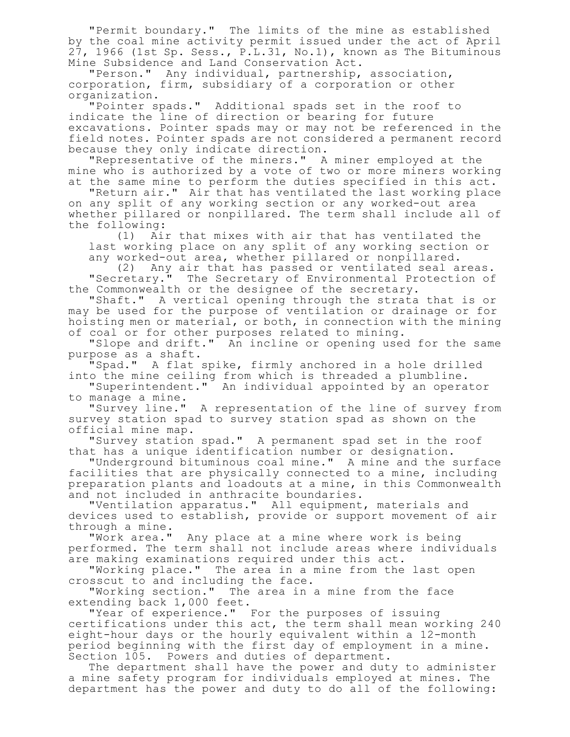"Permit boundary." The limits of the mine as established by the coal mine activity permit issued under the act of April 27, 1966 (1st Sp. Sess., P.L.31, No.1), known as The Bituminous Mine Subsidence and Land Conservation Act.

"Person." Any individual, partnership, association, corporation, firm, subsidiary of a corporation or other organization.

"Pointer spads." Additional spads set in the roof to indicate the line of direction or bearing for future excavations. Pointer spads may or may not be referenced in the field notes. Pointer spads are not considered a permanent record because they only indicate direction.

"Representative of the miners." A miner employed at the mine who is authorized by a vote of two or more miners working at the same mine to perform the duties specified in this act.

"Return air." Air that has ventilated the last working place on any split of any working section or any worked-out area whether pillared or nonpillared. The term shall include all of the following:

(1) Air that mixes with air that has ventilated the last working place on any split of any working section or any worked-out area, whether pillared or nonpillared.

(2) Any air that has passed or ventilated seal areas. "Secretary." The Secretary of Environmental Protection of the Commonwealth or the designee of the secretary.

"Shaft." A vertical opening through the strata that is or may be used for the purpose of ventilation or drainage or for hoisting men or material, or both, in connection with the mining of coal or for other purposes related to mining.

"Slope and drift." An incline or opening used for the same purpose as a shaft.

"Spad." A flat spike, firmly anchored in a hole drilled into the mine ceiling from which is threaded a plumbline.

"Superintendent." An individual appointed by an operator to manage a mine.

"Survey line." A representation of the line of survey from survey station spad to survey station spad as shown on the official mine map.

"Survey station spad." A permanent spad set in the roof that has a unique identification number or designation.

"Underground bituminous coal mine." A mine and the surface facilities that are physically connected to a mine, including preparation plants and loadouts at a mine, in this Commonwealth and not included in anthracite boundaries.

"Ventilation apparatus." All equipment, materials and devices used to establish, provide or support movement of air through a mine.<br>"Work area."

Any place at a mine where work is being performed. The term shall not include areas where individuals are making examinations required under this act.

"Working place." The area in a mine from the last open crosscut to and including the face.

"Working section." The area in a mine from the face extending back 1,000 feet.

"Year of experience." For the purposes of issuing certifications under this act, the term shall mean working 240 eight-hour days or the hourly equivalent within a 12-month period beginning with the first day of employment in a mine. Section 105. Powers and duties of department.

The department shall have the power and duty to administer a mine safety program for individuals employed at mines. The department has the power and duty to do all of the following: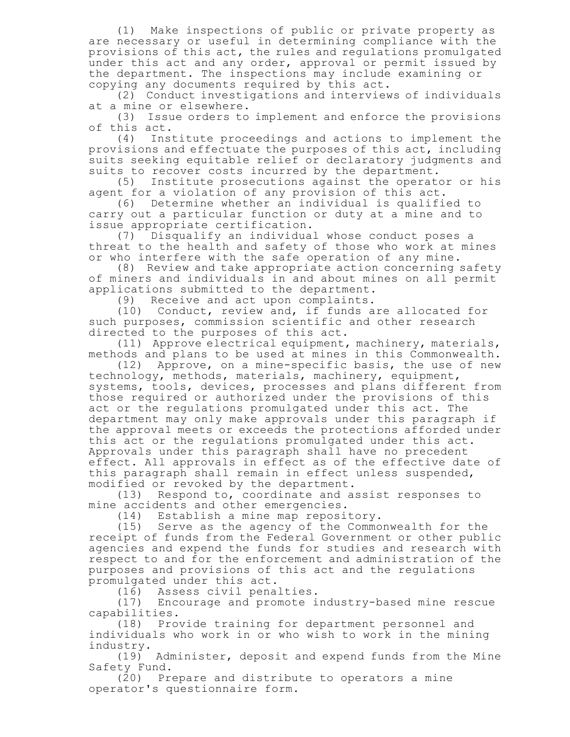(1) Make inspections of public or private property as are necessary or useful in determining compliance with the provisions of this act, the rules and regulations promulgated under this act and any order, approval or permit issued by the department. The inspections may include examining or copying any documents required by this act.

(2) Conduct investigations and interviews of individuals at a mine or elsewhere.

(3) Issue orders to implement and enforce the provisions of this act.

(4) Institute proceedings and actions to implement the provisions and effectuate the purposes of this act, including suits seeking equitable relief or declaratory judgments and suits to recover costs incurred by the department.

(5) Institute prosecutions against the operator or his agent for a violation of any provision of this act.

(6) Determine whether an individual is qualified to carry out a particular function or duty at a mine and to issue appropriate certification.

(7) Disqualify an individual whose conduct poses a threat to the health and safety of those who work at mines or who interfere with the safe operation of any mine.

(8) Review and take appropriate action concerning safety of miners and individuals in and about mines on all permit applications submitted to the department.

(9) Receive and act upon complaints.

(10) Conduct, review and, if funds are allocated for such purposes, commission scientific and other research directed to the purposes of this act.

(11) Approve electrical equipment, machinery, materials, methods and plans to be used at mines in this Commonwealth.

(12) Approve, on a mine-specific basis, the use of new technology, methods, materials, machinery, equipment, systems, tools, devices, processes and plans different from those required or authorized under the provisions of this act or the regulations promulgated under this act. The department may only make approvals under this paragraph if the approval meets or exceeds the protections afforded under this act or the regulations promulgated under this act. Approvals under this paragraph shall have no precedent effect. All approvals in effect as of the effective date of this paragraph shall remain in effect unless suspended, modified or revoked by the department.

(13) Respond to, coordinate and assist responses to mine accidents and other emergencies.

(14) Establish a mine map repository.

(15) Serve as the agency of the Commonwealth for the receipt of funds from the Federal Government or other public agencies and expend the funds for studies and research with respect to and for the enforcement and administration of the purposes and provisions of this act and the regulations promulgated under this act.

(16) Assess civil penalties.

(17) Encourage and promote industry-based mine rescue capabilities.

(18) Provide training for department personnel and individuals who work in or who wish to work in the mining industry.

(19) Administer, deposit and expend funds from the Mine Safety Fund.

(20) Prepare and distribute to operators a mine operator's questionnaire form.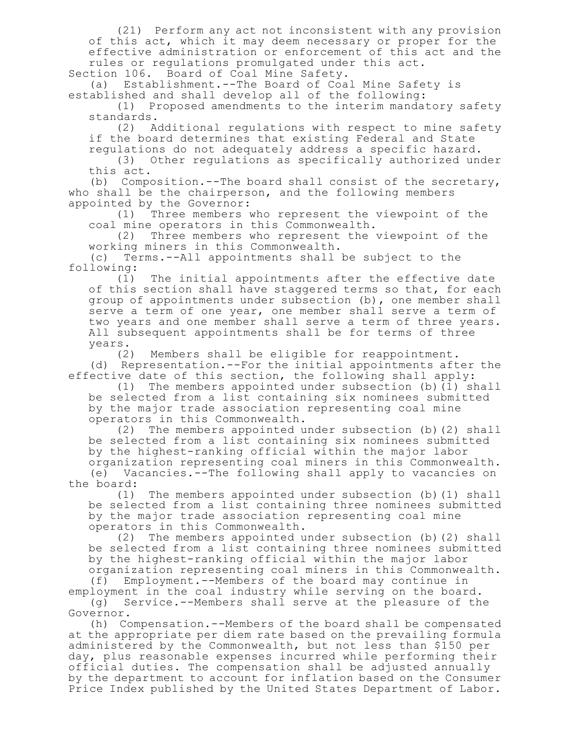(21) Perform any act not inconsistent with any provision of this act, which it may deem necessary or proper for the effective administration or enforcement of this act and the rules or regulations promulgated under this act.

Section 106. Board of Coal Mine Safety.

(a) Establishment.--The Board of Coal Mine Safety is established and shall develop all of the following:

(1) Proposed amendments to the interim mandatory safety standards.

(2) Additional regulations with respect to mine safety if the board determines that existing Federal and State regulations do not adequately address a specific hazard.

(3) Other regulations as specifically authorized under this act.

(b) Composition.--The board shall consist of the secretary, who shall be the chairperson, and the following members appointed by the Governor:

(1) Three members who represent the viewpoint of the coal mine operators in this Commonwealth.

(2) Three members who represent the viewpoint of the working miners in this Commonwealth.

(c) Terms.--All appointments shall be subject to the following:

(1) The initial appointments after the effective date of this section shall have staggered terms so that, for each group of appointments under subsection (b), one member shall serve a term of one year, one member shall serve a term of two years and one member shall serve a term of three years. All subsequent appointments shall be for terms of three years.

(2) Members shall be eligible for reappointment. (d) Representation.--For the initial appointments after the effective date of this section, the following shall apply:

(1) The members appointed under subsection (b)(1) shall be selected from a list containing six nominees submitted by the major trade association representing coal mine operators in this Commonwealth.

(2) The members appointed under subsection (b)(2) shall be selected from a list containing six nominees submitted by the highest-ranking official within the major labor

organization representing coal miners in this Commonwealth. (e) Vacancies.--The following shall apply to vacancies on the board:

(1) The members appointed under subsection (b)(1) shall be selected from a list containing three nominees submitted by the major trade association representing coal mine operators in this Commonwealth.

(2) The members appointed under subsection (b)(2) shall be selected from a list containing three nominees submitted by the highest-ranking official within the major labor

organization representing coal miners in this Commonwealth.<br>(f) Employment.--Members of the board may continue in Employment.--Members of the board may continue in employment in the coal industry while serving on the board.

(g) Service.--Members shall serve at the pleasure of the Governor.

(h) Compensation.--Members of the board shall be compensated at the appropriate per diem rate based on the prevailing formula administered by the Commonwealth, but not less than \$150 per day, plus reasonable expenses incurred while performing their official duties. The compensation shall be adjusted annually by the department to account for inflation based on the Consumer Price Index published by the United States Department of Labor.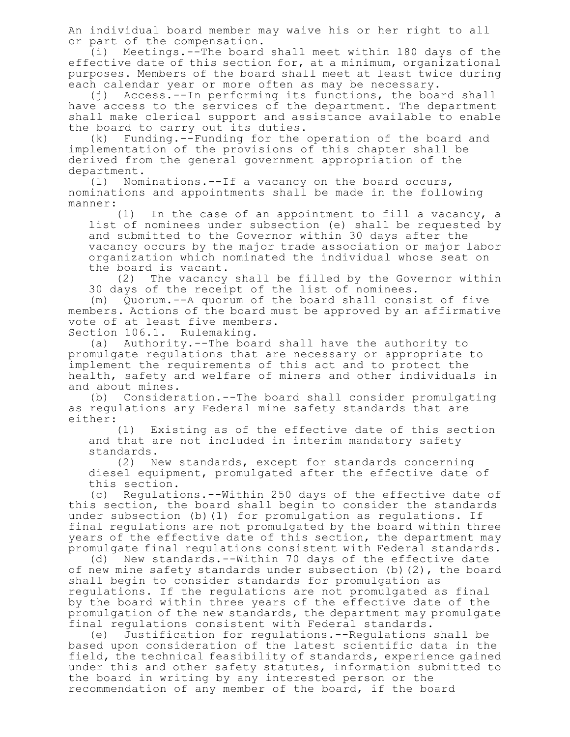An individual board member may waive his or her right to all or part of the compensation.

(i) Meetings.--The board shall meet within 180 days of the effective date of this section for, at a minimum, organizational purposes. Members of the board shall meet at least twice during each calendar year or more often as may be necessary.

(j) Access.--In performing its functions, the board shall have access to the services of the department. The department shall make clerical support and assistance available to enable the board to carry out its duties.

(k) Funding.--Funding for the operation of the board and implementation of the provisions of this chapter shall be derived from the general government appropriation of the department.

(l) Nominations.--If a vacancy on the board occurs, nominations and appointments shall be made in the following manner:

(1) In the case of an appointment to fill a vacancy, a list of nominees under subsection (e) shall be requested by and submitted to the Governor within 30 days after the vacancy occurs by the major trade association or major labor organization which nominated the individual whose seat on the board is vacant.

(2) The vacancy shall be filled by the Governor within 30 days of the receipt of the list of nominees.

(m) Quorum.--A quorum of the board shall consist of five members. Actions of the board must be approved by an affirmative vote of at least five members. Section 106.1. Rulemaking.

(a) Authority.--The board shall have the authority to promulgate regulations that are necessary or appropriate to implement the requirements of this act and to protect the health, safety and welfare of miners and other individuals in

and about mines.

(b) Consideration.--The board shall consider promulgating as regulations any Federal mine safety standards that are either:

(1) Existing as of the effective date of this section and that are not included in interim mandatory safety standards.

(2) New standards, except for standards concerning diesel equipment, promulgated after the effective date of this section.

(c) Regulations.--Within 250 days of the effective date of this section, the board shall begin to consider the standards under subsection (b)(1) for promulgation as regulations. If final regulations are not promulgated by the board within three years of the effective date of this section, the department may promulgate final regulations consistent with Federal standards.

(d) New standards.--Within 70 days of the effective date of new mine safety standards under subsection (b)(2), the board shall begin to consider standards for promulgation as regulations. If the regulations are not promulgated as final by the board within three years of the effective date of the promulgation of the new standards, the department may promulgate final regulations consistent with Federal standards.

(e) Justification for regulations.--Regulations shall be based upon consideration of the latest scientific data in the field, the technical feasibility of standards, experience gained under this and other safety statutes, information submitted to the board in writing by any interested person or the recommendation of any member of the board, if the board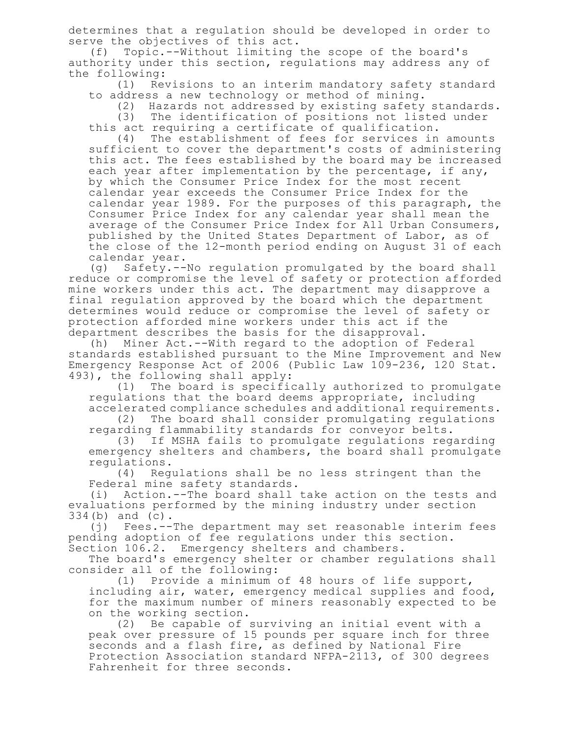determines that a regulation should be developed in order to serve the objectives of this act.

(f) Topic.--Without limiting the scope of the board's authority under this section, regulations may address any of the following:

(1) Revisions to an interim mandatory safety standard to address a new technology or method of mining.

(2) Hazards not addressed by existing safety standards.

(3) The identification of positions not listed under this act requiring a certificate of qualification.

(4) The establishment of fees for services in amounts sufficient to cover the department's costs of administering this act. The fees established by the board may be increased each year after implementation by the percentage, if any, by which the Consumer Price Index for the most recent calendar year exceeds the Consumer Price Index for the calendar year 1989. For the purposes of this paragraph, the Consumer Price Index for any calendar year shall mean the average of the Consumer Price Index for All Urban Consumers, published by the United States Department of Labor, as of the close of the 12-month period ending on August 31 of each calendar year.

(g) Safety.--No regulation promulgated by the board shall reduce or compromise the level of safety or protection afforded mine workers under this act. The department may disapprove a final regulation approved by the board which the department determines would reduce or compromise the level of safety or protection afforded mine workers under this act if the department describes the basis for the disapproval.

(h) Miner Act.--With regard to the adoption of Federal standards established pursuant to the Mine Improvement and New Emergency Response Act of 2006 (Public Law 109-236, 120 Stat. 493), the following shall apply:

(1) The board is specifically authorized to promulgate regulations that the board deems appropriate, including accelerated compliance schedules and additional requirements.

(2) The board shall consider promulgating regulations regarding flammability standards for conveyor belts.

(3) If MSHA fails to promulgate regulations regarding emergency shelters and chambers, the board shall promulgate regulations.

(4) Regulations shall be no less stringent than the Federal mine safety standards.

(i) Action.--The board shall take action on the tests and evaluations performed by the mining industry under section 334(b) and (c).

(j) Fees.--The department may set reasonable interim fees pending adoption of fee regulations under this section. Section 106.2. Emergency shelters and chambers.

The board's emergency shelter or chamber regulations shall consider all of the following:<br>(1) Provide a minimum

Provide a minimum of 48 hours of life support, including air, water, emergency medical supplies and food, for the maximum number of miners reasonably expected to be on the working section.

(2) Be capable of surviving an initial event with a peak over pressure of 15 pounds per square inch for three seconds and a flash fire, as defined by National Fire Protection Association standard NFPA-2113, of 300 degrees Fahrenheit for three seconds.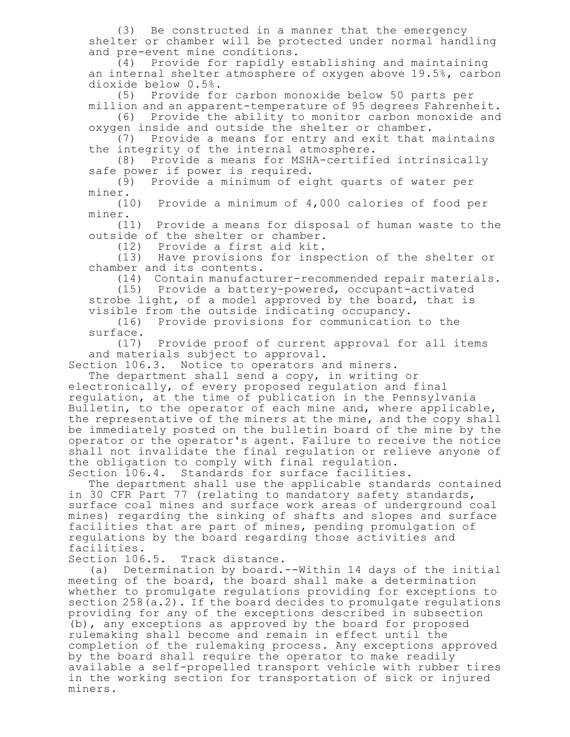(3) Be constructed in a manner that the emergency shelter or chamber will be protected under normal handling and pre-event mine conditions.

(4) Provide for rapidly establishing and maintaining an internal shelter atmosphere of oxygen above 19.5%, carbon dioxide below 0.5%.

(5) Provide for carbon monoxide below 50 parts per million and an apparent-temperature of 95 degrees Fahrenheit.

(6) Provide the ability to monitor carbon monoxide and oxygen inside and outside the shelter or chamber.

(7) Provide a means for entry and exit that maintains the integrity of the internal atmosphere.

(8) Provide a means for MSHA-certified intrinsically safe power if power is required.

(9) Provide a minimum of eight quarts of water per miner.

(10) Provide a minimum of 4,000 calories of food per miner.

(11) Provide a means for disposal of human waste to the outside of the shelter or chamber.

(12) Provide a first aid kit.

(13) Have provisions for inspection of the shelter or chamber and its contents.

(14) Contain manufacturer-recommended repair materials.

(15) Provide a battery-powered, occupant-activated strobe light, of a model approved by the board, that is visible from the outside indicating occupancy.

(16) Provide provisions for communication to the surface.

(17) Provide proof of current approval for all items and materials subject to approval.

Section 106.3. Notice to operators and miners.

The department shall send a copy, in writing or

electronically, of every proposed regulation and final regulation, at the time of publication in the Pennsylvania Bulletin, to the operator of each mine and, where applicable, the representative of the miners at the mine, and the copy shall be immediately posted on the bulletin board of the mine by the operator or the operator's agent. Failure to receive the notice shall not invalidate the final regulation or relieve anyone of the obligation to comply with final regulation. Section 106.4. Standards for surface facilities.

The department shall use the applicable standards contained in 30 CFR Part 77 (relating to mandatory safety standards, surface coal mines and surface work areas of underground coal mines) regarding the sinking of shafts and slopes and surface facilities that are part of mines, pending promulgation of regulations by the board regarding those activities and facilities.

Section 106.5. Track distance.

(a) Determination by board.--Within 14 days of the initial meeting of the board, the board shall make a determination whether to promulgate regulations providing for exceptions to section 258(a.2). If the board decides to promulgate regulations providing for any of the exceptions described in subsection (b), any exceptions as approved by the board for proposed rulemaking shall become and remain in effect until the completion of the rulemaking process. Any exceptions approved by the board shall require the operator to make readily available a self-propelled transport vehicle with rubber tires in the working section for transportation of sick or injured miners.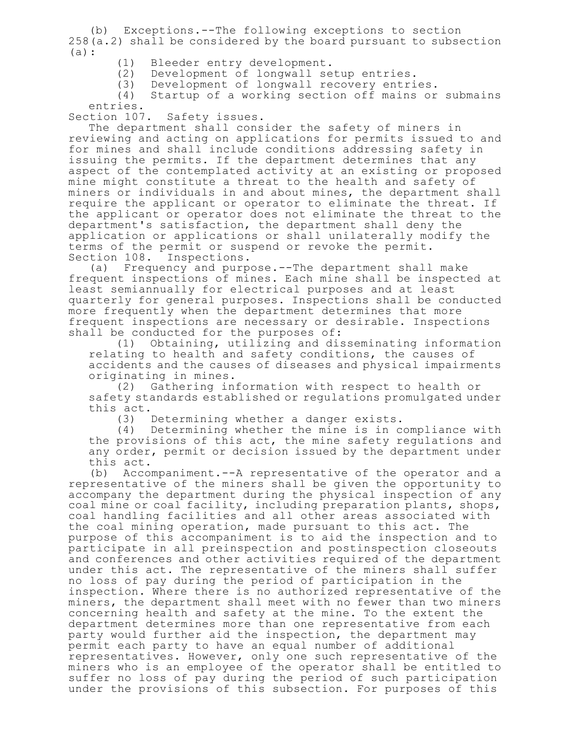(b) Exceptions.--The following exceptions to section 258(a.2) shall be considered by the board pursuant to subsection (a):

- (1) Bleeder entry development.
- (2) Development of longwall setup entries.<br>(3) Development of longwall recovery entri
	- Development of longwall recovery entries.

(4) Startup of a working section off mains or submains

entries.<br>Section 107. Safety issues.

The department shall consider the safety of miners in reviewing and acting on applications for permits issued to and for mines and shall include conditions addressing safety in issuing the permits. If the department determines that any aspect of the contemplated activity at an existing or proposed mine might constitute a threat to the health and safety of miners or individuals in and about mines, the department shall require the applicant or operator to eliminate the threat. If the applicant or operator does not eliminate the threat to the department's satisfaction, the department shall deny the application or applications or shall unilaterally modify the terms of the permit or suspend or revoke the permit. Section 108. Inspections.

(a) Frequency and purpose.--The department shall make frequent inspections of mines. Each mine shall be inspected at least semiannually for electrical purposes and at least quarterly for general purposes. Inspections shall be conducted more frequently when the department determines that more frequent inspections are necessary or desirable. Inspections shall be conducted for the purposes of:

(1) Obtaining, utilizing and disseminating information relating to health and safety conditions, the causes of accidents and the causes of diseases and physical impairments originating in mines.

(2) Gathering information with respect to health or safety standards established or regulations promulgated under this  $act.$  (3)

Determining whether a danger exists.

(4) Determining whether the mine is in compliance with the provisions of this act, the mine safety regulations and any order, permit or decision issued by the department under this act.

(b) Accompaniment.--A representative of the operator and a representative of the miners shall be given the opportunity to accompany the department during the physical inspection of any coal mine or coal facility, including preparation plants, shops, coal handling facilities and all other areas associated with the coal mining operation, made pursuant to this act. The purpose of this accompaniment is to aid the inspection and to participate in all preinspection and postinspection closeouts and conferences and other activities required of the department under this act. The representative of the miners shall suffer no loss of pay during the period of participation in the inspection. Where there is no authorized representative of the miners, the department shall meet with no fewer than two miners concerning health and safety at the mine. To the extent the department determines more than one representative from each party would further aid the inspection, the department may permit each party to have an equal number of additional representatives. However, only one such representative of the miners who is an employee of the operator shall be entitled to suffer no loss of pay during the period of such participation under the provisions of this subsection. For purposes of this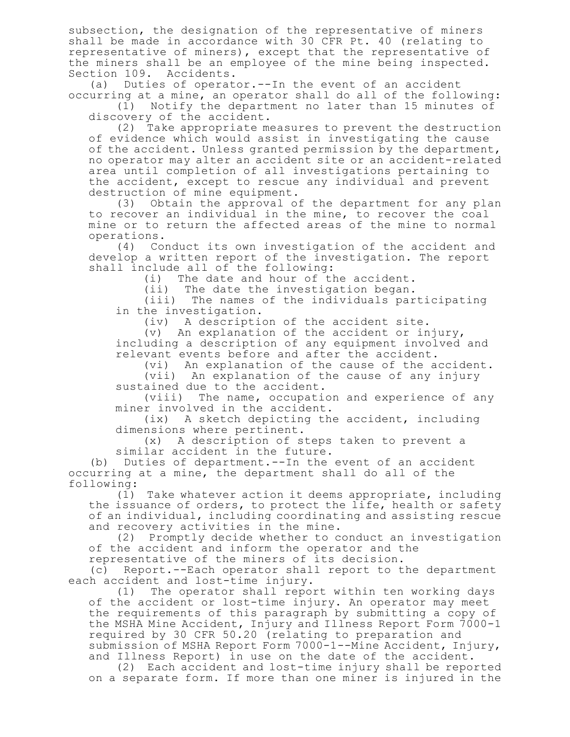subsection, the designation of the representative of miners shall be made in accordance with 30 CFR Pt. 40 (relating to representative of miners), except that the representative of the miners shall be an employee of the mine being inspected. Section 109. Accidents.

(a) Duties of operator.--In the event of an accident occurring at a mine, an operator shall do all of the following:

(1) Notify the department no later than 15 minutes of discovery of the accident.

(2) Take appropriate measures to prevent the destruction of evidence which would assist in investigating the cause of the accident. Unless granted permission by the department, no operator may alter an accident site or an accident-related area until completion of all investigations pertaining to the accident, except to rescue any individual and prevent destruction of mine equipment.

(3) Obtain the approval of the department for any plan to recover an individual in the mine, to recover the coal mine or to return the affected areas of the mine to normal operations.<br>(4) Com

Conduct its own investigation of the accident and develop a written report of the investigation. The report shall include all of the following:

(i) The date and hour of the accident.

(ii) The date the investigation began.

(iii) The names of the individuals participating in the investigation.

(iv) A description of the accident site.

(v) An explanation of the accident or injury, including a description of any equipment involved and relevant events before and after the accident.

(vi) An explanation of the cause of the accident. (vii) An explanation of the cause of any injury sustained due to the accident.

(viii) The name, occupation and experience of any miner involved in the accident.

(ix) A sketch depicting the accident, including dimensions where pertinent.

(x) A description of steps taken to prevent a similar accident in the future.

(b) Duties of department.--In the event of an accident occurring at a mine, the department shall do all of the following:

(1) Take whatever action it deems appropriate, including the issuance of orders, to protect the life, health or safety of an individual, including coordinating and assisting rescue and recovery activities in the mine.

(2) Promptly decide whether to conduct an investigation of the accident and inform the operator and the

representative of the miners of its decision.

(c) Report.--Each operator shall report to the department each accident and lost-time injury.

(1) The operator shall report within ten working days of the accident or lost-time injury. An operator may meet the requirements of this paragraph by submitting a copy of the MSHA Mine Accident, Injury and Illness Report Form 7000-1 required by 30 CFR 50.20 (relating to preparation and submission of MSHA Report Form 7000-1--Mine Accident, Injury, and Illness Report) in use on the date of the accident.

(2) Each accident and lost-time injury shall be reported on a separate form. If more than one miner is injured in the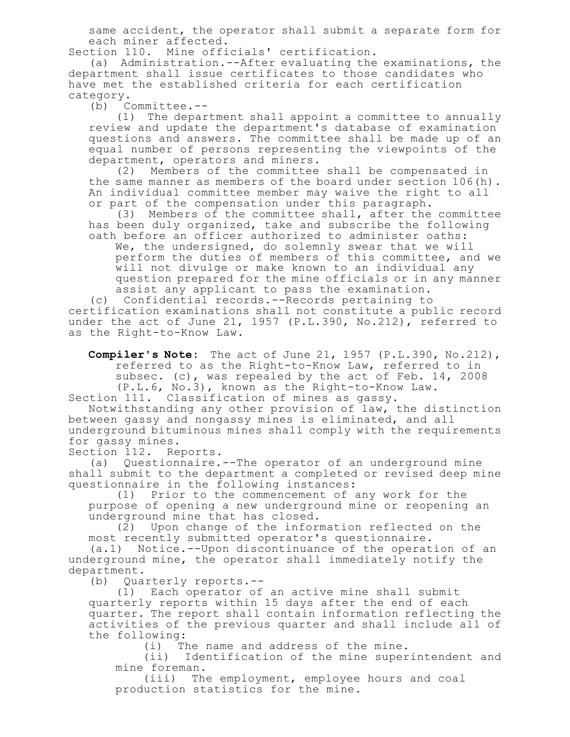same accident, the operator shall submit a separate form for each miner affected.

Section 110. Mine officials' certification.

(a) Administration.--After evaluating the examinations, the department shall issue certificates to those candidates who have met the established criteria for each certification category.<br>(b) C

(b) Committee.--

(1) The department shall appoint a committee to annually review and update the department's database of examination questions and answers. The committee shall be made up of an equal number of persons representing the viewpoints of the department, operators and miners.

(2) Members of the committee shall be compensated in the same manner as members of the board under section 106(h). An individual committee member may waive the right to all or part of the compensation under this paragraph.

(3) Members of the committee shall, after the committee has been duly organized, take and subscribe the following oath before an officer authorized to administer oaths:

We, the undersigned, do solemnly swear that we will perform the duties of members of this committee, and we will not divulge or make known to an individual any question prepared for the mine officials or in any manner assist any applicant to pass the examination.

(c) Confidential records.--Records pertaining to certification examinations shall not constitute a public record under the act of June 21, 1957 (P.L.390, No.212), referred to as the Right-to-Know Law.

**Compiler's Note:** The act of June 21, 1957 (P.L.390, No.212), referred to as the Right-to-Know Law, referred to in subsec. (c), was repealed by the act of Feb. 14, 2008 (P.L.6, No.3), known as the Right-to-Know Law.

Section 111. Classification of mines as gassy.

Notwithstanding any other provision of law, the distinction between gassy and nongassy mines is eliminated, and all underground bituminous mines shall comply with the requirements for gassy mines.

Section 112. Reports.

(a) Questionnaire.--The operator of an underground mine shall submit to the department a completed or revised deep mine questionnaire in the following instances:

(1) Prior to the commencement of any work for the purpose of opening a new underground mine or reopening an underground mine that has closed.

(2) Upon change of the information reflected on the most recently submitted operator's questionnaire.

(a.1) Notice.--Upon discontinuance of the operation of an underground mine, the operator shall immediately notify the department.

(b) Quarterly reports.--

(1) Each operator of an active mine shall submit quarterly reports within 15 days after the end of each quarter. The report shall contain information reflecting the activities of the previous quarter and shall include all of the following:

(i) The name and address of the mine.

(ii) Identification of the mine superintendent and mine foreman.

(iii) The employment, employee hours and coal production statistics for the mine.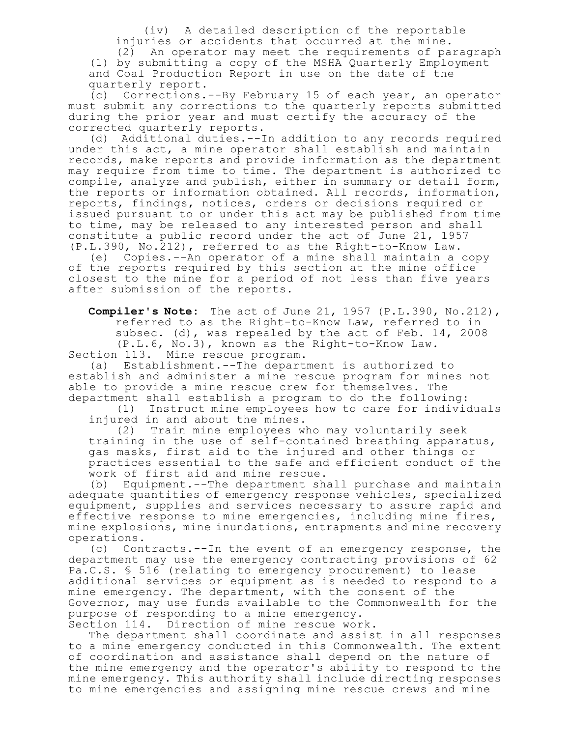(iv) A detailed description of the reportable injuries or accidents that occurred at the mine.

(2) An operator may meet the requirements of paragraph (1) by submitting a copy of the MSHA Quarterly Employment and Coal Production Report in use on the date of the quarterly report.

(c) Corrections.--By February 15 of each year, an operator must submit any corrections to the quarterly reports submitted during the prior year and must certify the accuracy of the corrected quarterly reports.

(d) Additional duties.--In addition to any records required under this act, a mine operator shall establish and maintain records, make reports and provide information as the department may require from time to time. The department is authorized to compile, analyze and publish, either in summary or detail form, the reports or information obtained. All records, information, reports, findings, notices, orders or decisions required or issued pursuant to or under this act may be published from time to time, may be released to any interested person and shall constitute a public record under the act of June 21, 1957 (P.L.390, No.212), referred to as the Right-to-Know Law.

(e) Copies.--An operator of a mine shall maintain a copy of the reports required by this section at the mine office closest to the mine for a period of not less than five years after submission of the reports.

**Compiler's Note:** The act of June 21, 1957 (P.L.390, No.212), referred to as the Right-to-Know Law, referred to in subsec. (d), was repealed by the act of Feb. 14, 2008 (P.L.6, No.3), known as the Right-to-Know Law. Section 113. Mine rescue program.

(a) Establishment.--The department is authorized to establish and administer a mine rescue program for mines not able to provide a mine rescue crew for themselves. The department shall establish a program to do the following:

(1) Instruct mine employees how to care for individuals injured in and about the mines.

(2) Train mine employees who may voluntarily seek training in the use of self-contained breathing apparatus, gas masks, first aid to the injured and other things or practices essential to the safe and efficient conduct of the work of first aid and mine rescue.

(b) Equipment.--The department shall purchase and maintain adequate quantities of emergency response vehicles, specialized equipment, supplies and services necessary to assure rapid and effective response to mine emergencies, including mine fires, mine explosions, mine inundations, entrapments and mine recovery operations.

(c) Contracts.--In the event of an emergency response, the department may use the emergency contracting provisions of 62 Pa.C.S. § 516 (relating to emergency procurement) to lease additional services or equipment as is needed to respond to a mine emergency. The department, with the consent of the Governor, may use funds available to the Commonwealth for the purpose of responding to a mine emergency. Section 114. Direction of mine rescue work.

The department shall coordinate and assist in all responses to a mine emergency conducted in this Commonwealth. The extent of coordination and assistance shall depend on the nature of the mine emergency and the operator's ability to respond to the mine emergency. This authority shall include directing responses to mine emergencies and assigning mine rescue crews and mine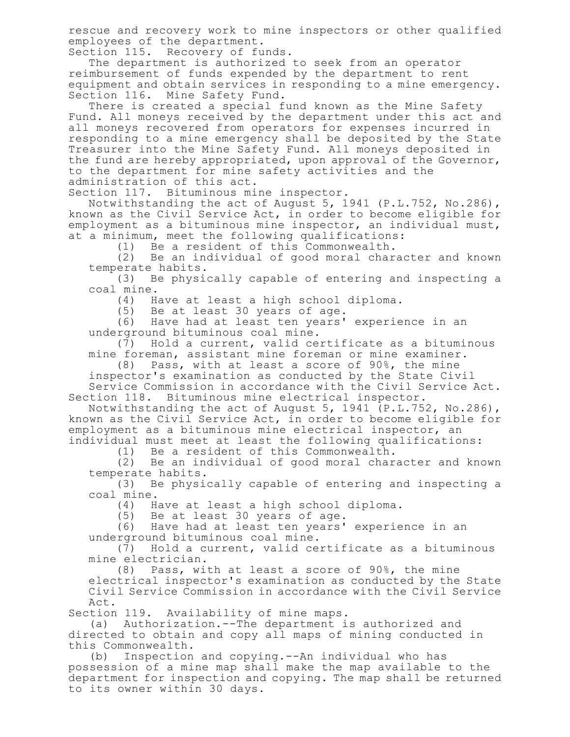rescue and recovery work to mine inspectors or other qualified employees of the department.

Section 115. Recovery of funds.

The department is authorized to seek from an operator reimbursement of funds expended by the department to rent equipment and obtain services in responding to a mine emergency. Section 116. Mine Safety Fund.

There is created a special fund known as the Mine Safety Fund. All moneys received by the department under this act and all moneys recovered from operators for expenses incurred in responding to a mine emergency shall be deposited by the State Treasurer into the Mine Safety Fund. All moneys deposited in the fund are hereby appropriated, upon approval of the Governor, to the department for mine safety activities and the administration of this act.

Section 117. Bituminous mine inspector.

Notwithstanding the act of August 5, 1941 (P.L.752, No.286), known as the Civil Service Act, in order to become eligible for employment as a bituminous mine inspector, an individual must, at a minimum, meet the following qualifications:

(1) Be a resident of this Commonwealth.

(2) Be an individual of good moral character and known temperate habits.

(3) Be physically capable of entering and inspecting a coal mine.

(4) Have at least a high school diploma.

(5) Be at least 30 years of age.

(6) Have had at least ten years' experience in an underground bituminous coal mine.

(7) Hold a current, valid certificate as a bituminous mine foreman, assistant mine foreman or mine examiner.

(8) Pass, with at least a score of 90%, the mine

inspector's examination as conducted by the State Civil Service Commission in accordance with the Civil Service Act. Section 118. Bituminous mine electrical inspector.

Notwithstanding the act of August 5, 1941 (P.L.752, No.286), known as the Civil Service Act, in order to become eligible for employment as a bituminous mine electrical inspector, an

individual must meet at least the following qualifications: (1) Be a resident of this Commonwealth.

(2) Be an individual of good moral character and known

temperate habits. (3) Be physically capable of entering and inspecting a coal mine.

(4) Have at least a high school diploma.

Be at least 30 years of age.

(6) Have had at least ten years' experience in an underground bituminous coal mine.

(7) Hold a current, valid certificate as a bituminous mine electrician.

(8) Pass, with at least a score of 90%, the mine electrical inspector's examination as conducted by the State Civil Service Commission in accordance with the Civil Service Act.

Section 119. Availability of mine maps.

(a) Authorization.--The department is authorized and directed to obtain and copy all maps of mining conducted in this Commonwealth.

(b) Inspection and copying.--An individual who has possession of a mine map shall make the map available to the department for inspection and copying. The map shall be returned to its owner within 30 days.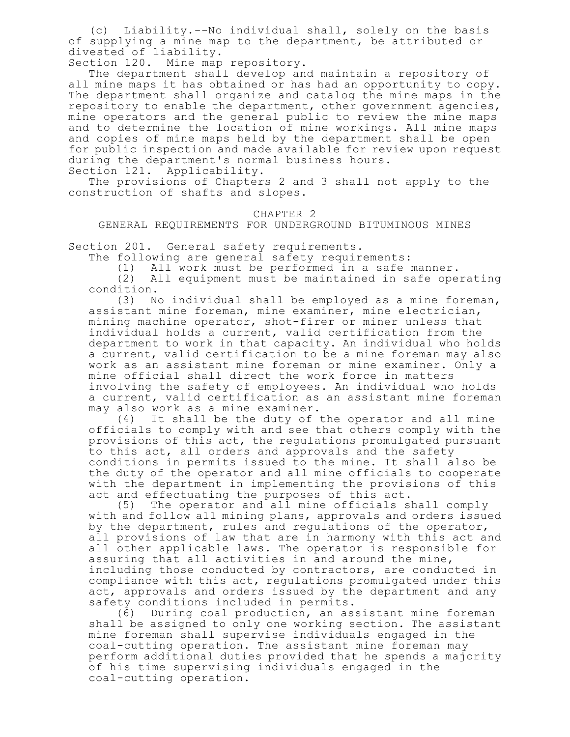(c) Liability.--No individual shall, solely on the basis of supplying a mine map to the department, be attributed or divested of liability.

Section 120. Mine map repository.

The department shall develop and maintain a repository of all mine maps it has obtained or has had an opportunity to copy. The department shall organize and catalog the mine maps in the repository to enable the department, other government agencies, mine operators and the general public to review the mine maps and to determine the location of mine workings. All mine maps and copies of mine maps held by the department shall be open for public inspection and made available for review upon request during the department's normal business hours.

Section 121. Applicability.

The provisions of Chapters 2 and 3 shall not apply to the construction of shafts and slopes.

## CHAPTER 2

GENERAL REQUIREMENTS FOR UNDERGROUND BITUMINOUS MINES

Section 201. General safety requirements.

The following are general safety requirements:

(1) All work must be performed in a safe manner.

All equipment must be maintained in safe operating condition.

(3) No individual shall be employed as a mine foreman, assistant mine foreman, mine examiner, mine electrician, mining machine operator, shot-firer or miner unless that individual holds a current, valid certification from the department to work in that capacity. An individual who holds a current, valid certification to be a mine foreman may also work as an assistant mine foreman or mine examiner. Only a mine official shall direct the work force in matters involving the safety of employees. An individual who holds a current, valid certification as an assistant mine foreman may also work as a mine examiner.

(4) It shall be the duty of the operator and all mine officials to comply with and see that others comply with the provisions of this act, the regulations promulgated pursuant to this act, all orders and approvals and the safety conditions in permits issued to the mine. It shall also be the duty of the operator and all mine officials to cooperate with the department in implementing the provisions of this act and effectuating the purposes of this act.

(5) The operator and all mine officials shall comply with and follow all mining plans, approvals and orders issued by the department, rules and regulations of the operator, all provisions of law that are in harmony with this act and all other applicable laws. The operator is responsible for assuring that all activities in and around the mine, including those conducted by contractors, are conducted in compliance with this act, regulations promulgated under this act, approvals and orders issued by the department and any safety conditions included in permits.

(6) During coal production, an assistant mine foreman shall be assigned to only one working section. The assistant mine foreman shall supervise individuals engaged in the coal-cutting operation. The assistant mine foreman may perform additional duties provided that he spends a majority of his time supervising individuals engaged in the coal-cutting operation.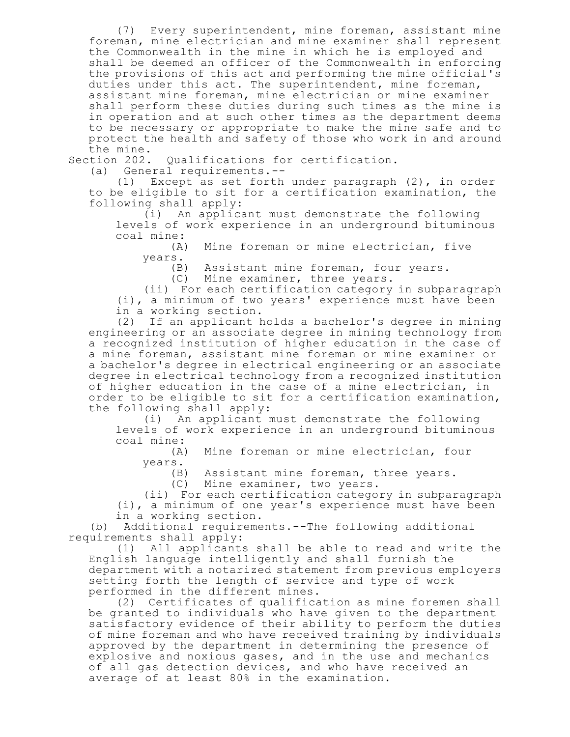(7) Every superintendent, mine foreman, assistant mine foreman, mine electrician and mine examiner shall represent the Commonwealth in the mine in which he is employed and shall be deemed an officer of the Commonwealth in enforcing the provisions of this act and performing the mine official's duties under this act. The superintendent, mine foreman, assistant mine foreman, mine electrician or mine examiner shall perform these duties during such times as the mine is in operation and at such other times as the department deems to be necessary or appropriate to make the mine safe and to protect the health and safety of those who work in and around the mine.

Section 202. Qualifications for certification.

(a) General requirements.--

(1) Except as set forth under paragraph (2), in order to be eligible to sit for a certification examination, the following shall apply:

(i) An applicant must demonstrate the following levels of work experience in an underground bituminous coal mine:

(A) Mine foreman or mine electrician, five years.

(B) Assistant mine foreman, four years.

(C) Mine examiner, three years.

(ii) For each certification category in subparagraph (i), a minimum of two years' experience must have been

in a working section.

(2) If an applicant holds a bachelor's degree in mining engineering or an associate degree in mining technology from a recognized institution of higher education in the case of a mine foreman, assistant mine foreman or mine examiner or a bachelor's degree in electrical engineering or an associate degree in electrical technology from a recognized institution of higher education in the case of a mine electrician, in order to be eligible to sit for a certification examination, the following shall apply:

(i) An applicant must demonstrate the following levels of work experience in an underground bituminous coal mine:

(A) Mine foreman or mine electrician, four years.

(B) Assistant mine foreman, three years.

(C) Mine examiner, two years.

(ii) For each certification category in subparagraph (i), a minimum of one year's experience must have been in a working section.

(b) Additional requirements.--The following additional requirements shall apply:

(1) All applicants shall be able to read and write the English language intelligently and shall furnish the department with a notarized statement from previous employers setting forth the length of service and type of work performed in the different mines.

(2) Certificates of qualification as mine foremen shall be granted to individuals who have given to the department satisfactory evidence of their ability to perform the duties of mine foreman and who have received training by individuals approved by the department in determining the presence of explosive and noxious gases, and in the use and mechanics of all gas detection devices, and who have received an average of at least 80% in the examination.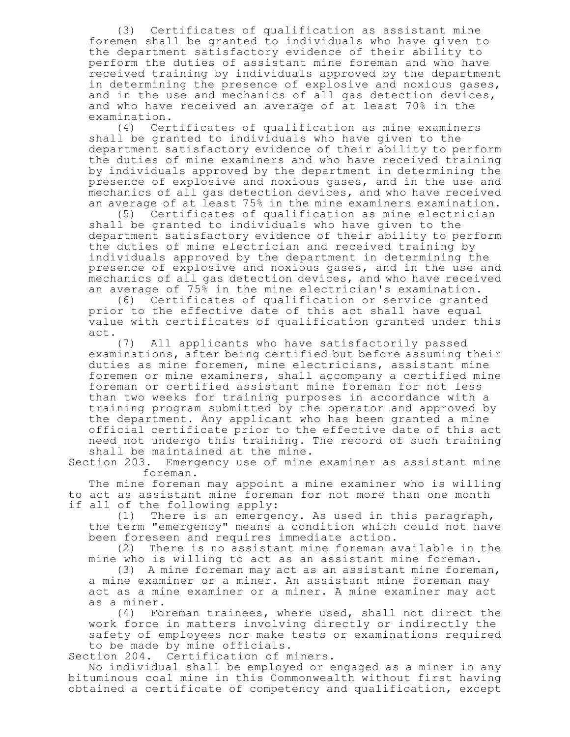(3) Certificates of qualification as assistant mine foremen shall be granted to individuals who have given to the department satisfactory evidence of their ability to perform the duties of assistant mine foreman and who have received training by individuals approved by the department in determining the presence of explosive and noxious gases, and in the use and mechanics of all gas detection devices, and who have received an average of at least 70% in the examination.

(4) Certificates of qualification as mine examiners shall be granted to individuals who have given to the department satisfactory evidence of their ability to perform the duties of mine examiners and who have received training by individuals approved by the department in determining the presence of explosive and noxious gases, and in the use and mechanics of all gas detection devices, and who have received an average of at least 75% in the mine examiners examination.

(5) Certificates of qualification as mine electrician shall be granted to individuals who have given to the department satisfactory evidence of their ability to perform the duties of mine electrician and received training by individuals approved by the department in determining the presence of explosive and noxious gases, and in the use and mechanics of all gas detection devices, and who have received an average of 75% in the mine electrician's examination.

(6) Certificates of qualification or service granted prior to the effective date of this act shall have equal value with certificates of qualification granted under this act.

(7) All applicants who have satisfactorily passed examinations, after being certified but before assuming their duties as mine foremen, mine electricians, assistant mine foremen or mine examiners, shall accompany a certified mine foreman or certified assistant mine foreman for not less than two weeks for training purposes in accordance with a training program submitted by the operator and approved by the department. Any applicant who has been granted a mine official certificate prior to the effective date of this act need not undergo this training. The record of such training shall be maintained at the mine.

Section 203. Emergency use of mine examiner as assistant mine foreman.

The mine foreman may appoint a mine examiner who is willing to act as assistant mine foreman for not more than one month if all of the following apply:

(1) There is an emergency. As used in this paragraph, the term "emergency" means a condition which could not have been foreseen and requires immediate action.

(2) There is no assistant mine foreman available in the mine who is willing to act as an assistant mine foreman.

(3) A mine foreman may act as an assistant mine foreman, a mine examiner or a miner. An assistant mine foreman may act as a mine examiner or a miner. A mine examiner may act as a miner.

(4) Foreman trainees, where used, shall not direct the work force in matters involving directly or indirectly the safety of employees nor make tests or examinations required to be made by mine officials.

Section 204. Certification of miners.

No individual shall be employed or engaged as a miner in any bituminous coal mine in this Commonwealth without first having obtained a certificate of competency and qualification, except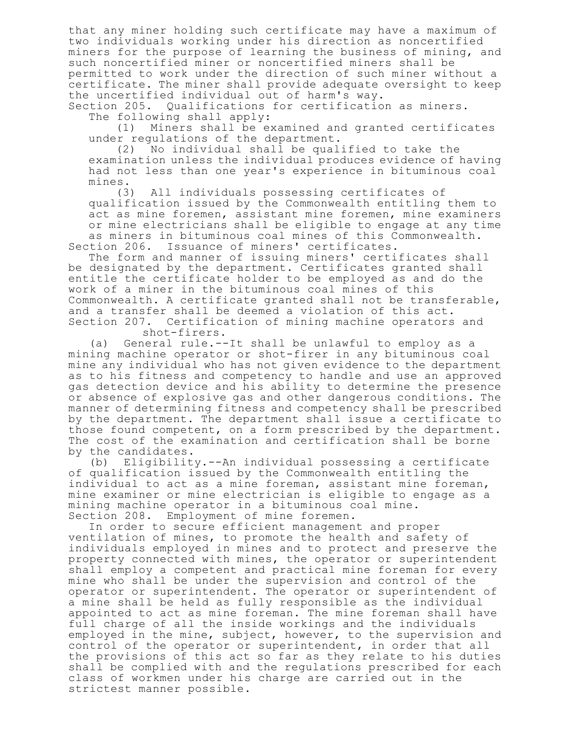that any miner holding such certificate may have a maximum of two individuals working under his direction as noncertified miners for the purpose of learning the business of mining, and such noncertified miner or noncertified miners shall be permitted to work under the direction of such miner without a certificate. The miner shall provide adequate oversight to keep the uncertified individual out of harm's way.

Section 205. Qualifications for certification as miners. The following shall apply:

(1) Miners shall be examined and granted certificates under regulations of the department.

(2) No individual shall be qualified to take the examination unless the individual produces evidence of having had not less than one year's experience in bituminous coal mines.

(3) All individuals possessing certificates of qualification issued by the Commonwealth entitling them to act as mine foremen, assistant mine foremen, mine examiners or mine electricians shall be eligible to engage at any time as miners in bituminous coal mines of this Commonwealth.

Section 206. Issuance of miners' certificates. The form and manner of issuing miners' certificates shall be designated by the department. Certificates granted shall entitle the certificate holder to be employed as and do the work of a miner in the bituminous coal mines of this

Commonwealth. A certificate granted shall not be transferable, and a transfer shall be deemed a violation of this act. Section 207. Certification of mining machine operators and

shot-firers.

(a) General rule.--It shall be unlawful to employ as a mining machine operator or shot-firer in any bituminous coal mine any individual who has not given evidence to the department as to his fitness and competency to handle and use an approved gas detection device and his ability to determine the presence or absence of explosive gas and other dangerous conditions. The manner of determining fitness and competency shall be prescribed by the department. The department shall issue a certificate to those found competent, on a form prescribed by the department. The cost of the examination and certification shall be borne by the candidates.

(b) Eligibility.--An individual possessing a certificate of qualification issued by the Commonwealth entitling the individual to act as a mine foreman, assistant mine foreman, mine examiner or mine electrician is eligible to engage as a mining machine operator in a bituminous coal mine. Section 208. Employment of mine foremen.

In order to secure efficient management and proper ventilation of mines, to promote the health and safety of individuals employed in mines and to protect and preserve the property connected with mines, the operator or superintendent shall employ a competent and practical mine foreman for every mine who shall be under the supervision and control of the operator or superintendent. The operator or superintendent of a mine shall be held as fully responsible as the individual appointed to act as mine foreman. The mine foreman shall have full charge of all the inside workings and the individuals employed in the mine, subject, however, to the supervision and control of the operator or superintendent, in order that all the provisions of this act so far as they relate to his duties shall be complied with and the regulations prescribed for each class of workmen under his charge are carried out in the strictest manner possible.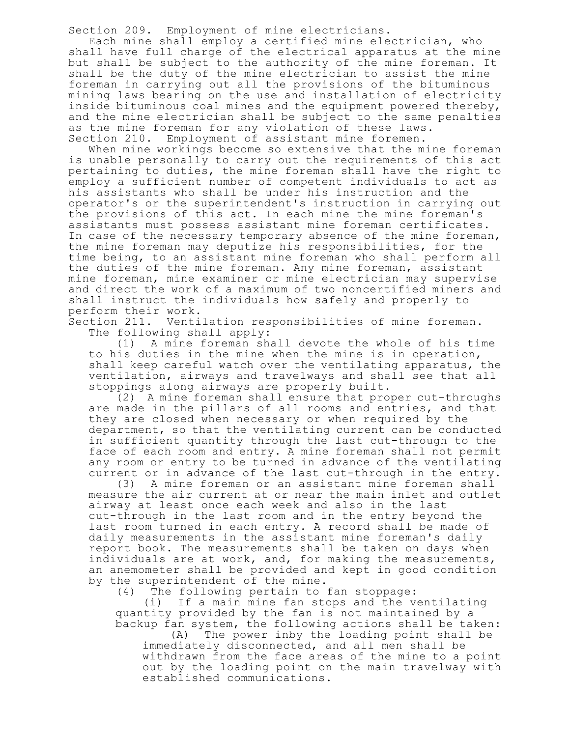Section 209. Employment of mine electricians.

Each mine shall employ a certified mine electrician, who shall have full charge of the electrical apparatus at the mine but shall be subject to the authority of the mine foreman. It shall be the duty of the mine electrician to assist the mine foreman in carrying out all the provisions of the bituminous mining laws bearing on the use and installation of electricity inside bituminous coal mines and the equipment powered thereby, and the mine electrician shall be subject to the same penalties as the mine foreman for any violation of these laws. Section 210. Employment of assistant mine foremen.

When mine workings become so extensive that the mine foreman is unable personally to carry out the requirements of this act pertaining to duties, the mine foreman shall have the right to employ a sufficient number of competent individuals to act as his assistants who shall be under his instruction and the operator's or the superintendent's instruction in carrying out the provisions of this act. In each mine the mine foreman's assistants must possess assistant mine foreman certificates. In case of the necessary temporary absence of the mine foreman, the mine foreman may deputize his responsibilities, for the time being, to an assistant mine foreman who shall perform all the duties of the mine foreman. Any mine foreman, assistant mine foreman, mine examiner or mine electrician may supervise and direct the work of a maximum of two noncertified miners and shall instruct the individuals how safely and properly to perform their work.

Section 211. Ventilation responsibilities of mine foreman. The following shall apply:

(1) A mine foreman shall devote the whole of his time to his duties in the mine when the mine is in operation, shall keep careful watch over the ventilating apparatus, the ventilation, airways and travelways and shall see that all stoppings along airways are properly built.

(2) A mine foreman shall ensure that proper cut-throughs are made in the pillars of all rooms and entries, and that they are closed when necessary or when required by the department, so that the ventilating current can be conducted in sufficient quantity through the last cut-through to the face of each room and entry. A mine foreman shall not permit any room or entry to be turned in advance of the ventilating current or in advance of the last cut-through in the entry.

(3) A mine foreman or an assistant mine foreman shall measure the air current at or near the main inlet and outlet airway at least once each week and also in the last cut-through in the last room and in the entry beyond the last room turned in each entry. A record shall be made of daily measurements in the assistant mine foreman's daily report book. The measurements shall be taken on days when individuals are at work, and, for making the measurements, an anemometer shall be provided and kept in good condition by the superintendent of the mine.

(4) The following pertain to fan stoppage:

(i) If a main mine fan stops and the ventilating quantity provided by the fan is not maintained by a backup fan system, the following actions shall be taken:

(A) The power inby the loading point shall be immediately disconnected, and all men shall be withdrawn from the face areas of the mine to a point out by the loading point on the main travelway with established communications.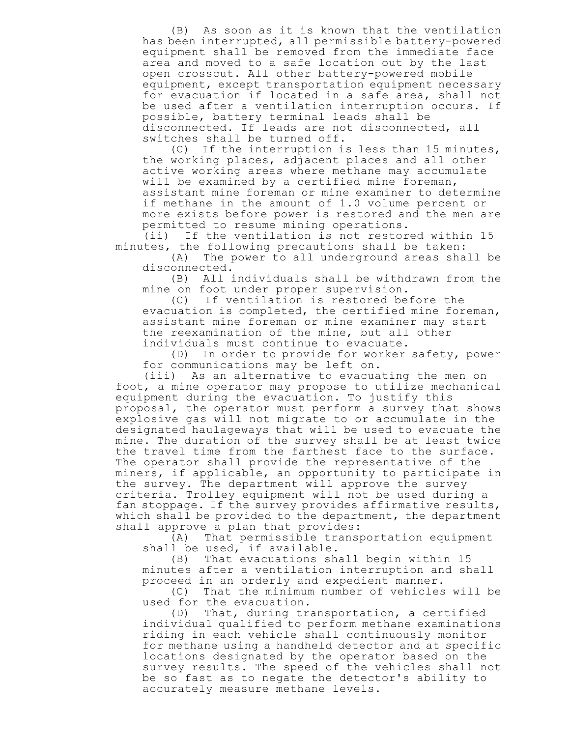(B) As soon as it is known that the ventilation has been interrupted, all permissible battery-powered equipment shall be removed from the immediate face area and moved to a safe location out by the last open crosscut. All other battery-powered mobile equipment, except transportation equipment necessary for evacuation if located in a safe area, shall not be used after a ventilation interruption occurs. If possible, battery terminal leads shall be disconnected. If leads are not disconnected, all switches shall be turned off.

(C) If the interruption is less than 15 minutes, the working places, adjacent places and all other active working areas where methane may accumulate will be examined by a certified mine foreman, assistant mine foreman or mine examiner to determine if methane in the amount of 1.0 volume percent or more exists before power is restored and the men are permitted to resume mining operations.

(ii) If the ventilation is not restored within 15 minutes, the following precautions shall be taken:

(A) The power to all underground areas shall be disconnected.

(B) All individuals shall be withdrawn from the mine on foot under proper supervision.

(C) If ventilation is restored before the evacuation is completed, the certified mine foreman, assistant mine foreman or mine examiner may start the reexamination of the mine, but all other individuals must continue to evacuate.

(D) In order to provide for worker safety, power for communications may be left on.

(iii) As an alternative to evacuating the men on foot, a mine operator may propose to utilize mechanical equipment during the evacuation. To justify this proposal, the operator must perform a survey that shows explosive gas will not migrate to or accumulate in the designated haulageways that will be used to evacuate the mine. The duration of the survey shall be at least twice the travel time from the farthest face to the surface. The operator shall provide the representative of the miners, if applicable, an opportunity to participate in the survey. The department will approve the survey criteria. Trolley equipment will not be used during a fan stoppage. If the survey provides affirmative results, which shall be provided to the department, the department shall approve a plan that provides:

(A) That permissible transportation equipment shall be used, if available.

(B) That evacuations shall begin within 15 minutes after a ventilation interruption and shall proceed in an orderly and expedient manner.

(C) That the minimum number of vehicles will be used for the evacuation.

(D) That, during transportation, a certified individual qualified to perform methane examinations riding in each vehicle shall continuously monitor for methane using a handheld detector and at specific locations designated by the operator based on the survey results. The speed of the vehicles shall not be so fast as to negate the detector's ability to accurately measure methane levels.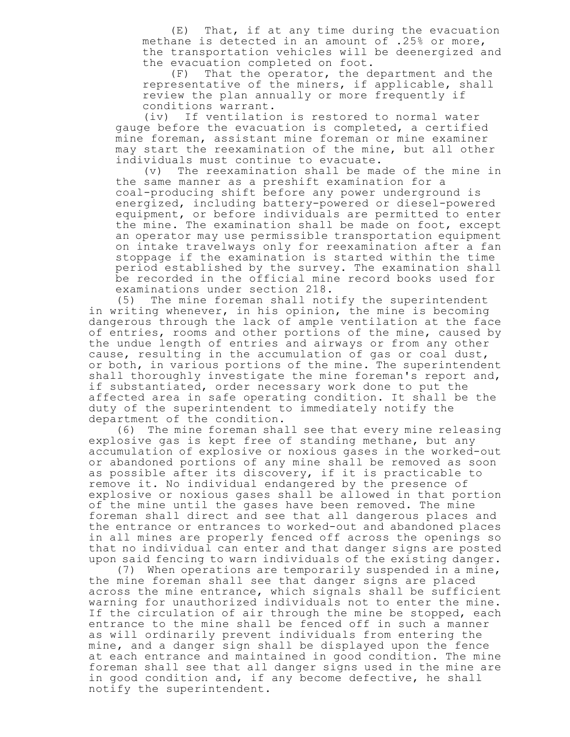(E) That, if at any time during the evacuation methane is detected in an amount of .25% or more, the transportation vehicles will be deenergized and the evacuation completed on foot.

(F) That the operator, the department and the representative of the miners, if applicable, shall review the plan annually or more frequently if conditions warrant.

(iv) If ventilation is restored to normal water gauge before the evacuation is completed, a certified mine foreman, assistant mine foreman or mine examiner may start the reexamination of the mine, but all other individuals must continue to evacuate.

(v) The reexamination shall be made of the mine in the same manner as a preshift examination for a coal-producing shift before any power underground is energized, including battery-powered or diesel-powered equipment, or before individuals are permitted to enter the mine. The examination shall be made on foot, except an operator may use permissible transportation equipment on intake travelways only for reexamination after a fan stoppage if the examination is started within the time period established by the survey. The examination shall be recorded in the official mine record books used for examinations under section 218.

(5) The mine foreman shall notify the superintendent in writing whenever, in his opinion, the mine is becoming dangerous through the lack of ample ventilation at the face of entries, rooms and other portions of the mine, caused by the undue length of entries and airways or from any other cause, resulting in the accumulation of gas or coal dust, or both, in various portions of the mine. The superintendent shall thoroughly investigate the mine foreman's report and, if substantiated, order necessary work done to put the affected area in safe operating condition. It shall be the duty of the superintendent to immediately notify the department of the condition.

(6) The mine foreman shall see that every mine releasing explosive gas is kept free of standing methane, but any accumulation of explosive or noxious gases in the worked-out or abandoned portions of any mine shall be removed as soon as possible after its discovery, if it is practicable to remove it. No individual endangered by the presence of explosive or noxious gases shall be allowed in that portion of the mine until the gases have been removed. The mine foreman shall direct and see that all dangerous places and the entrance or entrances to worked-out and abandoned places in all mines are properly fenced off across the openings so that no individual can enter and that danger signs are posted upon said fencing to warn individuals of the existing danger.

(7) When operations are temporarily suspended in a mine, the mine foreman shall see that danger signs are placed across the mine entrance, which signals shall be sufficient warning for unauthorized individuals not to enter the mine. If the circulation of air through the mine be stopped, each entrance to the mine shall be fenced off in such a manner as will ordinarily prevent individuals from entering the mine, and a danger sign shall be displayed upon the fence at each entrance and maintained in good condition. The mine foreman shall see that all danger signs used in the mine are in good condition and, if any become defective, he shall notify the superintendent.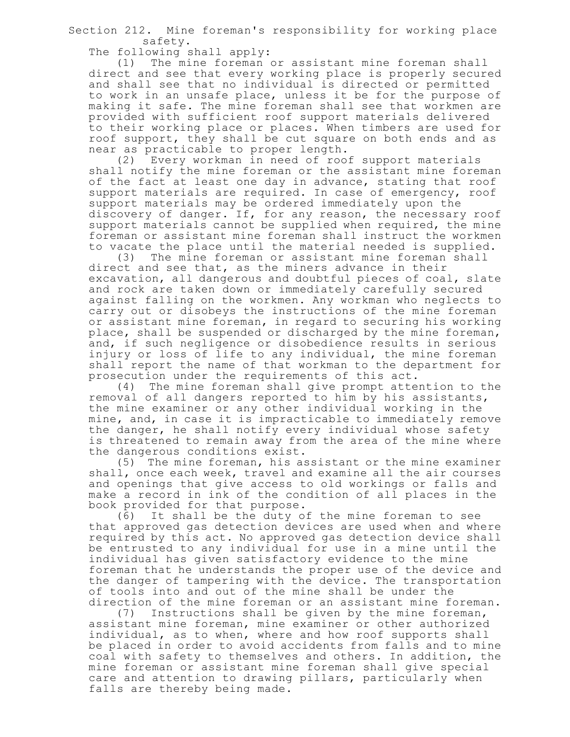Section 212. Mine foreman's responsibility for working place safety.

The following shall apply:

(1) The mine foreman or assistant mine foreman shall direct and see that every working place is properly secured and shall see that no individual is directed or permitted to work in an unsafe place, unless it be for the purpose of making it safe. The mine foreman shall see that workmen are provided with sufficient roof support materials delivered to their working place or places. When timbers are used for roof support, they shall be cut square on both ends and as near as practicable to proper length.

(2) Every workman in need of roof support materials shall notify the mine foreman or the assistant mine foreman of the fact at least one day in advance, stating that roof support materials are required. In case of emergency, roof support materials may be ordered immediately upon the discovery of danger. If, for any reason, the necessary roof support materials cannot be supplied when required, the mine foreman or assistant mine foreman shall instruct the workmen to vacate the place until the material needed is supplied.

(3) The mine foreman or assistant mine foreman shall direct and see that, as the miners advance in their excavation, all dangerous and doubtful pieces of coal, slate and rock are taken down or immediately carefully secured against falling on the workmen. Any workman who neglects to carry out or disobeys the instructions of the mine foreman or assistant mine foreman, in regard to securing his working place, shall be suspended or discharged by the mine foreman, and, if such negligence or disobedience results in serious injury or loss of life to any individual, the mine foreman shall report the name of that workman to the department for prosecution under the requirements of this act.

(4) The mine foreman shall give prompt attention to the removal of all dangers reported to him by his assistants, the mine examiner or any other individual working in the mine, and, in case it is impracticable to immediately remove the danger, he shall notify every individual whose safety is threatened to remain away from the area of the mine where the dangerous conditions exist.

(5) The mine foreman, his assistant or the mine examiner shall, once each week, travel and examine all the air courses and openings that give access to old workings or falls and make a record in ink of the condition of all places in the book provided for that purpose.

(6) It shall be the duty of the mine foreman to see that approved gas detection devices are used when and where required by this act. No approved gas detection device shall be entrusted to any individual for use in a mine until the individual has given satisfactory evidence to the mine foreman that he understands the proper use of the device and the danger of tampering with the device. The transportation of tools into and out of the mine shall be under the direction of the mine foreman or an assistant mine foreman.<br>(7) Instructions shall be given by the mine foreman,

Instructions shall be given by the mine foreman, assistant mine foreman, mine examiner or other authorized individual, as to when, where and how roof supports shall be placed in order to avoid accidents from falls and to mine coal with safety to themselves and others. In addition, the mine foreman or assistant mine foreman shall give special care and attention to drawing pillars, particularly when falls are thereby being made.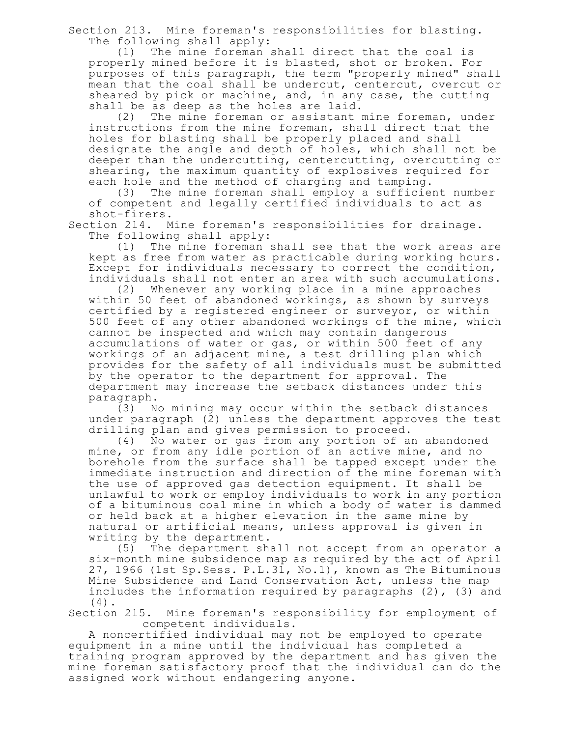Section 213. Mine foreman's responsibilities for blasting. The following shall apply:

(1) The mine foreman shall direct that the coal is properly mined before it is blasted, shot or broken. For purposes of this paragraph, the term "properly mined" shall mean that the coal shall be undercut, centercut, overcut or sheared by pick or machine, and, in any case, the cutting shall be as deep as the holes are laid.

(2) The mine foreman or assistant mine foreman, under instructions from the mine foreman, shall direct that the holes for blasting shall be properly placed and shall designate the angle and depth of holes, which shall not be deeper than the undercutting, centercutting, overcutting or shearing, the maximum quantity of explosives required for each hole and the method of charging and tamping.

(3) The mine foreman shall employ a sufficient number of competent and legally certified individuals to act as shot-firers.

Section 214. Mine foreman's responsibilities for drainage. The following shall apply:

(1) The mine foreman shall see that the work areas are kept as free from water as practicable during working hours. Except for individuals necessary to correct the condition, individuals shall not enter an area with such accumulations.

(2) Whenever any working place in a mine approaches within 50 feet of abandoned workings, as shown by surveys certified by a registered engineer or surveyor, or within 500 feet of any other abandoned workings of the mine, which cannot be inspected and which may contain dangerous accumulations of water or gas, or within 500 feet of any workings of an adjacent mine, a test drilling plan which provides for the safety of all individuals must be submitted by the operator to the department for approval. The department may increase the setback distances under this paragraph.

(3) No mining may occur within the setback distances under paragraph (2) unless the department approves the test drilling plan and gives permission to proceed.

(4) No water or gas from any portion of an abandoned mine, or from any idle portion of an active mine, and no borehole from the surface shall be tapped except under the immediate instruction and direction of the mine foreman with the use of approved gas detection equipment. It shall be unlawful to work or employ individuals to work in any portion of a bituminous coal mine in which a body of water is dammed or held back at a higher elevation in the same mine by natural or artificial means, unless approval is given in writing by the department.

(5) The department shall not accept from an operator a six-month mine subsidence map as required by the act of April 27, 1966 (1st Sp.Sess. P.L.31, No.1), known as The Bituminous Mine Subsidence and Land Conservation Act, unless the map includes the information required by paragraphs (2), (3) and (4).

Section 215. Mine foreman's responsibility for employment of competent individuals.

A noncertified individual may not be employed to operate equipment in a mine until the individual has completed a training program approved by the department and has given the mine foreman satisfactory proof that the individual can do the assigned work without endangering anyone.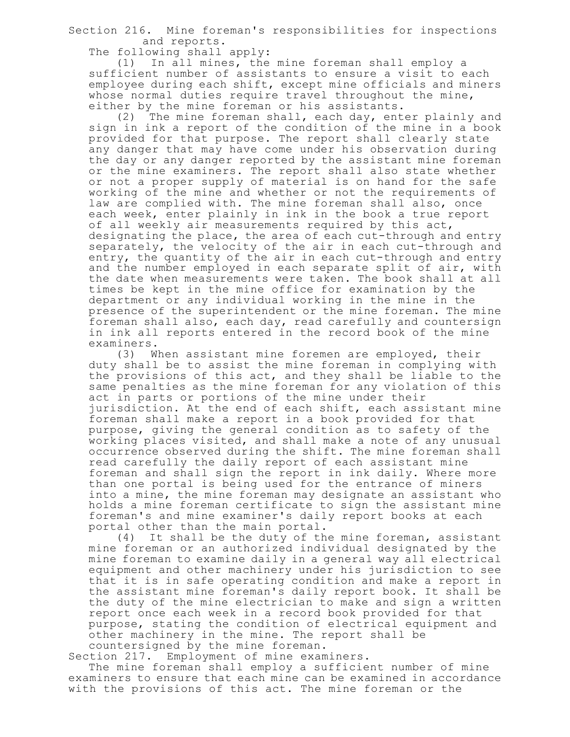Section 216. Mine foreman's responsibilities for inspections and reports.

The following shall apply:

(1) In all mines, the mine foreman shall employ a sufficient number of assistants to ensure a visit to each employee during each shift, except mine officials and miners whose normal duties require travel throughout the mine, either by the mine foreman or his assistants.

(2) The mine foreman shall, each day, enter plainly and sign in ink a report of the condition of the mine in a book provided for that purpose. The report shall clearly state any danger that may have come under his observation during the day or any danger reported by the assistant mine foreman or the mine examiners. The report shall also state whether or not a proper supply of material is on hand for the safe working of the mine and whether or not the requirements of law are complied with. The mine foreman shall also, once each week, enter plainly in ink in the book a true report of all weekly air measurements required by this act, designating the place, the area of each cut-through and entry separately, the velocity of the air in each cut-through and entry, the quantity of the air in each cut-through and entry and the number employed in each separate split of air, with the date when measurements were taken. The book shall at all times be kept in the mine office for examination by the department or any individual working in the mine in the presence of the superintendent or the mine foreman. The mine foreman shall also, each day, read carefully and countersign in ink all reports entered in the record book of the mine examiners.

(3) When assistant mine foremen are employed, their duty shall be to assist the mine foreman in complying with the provisions of this act, and they shall be liable to the same penalties as the mine foreman for any violation of this act in parts or portions of the mine under their jurisdiction. At the end of each shift, each assistant mine foreman shall make a report in a book provided for that purpose, giving the general condition as to safety of the working places visited, and shall make a note of any unusual occurrence observed during the shift. The mine foreman shall read carefully the daily report of each assistant mine foreman and shall sign the report in ink daily. Where more than one portal is being used for the entrance of miners into a mine, the mine foreman may designate an assistant who holds a mine foreman certificate to sign the assistant mine foreman's and mine examiner's daily report books at each

portal other than the main portal.<br>(4) It shall be the duty of th It shall be the duty of the mine foreman, assistant mine foreman or an authorized individual designated by the mine foreman to examine daily in a general way all electrical equipment and other machinery under his jurisdiction to see that it is in safe operating condition and make a report in the assistant mine foreman's daily report book. It shall be the duty of the mine electrician to make and sign a written report once each week in a record book provided for that purpose, stating the condition of electrical equipment and other machinery in the mine. The report shall be countersigned by the mine foreman.

Section 217. Employment of mine examiners.

The mine foreman shall employ a sufficient number of mine examiners to ensure that each mine can be examined in accordance with the provisions of this act. The mine foreman or the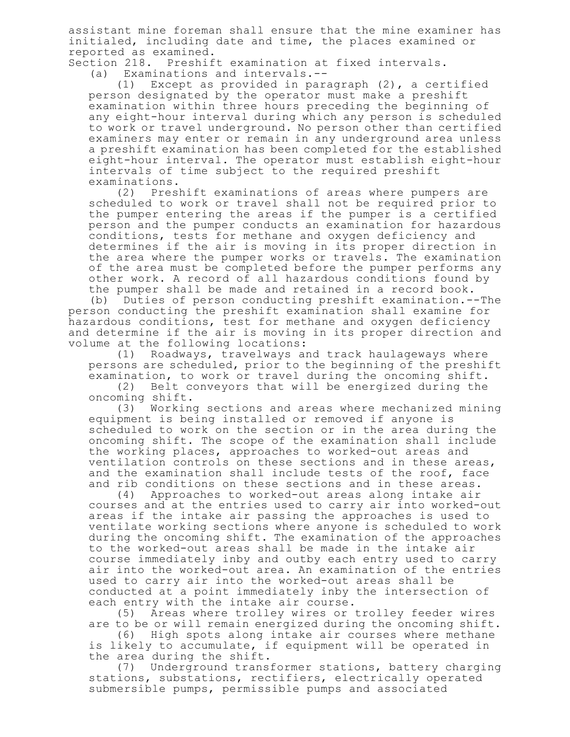assistant mine foreman shall ensure that the mine examiner has initialed, including date and time, the places examined or reported as examined.

Section 218. Preshift examination at fixed intervals. (a) Examinations and intervals.--

(1) Except as provided in paragraph (2), a certified person designated by the operator must make a preshift examination within three hours preceding the beginning of any eight-hour interval during which any person is scheduled to work or travel underground. No person other than certified examiners may enter or remain in any underground area unless a preshift examination has been completed for the established eight-hour interval. The operator must establish eight-hour intervals of time subject to the required preshift examinations.

(2) Preshift examinations of areas where pumpers are scheduled to work or travel shall not be required prior to the pumper entering the areas if the pumper is a certified person and the pumper conducts an examination for hazardous conditions, tests for methane and oxygen deficiency and determines if the air is moving in its proper direction in the area where the pumper works or travels. The examination of the area must be completed before the pumper performs any other work. A record of all hazardous conditions found by the pumper shall be made and retained in a record book.

(b) Duties of person conducting preshift examination.--The person conducting the preshift examination shall examine for hazardous conditions, test for methane and oxygen deficiency and determine if the air is moving in its proper direction and volume at the following locations:

(1) Roadways, travelways and track haulageways where persons are scheduled, prior to the beginning of the preshift examination, to work or travel during the oncoming shift.

(2) Belt conveyors that will be energized during the oncoming shift.

(3) Working sections and areas where mechanized mining equipment is being installed or removed if anyone is scheduled to work on the section or in the area during the oncoming shift. The scope of the examination shall include the working places, approaches to worked-out areas and ventilation controls on these sections and in these areas, and the examination shall include tests of the roof, face and rib conditions on these sections and in these areas.

(4) Approaches to worked-out areas along intake air courses and at the entries used to carry air into worked-out areas if the intake air passing the approaches is used to ventilate working sections where anyone is scheduled to work during the oncoming shift. The examination of the approaches to the worked-out areas shall be made in the intake air course immediately inby and outby each entry used to carry air into the worked-out area. An examination of the entries used to carry air into the worked-out areas shall be conducted at a point immediately inby the intersection of each entry with the intake air course.

(5) Areas where trolley wires or trolley feeder wires are to be or will remain energized during the oncoming shift.

(6) High spots along intake air courses where methane is likely to accumulate, if equipment will be operated in the area during the shift.

(7) Underground transformer stations, battery charging stations, substations, rectifiers, electrically operated submersible pumps, permissible pumps and associated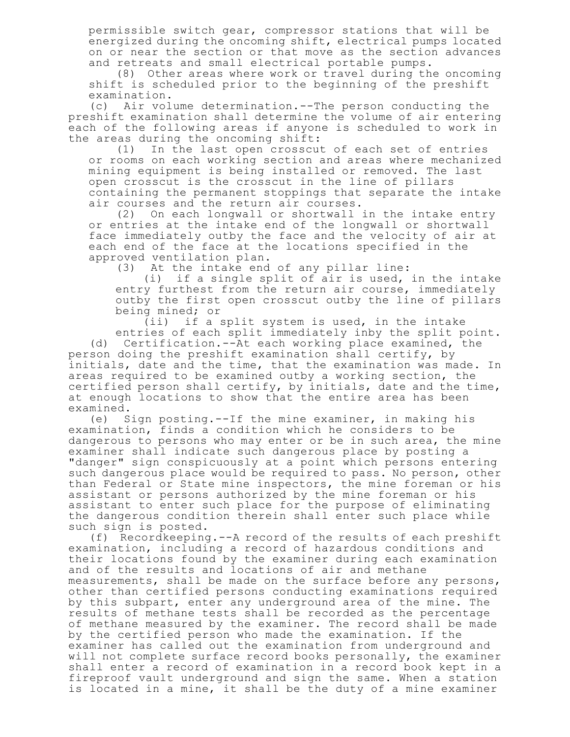permissible switch gear, compressor stations that will be energized during the oncoming shift, electrical pumps located on or near the section or that move as the section advances and retreats and small electrical portable pumps.

(8) Other areas where work or travel during the oncoming shift is scheduled prior to the beginning of the preshift examination.

(c) Air volume determination.--The person conducting the preshift examination shall determine the volume of air entering each of the following areas if anyone is scheduled to work in the areas during the oncoming shift:

(1) In the last open crosscut of each set of entries or rooms on each working section and areas where mechanized mining equipment is being installed or removed. The last open crosscut is the crosscut in the line of pillars containing the permanent stoppings that separate the intake air courses and the return air courses.

(2) On each longwall or shortwall in the intake entry or entries at the intake end of the longwall or shortwall face immediately outby the face and the velocity of air at each end of the face at the locations specified in the approved ventilation plan.

(3) At the intake end of any pillar line:

(i) if a single split of air is used, in the intake entry furthest from the return air course, immediately outby the first open crosscut outby the line of pillars being mined; or

(ii) if a split system is used, in the intake entries of each split immediately inby the split point. (d) Certification.--At each working place examined, the person doing the preshift examination shall certify, by initials, date and the time, that the examination was made. In areas required to be examined outby a working section, the certified person shall certify, by initials, date and the time, at enough locations to show that the entire area has been examined.

(e) Sign posting.--If the mine examiner, in making his examination, finds a condition which he considers to be dangerous to persons who may enter or be in such area, the mine examiner shall indicate such dangerous place by posting a "danger" sign conspicuously at a point which persons entering such dangerous place would be required to pass. No person, other than Federal or State mine inspectors, the mine foreman or his assistant or persons authorized by the mine foreman or his assistant to enter such place for the purpose of eliminating the dangerous condition therein shall enter such place while such sign is posted.

(f) Recordkeeping.--A record of the results of each preshift examination, including a record of hazardous conditions and their locations found by the examiner during each examination and of the results and locations of air and methane measurements, shall be made on the surface before any persons, other than certified persons conducting examinations required by this subpart, enter any underground area of the mine. The results of methane tests shall be recorded as the percentage of methane measured by the examiner. The record shall be made by the certified person who made the examination. If the examiner has called out the examination from underground and will not complete surface record books personally, the examiner shall enter a record of examination in a record book kept in a fireproof vault underground and sign the same. When a station is located in a mine, it shall be the duty of a mine examiner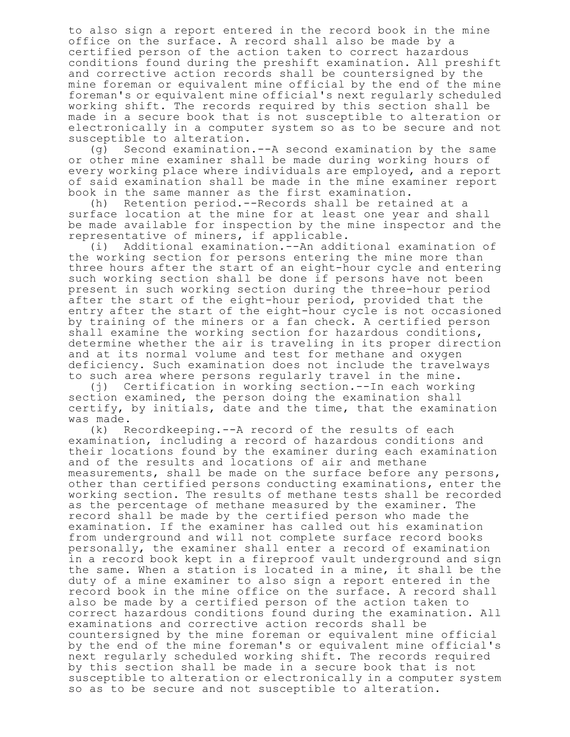to also sign a report entered in the record book in the mine office on the surface. A record shall also be made by a certified person of the action taken to correct hazardous conditions found during the preshift examination. All preshift and corrective action records shall be countersigned by the mine foreman or equivalent mine official by the end of the mine foreman's or equivalent mine official's next regularly scheduled working shift. The records required by this section shall be made in a secure book that is not susceptible to alteration or electronically in a computer system so as to be secure and not susceptible to alteration.

(g) Second examination.--A second examination by the same or other mine examiner shall be made during working hours of every working place where individuals are employed, and a report of said examination shall be made in the mine examiner report book in the same manner as the first examination.

(h) Retention period.--Records shall be retained at a surface location at the mine for at least one year and shall be made available for inspection by the mine inspector and the representative of miners, if applicable.

(i) Additional examination.--An additional examination of the working section for persons entering the mine more than three hours after the start of an eight-hour cycle and entering such working section shall be done if persons have not been present in such working section during the three-hour period after the start of the eight-hour period, provided that the entry after the start of the eight-hour cycle is not occasioned by training of the miners or a fan check. A certified person shall examine the working section for hazardous conditions, determine whether the air is traveling in its proper direction and at its normal volume and test for methane and oxygen deficiency. Such examination does not include the travelways to such area where persons regularly travel in the mine.

(j) Certification in working section.--In each working section examined, the person doing the examination shall certify, by initials, date and the time, that the examination was made.

(k) Recordkeeping.--A record of the results of each examination, including a record of hazardous conditions and their locations found by the examiner during each examination and of the results and locations of air and methane measurements, shall be made on the surface before any persons, other than certified persons conducting examinations, enter the working section. The results of methane tests shall be recorded as the percentage of methane measured by the examiner. The record shall be made by the certified person who made the examination. If the examiner has called out his examination from underground and will not complete surface record books personally, the examiner shall enter a record of examination in a record book kept in a fireproof vault underground and sign the same. When a station is located in a mine, it shall be the duty of a mine examiner to also sign a report entered in the record book in the mine office on the surface. A record shall also be made by a certified person of the action taken to correct hazardous conditions found during the examination. All examinations and corrective action records shall be countersigned by the mine foreman or equivalent mine official by the end of the mine foreman's or equivalent mine official's next regularly scheduled working shift. The records required by this section shall be made in a secure book that is not susceptible to alteration or electronically in a computer system so as to be secure and not susceptible to alteration.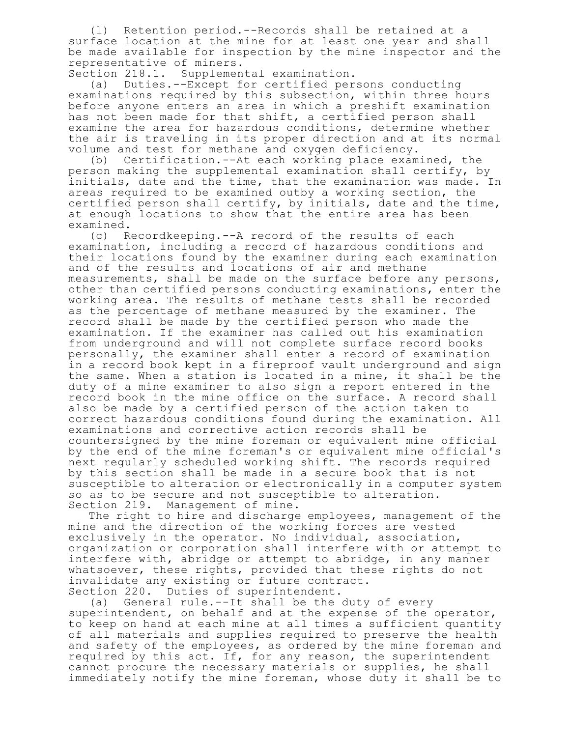(l) Retention period.--Records shall be retained at a surface location at the mine for at least one year and shall be made available for inspection by the mine inspector and the representative of miners.

Section 218.1. Supplemental examination.<br>(a) Duties.--Except for certified per.

Duties.--Except for certified persons conducting examinations required by this subsection, within three hours before anyone enters an area in which a preshift examination has not been made for that shift, a certified person shall examine the area for hazardous conditions, determine whether the air is traveling in its proper direction and at its normal volume and test for methane and oxygen deficiency.

(b) Certification.--At each working place examined, the person making the supplemental examination shall certify, by initials, date and the time, that the examination was made. In areas required to be examined outby a working section, the certified person shall certify, by initials, date and the time, at enough locations to show that the entire area has been examined.

(c) Recordkeeping.--A record of the results of each examination, including a record of hazardous conditions and their locations found by the examiner during each examination and of the results and locations of air and methane measurements, shall be made on the surface before any persons, other than certified persons conducting examinations, enter the working area. The results of methane tests shall be recorded as the percentage of methane measured by the examiner. The record shall be made by the certified person who made the examination. If the examiner has called out his examination from underground and will not complete surface record books personally, the examiner shall enter a record of examination in a record book kept in a fireproof vault underground and sign the same. When a station is located in a mine, it shall be the duty of a mine examiner to also sign a report entered in the record book in the mine office on the surface. A record shall also be made by a certified person of the action taken to correct hazardous conditions found during the examination. All examinations and corrective action records shall be countersigned by the mine foreman or equivalent mine official by the end of the mine foreman's or equivalent mine official's next regularly scheduled working shift. The records required by this section shall be made in a secure book that is not susceptible to alteration or electronically in a computer system so as to be secure and not susceptible to alteration. Section 219. Management of mine.

The right to hire and discharge employees, management of the mine and the direction of the working forces are vested exclusively in the operator. No individual, association, organization or corporation shall interfere with or attempt to interfere with, abridge or attempt to abridge, in any manner whatsoever, these rights, provided that these rights do not invalidate any existing or future contract. Section 220. Duties of superintendent.

(a) General rule.--It shall be the duty of every superintendent, on behalf and at the expense of the operator, to keep on hand at each mine at all times a sufficient quantity of all materials and supplies required to preserve the health and safety of the employees, as ordered by the mine foreman and required by this act. If, for any reason, the superintendent cannot procure the necessary materials or supplies, he shall immediately notify the mine foreman, whose duty it shall be to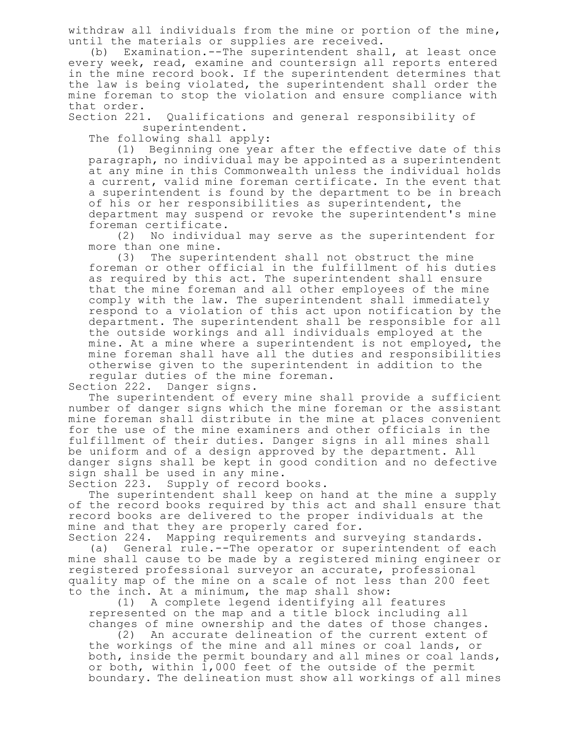withdraw all individuals from the mine or portion of the mine, until the materials or supplies are received.

(b) Examination.--The superintendent shall, at least once every week, read, examine and countersign all reports entered in the mine record book. If the superintendent determines that the law is being violated, the superintendent shall order the mine foreman to stop the violation and ensure compliance with that order.<br>Section 221.

Qualifications and general responsibility of superintendent.

The following shall apply:

(1) Beginning one year after the effective date of this paragraph, no individual may be appointed as a superintendent at any mine in this Commonwealth unless the individual holds a current, valid mine foreman certificate. In the event that a superintendent is found by the department to be in breach of his or her responsibilities as superintendent, the department may suspend or revoke the superintendent's mine foreman certificate.

(2) No individual may serve as the superintendent for more than one mine.

(3) The superintendent shall not obstruct the mine foreman or other official in the fulfillment of his duties as required by this act. The superintendent shall ensure that the mine foreman and all other employees of the mine comply with the law. The superintendent shall immediately respond to a violation of this act upon notification by the department. The superintendent shall be responsible for all the outside workings and all individuals employed at the mine. At a mine where a superintendent is not employed, the mine foreman shall have all the duties and responsibilities otherwise given to the superintendent in addition to the regular duties of the mine foreman.

Section 222. Danger signs.

The superintendent of every mine shall provide a sufficient number of danger signs which the mine foreman or the assistant mine foreman shall distribute in the mine at places convenient for the use of the mine examiners and other officials in the fulfillment of their duties. Danger signs in all mines shall be uniform and of a design approved by the department. All danger signs shall be kept in good condition and no defective sign shall be used in any mine.

Section 223. Supply of record books.

The superintendent shall keep on hand at the mine a supply of the record books required by this act and shall ensure that record books are delivered to the proper individuals at the mine and that they are properly cared for.

Section 224. Mapping requirements and surveying standards. (a) General rule.--The operator or superintendent of each mine shall cause to be made by a registered mining engineer or registered professional surveyor an accurate, professional quality map of the mine on a scale of not less than 200 feet to the inch. At a minimum, the map shall show:

(1) A complete legend identifying all features represented on the map and a title block including all changes of mine ownership and the dates of those changes.

(2) An accurate delineation of the current extent of the workings of the mine and all mines or coal lands, or both, inside the permit boundary and all mines or coal lands, or both, within 1,000 feet of the outside of the permit boundary. The delineation must show all workings of all mines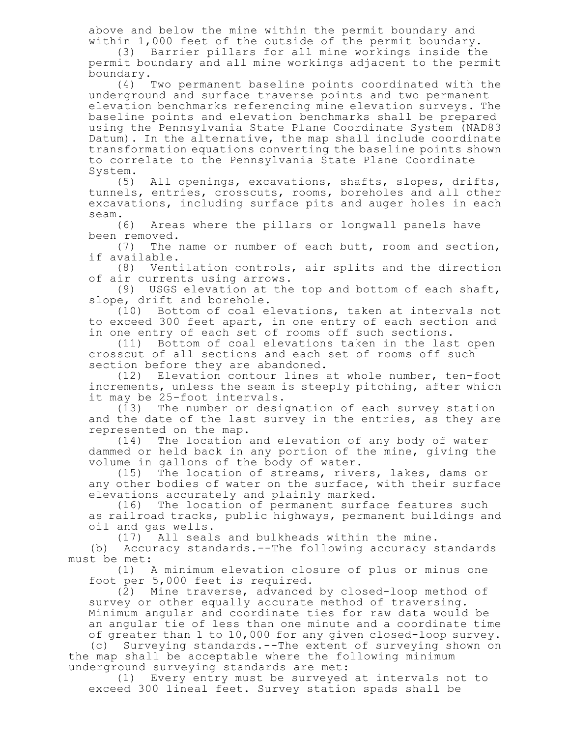above and below the mine within the permit boundary and within 1,000 feet of the outside of the permit boundary.

(3) Barrier pillars for all mine workings inside the permit boundary and all mine workings adjacent to the permit boundary.

(4) Two permanent baseline points coordinated with the underground and surface traverse points and two permanent elevation benchmarks referencing mine elevation surveys. The baseline points and elevation benchmarks shall be prepared using the Pennsylvania State Plane Coordinate System (NAD83 Datum). In the alternative, the map shall include coordinate transformation equations converting the baseline points shown to correlate to the Pennsylvania State Plane Coordinate System.

(5) All openings, excavations, shafts, slopes, drifts, tunnels, entries, crosscuts, rooms, boreholes and all other excavations, including surface pits and auger holes in each

seam.<br>(6) Areas where the pillars or longwall panels have been removed.

(7) The name or number of each butt, room and section, if available.

(8) Ventilation controls, air splits and the direction of air currents using arrows.

(9) USGS elevation at the top and bottom of each shaft, slope, drift and borehole.

(10) Bottom of coal elevations, taken at intervals not to exceed 300 feet apart, in one entry of each section and in one entry of each set of rooms off such sections.

(11) Bottom of coal elevations taken in the last open crosscut of all sections and each set of rooms off such section before they are abandoned.

(12) Elevation contour lines at whole number, ten-foot increments, unless the seam is steeply pitching, after which it may be 25-foot intervals.

(13) The number or designation of each survey station and the date of the last survey in the entries, as they are represented on the map.

(14) The location and elevation of any body of water dammed or held back in any portion of the mine, giving the volume in gallons of the body of water.<br>(15) The location of streams, rive:

The location of streams, rivers, lakes, dams or any other bodies of water on the surface, with their surface elevations accurately and plainly marked.

(16) The location of permanent surface features such as railroad tracks, public highways, permanent buildings and oil and gas wells.

(17) All seals and bulkheads within the mine.

(b) Accuracy standards.--The following accuracy standards must be met:

(1) A minimum elevation closure of plus or minus one foot per 5,000 feet is required.

(2) Mine traverse, advanced by closed-loop method of survey or other equally accurate method of traversing. Minimum angular and coordinate ties for raw data would be an angular tie of less than one minute and a coordinate time of greater than 1 to 10,000 for any given closed-loop survey.

(c) Surveying standards.--The extent of surveying shown on the map shall be acceptable where the following minimum underground surveying standards are met:

(1) Every entry must be surveyed at intervals not to exceed 300 lineal feet. Survey station spads shall be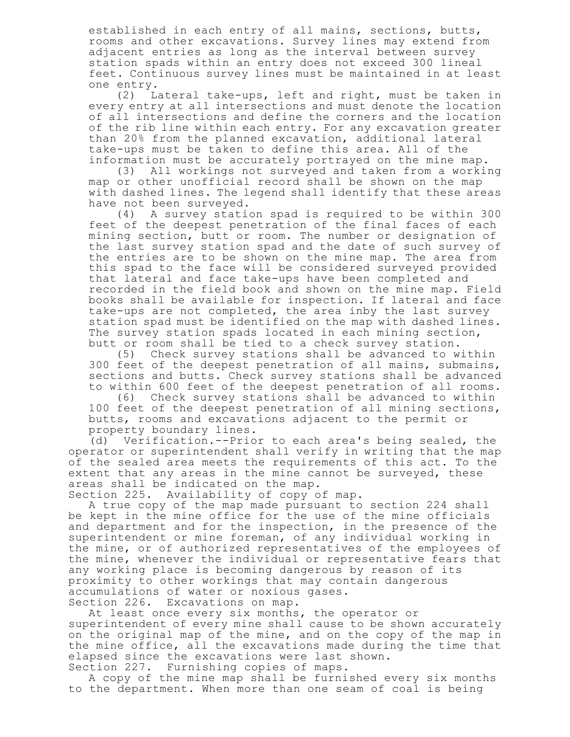established in each entry of all mains, sections, butts, rooms and other excavations. Survey lines may extend from adjacent entries as long as the interval between survey station spads within an entry does not exceed 300 lineal feet. Continuous survey lines must be maintained in at least one entry.

(2) Lateral take-ups, left and right, must be taken in every entry at all intersections and must denote the location of all intersections and define the corners and the location of the rib line within each entry. For any excavation greater than 20% from the planned excavation, additional lateral take-ups must be taken to define this area. All of the information must be accurately portrayed on the mine map.

(3) All workings not surveyed and taken from a working map or other unofficial record shall be shown on the map with dashed lines. The legend shall identify that these areas have not been surveyed.

(4) A survey station spad is required to be within 300 feet of the deepest penetration of the final faces of each mining section, butt or room. The number or designation of the last survey station spad and the date of such survey of the entries are to be shown on the mine map. The area from this spad to the face will be considered surveyed provided that lateral and face take-ups have been completed and recorded in the field book and shown on the mine map. Field books shall be available for inspection. If lateral and face take-ups are not completed, the area inby the last survey station spad must be identified on the map with dashed lines. The survey station spads located in each mining section, butt or room shall be tied to a check survey station.

(5) Check survey stations shall be advanced to within 300 feet of the deepest penetration of all mains, submains, sections and butts. Check survey stations shall be advanced to within 600 feet of the deepest penetration of all rooms.

(6) Check survey stations shall be advanced to within 100 feet of the deepest penetration of all mining sections, butts, rooms and excavations adjacent to the permit or property boundary lines.

(d) Verification.--Prior to each area's being sealed, the operator or superintendent shall verify in writing that the map of the sealed area meets the requirements of this act. To the extent that any areas in the mine cannot be surveyed, these areas shall be indicated on the map.

Section 225. Availability of copy of map.

A true copy of the map made pursuant to section 224 shall be kept in the mine office for the use of the mine officials and department and for the inspection, in the presence of the superintendent or mine foreman, of any individual working in the mine, or of authorized representatives of the employees of the mine, whenever the individual or representative fears that any working place is becoming dangerous by reason of its proximity to other workings that may contain dangerous accumulations of water or noxious gases.

Section 226. Excavations on map.

At least once every six months, the operator or

superintendent of every mine shall cause to be shown accurately on the original map of the mine, and on the copy of the map in the mine office, all the excavations made during the time that elapsed since the excavations were last shown.

Section 227. Furnishing copies of maps.

A copy of the mine map shall be furnished every six months to the department. When more than one seam of coal is being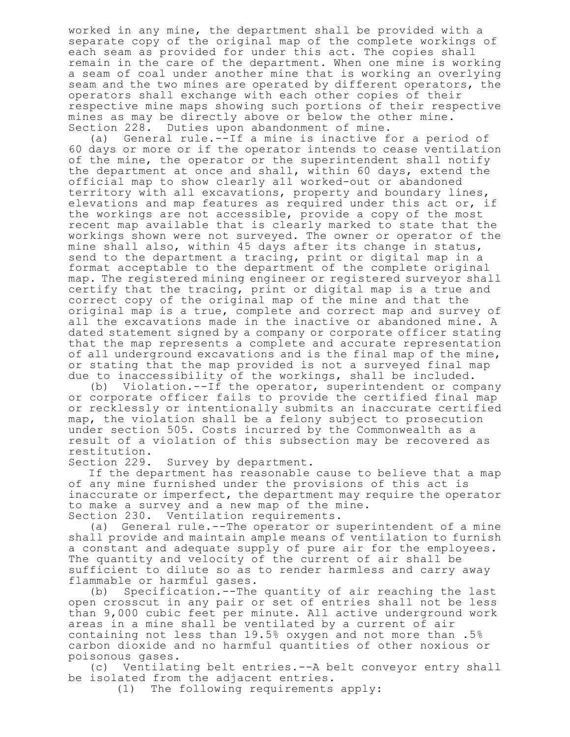worked in any mine, the department shall be provided with a separate copy of the original map of the complete workings of each seam as provided for under this act. The copies shall remain in the care of the department. When one mine is working a seam of coal under another mine that is working an overlying seam and the two mines are operated by different operators, the operators shall exchange with each other copies of their respective mine maps showing such portions of their respective mines as may be directly above or below the other mine. Section 228. Duties upon abandonment of mine.

(a) General rule.--If a mine is inactive for a period of 60 days or more or if the operator intends to cease ventilation of the mine, the operator or the superintendent shall notify the department at once and shall, within 60 days, extend the official map to show clearly all worked-out or abandoned territory with all excavations, property and boundary lines, elevations and map features as required under this act or, if the workings are not accessible, provide a copy of the most recent map available that is clearly marked to state that the workings shown were not surveyed. The owner or operator of the mine shall also, within 45 days after its change in status, send to the department a tracing, print or digital map in a format acceptable to the department of the complete original map. The registered mining engineer or registered surveyor shall certify that the tracing, print or digital map is a true and correct copy of the original map of the mine and that the original map is a true, complete and correct map and survey of all the excavations made in the inactive or abandoned mine. A dated statement signed by a company or corporate officer stating that the map represents a complete and accurate representation of all underground excavations and is the final map of the mine, or stating that the map provided is not a surveyed final map due to inaccessibility of the workings, shall be included.

(b) Violation.--If the operator, superintendent or company or corporate officer fails to provide the certified final map or recklessly or intentionally submits an inaccurate certified map, the violation shall be a felony subject to prosecution under section 505. Costs incurred by the Commonwealth as a result of a violation of this subsection may be recovered as restitution.<br>Section 229.

Survey by department.

If the department has reasonable cause to believe that a map of any mine furnished under the provisions of this act is inaccurate or imperfect, the department may require the operator to make a survey and a new map of the mine. Section 230. Ventilation requirements.

(a) General rule.--The operator or superintendent of a mine shall provide and maintain ample means of ventilation to furnish a constant and adequate supply of pure air for the employees. The quantity and velocity of the current of air shall be sufficient to dilute so as to render harmless and carry away flammable or harmful gases.

(b) Specification.--The quantity of air reaching the last open crosscut in any pair or set of entries shall not be less than 9,000 cubic feet per minute. All active underground work areas in a mine shall be ventilated by a current of air containing not less than 19.5% oxygen and not more than .5% carbon dioxide and no harmful quantities of other noxious or poisonous gases.

(c) Ventilating belt entries.--A belt conveyor entry shall be isolated from the adjacent entries.

(1) The following requirements apply: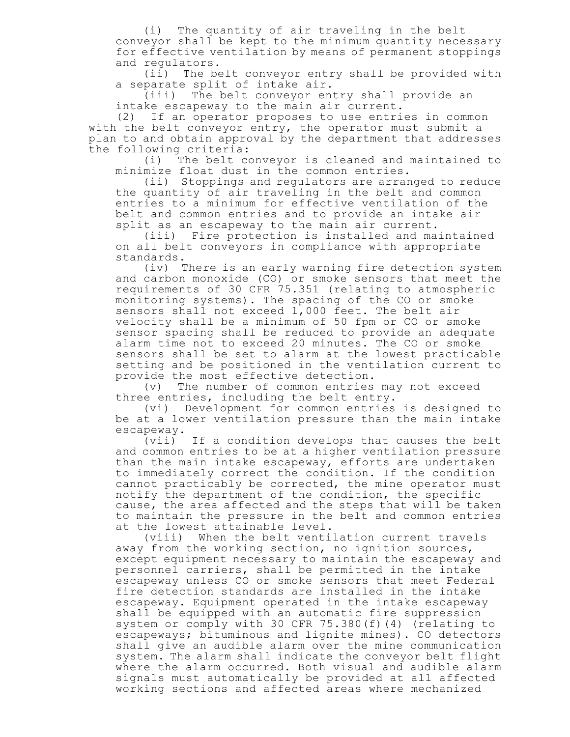(i) The quantity of air traveling in the belt conveyor shall be kept to the minimum quantity necessary for effective ventilation by means of permanent stoppings and regulators.

(ii) The belt conveyor entry shall be provided with a separate split of intake air.

(iii) The belt conveyor entry shall provide an intake escapeway to the main air current.

(2) If an operator proposes to use entries in common with the belt conveyor entry, the operator must submit a plan to and obtain approval by the department that addresses the following criteria:

(i) The belt conveyor is cleaned and maintained to minimize float dust in the common entries.

(ii) Stoppings and regulators are arranged to reduce the quantity of air traveling in the belt and common entries to a minimum for effective ventilation of the belt and common entries and to provide an intake air split as an escapeway to the main air current.

(iii) Fire protection is installed and maintained on all belt conveyors in compliance with appropriate standards.

(iv) There is an early warning fire detection system and carbon monoxide (CO) or smoke sensors that meet the requirements of 30 CFR 75.351 (relating to atmospheric monitoring systems). The spacing of the CO or smoke sensors shall not exceed 1,000 feet. The belt air velocity shall be a minimum of 50 fpm or CO or smoke sensor spacing shall be reduced to provide an adequate alarm time not to exceed 20 minutes. The CO or smoke sensors shall be set to alarm at the lowest practicable setting and be positioned in the ventilation current to provide the most effective detection.

(v) The number of common entries may not exceed three entries, including the belt entry.

(vi) Development for common entries is designed to be at a lower ventilation pressure than the main intake escapeway.

(vii) If a condition develops that causes the belt and common entries to be at a higher ventilation pressure than the main intake escapeway, efforts are undertaken to immediately correct the condition. If the condition cannot practicably be corrected, the mine operator must notify the department of the condition, the specific cause, the area affected and the steps that will be taken to maintain the pressure in the belt and common entries at the lowest attainable level.

(viii) When the belt ventilation current travels away from the working section, no ignition sources, except equipment necessary to maintain the escapeway and personnel carriers, shall be permitted in the intake escapeway unless CO or smoke sensors that meet Federal fire detection standards are installed in the intake escapeway. Equipment operated in the intake escapeway shall be equipped with an automatic fire suppression system or comply with 30 CFR 75.380(f)(4) (relating to escapeways; bituminous and lignite mines). CO detectors shall give an audible alarm over the mine communication system. The alarm shall indicate the conveyor belt flight where the alarm occurred. Both visual and audible alarm signals must automatically be provided at all affected working sections and affected areas where mechanized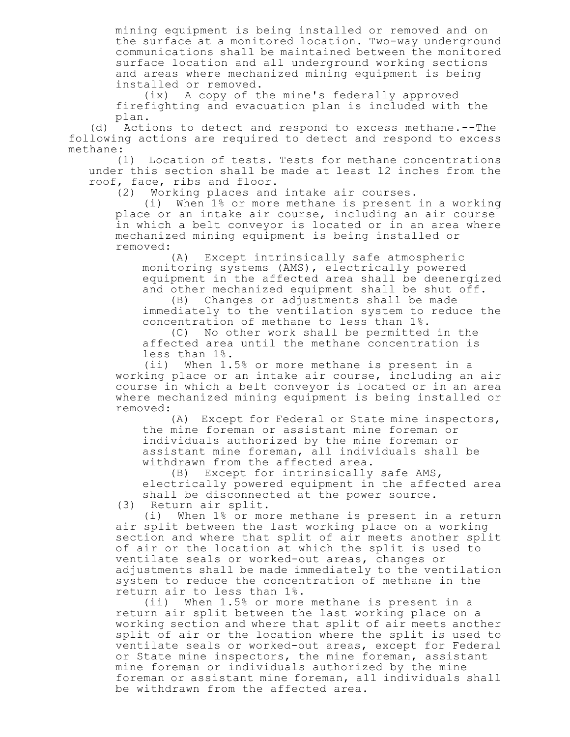mining equipment is being installed or removed and on the surface at a monitored location. Two-way underground communications shall be maintained between the monitored surface location and all underground working sections and areas where mechanized mining equipment is being installed or removed.

(ix) A copy of the mine's federally approved firefighting and evacuation plan is included with the plan.

(d) Actions to detect and respond to excess methane.--The following actions are required to detect and respond to excess methane:

(1) Location of tests. Tests for methane concentrations under this section shall be made at least 12 inches from the roof, face, ribs and floor.

(2) Working places and intake air courses.

(i) When 1% or more methane is present in a working place or an intake air course, including an air course in which a belt conveyor is located or in an area where mechanized mining equipment is being installed or removed:

(A) Except intrinsically safe atmospheric monitoring systems (AMS), electrically powered equipment in the affected area shall be deenergized and other mechanized equipment shall be shut off.

(B) Changes or adjustments shall be made immediately to the ventilation system to reduce the concentration of methane to less than 1%.

(C) No other work shall be permitted in the affected area until the methane concentration is less than 1%.

(ii) When 1.5% or more methane is present in a working place or an intake air course, including an air course in which a belt conveyor is located or in an area where mechanized mining equipment is being installed or removed:

(A) Except for Federal or State mine inspectors, the mine foreman or assistant mine foreman or individuals authorized by the mine foreman or assistant mine foreman, all individuals shall be withdrawn from the affected area.

(B) Except for intrinsically safe AMS, electrically powered equipment in the affected area shall be disconnected at the power source.

(3) Return air split.

(i) When 1% or more methane is present in a return air split between the last working place on a working section and where that split of air meets another split of air or the location at which the split is used to ventilate seals or worked-out areas, changes or adjustments shall be made immediately to the ventilation system to reduce the concentration of methane in the return air to less than 1%.

(ii) When 1.5% or more methane is present in a return air split between the last working place on a working section and where that split of air meets another split of air or the location where the split is used to ventilate seals or worked-out areas, except for Federal or State mine inspectors, the mine foreman, assistant mine foreman or individuals authorized by the mine foreman or assistant mine foreman, all individuals shall be withdrawn from the affected area.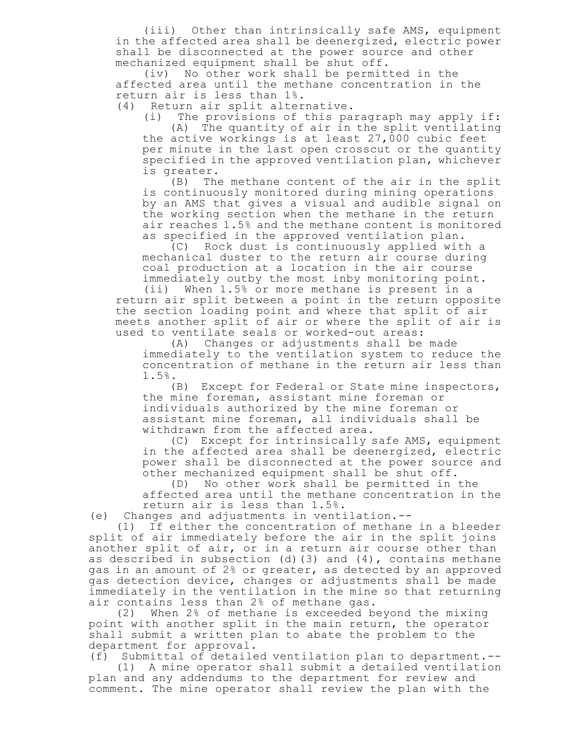(iii) Other than intrinsically safe AMS, equipment in the affected area shall be deenergized, electric power shall be disconnected at the power source and other mechanized equipment shall be shut off.

(iv) No other work shall be permitted in the affected area until the methane concentration in the return air is less than 1%.

(4) Return air split alternative.

(i) The provisions of this paragraph may apply if: (A) The quantity of air in the split ventilating the active workings is at least  $27,000$  cubic feet per minute in the last open crosscut or the quantity specified in the approved ventilation plan, whichever is greater.

(B) The methane content of the air in the split is continuously monitored during mining operations by an AMS that gives a visual and audible signal on the working section when the methane in the return air reaches 1.5% and the methane content is monitored as specified in the approved ventilation plan.

(C) Rock dust is continuously applied with a mechanical duster to the return air course during coal production at a location in the air course immediately outby the most inby monitoring point.

(ii) When 1.5% or more methane is present in a return air split between a point in the return opposite the section loading point and where that split of air meets another split of air or where the split of air is used to ventilate seals or worked-out areas:

(A) Changes or adjustments shall be made immediately to the ventilation system to reduce the concentration of methane in the return air less than 1.5%.

(B) Except for Federal or State mine inspectors, the mine foreman, assistant mine foreman or individuals authorized by the mine foreman or assistant mine foreman, all individuals shall be withdrawn from the affected area.

(C) Except for intrinsically safe AMS, equipment in the affected area shall be deenergized, electric power shall be disconnected at the power source and other mechanized equipment shall be shut off.

(D) No other work shall be permitted in the affected area until the methane concentration in the return air is less than 1.5%.

(e) Changes and adjustments in ventilation.--

(1) If either the concentration of methane in a bleeder split of air immediately before the air in the split joins another split of air, or in a return air course other than as described in subsection (d)(3) and (4), contains methane gas in an amount of 2% or greater, as detected by an approved gas detection device, changes or adjustments shall be made immediately in the ventilation in the mine so that returning air contains less than 2% of methane gas.

(2) When 2% of methane is exceeded beyond the mixing point with another split in the main return, the operator shall submit a written plan to abate the problem to the department for approval.

(f) Submittal of detailed ventilation plan to department.--

(1) A mine operator shall submit a detailed ventilation plan and any addendums to the department for review and comment. The mine operator shall review the plan with the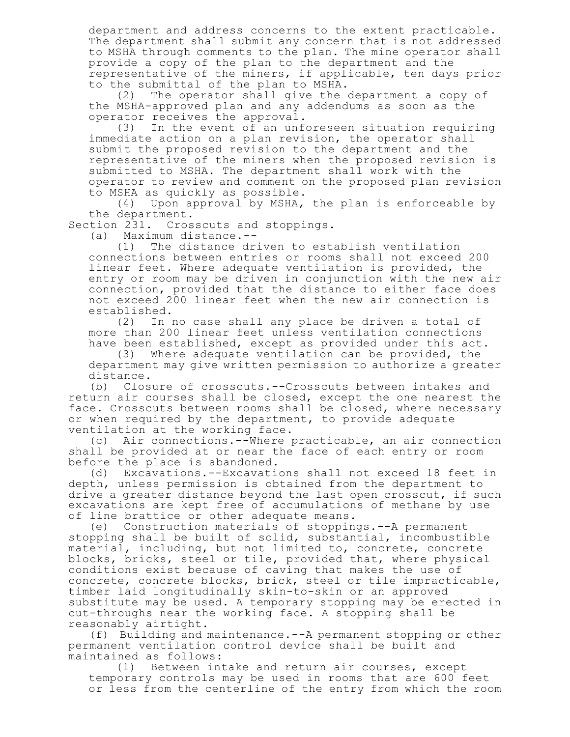department and address concerns to the extent practicable. The department shall submit any concern that is not addressed to MSHA through comments to the plan. The mine operator shall provide a copy of the plan to the department and the representative of the miners, if applicable, ten days prior to the submittal of the plan to MSHA.

(2) The operator shall give the department a copy of the MSHA-approved plan and any addendums as soon as the operator receives the approval.

(3) In the event of an unforeseen situation requiring immediate action on a plan revision, the operator shall submit the proposed revision to the department and the representative of the miners when the proposed revision is submitted to MSHA. The department shall work with the operator to review and comment on the proposed plan revision to MSHA as quickly as possible.

(4) Upon approval by MSHA, the plan is enforceable by the department.

Section 231. Crosscuts and stoppings.

(a) Maximum distance.--

(1) The distance driven to establish ventilation connections between entries or rooms shall not exceed 200 linear feet. Where adequate ventilation is provided, the entry or room may be driven in conjunction with the new air connection, provided that the distance to either face does not exceed 200 linear feet when the new air connection is established.

(2) In no case shall any place be driven a total of more than 200 linear feet unless ventilation connections have been established, except as provided under this act.

(3) Where adequate ventilation can be provided, the department may give written permission to authorize a greater distance.

(b) Closure of crosscuts.--Crosscuts between intakes and return air courses shall be closed, except the one nearest the face. Crosscuts between rooms shall be closed, where necessary or when required by the department, to provide adequate ventilation at the working face.

(c) Air connections.--Where practicable, an air connection shall be provided at or near the face of each entry or room before the place is abandoned.

(d) Excavations.--Excavations shall not exceed 18 feet in depth, unless permission is obtained from the department to drive a greater distance beyond the last open crosscut, if such excavations are kept free of accumulations of methane by use of line brattice or other adequate means.

(e) Construction materials of stoppings.--A permanent stopping shall be built of solid, substantial, incombustible material, including, but not limited to, concrete, concrete blocks, bricks, steel or tile, provided that, where physical conditions exist because of caving that makes the use of concrete, concrete blocks, brick, steel or tile impracticable, timber laid longitudinally skin-to-skin or an approved substitute may be used. A temporary stopping may be erected in cut-throughs near the working face. A stopping shall be reasonably airtight.

(f) Building and maintenance.--A permanent stopping or other permanent ventilation control device shall be built and maintained as follows:

(1) Between intake and return air courses, except temporary controls may be used in rooms that are 600 feet or less from the centerline of the entry from which the room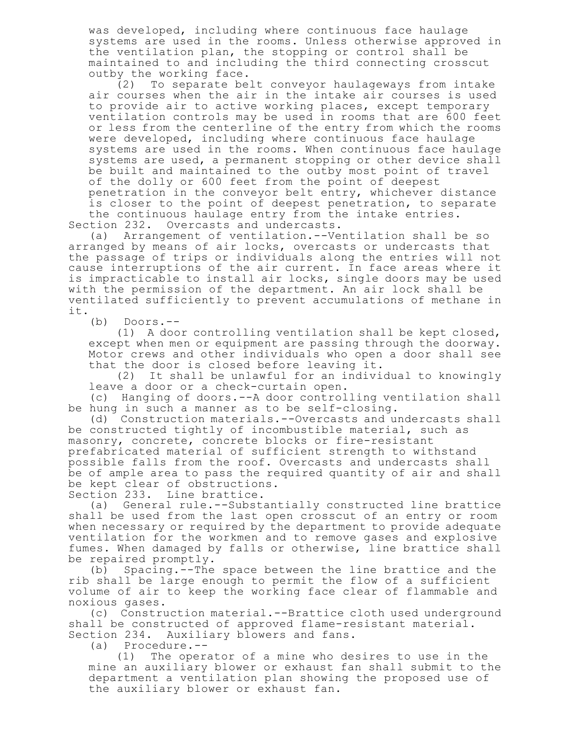was developed, including where continuous face haulage systems are used in the rooms. Unless otherwise approved in the ventilation plan, the stopping or control shall be maintained to and including the third connecting crosscut outby the working face.

(2) To separate belt conveyor haulageways from intake air courses when the air in the intake air courses is used to provide air to active working places, except temporary ventilation controls may be used in rooms that are 600 feet or less from the centerline of the entry from which the rooms were developed, including where continuous face haulage systems are used in the rooms. When continuous face haulage systems are used, a permanent stopping or other device shall be built and maintained to the outby most point of travel of the dolly or 600 feet from the point of deepest penetration in the conveyor belt entry, whichever distance is closer to the point of deepest penetration, to separate the continuous haulage entry from the intake entries. Section 232. Overcasts and undercasts.

(a) Arrangement of ventilation.--Ventilation shall be so arranged by means of air locks, overcasts or undercasts that the passage of trips or individuals along the entries will not cause interruptions of the air current. In face areas where it is impracticable to install air locks, single doors may be used with the permission of the department. An air lock shall be ventilated sufficiently to prevent accumulations of methane in it.

(b) Doors.--

(1) A door controlling ventilation shall be kept closed, except when men or equipment are passing through the doorway. Motor crews and other individuals who open a door shall see that the door is closed before leaving it.

(2) It shall be unlawful for an individual to knowingly leave a door or a check-curtain open.

(c) Hanging of doors.--A door controlling ventilation shall be hung in such a manner as to be self-closing.

(d) Construction materials.--Overcasts and undercasts shall be constructed tightly of incombustible material, such as masonry, concrete, concrete blocks or fire-resistant prefabricated material of sufficient strength to withstand possible falls from the roof. Overcasts and undercasts shall be of ample area to pass the required quantity of air and shall be kept clear of obstructions.

Section 233. Line brattice.

(a) General rule.--Substantially constructed line brattice shall be used from the last open crosscut of an entry or room when necessary or required by the department to provide adequate ventilation for the workmen and to remove gases and explosive fumes. When damaged by falls or otherwise, line brattice shall be repaired promptly.

(b) Spacing.--The space between the line brattice and the rib shall be large enough to permit the flow of a sufficient volume of air to keep the working face clear of flammable and noxious gases.

(c) Construction material.--Brattice cloth used underground shall be constructed of approved flame-resistant material. Section 234. Auxiliary blowers and fans.

(a) Procedure.--

(1) The operator of a mine who desires to use in the mine an auxiliary blower or exhaust fan shall submit to the department a ventilation plan showing the proposed use of the auxiliary blower or exhaust fan.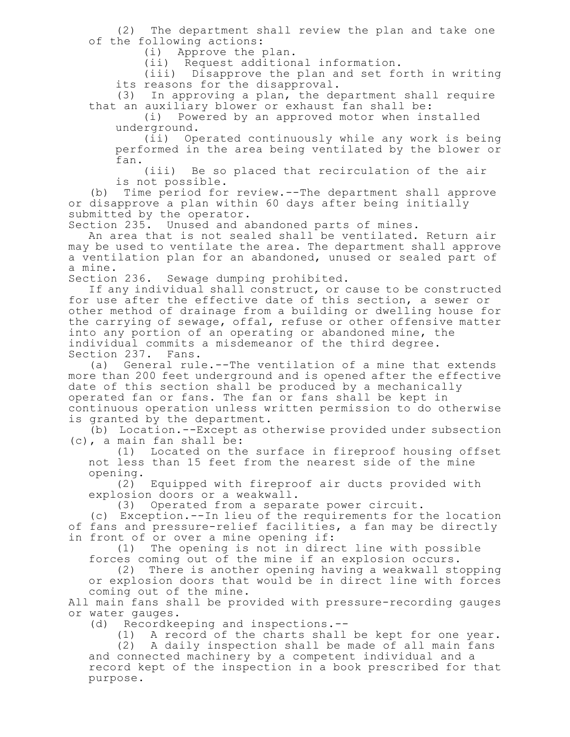(2) The department shall review the plan and take one of the following actions:

(i) Approve the plan.

(ii) Request additional information.

(iii) Disapprove the plan and set forth in writing its reasons for the disapproval.

(3) In approving a plan, the department shall require that an auxiliary blower or exhaust fan shall be:

(i) Powered by an approved motor when installed underground.

(ii) Operated continuously while any work is being performed in the area being ventilated by the blower or fan.

(iii) Be so placed that recirculation of the air is not possible.

(b) Time period for review.--The department shall approve or disapprove a plan within 60 days after being initially submitted by the operator.

Section 235. Unused and abandoned parts of mines.

An area that is not sealed shall be ventilated. Return air may be used to ventilate the area. The department shall approve a ventilation plan for an abandoned, unused or sealed part of a mine.

Section 236. Sewage dumping prohibited.

If any individual shall construct, or cause to be constructed for use after the effective date of this section, a sewer or other method of drainage from a building or dwelling house for the carrying of sewage, offal, refuse or other offensive matter into any portion of an operating or abandoned mine, the individual commits a misdemeanor of the third degree. Section 237. Fans.

(a) General rule.--The ventilation of a mine that extends more than 200 feet underground and is opened after the effective date of this section shall be produced by a mechanically operated fan or fans. The fan or fans shall be kept in continuous operation unless written permission to do otherwise is granted by the department.

(b) Location.--Except as otherwise provided under subsection (c), a main fan shall be:

(1) Located on the surface in fireproof housing offset not less than 15 feet from the nearest side of the mine opening.

(2) Equipped with fireproof air ducts provided with explosion doors or a weakwall.

(3) Operated from a separate power circuit.

(c) Exception.--In lieu of the requirements for the location of fans and pressure-relief facilities, a fan may be directly in front of or over a mine opening if:

(1) The opening is not in direct line with possible forces coming out of the mine if an explosion occurs.

(2) There is another opening having a weakwall stopping or explosion doors that would be in direct line with forces coming out of the mine.

All main fans shall be provided with pressure-recording gauges or water gauges.

(d) Recordkeeping and inspections.--

(1) A record of the charts shall be kept for one year.

(2) A daily inspection shall be made of all main fans and connected machinery by a competent individual and a record kept of the inspection in a book prescribed for that purpose.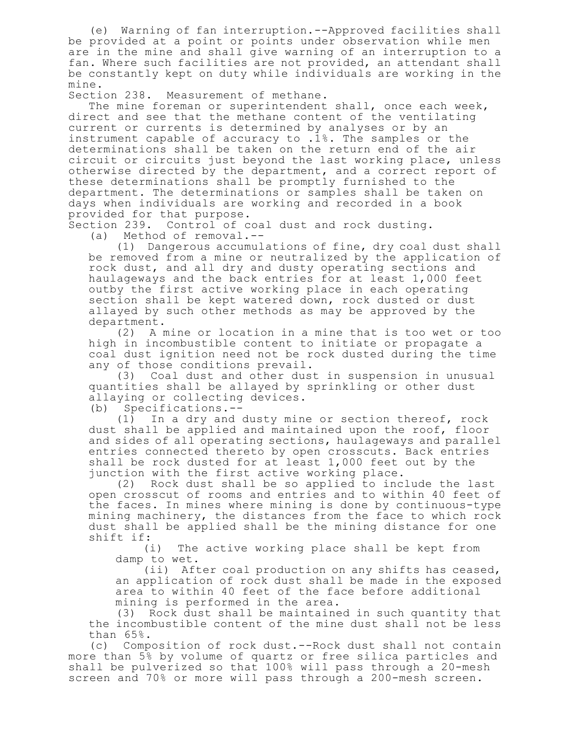(e) Warning of fan interruption.--Approved facilities shall be provided at a point or points under observation while men are in the mine and shall give warning of an interruption to a fan. Where such facilities are not provided, an attendant shall be constantly kept on duty while individuals are working in the mine.

Section 238. Measurement of methane.

The mine foreman or superintendent shall, once each week, direct and see that the methane content of the ventilating current or currents is determined by analyses or by an instrument capable of accuracy to .1%. The samples or the determinations shall be taken on the return end of the air circuit or circuits just beyond the last working place, unless otherwise directed by the department, and a correct report of these determinations shall be promptly furnished to the department. The determinations or samples shall be taken on days when individuals are working and recorded in a book provided for that purpose.

Section 239. Control of coal dust and rock dusting.

(a) Method of removal.--

(1) Dangerous accumulations of fine, dry coal dust shall be removed from a mine or neutralized by the application of rock dust, and all dry and dusty operating sections and haulageways and the back entries for at least 1,000 feet outby the first active working place in each operating section shall be kept watered down, rock dusted or dust allayed by such other methods as may be approved by the department.

(2) A mine or location in a mine that is too wet or too high in incombustible content to initiate or propagate a coal dust ignition need not be rock dusted during the time any of those conditions prevail.

(3) Coal dust and other dust in suspension in unusual quantities shall be allayed by sprinkling or other dust allaying or collecting devices.

(b) Specifications.--

(1) In a dry and dusty mine or section thereof, rock dust shall be applied and maintained upon the roof, floor and sides of all operating sections, haulageways and parallel entries connected thereto by open crosscuts. Back entries shall be rock dusted for at least 1,000 feet out by the junction with the first active working place.

(2) Rock dust shall be so applied to include the last open crosscut of rooms and entries and to within 40 feet of the faces. In mines where mining is done by continuous-type mining machinery, the distances from the face to which rock dust shall be applied shall be the mining distance for one shift if:

(i) The active working place shall be kept from damp to wet.

(ii) After coal production on any shifts has ceased, an application of rock dust shall be made in the exposed area to within 40 feet of the face before additional mining is performed in the area.

(3) Rock dust shall be maintained in such quantity that the incombustible content of the mine dust shall not be less than 65%.

(c) Composition of rock dust.--Rock dust shall not contain more than 5% by volume of quartz or free silica particles and shall be pulverized so that 100% will pass through a 20-mesh screen and 70% or more will pass through a 200-mesh screen.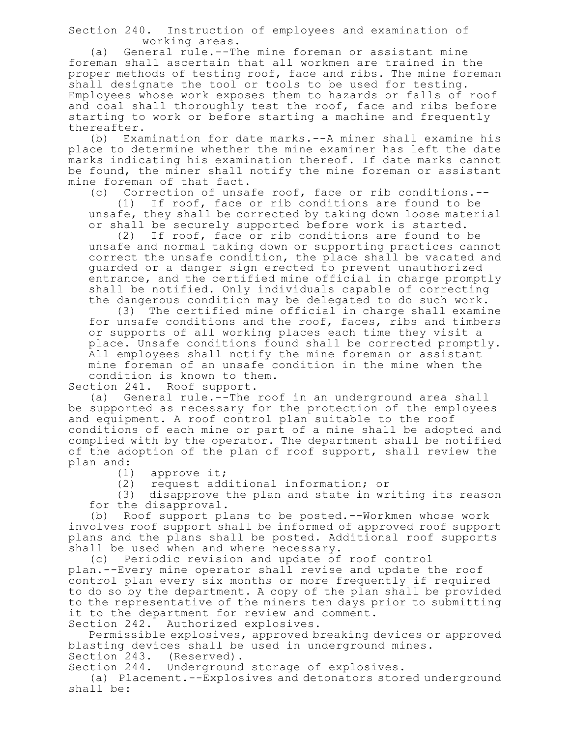Section 240. Instruction of employees and examination of working areas.

(a) General rule.--The mine foreman or assistant mine foreman shall ascertain that all workmen are trained in the proper methods of testing roof, face and ribs. The mine foreman shall designate the tool or tools to be used for testing. Employees whose work exposes them to hazards or falls of roof and coal shall thoroughly test the roof, face and ribs before starting to work or before starting a machine and frequently thereafter.

(b) Examination for date marks.--A miner shall examine his place to determine whether the mine examiner has left the date marks indicating his examination thereof. If date marks cannot be found, the miner shall notify the mine foreman or assistant mine foreman of that fact.

(c) Correction of unsafe roof, face or rib conditions.--

(1) If roof, face or rib conditions are found to be unsafe, they shall be corrected by taking down loose material or shall be securely supported before work is started.

(2) If roof, face or rib conditions are found to be unsafe and normal taking down or supporting practices cannot correct the unsafe condition, the place shall be vacated and guarded or a danger sign erected to prevent unauthorized entrance, and the certified mine official in charge promptly shall be notified. Only individuals capable of correcting the dangerous condition may be delegated to do such work.

(3) The certified mine official in charge shall examine for unsafe conditions and the roof, faces, ribs and timbers or supports of all working places each time they visit a place. Unsafe conditions found shall be corrected promptly. All employees shall notify the mine foreman or assistant mine foreman of an unsafe condition in the mine when the condition is known to them.

Section 241. Roof support.

(a) General rule.<sup>--The</sup> roof in an underground area shall be supported as necessary for the protection of the employees and equipment. A roof control plan suitable to the roof conditions of each mine or part of a mine shall be adopted and complied with by the operator. The department shall be notified of the adoption of the plan of roof support, shall review the plan and:

(1) approve it;

(2) request additional information; or

(3) disapprove the plan and state in writing its reason for the disapproval.

(b) Roof support plans to be posted.--Workmen whose work involves roof support shall be informed of approved roof support plans and the plans shall be posted. Additional roof supports shall be used when and where necessary.

(c) Periodic revision and update of roof control plan.--Every mine operator shall revise and update the roof control plan every six months or more frequently if required to do so by the department. A copy of the plan shall be provided to the representative of the miners ten days prior to submitting it to the department for review and comment. Section 242. Authorized explosives.

Permissible explosives, approved breaking devices or approved blasting devices shall be used in underground mines. Section 243. (Reserved).

Section 244. Underground storage of explosives.

(a) Placement.--Explosives and detonators stored underground shall be: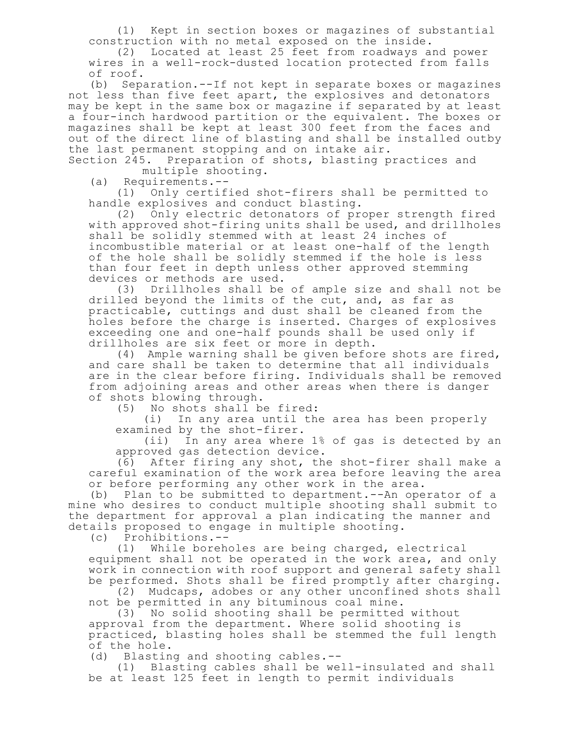(1) Kept in section boxes or magazines of substantial construction with no metal exposed on the inside.

(2) Located at least 25 feet from roadways and power wires in a well-rock-dusted location protected from falls of roof.

(b) Separation.--If not kept in separate boxes or magazines not less than five feet apart, the explosives and detonators may be kept in the same box or magazine if separated by at least a four-inch hardwood partition or the equivalent. The boxes or magazines shall be kept at least 300 feet from the faces and out of the direct line of blasting and shall be installed outby the last permanent stopping and on intake air.

Section 245. Preparation of shots, blasting practices and multiple shooting.

(a) Requirements.--

(1) Only certified shot-firers shall be permitted to handle explosives and conduct blasting.

(2) Only electric detonators of proper strength fired with approved shot-firing units shall be used, and drillholes shall be solidly stemmed with at least 24 inches of incombustible material or at least one-half of the length of the hole shall be solidly stemmed if the hole is less than four feet in depth unless other approved stemming devices or methods are used.

(3) Drillholes shall be of ample size and shall not be drilled beyond the limits of the cut, and, as far as practicable, cuttings and dust shall be cleaned from the holes before the charge is inserted. Charges of explosives exceeding one and one-half pounds shall be used only if drillholes are six feet or more in depth.

(4) Ample warning shall be given before shots are fired, and care shall be taken to determine that all individuals are in the clear before firing. Individuals shall be removed from adjoining areas and other areas when there is danger of shots blowing through.

(5) No shots shall be fired:

(i) In any area until the area has been properly examined by the shot-firer.

(ii) In any area where 1% of gas is detected by an approved gas detection device.

(6) After firing any shot, the shot-firer shall make a careful examination of the work area before leaving the area or before performing any other work in the area.

(b) Plan to be submitted to department.--An operator of a mine who desires to conduct multiple shooting shall submit to the department for approval a plan indicating the manner and details proposed to engage in multiple shooting.

(c) Prohibitions.--

(1) While boreholes are being charged, electrical equipment shall not be operated in the work area, and only work in connection with roof support and general safety shall be performed. Shots shall be fired promptly after charging.

(2) Mudcaps, adobes or any other unconfined shots shall not be permitted in any bituminous coal mine.

(3) No solid shooting shall be permitted without approval from the department. Where solid shooting is practiced, blasting holes shall be stemmed the full length of the hole.

(d) Blasting and shooting cables.--

(1) Blasting cables shall be well-insulated and shall be at least 125 feet in length to permit individuals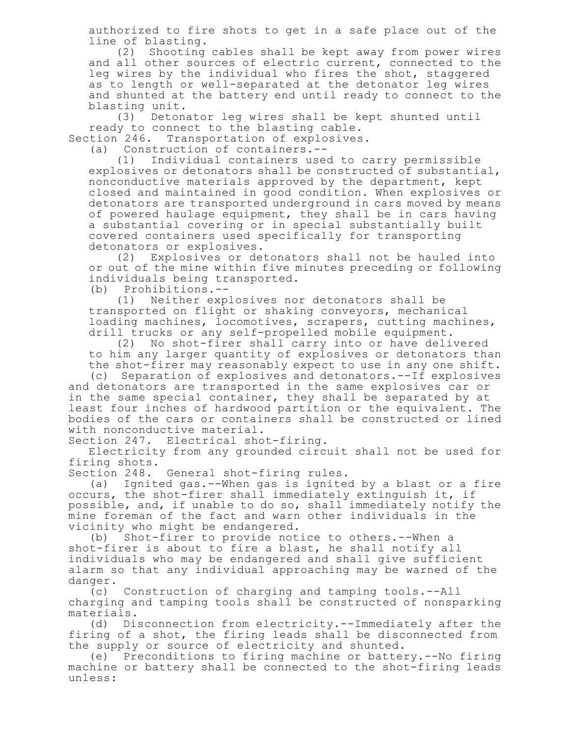authorized to fire shots to get in a safe place out of the line of blasting.

(2) Shooting cables shall be kept away from power wires and all other sources of electric current, connected to the leg wires by the individual who fires the shot, staggered as to length or well-separated at the detonator leg wires and shunted at the battery end until ready to connect to the blasting unit.<br>(3) Deton

Detonator leg wires shall be kept shunted until ready to connect to the blasting cable.

Section 246. Transportation of explosives.

(a) Construction of containers.--

(1) Individual containers used to carry permissible explosives or detonators shall be constructed of substantial, nonconductive materials approved by the department, kept closed and maintained in good condition. When explosives or detonators are transported underground in cars moved by means of powered haulage equipment, they shall be in cars having a substantial covering or in special substantially built covered containers used specifically for transporting detonators or explosives.

(2) Explosives or detonators shall not be hauled into or out of the mine within five minutes preceding or following individuals being transported.

(b) Prohibitions.--

(1) Neither explosives nor detonators shall be transported on flight or shaking conveyors, mechanical loading machines, locomotives, scrapers, cutting machines, drill trucks or any self-propelled mobile equipment.

(2) No shot-firer shall carry into or have delivered to him any larger quantity of explosives or detonators than the shot-firer may reasonably expect to use in any one shift.

(c) Separation of explosives and detonators.--If explosives and detonators are transported in the same explosives car or in the same special container, they shall be separated by at least four inches of hardwood partition or the equivalent. The bodies of the cars or containers shall be constructed or lined with nonconductive material.

Section 247. Electrical shot-firing.

Electricity from any grounded circuit shall not be used for firing shots.

Section 248. General shot-firing rules.

(a) Ignited gas.--When gas is ignited by a blast or a fire occurs, the shot-firer shall immediately extinguish it, if possible, and, if unable to do so, shall immediately notify the mine foreman of the fact and warn other individuals in the vicinity who might be endangered.

(b) Shot-firer to provide notice to others.--When a shot-firer is about to fire a blast, he shall notify all individuals who may be endangered and shall give sufficient alarm so that any individual approaching may be warned of the danger.

(c) Construction of charging and tamping tools.--All charging and tamping tools shall be constructed of nonsparking materials.

(d) Disconnection from electricity.--Immediately after the firing of a shot, the firing leads shall be disconnected from the supply or source of electricity and shunted.

(e) Preconditions to firing machine or battery.--No firing machine or battery shall be connected to the shot-firing leads unless: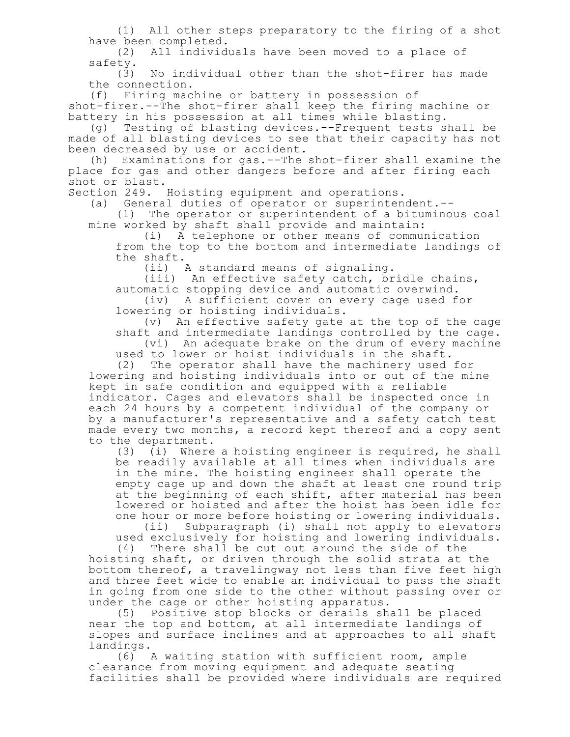(1) All other steps preparatory to the firing of a shot have been completed.<br>(2) All individe

All individuals have been moved to a place of

 $\begin{array}{c}\n\text{safety.} \\
\text{(3)}\n\end{array}$ No individual other than the shot-firer has made the connection.

(f) Firing machine or battery in possession of shot-firer.--The shot-firer shall keep the firing machine or battery in his possession at all times while blasting.

(g) Testing of blasting devices.--Frequent tests shall be made of all blasting devices to see that their capacity has not been decreased by use or accident.

(h) Examinations for gas.--The shot-firer shall examine the place for gas and other dangers before and after firing each shot or blast.

Section 249. Hoisting equipment and operations.

(a) General duties of operator or superintendent.--

(1) The operator or superintendent of a bituminous coal mine worked by shaft shall provide and maintain:

(i) A telephone or other means of communication from the top to the bottom and intermediate landings of the shaft.

(ii) A standard means of signaling.

(iii) An effective safety catch, bridle chains, automatic stopping device and automatic overwind.

(iv) A sufficient cover on every cage used for lowering or hoisting individuals.

(v) An effective safety gate at the top of the cage shaft and intermediate landings controlled by the cage. (vi) An adequate brake on the drum of every machine

used to lower or hoist individuals in the shaft.

(2) The operator shall have the machinery used for lowering and hoisting individuals into or out of the mine kept in safe condition and equipped with a reliable indicator. Cages and elevators shall be inspected once in each 24 hours by a competent individual of the company or by a manufacturer's representative and a safety catch test made every two months, a record kept thereof and a copy sent to the department.

(3) (i) Where a hoisting engineer is required, he shall be readily available at all times when individuals are in the mine. The hoisting engineer shall operate the empty cage up and down the shaft at least one round trip at the beginning of each shift, after material has been lowered or hoisted and after the hoist has been idle for one hour or more before hoisting or lowering individuals. (ii) Subparagraph (i) shall not apply to elevators used exclusively for hoisting and lowering individuals.

(4) There shall be cut out around the side of the hoisting shaft, or driven through the solid strata at the

bottom thereof, a travelingway not less than five feet high and three feet wide to enable an individual to pass the shaft in going from one side to the other without passing over or under the cage or other hoisting apparatus.

(5) Positive stop blocks or derails shall be placed near the top and bottom, at all intermediate landings of slopes and surface inclines and at approaches to all shaft landings.

(6) A waiting station with sufficient room, ample clearance from moving equipment and adequate seating facilities shall be provided where individuals are required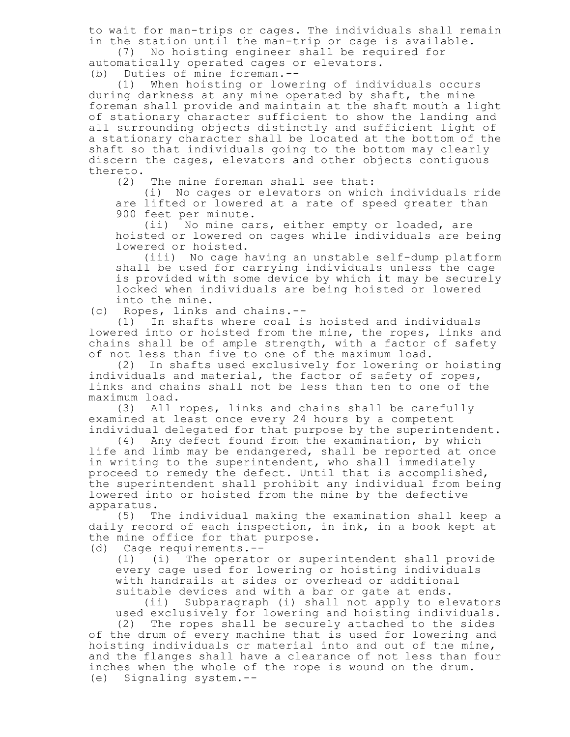to wait for man-trips or cages. The individuals shall remain in the station until the man-trip or cage is available.

(7) No hoisting engineer shall be required for automatically operated cages or elevators.

(b) Duties of mine foreman.--<br>(1) When hoisting or lowe: When hoisting or lowering of individuals occurs during darkness at any mine operated by shaft, the mine foreman shall provide and maintain at the shaft mouth a light of stationary character sufficient to show the landing and all surrounding objects distinctly and sufficient light of a stationary character shall be located at the bottom of the shaft so that individuals going to the bottom may clearly discern the cages, elevators and other objects contiguous thereto.

(2) The mine foreman shall see that:

(i) No cages or elevators on which individuals ride are lifted or lowered at a rate of speed greater than 900 feet per minute.

(ii) No mine cars, either empty or loaded, are hoisted or lowered on cages while individuals are being lowered or hoisted.

(iii) No cage having an unstable self-dump platform shall be used for carrying individuals unless the cage is provided with some device by which it may be securely locked when individuals are being hoisted or lowered into the mine.

(c) Ropes, links and chains.--

(1) In shafts where coal is hoisted and individuals lowered into or hoisted from the mine, the ropes, links and chains shall be of ample strength, with a factor of safety of not less than five to one of the maximum load.

(2) In shafts used exclusively for lowering or hoisting individuals and material, the factor of safety of ropes, links and chains shall not be less than ten to one of the maximum load.

(3) All ropes, links and chains shall be carefully examined at least once every 24 hours by a competent individual delegated for that purpose by the superintendent.

(4) Any defect found from the examination, by which life and limb may be endangered, shall be reported at once in writing to the superintendent, who shall immediately proceed to remedy the defect. Until that is accomplished, the superintendent shall prohibit any individual from being lowered into or hoisted from the mine by the defective apparatus.<br>(5) T

The individual making the examination shall keep a daily record of each inspection, in ink, in a book kept at the mine office for that purpose.

(d) Cage requirements.--

(1) (i) The operator or superintendent shall provide every cage used for lowering or hoisting individuals with handrails at sides or overhead or additional suitable devices and with a bar or gate at ends.

(ii) Subparagraph (i) shall not apply to elevators used exclusively for lowering and hoisting individuals.

(2) The ropes shall be securely attached to the sides of the drum of every machine that is used for lowering and hoisting individuals or material into and out of the mine, and the flanges shall have a clearance of not less than four inches when the whole of the rope is wound on the drum. (e) Signaling system.--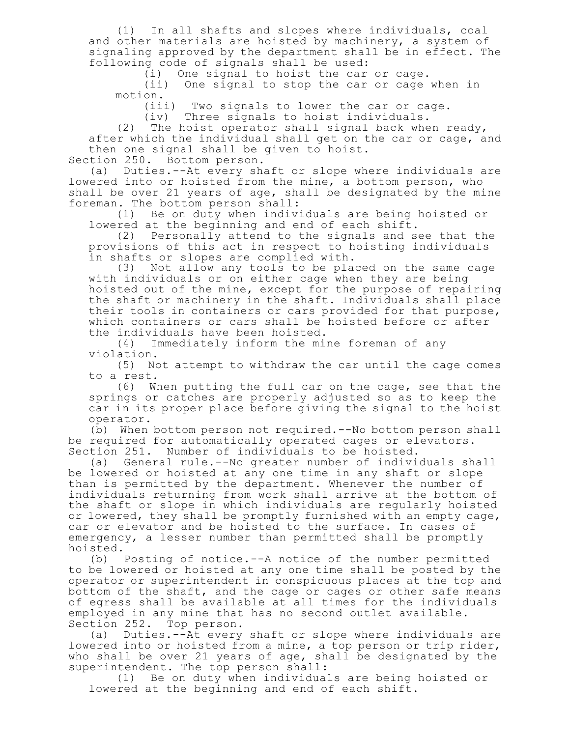(1) In all shafts and slopes where individuals, coal and other materials are hoisted by machinery, a system of signaling approved by the department shall be in effect. The following code of signals shall be used:

(i) One signal to hoist the car or cage.

(ii) One signal to stop the car or cage when in motion.

(iii) Two signals to lower the car or cage.

(iv) Three signals to hoist individuals.

(2) The hoist operator shall signal back when ready, after which the individual shall get on the car or cage, and then one signal shall be given to hoist. Section 250. Bottom person.

(a) Duties.--At every shaft or slope where individuals are lowered into or hoisted from the mine, a bottom person, who shall be over 21 years of age, shall be designated by the mine foreman. The bottom person shall:

(1) Be on duty when individuals are being hoisted or lowered at the beginning and end of each shift.

(2) Personally attend to the signals and see that the provisions of this act in respect to hoisting individuals in shafts or slopes are complied with.

(3) Not allow any tools to be placed on the same cage with individuals or on either cage when they are being hoisted out of the mine, except for the purpose of repairing the shaft or machinery in the shaft. Individuals shall place their tools in containers or cars provided for that purpose, which containers or cars shall be hoisted before or after the individuals have been hoisted.

(4) Immediately inform the mine foreman of any violation.

(5) Not attempt to withdraw the car until the cage comes to a rest.

(6) When putting the full car on the cage, see that the springs or catches are properly adjusted so as to keep the car in its proper place before giving the signal to the hoist operator.

(b) When bottom person not required.--No bottom person shall be required for automatically operated cages or elevators. Section 251. Number of individuals to be hoisted.

(a) General rule.--No greater number of individuals shall be lowered or hoisted at any one time in any shaft or slope than is permitted by the department. Whenever the number of individuals returning from work shall arrive at the bottom of the shaft or slope in which individuals are regularly hoisted or lowered, they shall be promptly furnished with an empty cage, car or elevator and be hoisted to the surface. In cases of emergency, a lesser number than permitted shall be promptly hoisted.

(b) Posting of notice.--A notice of the number permitted to be lowered or hoisted at any one time shall be posted by the operator or superintendent in conspicuous places at the top and bottom of the shaft, and the cage or cages or other safe means of egress shall be available at all times for the individuals employed in any mine that has no second outlet available. Section 252. Top person.

(a) Duties.--At every shaft or slope where individuals are lowered into or hoisted from a mine, a top person or trip rider, who shall be over 21 years of age, shall be designated by the superintendent. The top person shall:

(1) Be on duty when individuals are being hoisted or lowered at the beginning and end of each shift.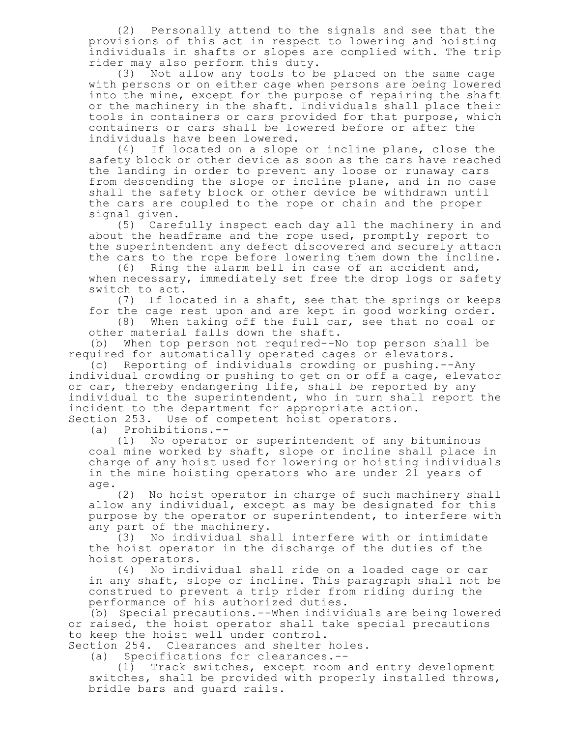(2) Personally attend to the signals and see that the provisions of this act in respect to lowering and hoisting individuals in shafts or slopes are complied with. The trip rider may also perform this duty.

(3) Not allow any tools to be placed on the same cage with persons or on either cage when persons are being lowered into the mine, except for the purpose of repairing the shaft or the machinery in the shaft. Individuals shall place their tools in containers or cars provided for that purpose, which containers or cars shall be lowered before or after the individuals have been lowered.

(4) If located on a slope or incline plane, close the safety block or other device as soon as the cars have reached the landing in order to prevent any loose or runaway cars from descending the slope or incline plane, and in no case shall the safety block or other device be withdrawn until the cars are coupled to the rope or chain and the proper signal given.

(5) Carefully inspect each day all the machinery in and about the headframe and the rope used, promptly report to the superintendent any defect discovered and securely attach the cars to the rope before lowering them down the incline.

(6) Ring the alarm bell in case of an accident and, when necessary, immediately set free the drop logs or safety switch to act.

(7) If located in a shaft, see that the springs or keeps for the cage rest upon and are kept in good working order.

(8) When taking off the full car, see that no coal or other material falls down the shaft.

(b) When top person not required--No top person shall be required for automatically operated cages or elevators.

(c) Reporting of individuals crowding or pushing.--Any individual crowding or pushing to get on or off a cage, elevator or car, thereby endangering life, shall be reported by any individual to the superintendent, who in turn shall report the incident to the department for appropriate action. Section 253. Use of competent hoist operators.

(a) Prohibitions.--

(1) No operator or superintendent of any bituminous coal mine worked by shaft, slope or incline shall place in charge of any hoist used for lowering or hoisting individuals in the mine hoisting operators who are under 21 years of age.

(2) No hoist operator in charge of such machinery shall allow any individual, except as may be designated for this purpose by the operator or superintendent, to interfere with any part of the machinery.

(3) No individual shall interfere with or intimidate the hoist operator in the discharge of the duties of the hoist operators.

(4) No individual shall ride on a loaded cage or car in any shaft, slope or incline. This paragraph shall not be construed to prevent a trip rider from riding during the performance of his authorized duties.

(b) Special precautions.--When individuals are being lowered or raised, the hoist operator shall take special precautions to keep the hoist well under control.

Section 254. Clearances and shelter holes.

(a) Specifications for clearances.--

(1) Track switches, except room and entry development switches, shall be provided with properly installed throws, bridle bars and guard rails.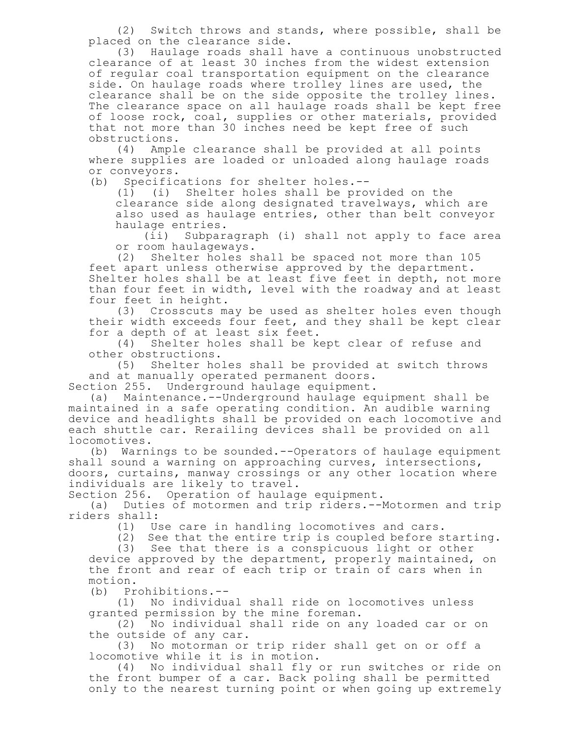(2) Switch throws and stands, where possible, shall be placed on the clearance side.

(3) Haulage roads shall have a continuous unobstructed clearance of at least 30 inches from the widest extension of regular coal transportation equipment on the clearance side. On haulage roads where trolley lines are used, the clearance shall be on the side opposite the trolley lines. The clearance space on all haulage roads shall be kept free of loose rock, coal, supplies or other materials, provided that not more than 30 inches need be kept free of such obstructions.

(4) Ample clearance shall be provided at all points where supplies are loaded or unloaded along haulage roads or conveyors.

(b) Specifications for shelter holes.--

(1) (i) Shelter holes shall be provided on the clearance side along designated travelways, which are also used as haulage entries, other than belt conveyor haulage entries.

(ii) Subparagraph (i) shall not apply to face area or room haulageways.

(2) Shelter holes shall be spaced not more than 105 feet apart unless otherwise approved by the department. Shelter holes shall be at least five feet in depth, not more than four feet in width, level with the roadway and at least four feet in height.

(3) Crosscuts may be used as shelter holes even though their width exceeds four feet, and they shall be kept clear for a depth of at least six feet.

(4) Shelter holes shall be kept clear of refuse and other obstructions.

(5) Shelter holes shall be provided at switch throws and at manually operated permanent doors.

Section 255. Underground haulage equipment.

(a) Maintenance.--Underground haulage equipment shall be maintained in a safe operating condition. An audible warning device and headlights shall be provided on each locomotive and each shuttle car. Rerailing devices shall be provided on all locomotives.

(b) Warnings to be sounded.--Operators of haulage equipment shall sound a warning on approaching curves, intersections, doors, curtains, manway crossings or any other location where individuals are likely to travel.

Section 256. Operation of haulage equipment.

(a) Duties of motormen and trip riders.--Motormen and trip riders shall:

(1) Use care in handling locomotives and cars.

(2) See that the entire trip is coupled before starting.

(3) See that there is a conspicuous light or other device approved by the department, properly maintained, on the front and rear of each trip or train of cars when in motion.

(b) Prohibitions.--

(1) No individual shall ride on locomotives unless granted permission by the mine foreman.

(2) No individual shall ride on any loaded car or on the outside of any car.

(3) No motorman or trip rider shall get on or off a locomotive while it is in motion.

(4) No individual shall fly or run switches or ride on the front bumper of a car. Back poling shall be permitted only to the nearest turning point or when going up extremely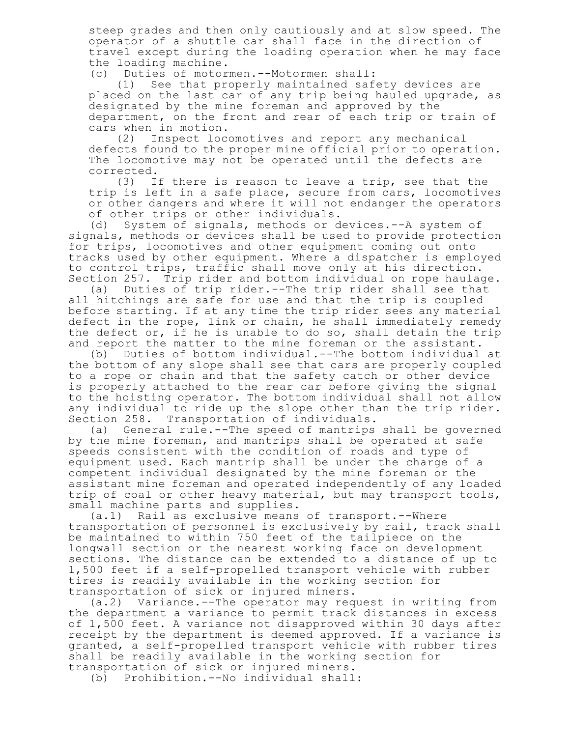steep grades and then only cautiously and at slow speed. The operator of a shuttle car shall face in the direction of travel except during the loading operation when he may face the loading machine.

(c) Duties of motormen.--Motormen shall:

(1) See that properly maintained safety devices are placed on the last car of any trip being hauled upgrade, as designated by the mine foreman and approved by the department, on the front and rear of each trip or train of cars when in motion.

(2) Inspect locomotives and report any mechanical defects found to the proper mine official prior to operation. The locomotive may not be operated until the defects are

 $corrected.$   $(3)$  I If there is reason to leave a trip, see that the trip is left in a safe place, secure from cars, locomotives or other dangers and where it will not endanger the operators of other trips or other individuals.

(d) System of signals, methods or devices.--A system of signals, methods or devices shall be used to provide protection for trips, locomotives and other equipment coming out onto tracks used by other equipment. Where a dispatcher is employed to control trips, traffic shall move only at his direction. Section 257. Trip rider and bottom individual on rope haulage.

(a) Duties of trip rider.--The trip rider shall see that all hitchings are safe for use and that the trip is coupled before starting. If at any time the trip rider sees any material defect in the rope, link or chain, he shall immediately remedy the defect or, if he is unable to do so, shall detain the trip and report the matter to the mine foreman or the assistant.<br>(b) Duties of bottom individual.--The bottom individual

Duties of bottom individual.--The bottom individual at the bottom of any slope shall see that cars are properly coupled to a rope or chain and that the safety catch or other device is properly attached to the rear car before giving the signal to the hoisting operator. The bottom individual shall not allow any individual to ride up the slope other than the trip rider. Section 258. Transportation of individuals.

(a) General rule.--The speed of mantrips shall be governed by the mine foreman, and mantrips shall be operated at safe speeds consistent with the condition of roads and type of equipment used. Each mantrip shall be under the charge of a competent individual designated by the mine foreman or the assistant mine foreman and operated independently of any loaded trip of coal or other heavy material, but may transport tools, small machine parts and supplies.

(a.1) Rail as exclusive means of transport.--Where transportation of personnel is exclusively by rail, track shall be maintained to within 750 feet of the tailpiece on the longwall section or the nearest working face on development sections. The distance can be extended to a distance of up to 1,500 feet if a self-propelled transport vehicle with rubber tires is readily available in the working section for transportation of sick or injured miners.

(a.2) Variance.--The operator may request in writing from the department a variance to permit track distances in excess of 1,500 feet. A variance not disapproved within 30 days after receipt by the department is deemed approved. If a variance is granted, a self-propelled transport vehicle with rubber tires shall be readily available in the working section for transportation of sick or injured miners.

(b) Prohibition.--No individual shall: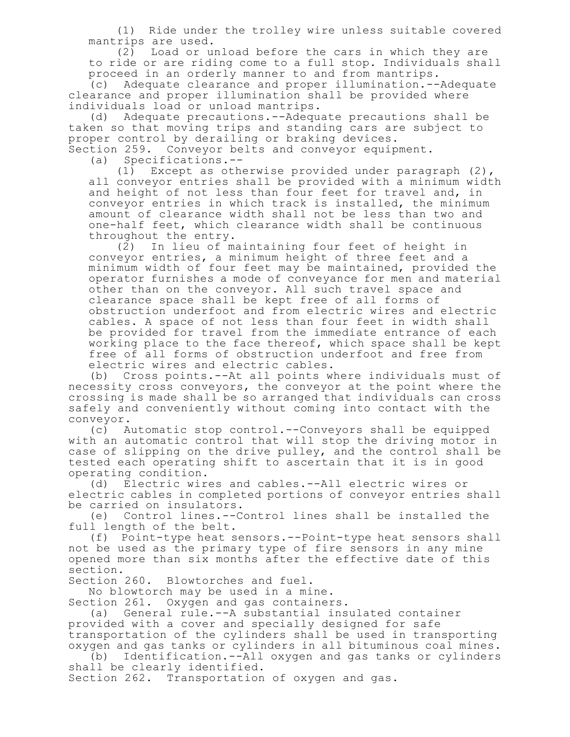(1) Ride under the trolley wire unless suitable covered mantrips are used.

(2) Load or unload before the cars in which they are to ride or are riding come to a full stop. Individuals shall proceed in an orderly manner to and from mantrips.

(c) Adequate clearance and proper illumination.--Adequate clearance and proper illumination shall be provided where individuals load or unload mantrips.

(d) Adequate precautions.--Adequate precautions shall be taken so that moving trips and standing cars are subject to proper control by derailing or braking devices.

Section 259. Conveyor belts and conveyor equipment.

(a) Specifications.-- Except as otherwise provided under paragraph  $(2)$ , all conveyor entries shall be provided with a minimum width and height of not less than four feet for travel and, in conveyor entries in which track is installed, the minimum amount of clearance width shall not be less than two and one-half feet, which clearance width shall be continuous throughout the entry.

(2) In lieu of maintaining four feet of height in conveyor entries, a minimum height of three feet and a minimum width of four feet may be maintained, provided the operator furnishes a mode of conveyance for men and material other than on the conveyor. All such travel space and clearance space shall be kept free of all forms of obstruction underfoot and from electric wires and electric cables. A space of not less than four feet in width shall be provided for travel from the immediate entrance of each working place to the face thereof, which space shall be kept free of all forms of obstruction underfoot and free from electric wires and electric cables.

(b) Cross points.--At all points where individuals must of necessity cross conveyors, the conveyor at the point where the crossing is made shall be so arranged that individuals can cross safely and conveniently without coming into contact with the conveyor.

(c) Automatic stop control.--Conveyors shall be equipped with an automatic control that will stop the driving motor in case of slipping on the drive pulley, and the control shall be tested each operating shift to ascertain that it is in good operating condition.

(d) Electric wires and cables.--All electric wires or electric cables in completed portions of conveyor entries shall be carried on insulators.

(e) Control lines.--Control lines shall be installed the full length of the belt.

(f) Point-type heat sensors.--Point-type heat sensors shall not be used as the primary type of fire sensors in any mine opened more than six months after the effective date of this section.

Section 260. Blowtorches and fuel.

No blowtorch may be used in a mine. Section 261. Oxygen and gas containers.

(a) General rule.--A substantial insulated container provided with a cover and specially designed for safe transportation of the cylinders shall be used in transporting oxygen and gas tanks or cylinders in all bituminous coal mines.

(b) Identification.--All oxygen and gas tanks or cylinders shall be clearly identified.

Section 262. Transportation of oxygen and gas.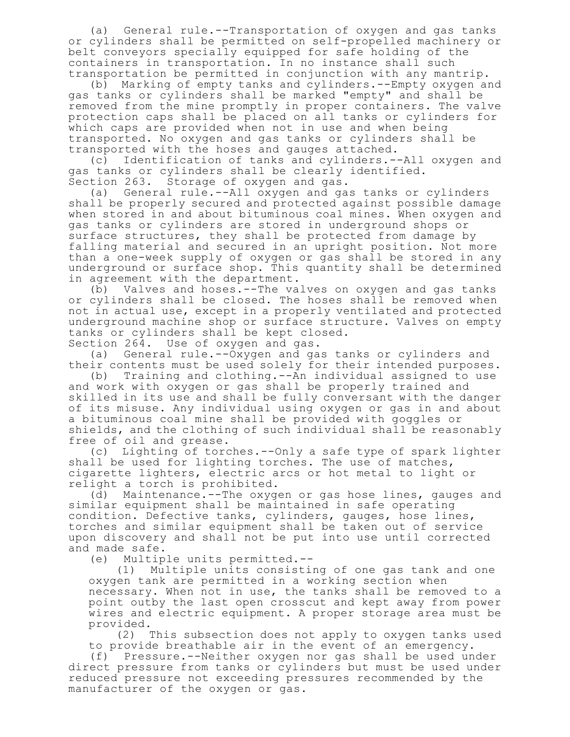(a) General rule.--Transportation of oxygen and gas tanks or cylinders shall be permitted on self-propelled machinery or belt conveyors specially equipped for safe holding of the containers in transportation. In no instance shall such transportation be permitted in conjunction with any mantrip.

(b) Marking of empty tanks and cylinders.--Empty oxygen and gas tanks or cylinders shall be marked "empty" and shall be removed from the mine promptly in proper containers. The valve protection caps shall be placed on all tanks or cylinders for which caps are provided when not in use and when being transported. No oxygen and gas tanks or cylinders shall be transported with the hoses and gauges attached.

(c) Identification of tanks and cylinders.--All oxygen and gas tanks or cylinders shall be clearly identified. Section 263. Storage of oxygen and gas.

(a) General rule.--All oxygen and gas tanks or cylinders shall be properly secured and protected against possible damage when stored in and about bituminous coal mines. When oxygen and gas tanks or cylinders are stored in underground shops or surface structures, they shall be protected from damage by falling material and secured in an upright position. Not more than a one-week supply of oxygen or gas shall be stored in any underground or surface shop. This quantity shall be determined in agreement with the department.

(b) Valves and hoses.--The valves on oxygen and gas tanks or cylinders shall be closed. The hoses shall be removed when not in actual use, except in a properly ventilated and protected underground machine shop or surface structure. Valves on empty tanks or cylinders shall be kept closed.

Section 264. Use of oxygen and gas.

(a) General rule.--Oxygen and gas tanks or cylinders and their contents must be used solely for their intended purposes.

(b) Training and clothing.--An individual assigned to use and work with oxygen or gas shall be properly trained and skilled in its use and shall be fully conversant with the danger of its misuse. Any individual using oxygen or gas in and about a bituminous coal mine shall be provided with goggles or shields, and the clothing of such individual shall be reasonably free of oil and grease.

(c) Lighting of torches.--Only a safe type of spark lighter shall be used for lighting torches. The use of matches, cigarette lighters, electric arcs or hot metal to light or relight a torch is prohibited.

(d) Maintenance.--The oxygen or gas hose lines, gauges and similar equipment shall be maintained in safe operating condition. Defective tanks, cylinders, gauges, hose lines, torches and similar equipment shall be taken out of service upon discovery and shall not be put into use until corrected and made safe.

(e) Multiple units permitted.--

(1) Multiple units consisting of one gas tank and one oxygen tank are permitted in a working section when necessary. When not in use, the tanks shall be removed to a point outby the last open crosscut and kept away from power wires and electric equipment. A proper storage area must be provided.

(2) This subsection does not apply to oxygen tanks used to provide breathable air in the event of an emergency.

(f) Pressure.--Neither oxygen nor gas shall be used under direct pressure from tanks or cylinders but must be used under reduced pressure not exceeding pressures recommended by the manufacturer of the oxygen or gas.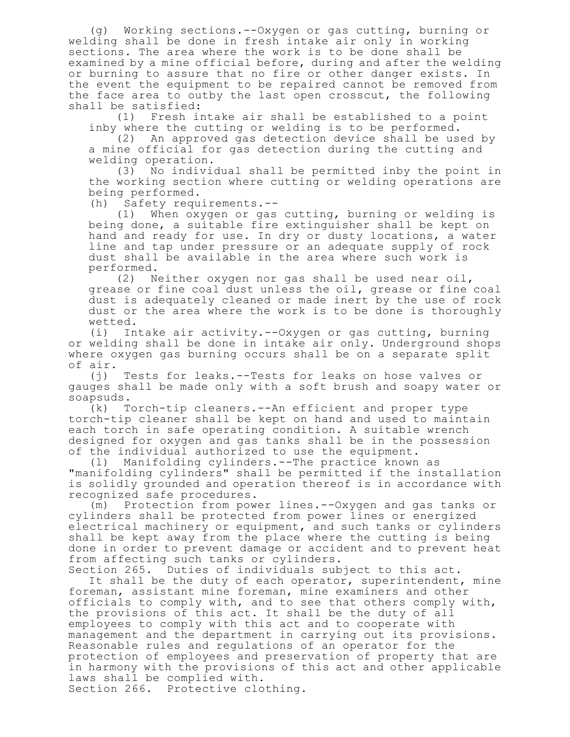(g) Working sections.--Oxygen or gas cutting, burning or welding shall be done in fresh intake air only in working sections. The area where the work is to be done shall be examined by a mine official before, during and after the welding or burning to assure that no fire or other danger exists. In the event the equipment to be repaired cannot be removed from the face area to outby the last open crosscut, the following shall be satisfied:

(1) Fresh intake air shall be established to a point inby where the cutting or welding is to be performed.

(2) An approved gas detection device shall be used by a mine official for gas detection during the cutting and welding operation.

(3) No individual shall be permitted inby the point in the working section where cutting or welding operations are being performed.

(h) Safety requirements.--

(1) When oxygen or gas cutting, burning or welding is being done, a suitable fire extinguisher shall be kept on hand and ready for use. In dry or dusty locations, a water line and tap under pressure or an adequate supply of rock dust shall be available in the area where such work is performed.

(2) Neither oxygen nor gas shall be used near oil, grease or fine coal dust unless the oil, grease or fine coal dust is adequately cleaned or made inert by the use of rock dust or the area where the work is to be done is thoroughly wetted.

(i) Intake air activity.--Oxygen or gas cutting, burning or welding shall be done in intake air only. Underground shops where oxygen gas burning occurs shall be on a separate split of air.

(j) Tests for leaks.--Tests for leaks on hose valves or gauges shall be made only with a soft brush and soapy water or soapsuds.

(k) Torch-tip cleaners.--An efficient and proper type torch-tip cleaner shall be kept on hand and used to maintain each torch in safe operating condition. A suitable wrench designed for oxygen and gas tanks shall be in the possession of the individual authorized to use the equipment.

(l) Manifolding cylinders.--The practice known as "manifolding cylinders" shall be permitted if the installation is solidly grounded and operation thereof is in accordance with recognized safe procedures.

(m) Protection from power lines.--Oxygen and gas tanks or cylinders shall be protected from power lines or energized electrical machinery or equipment, and such tanks or cylinders shall be kept away from the place where the cutting is being done in order to prevent damage or accident and to prevent heat from affecting such tanks or cylinders.

Section 265. Duties of individuals subject to this act. It shall be the duty of each operator, superintendent, mine foreman, assistant mine foreman, mine examiners and other officials to comply with, and to see that others comply with, the provisions of this act. It shall be the duty of all employees to comply with this act and to cooperate with management and the department in carrying out its provisions. Reasonable rules and regulations of an operator for the protection of employees and preservation of property that are in harmony with the provisions of this act and other applicable laws shall be complied with. Section 266. Protective clothing.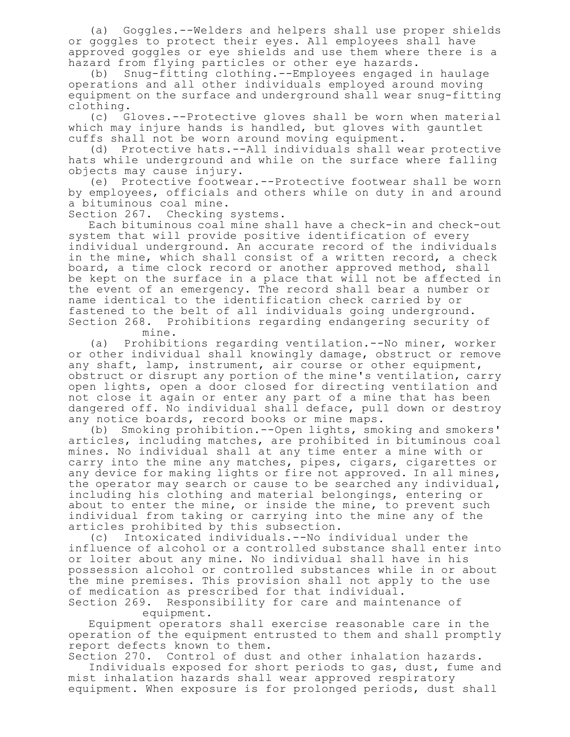(a) Goggles.--Welders and helpers shall use proper shields or goggles to protect their eyes. All employees shall have approved goggles or eye shields and use them where there is a hazard from flying particles or other eye hazards.

(b) Snug-fitting clothing.--Employees engaged in haulage operations and all other individuals employed around moving equipment on the surface and underground shall wear snug-fitting clothing.

(c) Gloves.--Protective gloves shall be worn when material which may injure hands is handled, but gloves with gauntlet cuffs shall not be worn around moving equipment.

(d) Protective hats.--All individuals shall wear protective hats while underground and while on the surface where falling objects may cause injury.

(e) Protective footwear.--Protective footwear shall be worn by employees, officials and others while on duty in and around a bituminous coal mine.

Section 267. Checking systems.

Each bituminous coal mine shall have a check-in and check-out system that will provide positive identification of every individual underground. An accurate record of the individuals in the mine, which shall consist of a written record, a check board, a time clock record or another approved method, shall be kept on the surface in a place that will not be affected in the event of an emergency. The record shall bear a number or name identical to the identification check carried by or fastened to the belt of all individuals going underground. Section 268. Prohibitions regarding endangering security of mine.

(a) Prohibitions regarding ventilation.--No miner, worker or other individual shall knowingly damage, obstruct or remove any shaft, lamp, instrument, air course or other equipment, obstruct or disrupt any portion of the mine's ventilation, carry open lights, open a door closed for directing ventilation and not close it again or enter any part of a mine that has been dangered off. No individual shall deface, pull down or destroy any notice boards, record books or mine maps.

(b) Smoking prohibition.--Open lights, smoking and smokers' articles, including matches, are prohibited in bituminous coal mines. No individual shall at any time enter a mine with or carry into the mine any matches, pipes, cigars, cigarettes or any device for making lights or fire not approved. In all mines, the operator may search or cause to be searched any individual, including his clothing and material belongings, entering or about to enter the mine, or inside the mine, to prevent such individual from taking or carrying into the mine any of the articles prohibited by this subsection.

(c) Intoxicated individuals.--No individual under the influence of alcohol or a controlled substance shall enter into or loiter about any mine. No individual shall have in his possession alcohol or controlled substances while in or about the mine premises. This provision shall not apply to the use of medication as prescribed for that individual.

Section 269. Responsibility for care and maintenance of equipment.

Equipment operators shall exercise reasonable care in the operation of the equipment entrusted to them and shall promptly report defects known to them.

Section 270. Control of dust and other inhalation hazards. Individuals exposed for short periods to gas, dust, fume and mist inhalation hazards shall wear approved respiratory equipment. When exposure is for prolonged periods, dust shall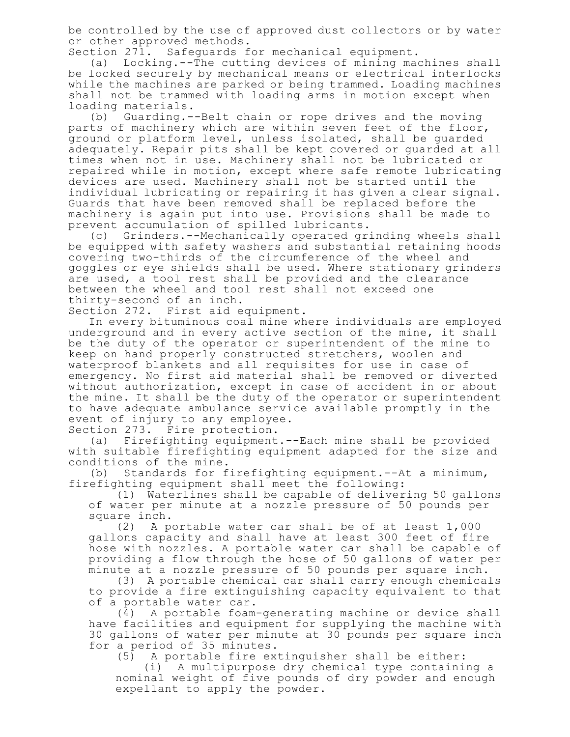be controlled by the use of approved dust collectors or by water or other approved methods.

Section 271. Safeguards for mechanical equipment.

(a) Locking.--The cutting devices of mining machines shall be locked securely by mechanical means or electrical interlocks while the machines are parked or being trammed. Loading machines shall not be trammed with loading arms in motion except when loading materials.

(b) Guarding.--Belt chain or rope drives and the moving parts of machinery which are within seven feet of the floor, ground or platform level, unless isolated, shall be guarded adequately. Repair pits shall be kept covered or guarded at all times when not in use. Machinery shall not be lubricated or repaired while in motion, except where safe remote lubricating devices are used. Machinery shall not be started until the individual lubricating or repairing it has given a clear signal. Guards that have been removed shall be replaced before the machinery is again put into use. Provisions shall be made to prevent accumulation of spilled lubricants.

(c) Grinders.--Mechanically operated grinding wheels shall be equipped with safety washers and substantial retaining hoods covering two-thirds of the circumference of the wheel and goggles or eye shields shall be used. Where stationary grinders are used, a tool rest shall be provided and the clearance between the wheel and tool rest shall not exceed one thirty-second of an inch.

Section 272. First aid equipment.

In every bituminous coal mine where individuals are employed underground and in every active section of the mine, it shall be the duty of the operator or superintendent of the mine to keep on hand properly constructed stretchers, woolen and waterproof blankets and all requisites for use in case of emergency. No first aid material shall be removed or diverted without authorization, except in case of accident in or about the mine. It shall be the duty of the operator or superintendent to have adequate ambulance service available promptly in the event of injury to any employee.

Section 273. Fire protection.

(a) Firefighting equipment.--Each mine shall be provided with suitable firefighting equipment adapted for the size and conditions of the mine.

(b) Standards for firefighting equipment.--At a minimum, firefighting equipment shall meet the following:

(1) Waterlines shall be capable of delivering 50 gallons of water per minute at a nozzle pressure of 50 pounds per square inch.

(2) A portable water car shall be of at least 1,000 gallons capacity and shall have at least 300 feet of fire hose with nozzles. A portable water car shall be capable of providing a flow through the hose of 50 gallons of water per minute at a nozzle pressure of 50 pounds per square inch.

(3) A portable chemical car shall carry enough chemicals to provide a fire extinguishing capacity equivalent to that of a portable water car.

(4) A portable foam-generating machine or device shall have facilities and equipment for supplying the machine with 30 gallons of water per minute at 30 pounds per square inch for a period of 35 minutes.

A portable fire extinguisher shall be either:

(i) A multipurpose dry chemical type containing a nominal weight of five pounds of dry powder and enough expellant to apply the powder.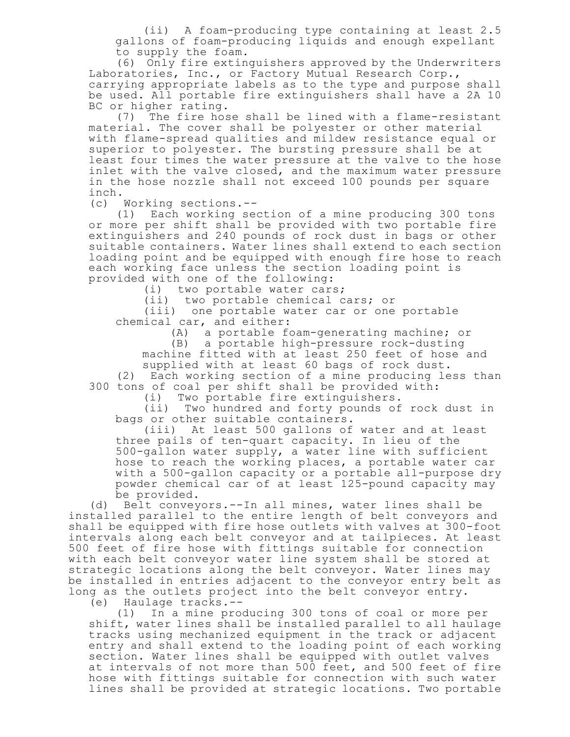(ii) A foam-producing type containing at least 2.5 gallons of foam-producing liquids and enough expellant to supply the foam.

(6) Only fire extinguishers approved by the Underwriters Laboratories, Inc., or Factory Mutual Research Corp., carrying appropriate labels as to the type and purpose shall be used. All portable fire extinguishers shall have a 2A 10 BC or higher rating.

(7) The fire hose shall be lined with a flame-resistant material. The cover shall be polyester or other material with flame-spread qualities and mildew resistance equal or superior to polyester. The bursting pressure shall be at least four times the water pressure at the valve to the hose inlet with the valve closed, and the maximum water pressure in the hose nozzle shall not exceed 100 pounds per square inch.

(c) Working sections.--

(1) Each working section of a mine producing 300 tons or more per shift shall be provided with two portable fire extinguishers and 240 pounds of rock dust in bags or other suitable containers. Water lines shall extend to each section loading point and be equipped with enough fire hose to reach each working face unless the section loading point is provided with one of the following:

(i) two portable water cars;

(ii) two portable chemical cars; or

(iii) one portable water car or one portable chemical car, and either:

(A) a portable foam-generating machine; or

(B) a portable high-pressure rock-dusting

machine fitted with at least 250 feet of hose and supplied with at least 60 bags of rock dust.

(2) Each working section of a mine producing less than 300 tons of coal per shift shall be provided with:

(i) Two portable fire extinguishers.

(ii) Two hundred and forty pounds of rock dust in bags or other suitable containers.

(iii) At least 500 gallons of water and at least three pails of ten-quart capacity. In lieu of the 500-gallon water supply, a water line with sufficient hose to reach the working places, a portable water car with a 500-gallon capacity or a portable all-purpose dry powder chemical car of at least 125-pound capacity may be provided.

(d) Belt conveyors.--In all mines, water lines shall be installed parallel to the entire length of belt conveyors and shall be equipped with fire hose outlets with valves at 300-foot intervals along each belt conveyor and at tailpieces. At least 500 feet of fire hose with fittings suitable for connection with each belt conveyor water line system shall be stored at strategic locations along the belt conveyor. Water lines may be installed in entries adjacent to the conveyor entry belt as long as the outlets project into the belt conveyor entry.

(e) Haulage tracks.--

(1) In a mine producing 300 tons of coal or more per shift, water lines shall be installed parallel to all haulage tracks using mechanized equipment in the track or adjacent entry and shall extend to the loading point of each working section. Water lines shall be equipped with outlet valves at intervals of not more than 500 feet, and 500 feet of fire hose with fittings suitable for connection with such water lines shall be provided at strategic locations. Two portable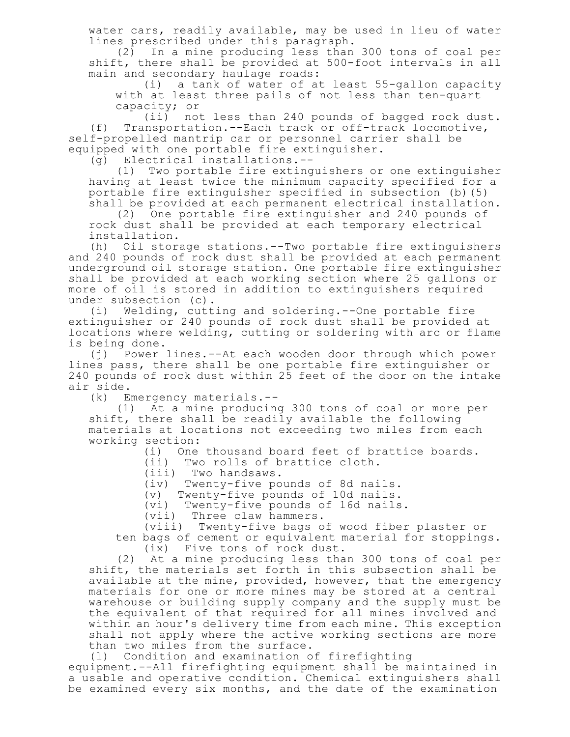water cars, readily available, may be used in lieu of water lines prescribed under this paragraph.

(2) In a mine producing less than 300 tons of coal per shift, there shall be provided at 500-foot intervals in all main and secondary haulage roads:

(i) a tank of water of at least 55-gallon capacity with at least three pails of not less than ten-quart capacity; or

(ii) not less than 240 pounds of bagged rock dust. (f) Transportation.--Each track or off-track locomotive, self-propelled mantrip car or personnel carrier shall be equipped with one portable fire extinguisher.

(g) Electrical installations.--

(1) Two portable fire extinguishers or one extinguisher having at least twice the minimum capacity specified for a portable fire extinguisher specified in subsection (b)(5) shall be provided at each permanent electrical installation.

(2) One portable fire extinguisher and 240 pounds of rock dust shall be provided at each temporary electrical installation.

(h) Oil storage stations.--Two portable fire extinguishers and 240 pounds of rock dust shall be provided at each permanent underground oil storage station. One portable fire extinguisher shall be provided at each working section where 25 gallons or more of oil is stored in addition to extinguishers required under subsection (c).

(i) Welding, cutting and soldering.--One portable fire extinguisher or 240 pounds of rock dust shall be provided at locations where welding, cutting or soldering with arc or flame is being done.

(j) Power lines.--At each wooden door through which power lines pass, there shall be one portable fire extinguisher or 240 pounds of rock dust within 25 feet of the door on the intake air side.

(k) Emergency materials.--

(1) At a mine producing 300 tons of coal or more per shift, there shall be readily available the following materials at locations not exceeding two miles from each working section:

(i) One thousand board feet of brattice boards.

(ii) Two rolls of brattice cloth.

(iii) Two handsaws.

(iv) Twenty-five pounds of 8d nails.

(v) Twenty-five pounds of 10d nails.

(vi) Twenty-five pounds of 16d nails.

(vii) Three claw hammers.

(viii) Twenty-five bags of wood fiber plaster or ten bags of cement or equivalent material for stoppings.

(ix) Five tons of rock dust.

(2) At a mine producing less than 300 tons of coal per shift, the materials set forth in this subsection shall be available at the mine, provided, however, that the emergency materials for one or more mines may be stored at a central warehouse or building supply company and the supply must be the equivalent of that required for all mines involved and within an hour's delivery time from each mine. This exception shall not apply where the active working sections are more than two miles from the surface.

(l) Condition and examination of firefighting

equipment.--All firefighting equipment shall be maintained in a usable and operative condition. Chemical extinguishers shall be examined every six months, and the date of the examination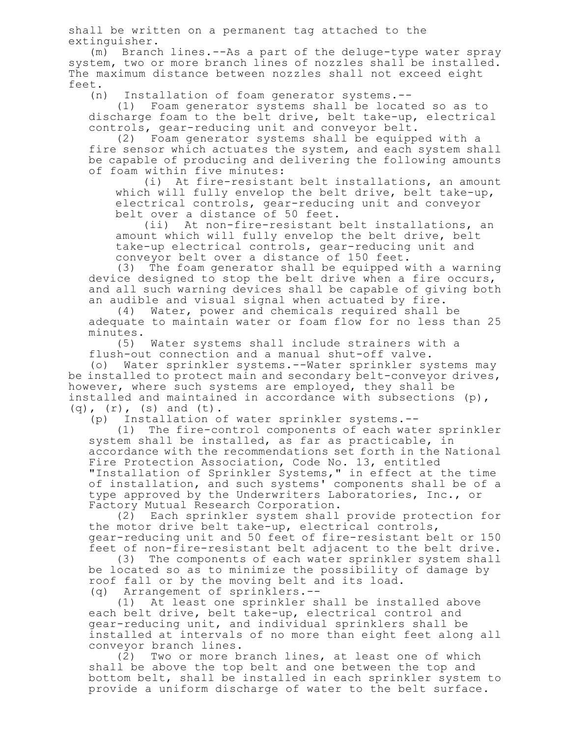shall be written on a permanent tag attached to the extinguisher.

(m) Branch lines.--As a part of the deluge-type water spray system, two or more branch lines of nozzles shall be installed. The maximum distance between nozzles shall not exceed eight feet.

(n) Installation of foam generator systems.--

(1) Foam generator systems shall be located so as to discharge foam to the belt drive, belt take-up, electrical controls, gear-reducing unit and conveyor belt.

(2) Foam generator systems shall be equipped with a fire sensor which actuates the system, and each system shall be capable of producing and delivering the following amounts of foam within five minutes:

(i) At fire-resistant belt installations, an amount which will fully envelop the belt drive, belt take-up, electrical controls, gear-reducing unit and conveyor belt over a distance of 50 feet.

(ii) At non-fire-resistant belt installations, an amount which will fully envelop the belt drive, belt take-up electrical controls, gear-reducing unit and conveyor belt over a distance of 150 feet.

(3) The foam generator shall be equipped with a warning device designed to stop the belt drive when a fire occurs, and all such warning devices shall be capable of giving both an audible and visual signal when actuated by fire.

(4) Water, power and chemicals required shall be adequate to maintain water or foam flow for no less than 25 minutes.<br>(5)

Water systems shall include strainers with a flush-out connection and a manual shut-off valve.

(o) Water sprinkler systems.--Water sprinkler systems may be installed to protect main and secondary belt-conveyor drives, however, where such systems are employed, they shall be installed and maintained in accordance with subsections (p),  $(q)$ ,  $(r)$ ,  $(s)$  and  $(t)$ .

(p) Installation of water sprinkler systems.--

(1) The fire-control components of each water sprinkler system shall be installed, as far as practicable, in accordance with the recommendations set forth in the National Fire Protection Association, Code No. 13, entitled "Installation of Sprinkler Systems," in effect at the time of installation, and such systems' components shall be of a type approved by the Underwriters Laboratories, Inc., or Factory Mutual Research Corporation.

(2) Each sprinkler system shall provide protection for the motor drive belt take-up, electrical controls, gear-reducing unit and 50 feet of fire-resistant belt or 150 feet of non-fire-resistant belt adjacent to the belt drive.

(3) The components of each water sprinkler system shall be located so as to minimize the possibility of damage by roof fall or by the moving belt and its load. (q) Arrangement of sprinklers.--

(1) At least one sprinkler shall be installed above each belt drive, belt take-up, electrical control and gear-reducing unit, and individual sprinklers shall be installed at intervals of no more than eight feet along all conveyor branch lines.

(2) Two or more branch lines, at least one of which shall be above the top belt and one between the top and bottom belt, shall be installed in each sprinkler system to provide a uniform discharge of water to the belt surface.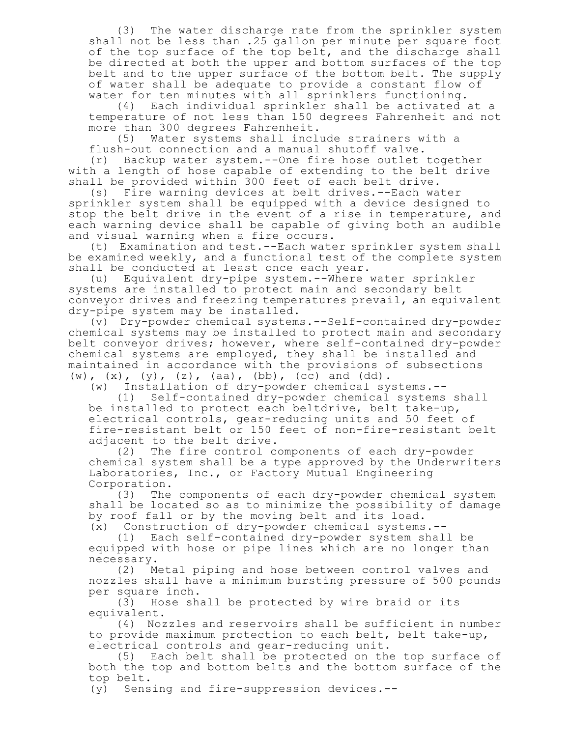(3) The water discharge rate from the sprinkler system shall not be less than .25 gallon per minute per square foot of the top surface of the top belt, and the discharge shall be directed at both the upper and bottom surfaces of the top belt and to the upper surface of the bottom belt. The supply of water shall be adequate to provide a constant flow of water for ten minutes with all sprinklers functioning.<br>(4) Each individual sprinkler shall be activated

Each individual sprinkler shall be activated at a temperature of not less than 150 degrees Fahrenheit and not more than 300 degrees Fahrenheit.<br>(5) Water systems shall incle

Water systems shall include strainers with a flush-out connection and a manual shutoff valve.

(r) Backup water system.--One fire hose outlet together with a length of hose capable of extending to the belt drive shall be provided within 300 feet of each belt drive.

(s) Fire warning devices at belt drives.--Each water sprinkler system shall be equipped with a device designed to stop the belt drive in the event of a rise in temperature, and each warning device shall be capable of giving both an audible and visual warning when a fire occurs.

(t) Examination and test.--Each water sprinkler system shall be examined weekly, and a functional test of the complete system shall be conducted at least once each year.

(u) Equivalent dry-pipe system.--Where water sprinkler systems are installed to protect main and secondary belt conveyor drives and freezing temperatures prevail, an equivalent dry-pipe system may be installed.

(v) Dry-powder chemical systems.--Self-contained dry-powder chemical systems may be installed to protect main and secondary belt conveyor drives; however, where self-contained dry-powder chemical systems are employed, they shall be installed and maintained in accordance with the provisions of subsections  $(w)$ ,  $(x)$ ,  $(y)$ ,  $(z)$ ,  $(aa)$ ,  $(bb)$ ,  $(cc)$  and  $(dd)$ .

(w) Installation of dry-powder chemical systems.--

(1) Self-contained dry-powder chemical systems shall be installed to protect each beltdrive, belt take-up, electrical controls, gear-reducing units and 50 feet of fire-resistant belt or 150 feet of non-fire-resistant belt adjacent to the belt drive.

(2) The fire control components of each dry-powder chemical system shall be a type approved by the Underwriters Laboratories, Inc., or Factory Mutual Engineering Corporation.

(3) The components of each dry-powder chemical system shall be located so as to minimize the possibility of damage by roof fall or by the moving belt and its load.

(x) Construction of dry-powder chemical systems.-- (1) Each self-contained dry-powder system shall be equipped with hose or pipe lines which are no longer than

necessary.<br>(2) M Metal piping and hose between control valves and nozzles shall have a minimum bursting pressure of 500 pounds per square inch.

(3) Hose shall be protected by wire braid or its equivalent.

(4) Nozzles and reservoirs shall be sufficient in number to provide maximum protection to each belt, belt take-up, electrical controls and gear-reducing unit.

(5) Each belt shall be protected on the top surface of both the top and bottom belts and the bottom surface of the top belt.

(y) Sensing and fire-suppression devices.--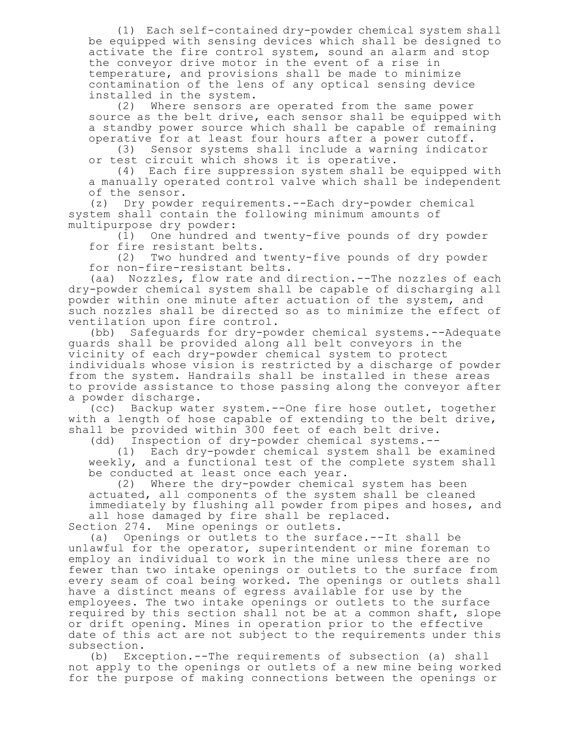(1) Each self-contained dry-powder chemical system shall be equipped with sensing devices which shall be designed to activate the fire control system, sound an alarm and stop the conveyor drive motor in the event of a rise in temperature, and provisions shall be made to minimize contamination of the lens of any optical sensing device installed in the system.<br>(2) Where sensors a

Where sensors are operated from the same power source as the belt drive, each sensor shall be equipped with a standby power source which shall be capable of remaining operative for at least four hours after a power cutoff.

(3) Sensor systems shall include a warning indicator or test circuit which shows it is operative.

(4) Each fire suppression system shall be equipped with a manually operated control valve which shall be independent of the sensor.

(z) Dry powder requirements.--Each dry-powder chemical system shall contain the following minimum amounts of multipurpose dry powder:

(1) One hundred and twenty-five pounds of dry powder for fire resistant belts.

(2) Two hundred and twenty-five pounds of dry powder for non-fire-resistant belts.

(aa) Nozzles, flow rate and direction.--The nozzles of each dry-powder chemical system shall be capable of discharging all powder within one minute after actuation of the system, and such nozzles shall be directed so as to minimize the effect of ventilation upon fire control.

(bb) Safeguards for dry-powder chemical systems.--Adequate guards shall be provided along all belt conveyors in the vicinity of each dry-powder chemical system to protect individuals whose vision is restricted by a discharge of powder from the system. Handrails shall be installed in these areas to provide assistance to those passing along the conveyor after a powder discharge.

(cc) Backup water system.--One fire hose outlet, together with a length of hose capable of extending to the belt drive, shall be provided within 300 feet of each belt drive.

(dd) Inspection of dry-powder chemical systems.--

(1) Each dry-powder chemical system shall be examined weekly, and a functional test of the complete system shall be conducted at least once each year.

(2) Where the dry-powder chemical system has been actuated, all components of the system shall be cleaned immediately by flushing all powder from pipes and hoses, and all hose damaged by fire shall be replaced.

Section 274. Mine openings or outlets.

(a) Openings or outlets to the surface.--It shall be unlawful for the operator, superintendent or mine foreman to employ an individual to work in the mine unless there are no fewer than two intake openings or outlets to the surface from every seam of coal being worked. The openings or outlets shall have a distinct means of egress available for use by the employees. The two intake openings or outlets to the surface required by this section shall not be at a common shaft, slope or drift opening. Mines in operation prior to the effective date of this act are not subject to the requirements under this subsection.

(b) Exception.--The requirements of subsection (a) shall not apply to the openings or outlets of a new mine being worked for the purpose of making connections between the openings or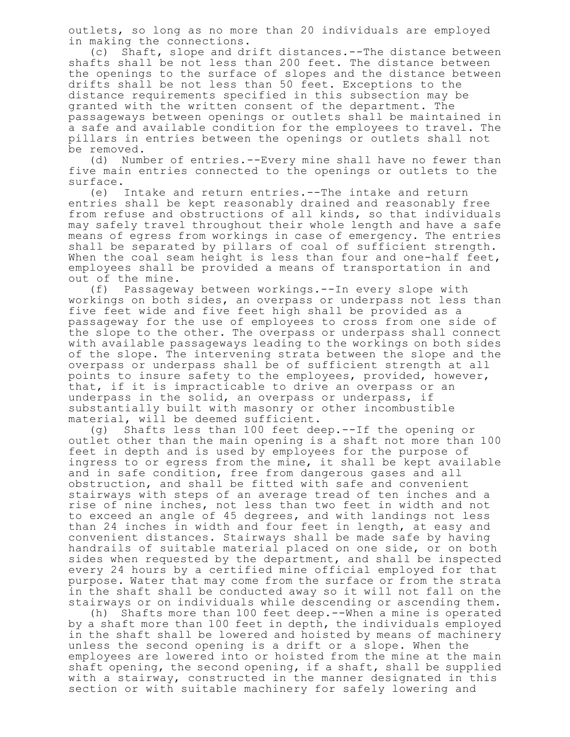outlets, so long as no more than 20 individuals are employed in making the connections.

(c) Shaft, slope and drift distances.--The distance between shafts shall be not less than 200 feet. The distance between the openings to the surface of slopes and the distance between drifts shall be not less than 50 feet. Exceptions to the distance requirements specified in this subsection may be granted with the written consent of the department. The passageways between openings or outlets shall be maintained in a safe and available condition for the employees to travel. The pillars in entries between the openings or outlets shall not be removed.

(d) Number of entries.--Every mine shall have no fewer than five main entries connected to the openings or outlets to the surface.

(e) Intake and return entries.--The intake and return entries shall be kept reasonably drained and reasonably free from refuse and obstructions of all kinds, so that individuals may safely travel throughout their whole length and have a safe means of egress from workings in case of emergency. The entries shall be separated by pillars of coal of sufficient strength. When the coal seam height is less than four and one-half feet, employees shall be provided a means of transportation in and out of the mine.

(f) Passageway between workings.--In every slope with workings on both sides, an overpass or underpass not less than five feet wide and five feet high shall be provided as a passageway for the use of employees to cross from one side of the slope to the other. The overpass or underpass shall connect with available passageways leading to the workings on both sides of the slope. The intervening strata between the slope and the overpass or underpass shall be of sufficient strength at all points to insure safety to the employees, provided, however, that, if it is impracticable to drive an overpass or an underpass in the solid, an overpass or underpass, if substantially built with masonry or other incombustible material, will be deemed sufficient.

(g) Shafts less than 100 feet deep.--If the opening or outlet other than the main opening is a shaft not more than 100 feet in depth and is used by employees for the purpose of ingress to or egress from the mine, it shall be kept available and in safe condition, free from dangerous gases and all obstruction, and shall be fitted with safe and convenient stairways with steps of an average tread of ten inches and a rise of nine inches, not less than two feet in width and not to exceed an angle of 45 degrees, and with landings not less than 24 inches in width and four feet in length, at easy and convenient distances. Stairways shall be made safe by having handrails of suitable material placed on one side, or on both sides when requested by the department, and shall be inspected every 24 hours by a certified mine official employed for that purpose. Water that may come from the surface or from the strata in the shaft shall be conducted away so it will not fall on the stairways or on individuals while descending or ascending them.

(h) Shafts more than 100 feet deep.--When a mine is operated by a shaft more than 100 feet in depth, the individuals employed in the shaft shall be lowered and hoisted by means of machinery unless the second opening is a drift or a slope. When the employees are lowered into or hoisted from the mine at the main shaft opening, the second opening, if a shaft, shall be supplied with a stairway, constructed in the manner designated in this section or with suitable machinery for safely lowering and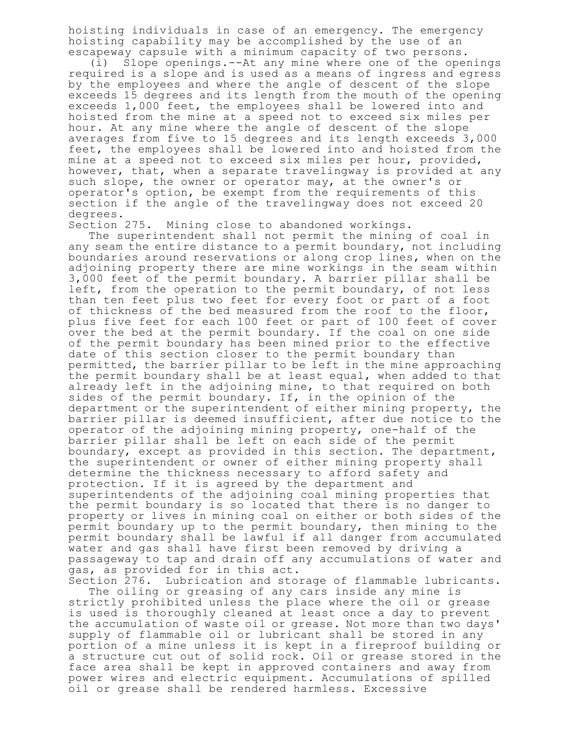hoisting individuals in case of an emergency. The emergency hoisting capability may be accomplished by the use of an escapeway capsule with a minimum capacity of two persons.

(i) Slope openings.--At any mine where one of the openings required is a slope and is used as a means of ingress and egress by the employees and where the angle of descent of the slope exceeds 15 degrees and its length from the mouth of the opening exceeds 1,000 feet, the employees shall be lowered into and hoisted from the mine at a speed not to exceed six miles per hour. At any mine where the angle of descent of the slope averages from five to 15 degrees and its length exceeds 3,000 feet, the employees shall be lowered into and hoisted from the mine at a speed not to exceed six miles per hour, provided, however, that, when a separate travelingway is provided at any such slope, the owner or operator may, at the owner's or operator's option, be exempt from the requirements of this section if the angle of the travelingway does not exceed 20 degrees.

Section 275. Mining close to abandoned workings.

The superintendent shall not permit the mining of coal in any seam the entire distance to a permit boundary, not including boundaries around reservations or along crop lines, when on the adjoining property there are mine workings in the seam within 3,000 feet of the permit boundary. A barrier pillar shall be left, from the operation to the permit boundary, of not less than ten feet plus two feet for every foot or part of a foot of thickness of the bed measured from the roof to the floor, plus five feet for each 100 feet or part of 100 feet of cover over the bed at the permit boundary. If the coal on one side of the permit boundary has been mined prior to the effective date of this section closer to the permit boundary than permitted, the barrier pillar to be left in the mine approaching the permit boundary shall be at least equal, when added to that already left in the adjoining mine, to that required on both sides of the permit boundary. If, in the opinion of the department or the superintendent of either mining property, the barrier pillar is deemed insufficient, after due notice to the operator of the adjoining mining property, one-half of the barrier pillar shall be left on each side of the permit boundary, except as provided in this section. The department, the superintendent or owner of either mining property shall determine the thickness necessary to afford safety and protection. If it is agreed by the department and superintendents of the adjoining coal mining properties that the permit boundary is so located that there is no danger to property or lives in mining coal on either or both sides of the permit boundary up to the permit boundary, then mining to the permit boundary shall be lawful if all danger from accumulated water and gas shall have first been removed by driving a passageway to tap and drain off any accumulations of water and gas, as provided for in this act.

Section 276. Lubrication and storage of flammable lubricants. The oiling or greasing of any cars inside any mine is strictly prohibited unless the place where the oil or grease is used is thoroughly cleaned at least once a day to prevent the accumulation of waste oil or grease. Not more than two days' supply of flammable oil or lubricant shall be stored in any portion of a mine unless it is kept in a fireproof building or a structure cut out of solid rock. Oil or grease stored in the face area shall be kept in approved containers and away from power wires and electric equipment. Accumulations of spilled oil or grease shall be rendered harmless. Excessive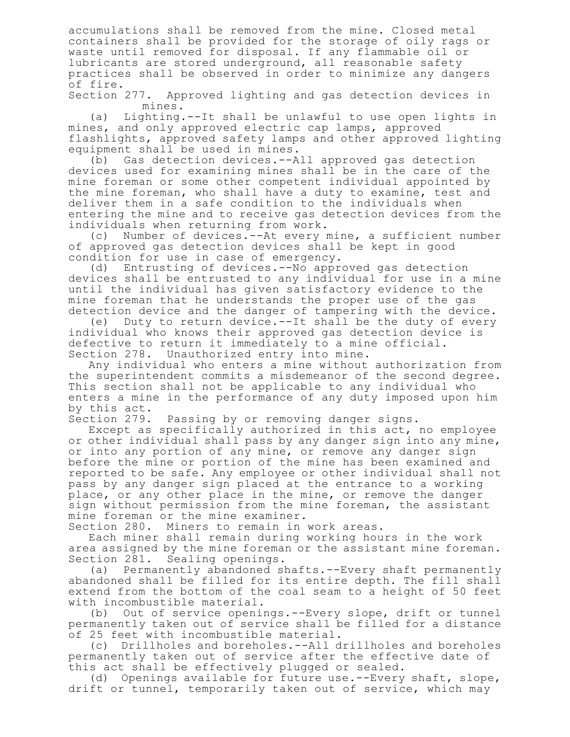accumulations shall be removed from the mine. Closed metal containers shall be provided for the storage of oily rags or waste until removed for disposal. If any flammable oil or lubricants are stored underground, all reasonable safety practices shall be observed in order to minimize any dangers of fire.

Section 277. Approved lighting and gas detection devices in mines.

(a) Lighting.--It shall be unlawful to use open lights in mines, and only approved electric cap lamps, approved flashlights, approved safety lamps and other approved lighting equipment shall be used in mines.

(b) Gas detection devices.--All approved gas detection devices used for examining mines shall be in the care of the mine foreman or some other competent individual appointed by the mine foreman, who shall have a duty to examine, test and deliver them in a safe condition to the individuals when entering the mine and to receive gas detection devices from the individuals when returning from work.

(c) Number of devices.--At every mine, a sufficient number of approved gas detection devices shall be kept in good condition for use in case of emergency.

(d) Entrusting of devices.--No approved gas detection devices shall be entrusted to any individual for use in a mine until the individual has given satisfactory evidence to the mine foreman that he understands the proper use of the gas detection device and the danger of tampering with the device.

(e) Duty to return device.--It shall be the duty of every individual who knows their approved gas detection device is defective to return it immediately to a mine official. Section 278. Unauthorized entry into mine.

Any individual who enters a mine without authorization from the superintendent commits a misdemeanor of the second degree. This section shall not be applicable to any individual who enters a mine in the performance of any duty imposed upon him by this act.

Section 279. Passing by or removing danger signs.

Except as specifically authorized in this act, no employee or other individual shall pass by any danger sign into any mine, or into any portion of any mine, or remove any danger sign before the mine or portion of the mine has been examined and reported to be safe. Any employee or other individual shall not pass by any danger sign placed at the entrance to a working place, or any other place in the mine, or remove the danger sign without permission from the mine foreman, the assistant mine foreman or the mine examiner.

Section 280. Miners to remain in work areas.

Each miner shall remain during working hours in the work area assigned by the mine foreman or the assistant mine foreman. Section 281. Sealing openings.

(a) Permanently abandoned shafts.--Every shaft permanently abandoned shall be filled for its entire depth. The fill shall extend from the bottom of the coal seam to a height of 50 feet with incombustible material.

(b) Out of service openings.--Every slope, drift or tunnel permanently taken out of service shall be filled for a distance of 25 feet with incombustible material.

(c) Drillholes and boreholes.--All drillholes and boreholes permanently taken out of service after the effective date of this act shall be effectively plugged or sealed.

(d) Openings available for future use.--Every shaft, slope, drift or tunnel, temporarily taken out of service, which may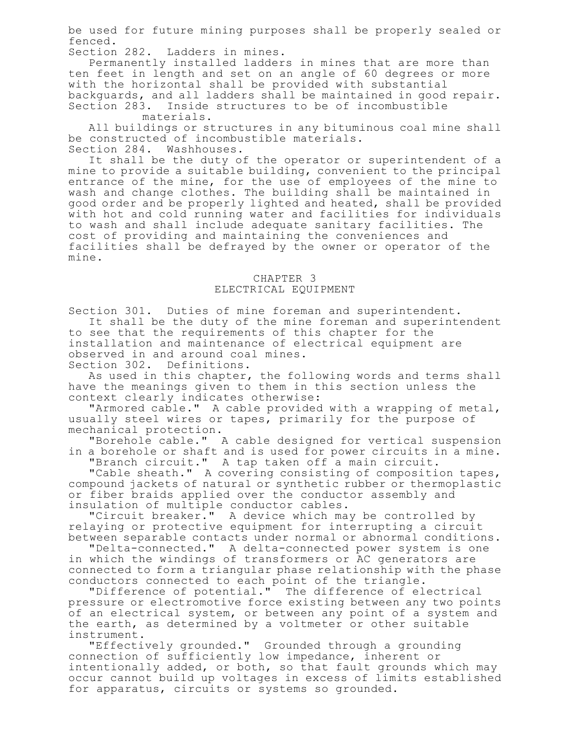be used for future mining purposes shall be properly sealed or fenced.

Section 282. Ladders in mines.

Permanently installed ladders in mines that are more than ten feet in length and set on an angle of 60 degrees or more with the horizontal shall be provided with substantial backguards, and all ladders shall be maintained in good repair. Section 283. Inside structures to be of incombustible

materials.

All buildings or structures in any bituminous coal mine shall be constructed of incombustible materials. Section 284. Washhouses.

It shall be the duty of the operator or superintendent of a mine to provide a suitable building, convenient to the principal entrance of the mine, for the use of employees of the mine to wash and change clothes. The building shall be maintained in good order and be properly lighted and heated, shall be provided with hot and cold running water and facilities for individuals to wash and shall include adequate sanitary facilities. The cost of providing and maintaining the conveniences and facilities shall be defrayed by the owner or operator of the mine.

## CHAPTER 3

## ELECTRICAL EQUIPMENT

Section 301. Duties of mine foreman and superintendent.

It shall be the duty of the mine foreman and superintendent to see that the requirements of this chapter for the installation and maintenance of electrical equipment are observed in and around coal mines. Section 302. Definitions.

As used in this chapter, the following words and terms shall

have the meanings given to them in this section unless the context clearly indicates otherwise:

"Armored cable." A cable provided with a wrapping of metal, usually steel wires or tapes, primarily for the purpose of mechanical protection.

"Borehole cable." A cable designed for vertical suspension in a borehole or shaft and is used for power circuits in a mine.

"Branch circuit." A tap taken off a main circuit.

"Cable sheath." A covering consisting of composition tapes, compound jackets of natural or synthetic rubber or thermoplastic or fiber braids applied over the conductor assembly and insulation of multiple conductor cables.

"Circuit breaker." A device which may be controlled by relaying or protective equipment for interrupting a circuit between separable contacts under normal or abnormal conditions.

"Delta-connected." A delta-connected power system is one in which the windings of transformers or AC generators are connected to form a triangular phase relationship with the phase conductors connected to each point of the triangle.

"Difference of potential." The difference of electrical pressure or electromotive force existing between any two points of an electrical system, or between any point of a system and the earth, as determined by a voltmeter or other suitable instrument.

"Effectively grounded." Grounded through a grounding connection of sufficiently low impedance, inherent or intentionally added, or both, so that fault grounds which may occur cannot build up voltages in excess of limits established for apparatus, circuits or systems so grounded.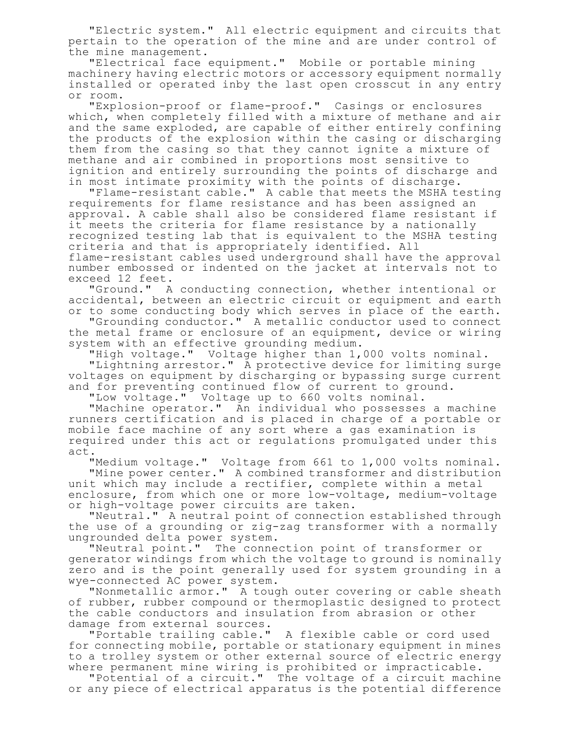"Electric system." All electric equipment and circuits that pertain to the operation of the mine and are under control of the mine management.

"Electrical face equipment." Mobile or portable mining machinery having electric motors or accessory equipment normally installed or operated inby the last open crosscut in any entry or room.

"Explosion-proof or flame-proof." Casings or enclosures which, when completely filled with a mixture of methane and air and the same exploded, are capable of either entirely confining the products of the explosion within the casing or discharging them from the casing so that they cannot ignite a mixture of methane and air combined in proportions most sensitive to ignition and entirely surrounding the points of discharge and in most intimate proximity with the points of discharge.

"Flame-resistant cable." A cable that meets the MSHA testing requirements for flame resistance and has been assigned an approval. A cable shall also be considered flame resistant if it meets the criteria for flame resistance by a nationally recognized testing lab that is equivalent to the MSHA testing criteria and that is appropriately identified. All flame-resistant cables used underground shall have the approval number embossed or indented on the jacket at intervals not to exceed 12 feet.

"Ground." A conducting connection, whether intentional or accidental, between an electric circuit or equipment and earth or to some conducting body which serves in place of the earth.

"Grounding conductor." A metallic conductor used to connect the metal frame or enclosure of an equipment, device or wiring system with an effective grounding medium.

"High voltage." Voltage higher than 1,000 volts nominal.

"Lightning arrestor." A protective device for limiting surge voltages on equipment by discharging or bypassing surge current and for preventing continued flow of current to ground.

"Low voltage." Voltage up to 660 volts nominal.

"Machine operator." An individual who possesses a machine runners certification and is placed in charge of a portable or mobile face machine of any sort where a gas examination is required under this act or regulations promulgated under this act.

"Medium voltage." Voltage from 661 to 1,000 volts nominal. "Mine power center." A combined transformer and distribution

unit which may include a rectifier, complete within a metal enclosure, from which one or more low-voltage, medium-voltage or high-voltage power circuits are taken.

"Neutral." A neutral point of connection established through the use of a grounding or zig-zag transformer with a normally ungrounded delta power system.

"Neutral point." The connection point of transformer or generator windings from which the voltage to ground is nominally zero and is the point generally used for system grounding in a wye-connected AC power system.

"Nonmetallic armor." A tough outer covering or cable sheath of rubber, rubber compound or thermoplastic designed to protect the cable conductors and insulation from abrasion or other damage from external sources.

"Portable trailing cable." A flexible cable or cord used for connecting mobile, portable or stationary equipment in mines to a trolley system or other external source of electric energy where permanent mine wiring is prohibited or impracticable.

"Potential of a circuit." The voltage of a circuit machine or any piece of electrical apparatus is the potential difference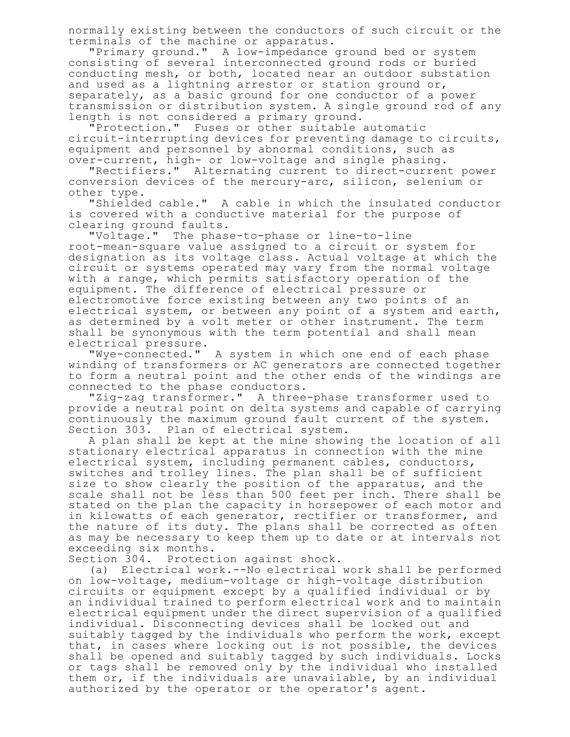normally existing between the conductors of such circuit or the terminals of the machine or apparatus.

"Primary ground." A low-impedance ground bed or system consisting of several interconnected ground rods or buried conducting mesh, or both, located near an outdoor substation and used as a lightning arrestor or station ground or, separately, as a basic ground for one conductor of a power transmission or distribution system. A single ground rod of any length is not considered a primary ground.

"Protection." Fuses or other suitable automatic circuit-interrupting devices for preventing damage to circuits, equipment and personnel by abnormal conditions, such as over-current, high- or low-voltage and single phasing.

"Rectifiers." Alternating current to direct-current power conversion devices of the mercury-arc, silicon, selenium or other type.

"Shielded cable." A cable in which the insulated conductor is covered with a conductive material for the purpose of clearing ground faults.

"Voltage." The phase-to-phase or line-to-line root-mean-square value assigned to a circuit or system for designation as its voltage class. Actual voltage at which the circuit or systems operated may vary from the normal voltage with a range, which permits satisfactory operation of the equipment. The difference of electrical pressure or electromotive force existing between any two points of an electrical system, or between any point of a system and earth, as determined by a volt meter or other instrument. The term shall be synonymous with the term potential and shall mean electrical pressure.

"Wye-connected." A system in which one end of each phase winding of transformers or AC generators are connected together to form a neutral point and the other ends of the windings are connected to the phase conductors.

"Zig-zag transformer." A three-phase transformer used to provide a neutral point on delta systems and capable of carrying continuously the maximum ground fault current of the system. Section 303. Plan of electrical system.

A plan shall be kept at the mine showing the location of all stationary electrical apparatus in connection with the mine electrical system, including permanent cables, conductors, switches and trolley lines. The plan shall be of sufficient size to show clearly the position of the apparatus, and the scale shall not be less than 500 feet per inch. There shall be stated on the plan the capacity in horsepower of each motor and in kilowatts of each generator, rectifier or transformer, and the nature of its duty. The plans shall be corrected as often as may be necessary to keep them up to date or at intervals not exceeding six months.

Section 304. Protection against shock.

(a) Electrical work.--No electrical work shall be performed on low-voltage, medium-voltage or high-voltage distribution circuits or equipment except by a qualified individual or by an individual trained to perform electrical work and to maintain electrical equipment under the direct supervision of a qualified individual. Disconnecting devices shall be locked out and suitably tagged by the individuals who perform the work, except that, in cases where locking out is not possible, the devices shall be opened and suitably tagged by such individuals. Locks or tags shall be removed only by the individual who installed them or, if the individuals are unavailable, by an individual authorized by the operator or the operator's agent.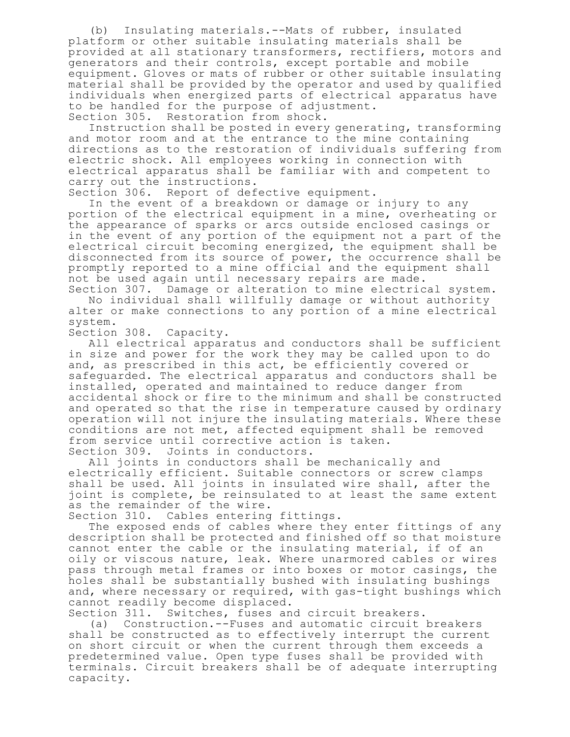(b) Insulating materials.--Mats of rubber, insulated platform or other suitable insulating materials shall be provided at all stationary transformers, rectifiers, motors and generators and their controls, except portable and mobile equipment. Gloves or mats of rubber or other suitable insulating material shall be provided by the operator and used by qualified individuals when energized parts of electrical apparatus have to be handled for the purpose of adjustment. Section 305. Restoration from shock.

Instruction shall be posted in every generating, transforming and motor room and at the entrance to the mine containing directions as to the restoration of individuals suffering from electric shock. All employees working in connection with electrical apparatus shall be familiar with and competent to carry out the instructions.

Section 306. Report of defective equipment.

In the event of a breakdown or damage or injury to any portion of the electrical equipment in a mine, overheating or the appearance of sparks or arcs outside enclosed casings or in the event of any portion of the equipment not a part of the electrical circuit becoming energized, the equipment shall be disconnected from its source of power, the occurrence shall be promptly reported to a mine official and the equipment shall not be used again until necessary repairs are made.

Section 307. Damage or alteration to mine electrical system. No individual shall willfully damage or without authority alter or make connections to any portion of a mine electrical system.

Section 308. Capacity.

All electrical apparatus and conductors shall be sufficient in size and power for the work they may be called upon to do and, as prescribed in this act, be efficiently covered or safeguarded. The electrical apparatus and conductors shall be installed, operated and maintained to reduce danger from accidental shock or fire to the minimum and shall be constructed and operated so that the rise in temperature caused by ordinary operation will not injure the insulating materials. Where these conditions are not met, affected equipment shall be removed from service until corrective action is taken. Section 309. Joints in conductors.

All joints in conductors shall be mechanically and electrically efficient. Suitable connectors or screw clamps shall be used. All joints in insulated wire shall, after the joint is complete, be reinsulated to at least the same extent as the remainder of the wire.

Section 310. Cables entering fittings.

The exposed ends of cables where they enter fittings of any description shall be protected and finished off so that moisture cannot enter the cable or the insulating material, if of an oily or viscous nature, leak. Where unarmored cables or wires pass through metal frames or into boxes or motor casings, the holes shall be substantially bushed with insulating bushings and, where necessary or required, with gas-tight bushings which cannot readily become displaced.

Section 311. Switches, fuses and circuit breakers.

(a) Construction.--Fuses and automatic circuit breakers shall be constructed as to effectively interrupt the current on short circuit or when the current through them exceeds a predetermined value. Open type fuses shall be provided with terminals. Circuit breakers shall be of adequate interrupting capacity.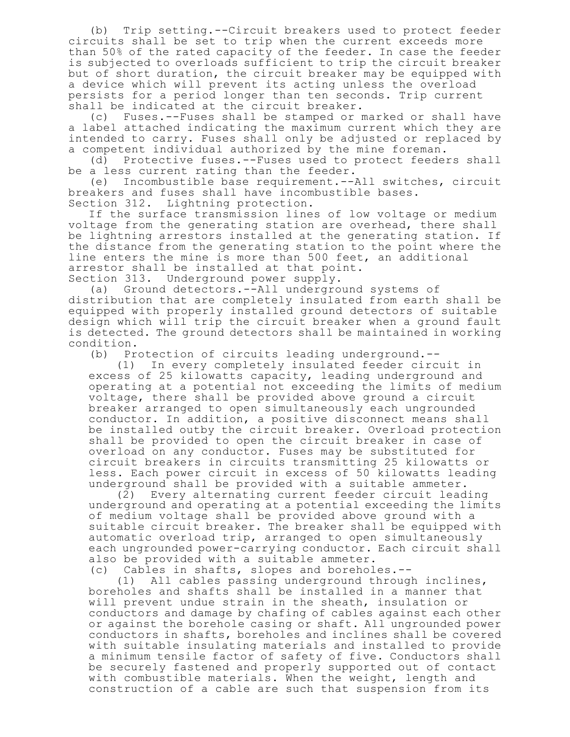(b) Trip setting.--Circuit breakers used to protect feeder circuits shall be set to trip when the current exceeds more than 50% of the rated capacity of the feeder. In case the feeder is subjected to overloads sufficient to trip the circuit breaker but of short duration, the circuit breaker may be equipped with a device which will prevent its acting unless the overload persists for a period longer than ten seconds. Trip current shall be indicated at the circuit breaker.

(c) Fuses.--Fuses shall be stamped or marked or shall have a label attached indicating the maximum current which they are intended to carry. Fuses shall only be adjusted or replaced by a competent individual authorized by the mine foreman.

(d) Protective fuses.--Fuses used to protect feeders shall be a less current rating than the feeder.

(e) Incombustible base requirement.--All switches, circuit breakers and fuses shall have incombustible bases.

Section 312. Lightning protection.

If the surface transmission lines of low voltage or medium voltage from the generating station are overhead, there shall be lightning arrestors installed at the generating station. If the distance from the generating station to the point where the line enters the mine is more than 500 feet, an additional arrestor shall be installed at that point.

Section 313. Underground power supply.

(a) Ground detectors.--All underground systems of distribution that are completely insulated from earth shall be equipped with properly installed ground detectors of suitable design which will trip the circuit breaker when a ground fault is detected. The ground detectors shall be maintained in working condition.

(b) Protection of circuits leading underground.--

(1) In every completely insulated feeder circuit in excess of 25 kilowatts capacity, leading underground and operating at a potential not exceeding the limits of medium voltage, there shall be provided above ground a circuit breaker arranged to open simultaneously each ungrounded conductor. In addition, a positive disconnect means shall be installed outby the circuit breaker. Overload protection shall be provided to open the circuit breaker in case of overload on any conductor. Fuses may be substituted for circuit breakers in circuits transmitting 25 kilowatts or less. Each power circuit in excess of 50 kilowatts leading underground shall be provided with a suitable ammeter.

(2) Every alternating current feeder circuit leading underground and operating at a potential exceeding the limits of medium voltage shall be provided above ground with a suitable circuit breaker. The breaker shall be equipped with automatic overload trip, arranged to open simultaneously each ungrounded power-carrying conductor. Each circuit shall also be provided with a suitable ammeter.

(c) Cables in shafts, slopes and boreholes.--

All cables passing underground through inclines, boreholes and shafts shall be installed in a manner that will prevent undue strain in the sheath, insulation or conductors and damage by chafing of cables against each other or against the borehole casing or shaft. All ungrounded power conductors in shafts, boreholes and inclines shall be covered with suitable insulating materials and installed to provide a minimum tensile factor of safety of five. Conductors shall be securely fastened and properly supported out of contact with combustible materials. When the weight, length and construction of a cable are such that suspension from its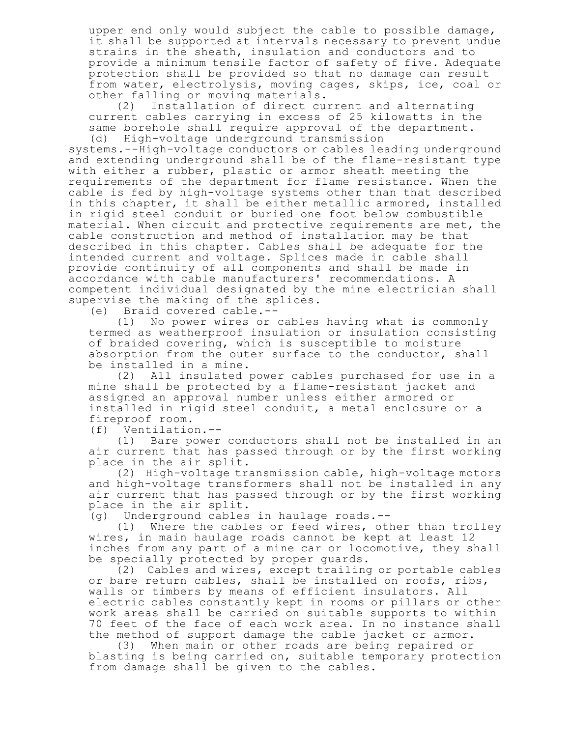upper end only would subject the cable to possible damage, it shall be supported at intervals necessary to prevent undue strains in the sheath, insulation and conductors and to provide a minimum tensile factor of safety of five. Adequate protection shall be provided so that no damage can result from water, electrolysis, moving cages, skips, ice, coal or other falling or moving materials.<br>(2) Installation of direct cu

Installation of direct current and alternating current cables carrying in excess of 25 kilowatts in the same borehole shall require approval of the department. (d) High-voltage underground transmission

systems.--High-voltage conductors or cables leading underground and extending underground shall be of the flame-resistant type with either a rubber, plastic or armor sheath meeting the requirements of the department for flame resistance. When the cable is fed by high-voltage systems other than that described in this chapter, it shall be either metallic armored, installed in rigid steel conduit or buried one foot below combustible material. When circuit and protective requirements are met, the cable construction and method of installation may be that described in this chapter. Cables shall be adequate for the intended current and voltage. Splices made in cable shall provide continuity of all components and shall be made in accordance with cable manufacturers' recommendations. A competent individual designated by the mine electrician shall supervise the making of the splices.

(e) Braid covered cable.--

No power wires or cables having what is commonly termed as weatherproof insulation or insulation consisting of braided covering, which is susceptible to moisture absorption from the outer surface to the conductor, shall be installed in a mine.

(2) All insulated power cables purchased for use in a mine shall be protected by a flame-resistant jacket and assigned an approval number unless either armored or installed in rigid steel conduit, a metal enclosure or a fireproof room.

(f) Ventilation.--

(1) Bare power conductors shall not be installed in an air current that has passed through or by the first working place in the air split.

(2) High-voltage transmission cable, high-voltage motors and high-voltage transformers shall not be installed in any air current that has passed through or by the first working place in the air split.

(g) Underground cables in haulage roads.--

(1) Where the cables or feed wires, other than trolley wires, in main haulage roads cannot be kept at least 12 inches from any part of a mine car or locomotive, they shall be specially protected by proper guards.

(2) Cables and wires, except trailing or portable cables or bare return cables, shall be installed on roofs, ribs, walls or timbers by means of efficient insulators. All electric cables constantly kept in rooms or pillars or other work areas shall be carried on suitable supports to within 70 feet of the face of each work area. In no instance shall the method of support damage the cable jacket or armor.

(3) When main or other roads are being repaired or blasting is being carried on, suitable temporary protection from damage shall be given to the cables.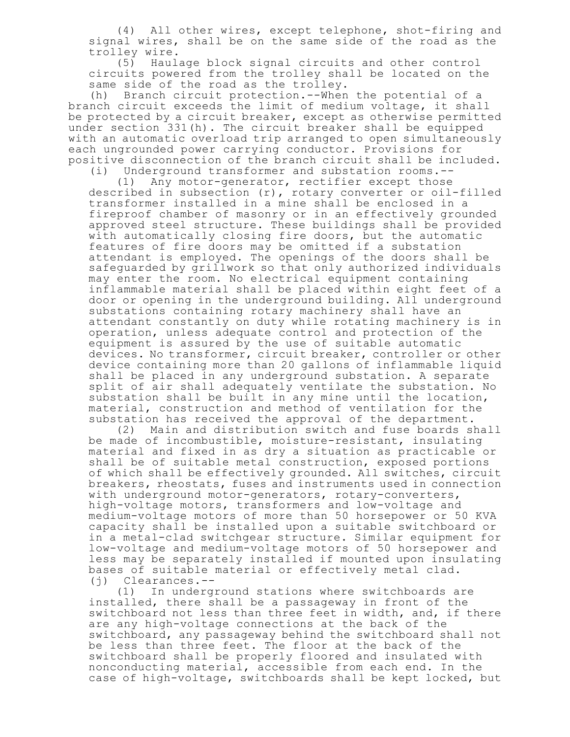(4) All other wires, except telephone, shot-firing and signal wires, shall be on the same side of the road as the trolley wire.

(5) Haulage block signal circuits and other control circuits powered from the trolley shall be located on the same side of the road as the trolley.

(h) Branch circuit protection.--When the potential of a branch circuit exceeds the limit of medium voltage, it shall be protected by a circuit breaker, except as otherwise permitted under section 331(h). The circuit breaker shall be equipped with an automatic overload trip arranged to open simultaneously each ungrounded power carrying conductor. Provisions for positive disconnection of the branch circuit shall be included.

(i) Underground transformer and substation rooms.--

(1) Any motor-generator, rectifier except those described in subsection (r), rotary converter or oil-filled transformer installed in a mine shall be enclosed in a fireproof chamber of masonry or in an effectively grounded approved steel structure. These buildings shall be provided with automatically closing fire doors, but the automatic features of fire doors may be omitted if a substation attendant is employed. The openings of the doors shall be safeguarded by grillwork so that only authorized individuals may enter the room. No electrical equipment containing inflammable material shall be placed within eight feet of a door or opening in the underground building. All underground substations containing rotary machinery shall have an attendant constantly on duty while rotating machinery is in operation, unless adequate control and protection of the equipment is assured by the use of suitable automatic devices. No transformer, circuit breaker, controller or other device containing more than 20 gallons of inflammable liquid shall be placed in any underground substation. A separate split of air shall adequately ventilate the substation. No substation shall be built in any mine until the location, material, construction and method of ventilation for the substation has received the approval of the department.

(2) Main and distribution switch and fuse boards shall be made of incombustible, moisture-resistant, insulating material and fixed in as dry a situation as practicable or shall be of suitable metal construction, exposed portions of which shall be effectively grounded. All switches, circuit breakers, rheostats, fuses and instruments used in connection with underground motor-generators, rotary-converters, high-voltage motors, transformers and low-voltage and medium-voltage motors of more than 50 horsepower or 50 KVA capacity shall be installed upon a suitable switchboard or in a metal-clad switchgear structure. Similar equipment for low-voltage and medium-voltage motors of 50 horsepower and less may be separately installed if mounted upon insulating bases of suitable material or effectively metal clad. (j) Clearances.--

(1) In underground stations where switchboards are installed, there shall be a passageway in front of the switchboard not less than three feet in width, and, if there are any high-voltage connections at the back of the switchboard, any passageway behind the switchboard shall not be less than three feet. The floor at the back of the switchboard shall be properly floored and insulated with nonconducting material, accessible from each end. In the case of high-voltage, switchboards shall be kept locked, but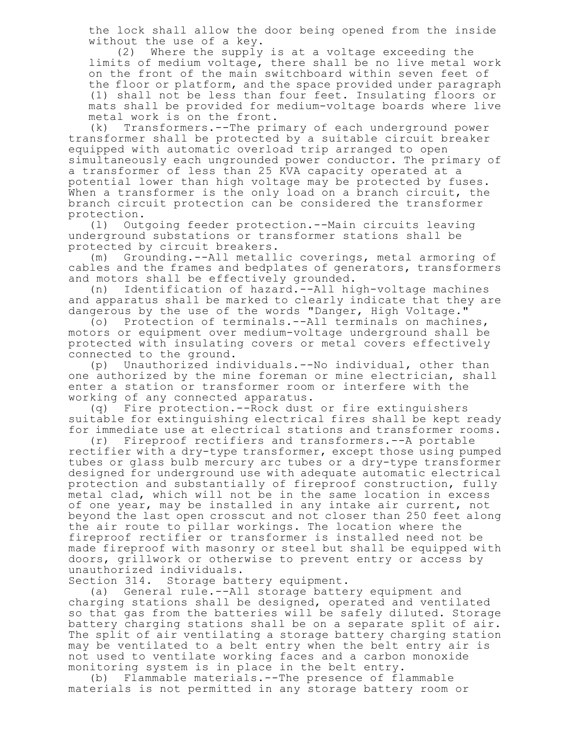the lock shall allow the door being opened from the inside without the use of a key.

(2) Where the supply is at a voltage exceeding the limits of medium voltage, there shall be no live metal work on the front of the main switchboard within seven feet of the floor or platform, and the space provided under paragraph (1) shall not be less than four feet. Insulating floors or mats shall be provided for medium-voltage boards where live metal work is on the front.

(k) Transformers.--The primary of each underground power transformer shall be protected by a suitable circuit breaker equipped with automatic overload trip arranged to open simultaneously each ungrounded power conductor. The primary of a transformer of less than 25 KVA capacity operated at a potential lower than high voltage may be protected by fuses. When a transformer is the only load on a branch circuit, the branch circuit protection can be considered the transformer protection.

(l) Outgoing feeder protection.--Main circuits leaving underground substations or transformer stations shall be protected by circuit breakers.

(m) Grounding.--All metallic coverings, metal armoring of cables and the frames and bedplates of generators, transformers and motors shall be effectively grounded.

(n) Identification of hazard.--All high-voltage machines and apparatus shall be marked to clearly indicate that they are dangerous by the use of the words "Danger, High Voltage."

(o) Protection of terminals.--All terminals on machines, motors or equipment over medium-voltage underground shall be protected with insulating covers or metal covers effectively connected to the ground.

(p) Unauthorized individuals.--No individual, other than one authorized by the mine foreman or mine electrician, shall enter a station or transformer room or interfere with the working of any connected apparatus.

(q) Fire protection.--Rock dust or fire extinguishers suitable for extinguishing electrical fires shall be kept ready for immediate use at electrical stations and transformer rooms.

(r) Fireproof rectifiers and transformers.--A portable rectifier with a dry-type transformer, except those using pumped tubes or glass bulb mercury arc tubes or a dry-type transformer designed for underground use with adequate automatic electrical protection and substantially of fireproof construction, fully metal clad, which will not be in the same location in excess of one year, may be installed in any intake air current, not beyond the last open crosscut and not closer than 250 feet along the air route to pillar workings. The location where the fireproof rectifier or transformer is installed need not be made fireproof with masonry or steel but shall be equipped with doors, grillwork or otherwise to prevent entry or access by unauthorized individuals.

Section 314. Storage battery equipment.

(a) General rule.--All storage battery equipment and charging stations shall be designed, operated and ventilated so that gas from the batteries will be safely diluted. Storage battery charging stations shall be on a separate split of air. The split of air ventilating a storage battery charging station may be ventilated to a belt entry when the belt entry air is not used to ventilate working faces and a carbon monoxide monitoring system is in place in the belt entry.

(b) Flammable materials.--The presence of flammable materials is not permitted in any storage battery room or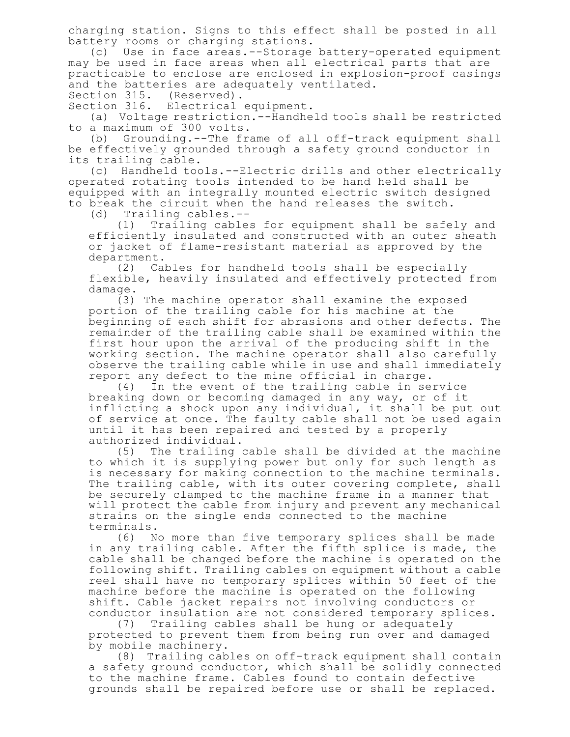charging station. Signs to this effect shall be posted in all battery rooms or charging stations.

(c) Use in face areas.--Storage battery-operated equipment may be used in face areas when all electrical parts that are practicable to enclose are enclosed in explosion-proof casings and the batteries are adequately ventilated.

Section 315. (Reserved).

Section 316. Electrical equipment.

(a) Voltage restriction.--Handheld tools shall be restricted to a maximum of 300 volts.

(b) Grounding.--The frame of all off-track equipment shall be effectively grounded through a safety ground conductor in its trailing cable.

(c) Handheld tools.--Electric drills and other electrically operated rotating tools intended to be hand held shall be equipped with an integrally mounted electric switch designed to break the circuit when the hand releases the switch.

(d) Trailing cables.--

(1) Trailing cables for equipment shall be safely and efficiently insulated and constructed with an outer sheath or jacket of flame-resistant material as approved by the department.

(2) Cables for handheld tools shall be especially flexible, heavily insulated and effectively protected from damage.

(3) The machine operator shall examine the exposed portion of the trailing cable for his machine at the beginning of each shift for abrasions and other defects. The remainder of the trailing cable shall be examined within the first hour upon the arrival of the producing shift in the working section. The machine operator shall also carefully observe the trailing cable while in use and shall immediately report any defect to the mine official in charge.

(4) In the event of the trailing cable in service breaking down or becoming damaged in any way, or of it inflicting a shock upon any individual, it shall be put out of service at once. The faulty cable shall not be used again until it has been repaired and tested by a properly authorized individual.

(5) The trailing cable shall be divided at the machine to which it is supplying power but only for such length as is necessary for making connection to the machine terminals. The trailing cable, with its outer covering complete, shall be securely clamped to the machine frame in a manner that will protect the cable from injury and prevent any mechanical strains on the single ends connected to the machine terminals.

(6) No more than five temporary splices shall be made in any trailing cable. After the fifth splice is made, the cable shall be changed before the machine is operated on the following shift. Trailing cables on equipment without a cable reel shall have no temporary splices within 50 feet of the machine before the machine is operated on the following shift. Cable jacket repairs not involving conductors or conductor insulation are not considered temporary splices.

(7) Trailing cables shall be hung or adequately protected to prevent them from being run over and damaged by mobile machinery.

(8) Trailing cables on off-track equipment shall contain a safety ground conductor, which shall be solidly connected to the machine frame. Cables found to contain defective grounds shall be repaired before use or shall be replaced.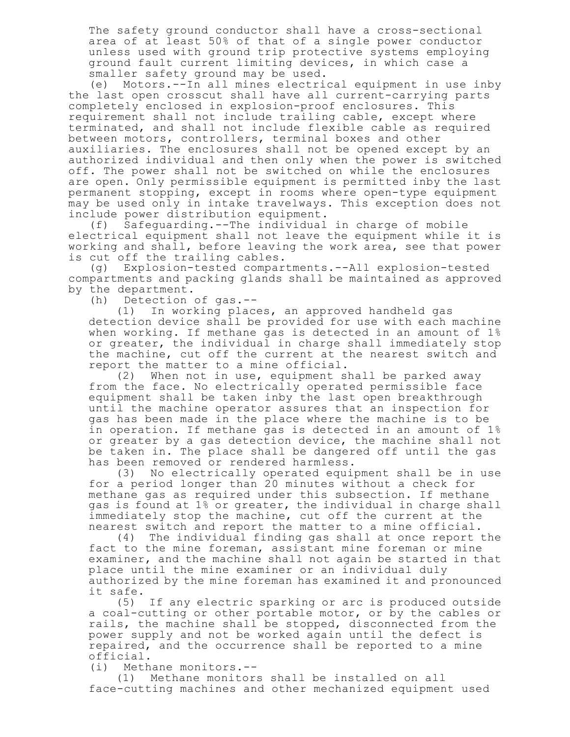The safety ground conductor shall have a cross-sectional area of at least 50% of that of a single power conductor unless used with ground trip protective systems employing ground fault current limiting devices, in which case a smaller safety ground may be used.

(e) Motors.--In all mines electrical equipment in use inby the last open crosscut shall have all current-carrying parts completely enclosed in explosion-proof enclosures. This requirement shall not include trailing cable, except where terminated, and shall not include flexible cable as required between motors, controllers, terminal boxes and other auxiliaries. The enclosures shall not be opened except by an authorized individual and then only when the power is switched off. The power shall not be switched on while the enclosures are open. Only permissible equipment is permitted inby the last permanent stopping, except in rooms where open-type equipment may be used only in intake travelways. This exception does not include power distribution equipment.<br>(f) Safequarding.--The individual

Safeguarding.--The individual in charge of mobile electrical equipment shall not leave the equipment while it is working and shall, before leaving the work area, see that power is cut off the trailing cables.

(g) Explosion-tested compartments.--All explosion-tested compartments and packing glands shall be maintained as approved by the department.

(h) Detection of gas.--

(1) In working places, an approved handheld gas detection device shall be provided for use with each machine when working. If methane gas is detected in an amount of 1% or greater, the individual in charge shall immediately stop the machine, cut off the current at the nearest switch and report the matter to a mine official.

(2) When not in use, equipment shall be parked away from the face. No electrically operated permissible face equipment shall be taken inby the last open breakthrough until the machine operator assures that an inspection for gas has been made in the place where the machine is to be in operation. If methane gas is detected in an amount of 1% or greater by a gas detection device, the machine shall not be taken in. The place shall be dangered off until the gas has been removed or rendered harmless.

(3) No electrically operated equipment shall be in use for a period longer than 20 minutes without a check for methane gas as required under this subsection. If methane gas is found at 1% or greater, the individual in charge shall immediately stop the machine, cut off the current at the nearest switch and report the matter to a mine official.

(4) The individual finding gas shall at once report the fact to the mine foreman, assistant mine foreman or mine examiner, and the machine shall not again be started in that place until the mine examiner or an individual duly authorized by the mine foreman has examined it and pronounced it safe.

(5) If any electric sparking or arc is produced outside a coal-cutting or other portable motor, or by the cables or rails, the machine shall be stopped, disconnected from the power supply and not be worked again until the defect is repaired, and the occurrence shall be reported to a mine official.

(i) Methane monitors.--

(1) Methane monitors shall be installed on all face-cutting machines and other mechanized equipment used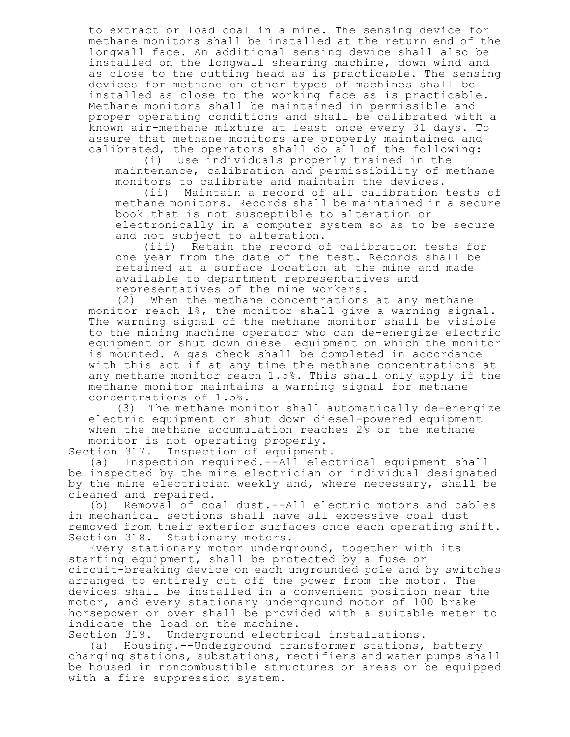to extract or load coal in a mine. The sensing device for methane monitors shall be installed at the return end of the longwall face. An additional sensing device shall also be installed on the longwall shearing machine, down wind and as close to the cutting head as is practicable. The sensing devices for methane on other types of machines shall be installed as close to the working face as is practicable. Methane monitors shall be maintained in permissible and proper operating conditions and shall be calibrated with a known air-methane mixture at least once every 31 days. To assure that methane monitors are properly maintained and calibrated, the operators shall do all of the following:

(i) Use individuals properly trained in the maintenance, calibration and permissibility of methane monitors to calibrate and maintain the devices.

(ii) Maintain a record of all calibration tests of methane monitors. Records shall be maintained in a secure book that is not susceptible to alteration or electronically in a computer system so as to be secure and not subject to alteration.

(iii) Retain the record of calibration tests for one year from the date of the test. Records shall be retained at a surface location at the mine and made available to department representatives and representatives of the mine workers.

(2) When the methane concentrations at any methane monitor reach 1%, the monitor shall give a warning signal. The warning signal of the methane monitor shall be visible to the mining machine operator who can de-energize electric equipment or shut down diesel equipment on which the monitor is mounted. A gas check shall be completed in accordance with this act if at any time the methane concentrations at any methane monitor reach 1.5%. This shall only apply if the methane monitor maintains a warning signal for methane concentrations of 1.5%.

(3) The methane monitor shall automatically de-energize electric equipment or shut down diesel-powered equipment when the methane accumulation reaches 2% or the methane monitor is not operating properly.

Section 317. Inspection of equipment.<br>(a) Inspection required.--All elec Inspection required.--All electrical equipment shall be inspected by the mine electrician or individual designated by the mine electrician weekly and, where necessary, shall be cleaned and repaired.

(b) Removal of coal dust.--All electric motors and cables in mechanical sections shall have all excessive coal dust removed from their exterior surfaces once each operating shift. Section 318. Stationary motors.

Every stationary motor underground, together with its starting equipment, shall be protected by a fuse or circuit-breaking device on each ungrounded pole and by switches arranged to entirely cut off the power from the motor. The devices shall be installed in a convenient position near the motor, and every stationary underground motor of 100 brake horsepower or over shall be provided with a suitable meter to indicate the load on the machine.

Section 319. Underground electrical installations.

(a) Housing.--Underground transformer stations, battery charging stations, substations, rectifiers and water pumps shall be housed in noncombustible structures or areas or be equipped with a fire suppression system.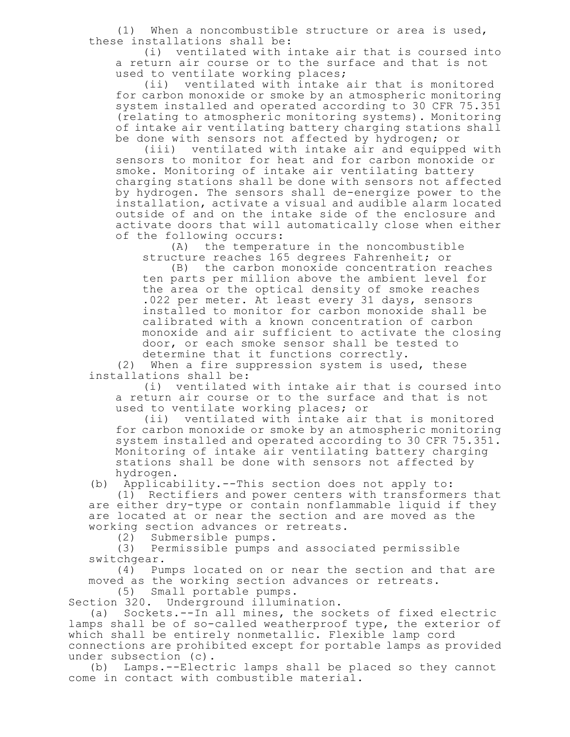(1) When a noncombustible structure or area is used, these installations shall be:

(i) ventilated with intake air that is coursed into a return air course or to the surface and that is not used to ventilate working places;

(ii) ventilated with intake air that is monitored for carbon monoxide or smoke by an atmospheric monitoring system installed and operated according to 30 CFR 75.351 (relating to atmospheric monitoring systems). Monitoring of intake air ventilating battery charging stations shall be done with sensors not affected by hydrogen; or

(iii) ventilated with intake air and equipped with sensors to monitor for heat and for carbon monoxide or smoke. Monitoring of intake air ventilating battery charging stations shall be done with sensors not affected by hydrogen. The sensors shall de-energize power to the installation, activate a visual and audible alarm located outside of and on the intake side of the enclosure and activate doors that will automatically close when either of the following occurs:

(A) the temperature in the noncombustible structure reaches 165 degrees Fahrenheit; or

(B) the carbon monoxide concentration reaches ten parts per million above the ambient level for the area or the optical density of smoke reaches .022 per meter. At least every 31 days, sensors installed to monitor for carbon monoxide shall be calibrated with a known concentration of carbon monoxide and air sufficient to activate the closing door, or each smoke sensor shall be tested to determine that it functions correctly.

(2) When a fire suppression system is used, these installations shall be:

(i) ventilated with intake air that is coursed into a return air course or to the surface and that is not used to ventilate working places; or

(ii) ventilated with intake air that is monitored for carbon monoxide or smoke by an atmospheric monitoring system installed and operated according to 30 CFR 75.351. Monitoring of intake air ventilating battery charging stations shall be done with sensors not affected by hydrogen.

(b) Applicability.--This section does not apply to:

(1) Rectifiers and power centers with transformers that are either dry-type or contain nonflammable liquid if they are located at or near the section and are moved as the working section advances or retreats.

(2) Submersible pumps.

(3) Permissible pumps and associated permissible switchgear.

(4) Pumps located on or near the section and that are moved as the working section advances or retreats.

(5) Small portable pumps.

Section 320. Underground illumination.

(a) Sockets.--In all mines, the sockets of fixed electric lamps shall be of so-called weatherproof type, the exterior of which shall be entirely nonmetallic. Flexible lamp cord connections are prohibited except for portable lamps as provided under subsection (c).

(b) Lamps.--Electric lamps shall be placed so they cannot come in contact with combustible material.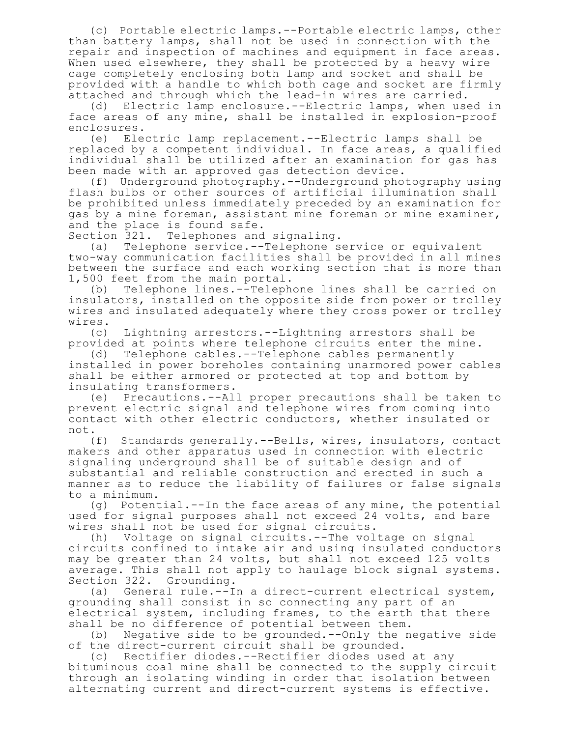(c) Portable electric lamps.--Portable electric lamps, other than battery lamps, shall not be used in connection with the repair and inspection of machines and equipment in face areas. When used elsewhere, they shall be protected by a heavy wire cage completely enclosing both lamp and socket and shall be provided with a handle to which both cage and socket are firmly attached and through which the lead-in wires are carried.

(d) Electric lamp enclosure.--Electric lamps, when used in face areas of any mine, shall be installed in explosion-proof enclosures.

(e) Electric lamp replacement.--Electric lamps shall be replaced by a competent individual. In face areas, a qualified individual shall be utilized after an examination for gas has been made with an approved gas detection device.

(f) Underground photography.--Underground photography using flash bulbs or other sources of artificial illumination shall be prohibited unless immediately preceded by an examination for gas by a mine foreman, assistant mine foreman or mine examiner, and the place is found safe.

Section 321. Telephones and signaling.

(a) Telephone service.--Telephone service or equivalent two-way communication facilities shall be provided in all mines between the surface and each working section that is more than 1,500 feet from the main portal.

(b) Telephone lines.--Telephone lines shall be carried on insulators, installed on the opposite side from power or trolley wires and insulated adequately where they cross power or trolley wires.

(c) Lightning arrestors.--Lightning arrestors shall be provided at points where telephone circuits enter the mine.

(d) Telephone cables.--Telephone cables permanently installed in power boreholes containing unarmored power cables shall be either armored or protected at top and bottom by insulating transformers.

(e) Precautions.--All proper precautions shall be taken to prevent electric signal and telephone wires from coming into contact with other electric conductors, whether insulated or not.

(f) Standards generally.--Bells, wires, insulators, contact makers and other apparatus used in connection with electric signaling underground shall be of suitable design and of substantial and reliable construction and erected in such a manner as to reduce the liability of failures or false signals to a minimum.

(g) Potential.--In the face areas of any mine, the potential used for signal purposes shall not exceed 24 volts, and bare wires shall not be used for signal circuits.

(h) Voltage on signal circuits.--The voltage on signal circuits confined to intake air and using insulated conductors may be greater than 24 volts, but shall not exceed 125 volts average. This shall not apply to haulage block signal systems. Section 322. Grounding.

(a) General rule.--In a direct-current electrical system, grounding shall consist in so connecting any part of an electrical system, including frames, to the earth that there shall be no difference of potential between them.

(b) Negative side to be grounded.--Only the negative side of the direct-current circuit shall be grounded.

(c) Rectifier diodes.--Rectifier diodes used at any bituminous coal mine shall be connected to the supply circuit through an isolating winding in order that isolation between alternating current and direct-current systems is effective.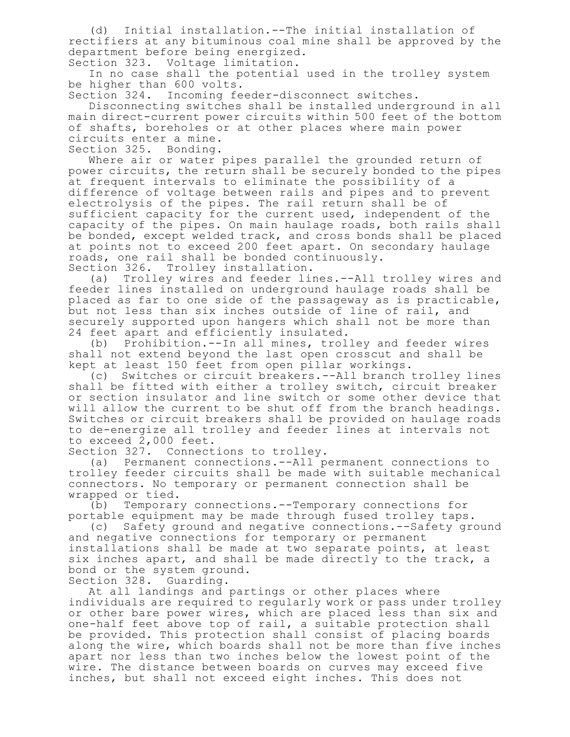(d) Initial installation.--The initial installation of rectifiers at any bituminous coal mine shall be approved by the department before being energized.

Section 323. Voltage limitation.

In no case shall the potential used in the trolley system be higher than 600 volts.

Section 324. Incoming feeder-disconnect switches.

Disconnecting switches shall be installed underground in all main direct-current power circuits within 500 feet of the bottom of shafts, boreholes or at other places where main power circuits enter a mine.

Section 325. Bonding.

Where air or water pipes parallel the grounded return of power circuits, the return shall be securely bonded to the pipes at frequent intervals to eliminate the possibility of a difference of voltage between rails and pipes and to prevent electrolysis of the pipes. The rail return shall be of sufficient capacity for the current used, independent of the capacity of the pipes. On main haulage roads, both rails shall be bonded, except welded track, and cross bonds shall be placed at points not to exceed 200 feet apart. On secondary haulage roads, one rail shall be bonded continuously. Section 326. Trolley installation.

(a) Trolley wires and feeder lines.--All trolley wires and feeder lines installed on underground haulage roads shall be placed as far to one side of the passageway as is practicable, but not less than six inches outside of line of rail, and securely supported upon hangers which shall not be more than 24 feet apart and efficiently insulated.

(b) Prohibition.--In all mines, trolley and feeder wires shall not extend beyond the last open crosscut and shall be kept at least 150 feet from open pillar workings.

(c) Switches or circuit breakers.--All branch trolley lines shall be fitted with either a trolley switch, circuit breaker or section insulator and line switch or some other device that will allow the current to be shut off from the branch headings. Switches or circuit breakers shall be provided on haulage roads to de-energize all trolley and feeder lines at intervals not to exceed  $2,000$  feet.

Section 327. Connections to trolley.

(a) Permanent connections.--All permanent connections to trolley feeder circuits shall be made with suitable mechanical connectors. No temporary or permanent connection shall be wrapped or tied.

(b) Temporary connections.--Temporary connections for portable equipment may be made through fused trolley taps.

(c) Safety ground and negative connections.--Safety ground and negative connections for temporary or permanent installations shall be made at two separate points, at least six inches apart, and shall be made directly to the track, a bond or the system ground.

Section 328. Guarding.

At all landings and partings or other places where individuals are required to regularly work or pass under trolley or other bare power wires, which are placed less than six and one-half feet above top of rail, a suitable protection shall be provided. This protection shall consist of placing boards along the wire, which boards shall not be more than five inches apart nor less than two inches below the lowest point of the wire. The distance between boards on curves may exceed five inches, but shall not exceed eight inches. This does not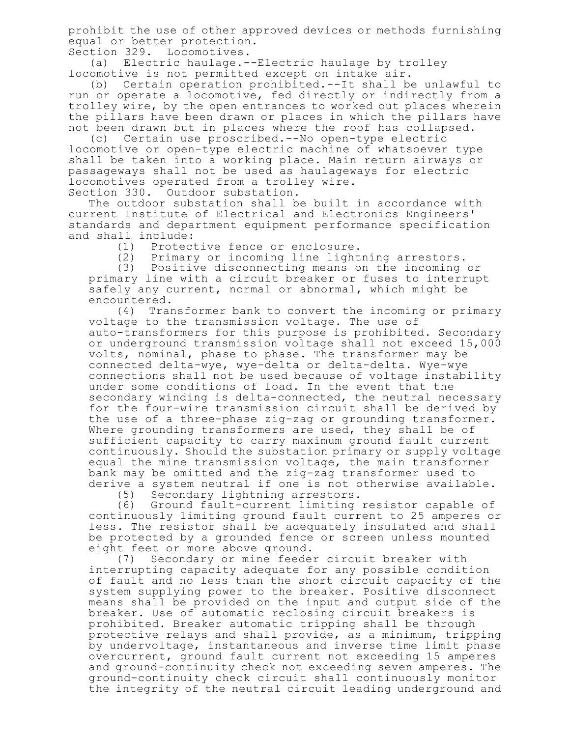prohibit the use of other approved devices or methods furnishing equal or better protection.

Section 329. Locomotives.

(a) Electric haulage.--Electric haulage by trolley locomotive is not permitted except on intake air.

(b) Certain operation prohibited.--It shall be unlawful to run or operate a locomotive, fed directly or indirectly from a trolley wire, by the open entrances to worked out places wherein the pillars have been drawn or places in which the pillars have not been drawn but in places where the roof has collapsed.<br>(c) Certain use proscribed.--No open-type electric

Certain use proscribed.--No open-type electric locomotive or open-type electric machine of whatsoever type shall be taken into a working place. Main return airways or passageways shall not be used as haulageways for electric locomotives operated from a trolley wire. Section 330. Outdoor substation.

The outdoor substation shall be built in accordance with current Institute of Electrical and Electronics Engineers' standards and department equipment performance specification and shall include:

(1) Protective fence or enclosure.

(2) Primary or incoming line lightning arrestors.

(3) Positive disconnecting means on the incoming or primary line with a circuit breaker or fuses to interrupt safely any current, normal or abnormal, which might be encountered.

(4) Transformer bank to convert the incoming or primary voltage to the transmission voltage. The use of auto-transformers for this purpose is prohibited. Secondary or underground transmission voltage shall not exceed 15,000 volts, nominal, phase to phase. The transformer may be connected delta-wye, wye-delta or delta-delta. Wye-wye connections shall not be used because of voltage instability under some conditions of load. In the event that the secondary winding is delta-connected, the neutral necessary for the four-wire transmission circuit shall be derived by the use of a three-phase zig-zag or grounding transformer. Where grounding transformers are used, they shall be of sufficient capacity to carry maximum ground fault current continuously. Should the substation primary or supply voltage equal the mine transmission voltage, the main transformer bank may be omitted and the zig-zag transformer used to derive a system neutral if one is not otherwise available.

(5) Secondary lightning arrestors.

(6) Ground fault-current limiting resistor capable of continuously limiting ground fault current to 25 amperes or less. The resistor shall be adequately insulated and shall be protected by a grounded fence or screen unless mounted eight feet or more above ground.<br>(7) Secondary or mine feede

Secondary or mine feeder circuit breaker with interrupting capacity adequate for any possible condition of fault and no less than the short circuit capacity of the system supplying power to the breaker. Positive disconnect means shall be provided on the input and output side of the breaker. Use of automatic reclosing circuit breakers is prohibited. Breaker automatic tripping shall be through protective relays and shall provide, as a minimum, tripping by undervoltage, instantaneous and inverse time limit phase overcurrent, ground fault current not exceeding 15 amperes and ground-continuity check not exceeding seven amperes. The ground-continuity check circuit shall continuously monitor the integrity of the neutral circuit leading underground and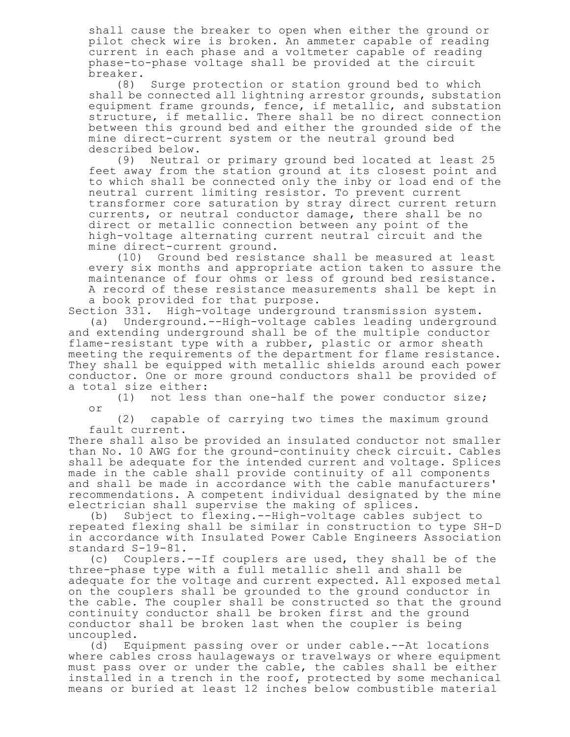shall cause the breaker to open when either the ground or pilot check wire is broken. An ammeter capable of reading current in each phase and a voltmeter capable of reading phase-to-phase voltage shall be provided at the circuit breaker.

(8) Surge protection or station ground bed to which shall be connected all lightning arrestor grounds, substation equipment frame grounds, fence, if metallic, and substation structure, if metallic. There shall be no direct connection between this ground bed and either the grounded side of the mine direct-current system or the neutral ground bed described below.

(9) Neutral or primary ground bed located at least 25 feet away from the station ground at its closest point and to which shall be connected only the inby or load end of the neutral current limiting resistor. To prevent current transformer core saturation by stray direct current return currents, or neutral conductor damage, there shall be no direct or metallic connection between any point of the high-voltage alternating current neutral circuit and the mine direct-current ground.<br>(10) Ground bed resista

(10) Ground bed resistance shall be measured at least every six months and appropriate action taken to assure the maintenance of four ohms or less of ground bed resistance. A record of these resistance measurements shall be kept in a book provided for that purpose.

Section 331. High-voltage underground transmission system. (a) Underground.--High-voltage cables leading underground and extending underground shall be of the multiple conductor flame-resistant type with a rubber, plastic or armor sheath meeting the requirements of the department for flame resistance. They shall be equipped with metallic shields around each power conductor. One or more ground conductors shall be provided of a total size either:

(1) not less than one-half the power conductor size; or

(2) capable of carrying two times the maximum ground fault current.

There shall also be provided an insulated conductor not smaller than No. 10 AWG for the ground-continuity check circuit. Cables shall be adequate for the intended current and voltage. Splices made in the cable shall provide continuity of all components and shall be made in accordance with the cable manufacturers' recommendations. A competent individual designated by the mine electrician shall supervise the making of splices.

(b) Subject to flexing.--High-voltage cables subject to repeated flexing shall be similar in construction to type SH-D in accordance with Insulated Power Cable Engineers Association standard S-19-81.

(c) Couplers.--If couplers are used, they shall be of the three-phase type with a full metallic shell and shall be adequate for the voltage and current expected. All exposed metal on the couplers shall be grounded to the ground conductor in the cable. The coupler shall be constructed so that the ground continuity conductor shall be broken first and the ground conductor shall be broken last when the coupler is being uncoupled.

(d) Equipment passing over or under cable.--At locations where cables cross haulageways or travelways or where equipment must pass over or under the cable, the cables shall be either installed in a trench in the roof, protected by some mechanical means or buried at least 12 inches below combustible material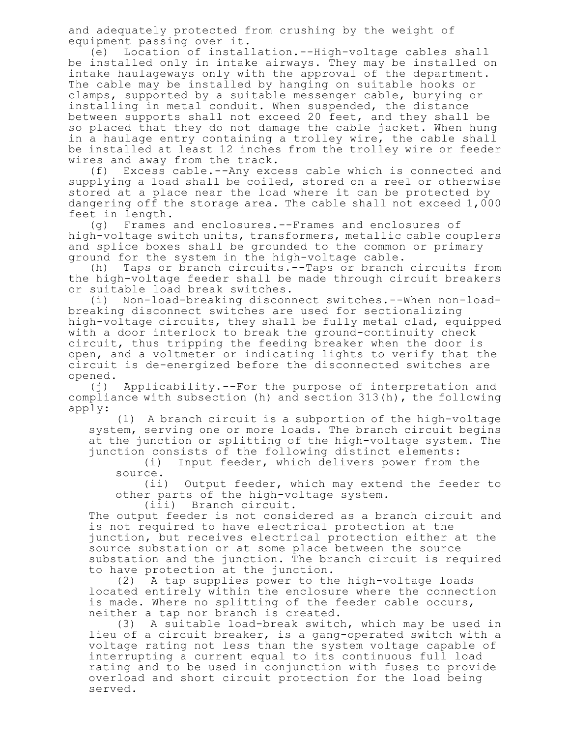and adequately protected from crushing by the weight of equipment passing over it.

(e) Location of installation.--High-voltage cables shall be installed only in intake airways. They may be installed on intake haulageways only with the approval of the department. The cable may be installed by hanging on suitable hooks or clamps, supported by a suitable messenger cable, burying or installing in metal conduit. When suspended, the distance between supports shall not exceed 20 feet, and they shall be so placed that they do not damage the cable jacket. When hung in a haulage entry containing a trolley wire, the cable shall be installed at least 12 inches from the trolley wire or feeder wires and away from the track.

(f) Excess cable.--Any excess cable which is connected and supplying a load shall be coiled, stored on a reel or otherwise stored at a place near the load where it can be protected by dangering off the storage area. The cable shall not exceed 1,000 feet in length.

(g) Frames and enclosures.--Frames and enclosures of high-voltage switch units, transformers, metallic cable couplers and splice boxes shall be grounded to the common or primary ground for the system in the high-voltage cable.

(h) Taps or branch circuits.--Taps or branch circuits from the high-voltage feeder shall be made through circuit breakers or suitable load break switches.

(i) Non-load-breaking disconnect switches.--When non-loadbreaking disconnect switches are used for sectionalizing high-voltage circuits, they shall be fully metal clad, equipped with a door interlock to break the ground-continuity check circuit, thus tripping the feeding breaker when the door is open, and a voltmeter or indicating lights to verify that the circuit is de-energized before the disconnected switches are opened.

(j) Applicability.--For the purpose of interpretation and compliance with subsection (h) and section 313(h), the following apply:

(1) A branch circuit is a subportion of the high-voltage system, serving one or more loads. The branch circuit begins at the junction or splitting of the high-voltage system. The junction consists of the following distinct elements:

(i) Input feeder, which delivers power from the source.

(ii) Output feeder, which may extend the feeder to other parts of the high-voltage system.

(iii) Branch circuit.

The output feeder is not considered as a branch circuit and is not required to have electrical protection at the junction, but receives electrical protection either at the source substation or at some place between the source substation and the junction. The branch circuit is required to have protection at the junction.

(2) A tap supplies power to the high-voltage loads located entirely within the enclosure where the connection is made. Where no splitting of the feeder cable occurs, neither a tap nor branch is created.

(3) A suitable load-break switch, which may be used in lieu of a circuit breaker, is a gang-operated switch with a voltage rating not less than the system voltage capable of interrupting a current equal to its continuous full load rating and to be used in conjunction with fuses to provide overload and short circuit protection for the load being served.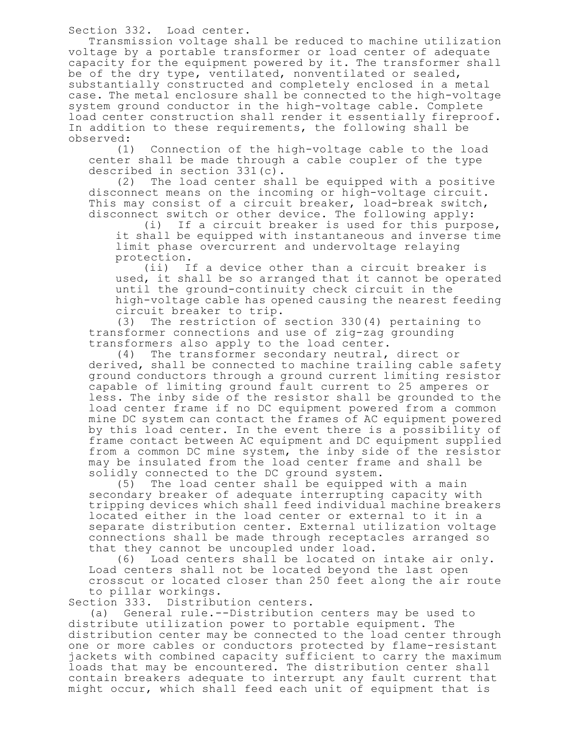Section 332. Load center.

Transmission voltage shall be reduced to machine utilization voltage by a portable transformer or load center of adequate capacity for the equipment powered by it. The transformer shall be of the dry type, ventilated, nonventilated or sealed, substantially constructed and completely enclosed in a metal case. The metal enclosure shall be connected to the high-voltage system ground conductor in the high-voltage cable. Complete load center construction shall render it essentially fireproof. In addition to these requirements, the following shall be observed:

(1) Connection of the high-voltage cable to the load center shall be made through a cable coupler of the type described in section 331(c).

(2) The load center shall be equipped with a positive disconnect means on the incoming or high-voltage circuit. This may consist of a circuit breaker, load-break switch, disconnect switch or other device. The following apply:

(i) If a circuit breaker is used for this purpose, it shall be equipped with instantaneous and inverse time limit phase overcurrent and undervoltage relaying protection.

(ii) If a device other than a circuit breaker is used, it shall be so arranged that it cannot be operated until the ground-continuity check circuit in the high-voltage cable has opened causing the nearest feeding circuit breaker to trip.

(3) The restriction of section 330(4) pertaining to transformer connections and use of zig-zag grounding transformers also apply to the load center.

(4) The transformer secondary neutral, direct or derived, shall be connected to machine trailing cable safety ground conductors through a ground current limiting resistor capable of limiting ground fault current to 25 amperes or less. The inby side of the resistor shall be grounded to the load center frame if no DC equipment powered from a common mine DC system can contact the frames of AC equipment powered by this load center. In the event there is a possibility of frame contact between AC equipment and DC equipment supplied from a common DC mine system, the inby side of the resistor may be insulated from the load center frame and shall be solidly connected to the DC ground system.

(5) The load center shall be equipped with a main secondary breaker of adequate interrupting capacity with tripping devices which shall feed individual machine breakers located either in the load center or external to it in a separate distribution center. External utilization voltage connections shall be made through receptacles arranged so that they cannot be uncoupled under load.

(6) Load centers shall be located on intake air only. Load centers shall not be located beyond the last open crosscut or located closer than 250 feet along the air route to pillar workings.

Section 333. Distribution centers.

(a) General rule.--Distribution centers may be used to distribute utilization power to portable equipment. The distribution center may be connected to the load center through one or more cables or conductors protected by flame-resistant jackets with combined capacity sufficient to carry the maximum loads that may be encountered. The distribution center shall contain breakers adequate to interrupt any fault current that might occur, which shall feed each unit of equipment that is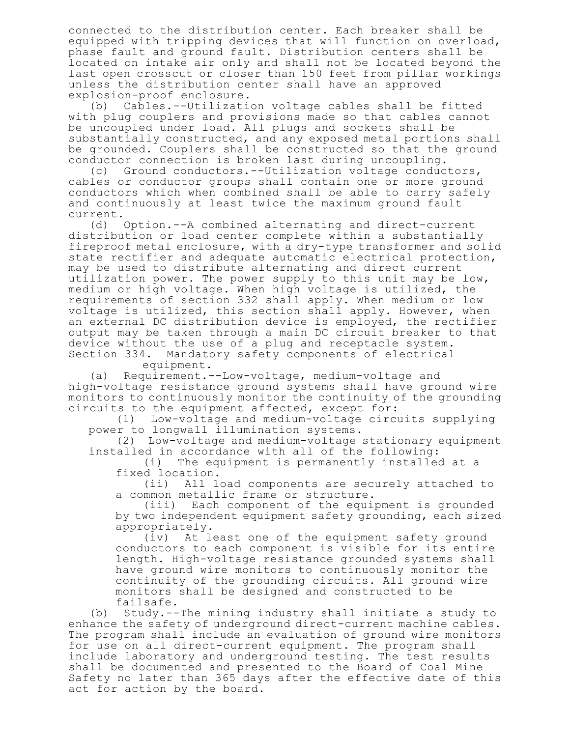connected to the distribution center. Each breaker shall be equipped with tripping devices that will function on overload, phase fault and ground fault. Distribution centers shall be located on intake air only and shall not be located beyond the last open crosscut or closer than 150 feet from pillar workings unless the distribution center shall have an approved explosion-proof enclosure.

(b) Cables.--Utilization voltage cables shall be fitted with plug couplers and provisions made so that cables cannot be uncoupled under load. All plugs and sockets shall be substantially constructed, and any exposed metal portions shall be grounded. Couplers shall be constructed so that the ground conductor connection is broken last during uncoupling.

(c) Ground conductors.--Utilization voltage conductors, cables or conductor groups shall contain one or more ground conductors which when combined shall be able to carry safely and continuously at least twice the maximum ground fault current.

(d) Option.--A combined alternating and direct-current distribution or load center complete within a substantially fireproof metal enclosure, with a dry-type transformer and solid state rectifier and adequate automatic electrical protection, may be used to distribute alternating and direct current utilization power. The power supply to this unit may be low, medium or high voltage. When high voltage is utilized, the requirements of section 332 shall apply. When medium or low voltage is utilized, this section shall apply. However, when an external DC distribution device is employed, the rectifier output may be taken through a main DC circuit breaker to that device without the use of a plug and receptacle system.<br>Section 334. Mandatory safety components of electrical Mandatory safety components of electrical

equipment.

(a) Requirement.--Low-voltage, medium-voltage and high-voltage resistance ground systems shall have ground wire monitors to continuously monitor the continuity of the grounding circuits to the equipment affected, except for:

(1) Low-voltage and medium-voltage circuits supplying power to longwall illumination systems.

(2) Low-voltage and medium-voltage stationary equipment installed in accordance with all of the following:

(i) The equipment is permanently installed at a fixed location.

(ii) All load components are securely attached to a common metallic frame or structure.

(iii) Each component of the equipment is grounded by two independent equipment safety grounding, each sized appropriately.

(iv) At least one of the equipment safety ground conductors to each component is visible for its entire length. High-voltage resistance grounded systems shall have ground wire monitors to continuously monitor the continuity of the grounding circuits. All ground wire monitors shall be designed and constructed to be failsafe.

(b) Study.--The mining industry shall initiate a study to enhance the safety of underground direct-current machine cables. The program shall include an evaluation of ground wire monitors for use on all direct-current equipment. The program shall include laboratory and underground testing. The test results shall be documented and presented to the Board of Coal Mine Safety no later than 365 days after the effective date of this act for action by the board.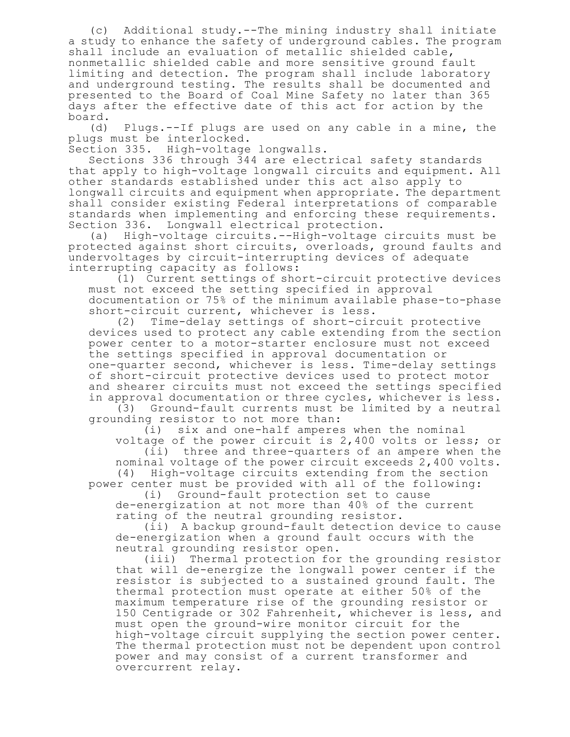(c) Additional study.--The mining industry shall initiate a study to enhance the safety of underground cables. The program shall include an evaluation of metallic shielded cable, nonmetallic shielded cable and more sensitive ground fault limiting and detection. The program shall include laboratory and underground testing. The results shall be documented and presented to the Board of Coal Mine Safety no later than 365 days after the effective date of this act for action by the board.

(d) Plugs.--If plugs are used on any cable in a mine, the plugs must be interlocked.

Section 335. High-voltage longwalls.

Sections 336 through 344 are electrical safety standards that apply to high-voltage longwall circuits and equipment. All other standards established under this act also apply to longwall circuits and equipment when appropriate. The department shall consider existing Federal interpretations of comparable standards when implementing and enforcing these requirements. Section 336. Longwall electrical protection.

(a) High-voltage circuits.--High-voltage circuits must be protected against short circuits, overloads, ground faults and undervoltages by circuit-interrupting devices of adequate interrupting capacity as follows:

(1) Current settings of short-circuit protective devices must not exceed the setting specified in approval documentation or 75% of the minimum available phase-to-phase short-circuit current, whichever is less.

(2) Time-delay settings of short-circuit protective devices used to protect any cable extending from the section power center to a motor-starter enclosure must not exceed the settings specified in approval documentation or one-quarter second, whichever is less. Time-delay settings of short-circuit protective devices used to protect motor and shearer circuits must not exceed the settings specified in approval documentation or three cycles, whichever is less.

(3) Ground-fault currents must be limited by a neutral grounding resistor to not more than:

(i) six and one-half amperes when the nominal voltage of the power circuit is 2,400 volts or less; or (ii) three and three-quarters of an ampere when the nominal voltage of the power circuit exceeds 2,400 volts. (4) High-voltage circuits extending from the section

power center must be provided with all of the following: (i) Ground-fault protection set to cause

de-energization at not more than 40% of the current rating of the neutral grounding resistor.

(ii) A backup ground-fault detection device to cause de-energization when a ground fault occurs with the neutral grounding resistor open.

(iii) Thermal protection for the grounding resistor that will de-energize the longwall power center if the resistor is subjected to a sustained ground fault. The thermal protection must operate at either 50% of the maximum temperature rise of the grounding resistor or 150 Centigrade or 302 Fahrenheit, whichever is less, and must open the ground-wire monitor circuit for the high-voltage circuit supplying the section power center. The thermal protection must not be dependent upon control power and may consist of a current transformer and overcurrent relay.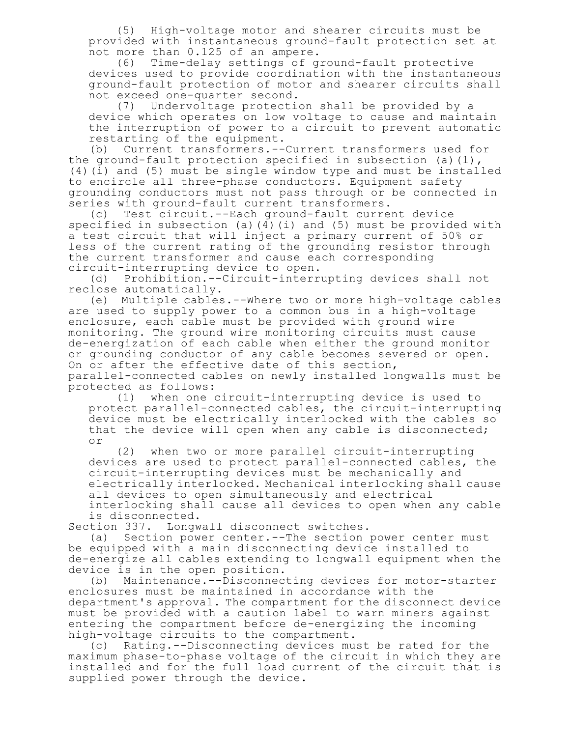(5) High-voltage motor and shearer circuits must be provided with instantaneous ground-fault protection set at not more than 0.125 of an ampere.

(6) Time-delay settings of ground-fault protective devices used to provide coordination with the instantaneous ground-fault protection of motor and shearer circuits shall not exceed one-quarter second.<br>(7) Undervoltage protecti

Undervoltage protection shall be provided by a device which operates on low voltage to cause and maintain the interruption of power to a circuit to prevent automatic restarting of the equipment.

(b) Current transformers.--Current transformers used for the ground-fault protection specified in subsection (a)(1), (4)(i) and (5) must be single window type and must be installed to encircle all three-phase conductors. Equipment safety grounding conductors must not pass through or be connected in series with ground-fault current transformers.

(c) Test circuit.--Each ground-fault current device specified in subsection (a)( $4$ )(i) and (5) must be provided with a test circuit that will inject a primary current of 50% or less of the current rating of the grounding resistor through the current transformer and cause each corresponding circuit-interrupting device to open.

(d) Prohibition.--Circuit-interrupting devices shall not reclose automatically.

(e) Multiple cables.--Where two or more high-voltage cables are used to supply power to a common bus in a high-voltage enclosure, each cable must be provided with ground wire monitoring. The ground wire monitoring circuits must cause de-energization of each cable when either the ground monitor or grounding conductor of any cable becomes severed or open. On or after the effective date of this section, parallel-connected cables on newly installed longwalls must be protected as follows:

(1) when one circuit-interrupting device is used to protect parallel-connected cables, the circuit-interrupting device must be electrically interlocked with the cables so that the device will open when any cable is disconnected; or

(2) when two or more parallel circuit-interrupting devices are used to protect parallel-connected cables, the circuit-interrupting devices must be mechanically and electrically interlocked. Mechanical interlocking shall cause all devices to open simultaneously and electrical

interlocking shall cause all devices to open when any cable is disconnected.

Section 337. Longwall disconnect switches.

(a) Section power center.--The section power center must be equipped with a main disconnecting device installed to de-energize all cables extending to longwall equipment when the device is in the open position.

(b) Maintenance.--Disconnecting devices for motor-starter enclosures must be maintained in accordance with the department's approval. The compartment for the disconnect device must be provided with a caution label to warn miners against entering the compartment before de-energizing the incoming high-voltage circuits to the compartment.

(c) Rating.--Disconnecting devices must be rated for the maximum phase-to-phase voltage of the circuit in which they are installed and for the full load current of the circuit that is supplied power through the device.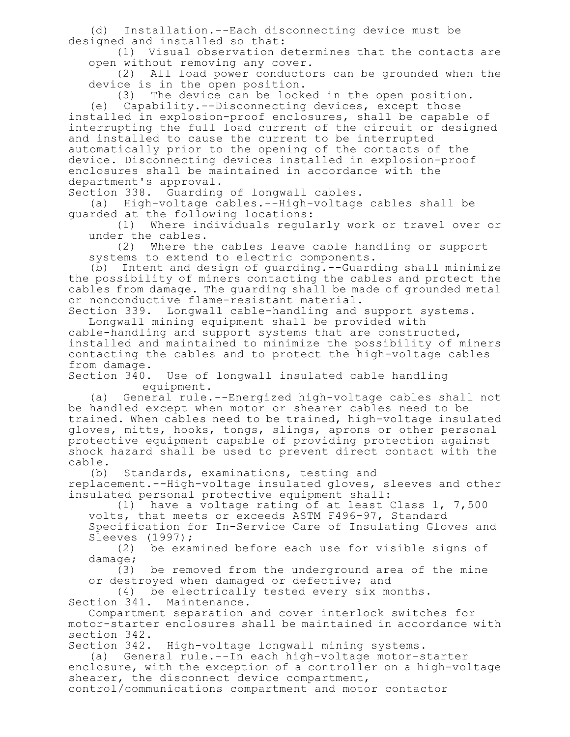(d) Installation.--Each disconnecting device must be designed and installed so that:

(1) Visual observation determines that the contacts are open without removing any cover.

(2) All load power conductors can be grounded when the device is in the open position.

(3) The device can be locked in the open position.

(e) Capability.--Disconnecting devices, except those installed in explosion-proof enclosures, shall be capable of interrupting the full load current of the circuit or designed and installed to cause the current to be interrupted automatically prior to the opening of the contacts of the device. Disconnecting devices installed in explosion-proof enclosures shall be maintained in accordance with the department's approval.

Section 338. Guarding of longwall cables.<br>(a) High-voltage cables.--High-voltage

High-voltage cables.--High-voltage cables shall be guarded at the following locations:

(1) Where individuals regularly work or travel over or under the cables.

(2) Where the cables leave cable handling or support systems to extend to electric components.

(b) Intent and design of guarding.--Guarding shall minimize the possibility of miners contacting the cables and protect the cables from damage. The guarding shall be made of grounded metal or nonconductive flame-resistant material.

Section 339. Longwall cable-handling and support systems. Longwall mining equipment shall be provided with

cable-handling and support systems that are constructed, installed and maintained to minimize the possibility of miners contacting the cables and to protect the high-voltage cables from damage.

Section 340. Use of longwall insulated cable handling equipment.

(a) General rule.--Energized high-voltage cables shall not be handled except when motor or shearer cables need to be trained. When cables need to be trained, high-voltage insulated gloves, mitts, hooks, tongs, slings, aprons or other personal protective equipment capable of providing protection against shock hazard shall be used to prevent direct contact with the cable.<br>(b)

Standards, examinations, testing and replacement.--High-voltage insulated gloves, sleeves and other insulated personal protective equipment shall:

(1) have a voltage rating of at least Class 1, 7,500 volts, that meets or exceeds ASTM F496-97, Standard Specification for In-Service Care of Insulating Gloves and Sleeves (1997);

(2) be examined before each use for visible signs of damage;

(3) be removed from the underground area of the mine or destroyed when damaged or defective; and

(4) be electrically tested every six months. Section 341. Maintenance.

Compartment separation and cover interlock switches for motor-starter enclosures shall be maintained in accordance with section 342.

Section 342. High-voltage longwall mining systems.

(a) General rule.--In each high-voltage motor-starter enclosure, with the exception of a controller on a high-voltage shearer, the disconnect device compartment,

control/communications compartment and motor contactor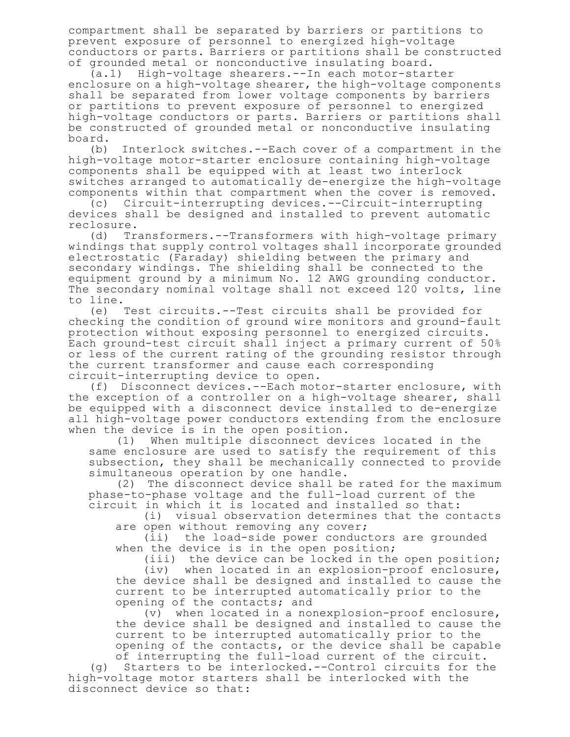compartment shall be separated by barriers or partitions to prevent exposure of personnel to energized high-voltage conductors or parts. Barriers or partitions shall be constructed of grounded metal or nonconductive insulating board.

(a.1) High-voltage shearers.--In each motor-starter enclosure on a high-voltage shearer, the high-voltage components shall be separated from lower voltage components by barriers or partitions to prevent exposure of personnel to energized high-voltage conductors or parts. Barriers or partitions shall be constructed of grounded metal or nonconductive insulating board.

(b) Interlock switches.--Each cover of a compartment in the high-voltage motor-starter enclosure containing high-voltage components shall be equipped with at least two interlock switches arranged to automatically de-energize the high-voltage components within that compartment when the cover is removed.

(c) Circuit-interrupting devices.--Circuit-interrupting devices shall be designed and installed to prevent automatic reclosure.

(d) Transformers.--Transformers with high-voltage primary windings that supply control voltages shall incorporate grounded electrostatic (Faraday) shielding between the primary and secondary windings. The shielding shall be connected to the equipment ground by a minimum No. 12 AWG grounding conductor. The secondary nominal voltage shall not exceed 120 volts, line to line.

(e) Test circuits.--Test circuits shall be provided for checking the condition of ground wire monitors and ground-fault protection without exposing personnel to energized circuits. Each ground-test circuit shall inject a primary current of 50% or less of the current rating of the grounding resistor through the current transformer and cause each corresponding circuit-interrupting device to open.

(f) Disconnect devices.--Each motor-starter enclosure, with the exception of a controller on a high-voltage shearer, shall be equipped with a disconnect device installed to de-energize all high-voltage power conductors extending from the enclosure when the device is in the open position.<br>(1) When multiple disconnect devi

When multiple disconnect devices located in the same enclosure are used to satisfy the requirement of this subsection, they shall be mechanically connected to provide simultaneous operation by one handle.

(2) The disconnect device shall be rated for the maximum phase-to-phase voltage and the full-load current of the circuit in which it is located and installed so that:

(i) visual observation determines that the contacts are open without removing any cover;

(ii) the load-side power conductors are grounded when the device is in the open position;

(iii) the device can be locked in the open position; (iv) when located in an explosion-proof enclosure, the device shall be designed and installed to cause the current to be interrupted automatically prior to the opening of the contacts; and

(v) when located in a nonexplosion-proof enclosure, the device shall be designed and installed to cause the current to be interrupted automatically prior to the opening of the contacts, or the device shall be capable of interrupting the full-load current of the circuit.

(g) Starters to be interlocked.--Control circuits for the high-voltage motor starters shall be interlocked with the disconnect device so that: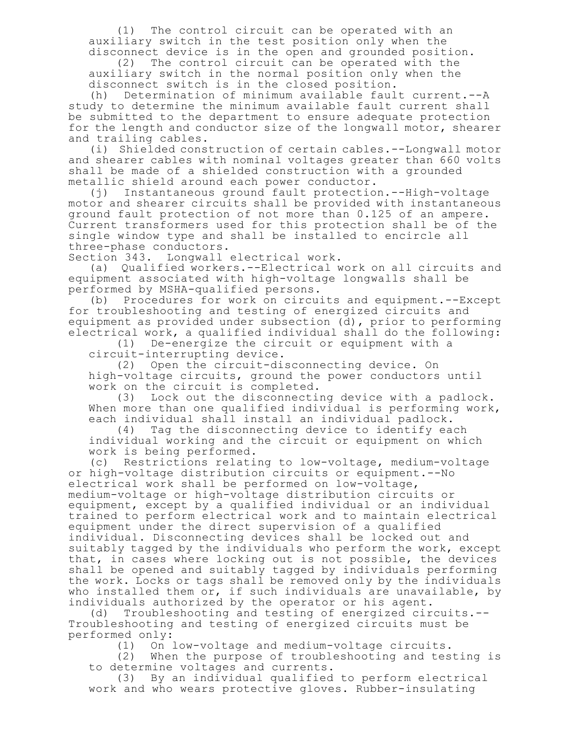(1) The control circuit can be operated with an auxiliary switch in the test position only when the disconnect device is in the open and grounded position.

(2) The control circuit can be operated with the auxiliary switch in the normal position only when the disconnect switch is in the closed position.

(h) Determination of minimum available fault current.--A study to determine the minimum available fault current shall be submitted to the department to ensure adequate protection for the length and conductor size of the longwall motor, shearer and trailing cables.

(i) Shielded construction of certain cables.--Longwall motor and shearer cables with nominal voltages greater than 660 volts shall be made of a shielded construction with a grounded metallic shield around each power conductor.

(j) Instantaneous ground fault protection.--High-voltage motor and shearer circuits shall be provided with instantaneous ground fault protection of not more than 0.125 of an ampere. Current transformers used for this protection shall be of the single window type and shall be installed to encircle all three-phase conductors.

Section 343. Longwall electrical work.

(a) Qualified workers.--Electrical work on all circuits and equipment associated with high-voltage longwalls shall be performed by MSHA-qualified persons.<br>(b) Procedures for work on circu:

Procedures for work on circuits and equipment.--Except for troubleshooting and testing of energized circuits and equipment as provided under subsection (d), prior to performing electrical work, a qualified individual shall do the following:

(1) De-energize the circuit or equipment with a circuit-interrupting device.

(2) Open the circuit-disconnecting device. On high-voltage circuits, ground the power conductors until work on the circuit is completed.

(3) Lock out the disconnecting device with a padlock. When more than one qualified individual is performing work, each individual shall install an individual padlock.

(4) Tag the disconnecting device to identify each individual working and the circuit or equipment on which work is being performed.<br>(c) Restrictions relati

Restrictions relating to low-voltage, medium-voltage or high-voltage distribution circuits or equipment.--No electrical work shall be performed on low-voltage, medium-voltage or high-voltage distribution circuits or equipment, except by a qualified individual or an individual trained to perform electrical work and to maintain electrical equipment under the direct supervision of a qualified individual. Disconnecting devices shall be locked out and suitably tagged by the individuals who perform the work, except that, in cases where locking out is not possible, the devices shall be opened and suitably tagged by individuals performing the work. Locks or tags shall be removed only by the individuals who installed them or, if such individuals are unavailable, by individuals authorized by the operator or his agent.

(d) Troubleshooting and testing of energized circuits.-- Troubleshooting and testing of energized circuits must be performed only:

(1) On low-voltage and medium-voltage circuits.

(2) When the purpose of troubleshooting and testing is to determine voltages and currents.

(3) By an individual qualified to perform electrical work and who wears protective gloves. Rubber-insulating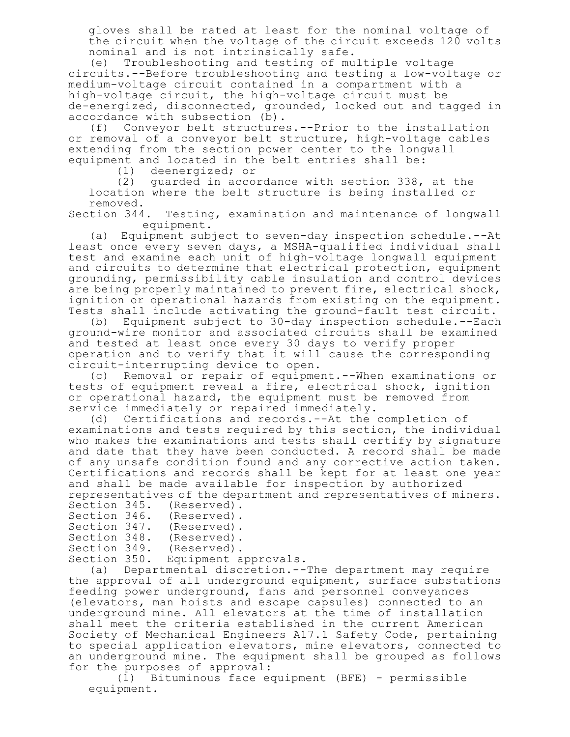gloves shall be rated at least for the nominal voltage of the circuit when the voltage of the circuit exceeds 120 volts nominal and is not intrinsically safe.

(e) Troubleshooting and testing of multiple voltage circuits.--Before troubleshooting and testing a low-voltage or medium-voltage circuit contained in a compartment with a high-voltage circuit, the high-voltage circuit must be de-energized, disconnected, grounded, locked out and tagged in accordance with subsection (b).

(f) Conveyor belt structures.--Prior to the installation or removal of a conveyor belt structure, high-voltage cables extending from the section power center to the longwall equipment and located in the belt entries shall be:

(1) deenergized; or

(2) guarded in accordance with section 338, at the location where the belt structure is being installed or

removed.<br>Section 344. Testing, examination and maintenance of longwall equipment.

(a) Equipment subject to seven-day inspection schedule.--At least once every seven days, a MSHA-qualified individual shall test and examine each unit of high-voltage longwall equipment and circuits to determine that electrical protection, equipment grounding, permissibility cable insulation and control devices are being properly maintained to prevent fire, electrical shock, ignition or operational hazards from existing on the equipment. Tests shall include activating the ground-fault test circuit.

(b) Equipment subject to 30-day inspection schedule.--Each ground-wire monitor and associated circuits shall be examined and tested at least once every 30 days to verify proper operation and to verify that it will cause the corresponding circuit-interrupting device to open.

(c) Removal or repair of equipment.--When examinations or tests of equipment reveal a fire, electrical shock, ignition or operational hazard, the equipment must be removed from service immediately or repaired immediately.

(d) Certifications and records.--At the completion of examinations and tests required by this section, the individual who makes the examinations and tests shall certify by signature and date that they have been conducted. A record shall be made of any unsafe condition found and any corrective action taken. Certifications and records shall be kept for at least one year and shall be made available for inspection by authorized representatives of the department and representatives of miners.

|              | Section 345. (Reserved). |
|--------------|--------------------------|
| Section 346. | (Reserved).              |
| Section 347. | (Reserved).              |
| Section 348. | (Reserved).              |
| Section 349. | (Reserved).              |
| Section 350. | Equipment approvals.     |
|              |                          |

(a) Departmental discretion.--The department may require the approval of all underground equipment, surface substations feeding power underground, fans and personnel conveyances (elevators, man hoists and escape capsules) connected to an underground mine. All elevators at the time of installation shall meet the criteria established in the current American Society of Mechanical Engineers A17.1 Safety Code, pertaining to special application elevators, mine elevators, connected to an underground mine. The equipment shall be grouped as follows for the purposes of approval:

(1) Bituminous face equipment (BFE) - permissible equipment.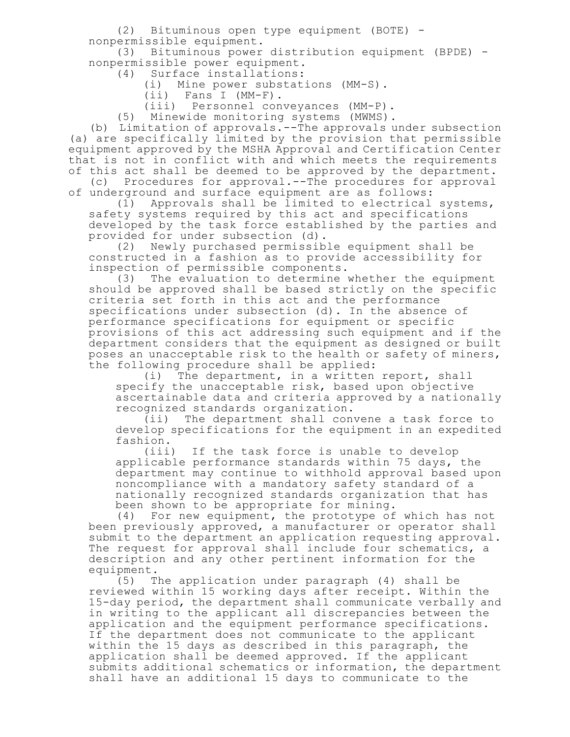(2) Bituminous open type equipment (BOTE) nonpermissible equipment.

(3) Bituminous power distribution equipment (BPDE) nonpermissible power equipment.

(4) Surface installations:

(i) Mine power substations (MM-S).

(ii) Fans I (MM-F).

(iii) Personnel conveyances (MM-P).

(5) Minewide monitoring systems (MWMS).

(b) Limitation of approvals.--The approvals under subsection (a) are specifically limited by the provision that permissible equipment approved by the MSHA Approval and Certification Center that is not in conflict with and which meets the requirements of this act shall be deemed to be approved by the department.

(c) Procedures for approval.--The procedures for approval of underground and surface equipment are as follows:

(1) Approvals shall be limited to electrical systems, safety systems required by this act and specifications developed by the task force established by the parties and provided for under subsection (d).

(2) Newly purchased permissible equipment shall be constructed in a fashion as to provide accessibility for inspection of permissible components.

(3) The evaluation to determine whether the equipment should be approved shall be based strictly on the specific criteria set forth in this act and the performance specifications under subsection (d). In the absence of performance specifications for equipment or specific provisions of this act addressing such equipment and if the department considers that the equipment as designed or built poses an unacceptable risk to the health or safety of miners, the following procedure shall be applied:

(i) The department, in a written report, shall specify the unacceptable risk, based upon objective ascertainable data and criteria approved by a nationally recognized standards organization.

(ii) The department shall convene a task force to develop specifications for the equipment in an expedited fashion.

(iii) If the task force is unable to develop applicable performance standards within 75 days, the department may continue to withhold approval based upon noncompliance with a mandatory safety standard of a nationally recognized standards organization that has been shown to be appropriate for mining.<br>(4) For new equipment, the prototype of

For new equipment, the prototype of which has not been previously approved, a manufacturer or operator shall submit to the department an application requesting approval. The request for approval shall include four schematics, a description and any other pertinent information for the equipment.

(5) The application under paragraph (4) shall be reviewed within 15 working days after receipt. Within the 15-day period, the department shall communicate verbally and in writing to the applicant all discrepancies between the application and the equipment performance specifications. If the department does not communicate to the applicant within the 15 days as described in this paragraph, the application shall be deemed approved. If the applicant submits additional schematics or information, the department shall have an additional 15 days to communicate to the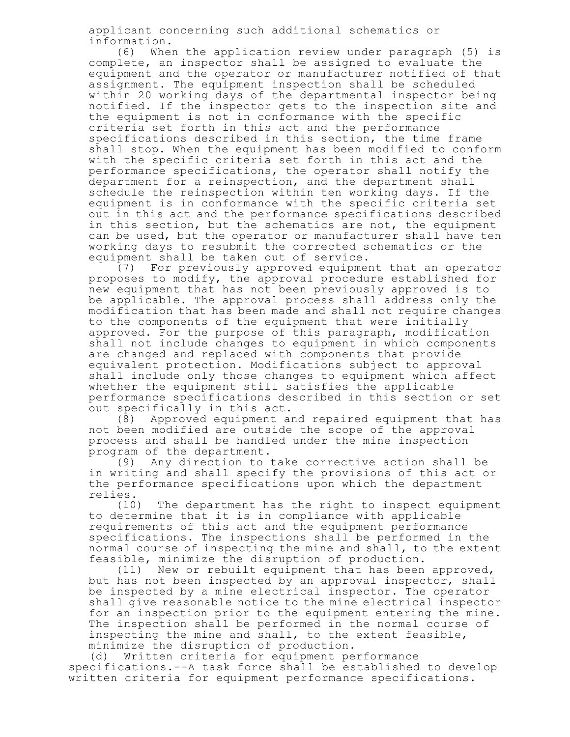applicant concerning such additional schematics or information.

(6) When the application review under paragraph (5) is complete, an inspector shall be assigned to evaluate the equipment and the operator or manufacturer notified of that assignment. The equipment inspection shall be scheduled within 20 working days of the departmental inspector being notified. If the inspector gets to the inspection site and the equipment is not in conformance with the specific criteria set forth in this act and the performance specifications described in this section, the time frame shall stop. When the equipment has been modified to conform with the specific criteria set forth in this act and the performance specifications, the operator shall notify the department for a reinspection, and the department shall schedule the reinspection within ten working days. If the equipment is in conformance with the specific criteria set out in this act and the performance specifications described in this section, but the schematics are not, the equipment can be used, but the operator or manufacturer shall have ten working days to resubmit the corrected schematics or the equipment shall be taken out of service.

(7) For previously approved equipment that an operator proposes to modify, the approval procedure established for new equipment that has not been previously approved is to be applicable. The approval process shall address only the modification that has been made and shall not require changes to the components of the equipment that were initially approved. For the purpose of this paragraph, modification shall not include changes to equipment in which components are changed and replaced with components that provide equivalent protection. Modifications subject to approval shall include only those changes to equipment which affect whether the equipment still satisfies the applicable performance specifications described in this section or set out specifically in this act.

(8) Approved equipment and repaired equipment that has not been modified are outside the scope of the approval process and shall be handled under the mine inspection program of the department.

(9) Any direction to take corrective action shall be in writing and shall specify the provisions of this act or the performance specifications upon which the department relies.

(10) The department has the right to inspect equipment to determine that it is in compliance with applicable requirements of this act and the equipment performance specifications. The inspections shall be performed in the normal course of inspecting the mine and shall, to the extent feasible, minimize the disruption of production.

(11) New or rebuilt equipment that has been approved, but has not been inspected by an approval inspector, shall be inspected by a mine electrical inspector. The operator shall give reasonable notice to the mine electrical inspector for an inspection prior to the equipment entering the mine. The inspection shall be performed in the normal course of inspecting the mine and shall, to the extent feasible, minimize the disruption of production.

(d) Written criteria for equipment performance specifications.--A task force shall be established to develop written criteria for equipment performance specifications.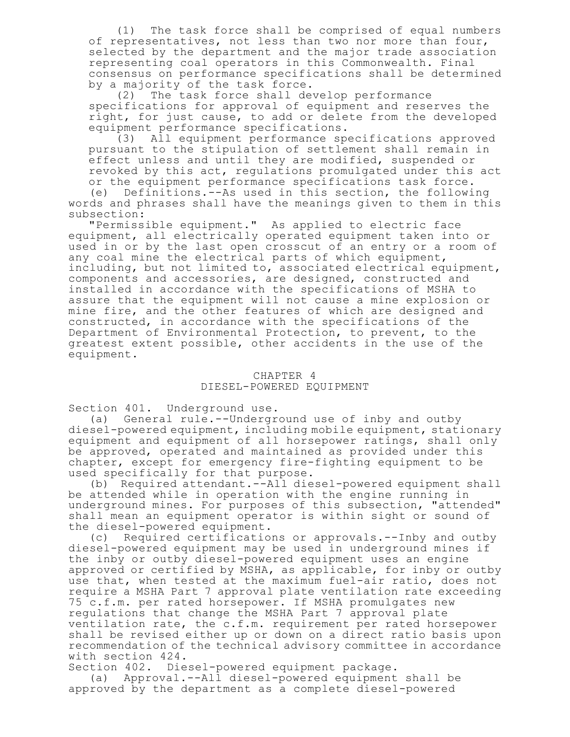(1) The task force shall be comprised of equal numbers of representatives, not less than two nor more than four, selected by the department and the major trade association representing coal operators in this Commonwealth. Final consensus on performance specifications shall be determined by a majority of the task force.

(2) The task force shall develop performance specifications for approval of equipment and reserves the right, for just cause, to add or delete from the developed equipment performance specifications.

(3) All equipment performance specifications approved pursuant to the stipulation of settlement shall remain in effect unless and until they are modified, suspended or revoked by this act, regulations promulgated under this act or the equipment performance specifications task force.

(e) Definitions.--As used in this section, the following words and phrases shall have the meanings given to them in this subsection:

"Permissible equipment." As applied to electric face equipment, all electrically operated equipment taken into or used in or by the last open crosscut of an entry or a room of any coal mine the electrical parts of which equipment, including, but not limited to, associated electrical equipment, components and accessories, are designed, constructed and installed in accordance with the specifications of MSHA to assure that the equipment will not cause a mine explosion or mine fire, and the other features of which are designed and constructed, in accordance with the specifications of the Department of Environmental Protection, to prevent, to the greatest extent possible, other accidents in the use of the equipment.

## CHAPTER 4 DIESEL-POWERED EQUIPMENT

Section 401. Underground use.

(a) General rule.--Underground use of inby and outby diesel-powered equipment, including mobile equipment, stationary equipment and equipment of all horsepower ratings, shall only be approved, operated and maintained as provided under this chapter, except for emergency fire-fighting equipment to be used specifically for that purpose.

(b) Required attendant.--All diesel-powered equipment shall be attended while in operation with the engine running in underground mines. For purposes of this subsection, "attended" shall mean an equipment operator is within sight or sound of the diesel-powered equipment.

(c) Required certifications or approvals.--Inby and outby diesel-powered equipment may be used in underground mines if the inby or outby diesel-powered equipment uses an engine approved or certified by MSHA, as applicable, for inby or outby use that, when tested at the maximum fuel-air ratio, does not require a MSHA Part 7 approval plate ventilation rate exceeding 75 c.f.m. per rated horsepower. If MSHA promulgates new regulations that change the MSHA Part 7 approval plate ventilation rate, the c.f.m. requirement per rated horsepower shall be revised either up or down on a direct ratio basis upon recommendation of the technical advisory committee in accordance with section 424.

Section 402. Diesel-powered equipment package.

(a) Approval.--All diesel-powered equipment shall be approved by the department as a complete diesel-powered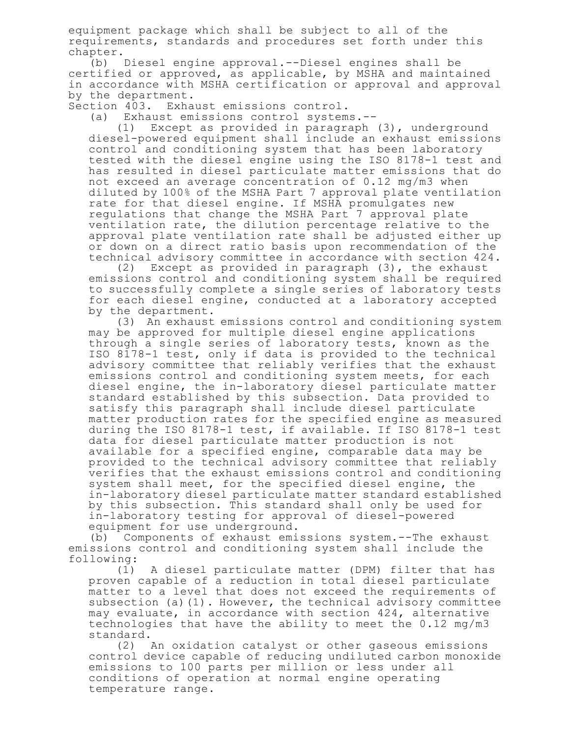equipment package which shall be subject to all of the requirements, standards and procedures set forth under this chapter.

(b) Diesel engine approval.--Diesel engines shall be certified or approved, as applicable, by MSHA and maintained in accordance with MSHA certification or approval and approval by the department.

Section 403. Exhaust emissions control.

(a) Exhaust emissions control systems.--

(1) Except as provided in paragraph (3), underground diesel-powered equipment shall include an exhaust emissions control and conditioning system that has been laboratory tested with the diesel engine using the ISO 8178-1 test and has resulted in diesel particulate matter emissions that do not exceed an average concentration of 0.12 mg/m3 when diluted by 100% of the MSHA Part 7 approval plate ventilation rate for that diesel engine. If MSHA promulgates new regulations that change the MSHA Part 7 approval plate ventilation rate, the dilution percentage relative to the approval plate ventilation rate shall be adjusted either up or down on a direct ratio basis upon recommendation of the technical advisory committee in accordance with section 424.

(2) Except as provided in paragraph (3), the exhaust emissions control and conditioning system shall be required to successfully complete a single series of laboratory tests for each diesel engine, conducted at a laboratory accepted by the department.

(3) An exhaust emissions control and conditioning system may be approved for multiple diesel engine applications through a single series of laboratory tests, known as the ISO 8178-1 test, only if data is provided to the technical advisory committee that reliably verifies that the exhaust emissions control and conditioning system meets, for each diesel engine, the in-laboratory diesel particulate matter standard established by this subsection. Data provided to satisfy this paragraph shall include diesel particulate matter production rates for the specified engine as measured during the ISO 8178-1 test, if available. If ISO 8178-1 test data for diesel particulate matter production is not available for a specified engine, comparable data may be provided to the technical advisory committee that reliably verifies that the exhaust emissions control and conditioning system shall meet, for the specified diesel engine, the in-laboratory diesel particulate matter standard established by this subsection. This standard shall only be used for in-laboratory testing for approval of diesel-powered equipment for use underground.

(b) Components of exhaust emissions system.--The exhaust emissions control and conditioning system shall include the following:

(1) A diesel particulate matter (DPM) filter that has proven capable of a reduction in total diesel particulate matter to a level that does not exceed the requirements of subsection (a)(1). However, the technical advisory committee may evaluate, in accordance with section 424, alternative technologies that have the ability to meet the 0.12 mg/m3 standard.

(2) An oxidation catalyst or other gaseous emissions control device capable of reducing undiluted carbon monoxide emissions to 100 parts per million or less under all conditions of operation at normal engine operating temperature range.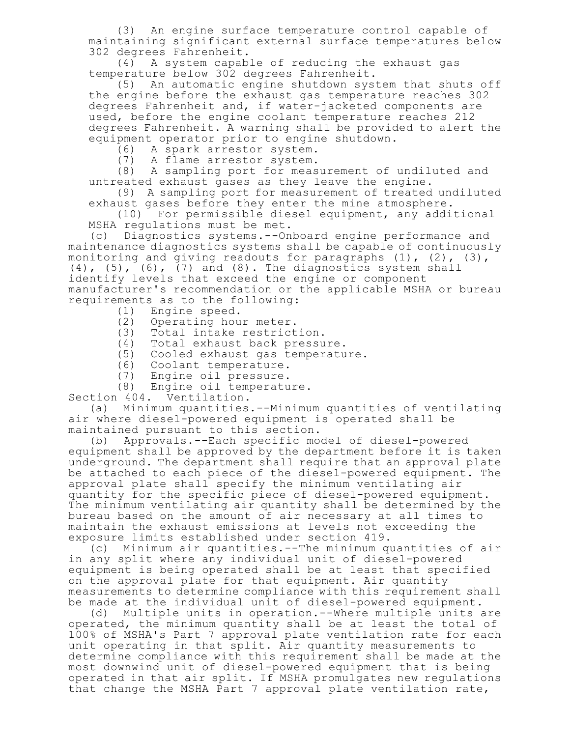(3) An engine surface temperature control capable of maintaining significant external surface temperatures below 302 degrees Fahrenheit.

(4) A system capable of reducing the exhaust gas temperature below 302 degrees Fahrenheit.

(5) An automatic engine shutdown system that shuts off the engine before the exhaust gas temperature reaches 302 degrees Fahrenheit and, if water-jacketed components are used, before the engine coolant temperature reaches 212 degrees Fahrenheit. A warning shall be provided to alert the equipment operator prior to engine shutdown.

(6) A spark arrestor system.

(7) A flame arrestor system.

(8) A sampling port for measurement of undiluted and untreated exhaust gases as they leave the engine.

(9) A sampling port for measurement of treated undiluted exhaust gases before they enter the mine atmosphere.

(10) For permissible diesel equipment, any additional MSHA regulations must be met.

(c) Diagnostics systems.--Onboard engine performance and maintenance diagnostics systems shall be capable of continuously monitoring and giving readouts for paragraphs  $(1)$ ,  $(2)$ ,  $(3)$ ,  $(4)$ ,  $(5)$ ,  $(6)$ ,  $(7)$  and  $(8)$ . The diagnostics system shall identify levels that exceed the engine or component manufacturer's recommendation or the applicable MSHA or bureau requirements as to the following:

- (1) Engine speed.
- (2) Operating hour meter.
- (3) Total intake restriction.
- (4) Total exhaust back pressure.
- (5) Cooled exhaust gas temperature.
- (6) Coolant temperature.
- (7) Engine oil pressure.

(8) Engine oil temperature.

Section 404. Ventilation.

(a) Minimum quantities.--Minimum quantities of ventilating air where diesel-powered equipment is operated shall be maintained pursuant to this section.

(b) Approvals.--Each specific model of diesel-powered equipment shall be approved by the department before it is taken underground. The department shall require that an approval plate be attached to each piece of the diesel-powered equipment. The approval plate shall specify the minimum ventilating air quantity for the specific piece of diesel-powered equipment. The minimum ventilating air quantity shall be determined by the bureau based on the amount of air necessary at all times to maintain the exhaust emissions at levels not exceeding the exposure limits established under section 419.

Minimum air quantities.--The minimum quantities of air in any split where any individual unit of diesel-powered equipment is being operated shall be at least that specified on the approval plate for that equipment. Air quantity measurements to determine compliance with this requirement shall be made at the individual unit of diesel-powered equipment.

(d) Multiple units in operation.--Where multiple units are operated, the minimum quantity shall be at least the total of 100% of MSHA's Part 7 approval plate ventilation rate for each unit operating in that split. Air quantity measurements to determine compliance with this requirement shall be made at the most downwind unit of diesel-powered equipment that is being operated in that air split. If MSHA promulgates new regulations that change the MSHA Part 7 approval plate ventilation rate,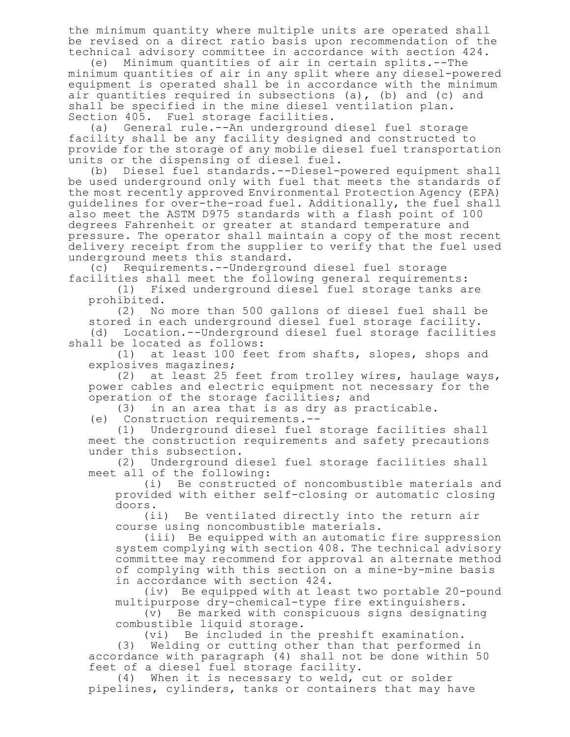the minimum quantity where multiple units are operated shall be revised on a direct ratio basis upon recommendation of the technical advisory committee in accordance with section 424.

(e) Minimum quantities of air in certain splits.--The minimum quantities of air in any split where any diesel-powered equipment is operated shall be in accordance with the minimum air quantities required in subsections (a), (b) and (c) and shall be specified in the mine diesel ventilation plan. Section 405. Fuel storage facilities.

(a) General rule.--An underground diesel fuel storage facility shall be any facility designed and constructed to provide for the storage of any mobile diesel fuel transportation units or the dispensing of diesel fuel.

(b) Diesel fuel standards.--Diesel-powered equipment shall be used underground only with fuel that meets the standards of the most recently approved Environmental Protection Agency (EPA) guidelines for over-the-road fuel. Additionally, the fuel shall also meet the ASTM D975 standards with a flash point of 100 degrees Fahrenheit or greater at standard temperature and pressure. The operator shall maintain a copy of the most recent delivery receipt from the supplier to verify that the fuel used underground meets this standard.

(c) Requirements.--Underground diesel fuel storage facilities shall meet the following general requirements:

(1) Fixed underground diesel fuel storage tanks are prohibited.

(2) No more than 500 gallons of diesel fuel shall be stored in each underground diesel fuel storage facility. (d) Location.--Underground diesel fuel storage facilities

shall be located as follows:

(1) at least 100 feet from shafts, slopes, shops and explosives magazines;

(2) at least 25 feet from trolley wires, haulage ways, power cables and electric equipment not necessary for the operation of the storage facilities; and

(3) in an area that is as dry as practicable.

(e) Construction requirements.--

(1) Underground diesel fuel storage facilities shall meet the construction requirements and safety precautions under this subsection.

(2) Underground diesel fuel storage facilities shall meet all of the following:

(i) Be constructed of noncombustible materials and provided with either self-closing or automatic closing doors.

(ii) Be ventilated directly into the return air course using noncombustible materials.

(iii) Be equipped with an automatic fire suppression system complying with section 408. The technical advisory committee may recommend for approval an alternate method of complying with this section on a mine-by-mine basis in accordance with section 424.

(iv) Be equipped with at least two portable 20-pound multipurpose dry-chemical-type fire extinguishers.

(v) Be marked with conspicuous signs designating combustible liquid storage.

(vi) Be included in the preshift examination.

(3) Welding or cutting other than that performed in accordance with paragraph (4) shall not be done within 50 feet of a diesel fuel storage facility.

(4) When it is necessary to weld, cut or solder pipelines, cylinders, tanks or containers that may have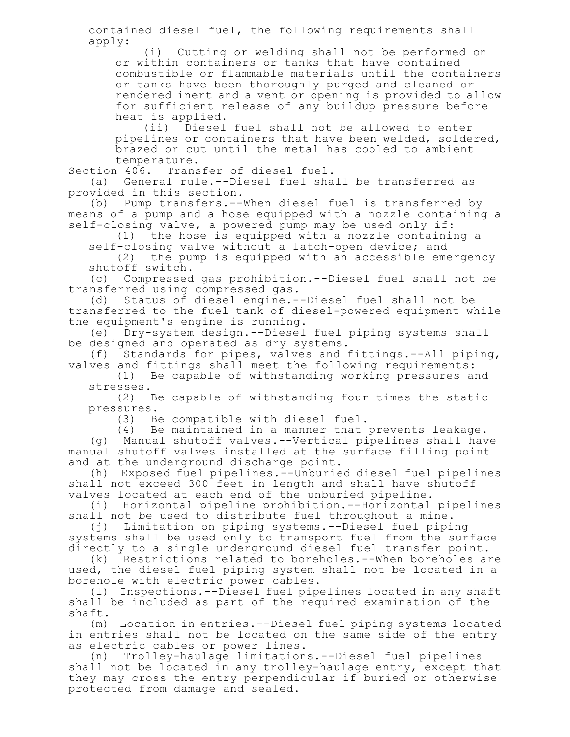contained diesel fuel, the following requirements shall apply:

(i) Cutting or welding shall not be performed on or within containers or tanks that have contained combustible or flammable materials until the containers or tanks have been thoroughly purged and cleaned or rendered inert and a vent or opening is provided to allow for sufficient release of any buildup pressure before heat is applied.

(ii) Diesel fuel shall not be allowed to enter pipelines or containers that have been welded, soldered, brazed or cut until the metal has cooled to ambient temperature.

Section 406. Transfer of diesel fuel.

(a) General rule.--Diesel fuel shall be transferred as provided in this section.

(b) Pump transfers.--When diesel fuel is transferred by means of a pump and a hose equipped with a nozzle containing a self-closing valve, a powered pump may be used only if:

(1) the hose is equipped with a nozzle containing a self-closing valve without a latch-open device; and

(2) the pump is equipped with an accessible emergency shutoff switch.

(c) Compressed gas prohibition.--Diesel fuel shall not be transferred using compressed gas.

(d) Status of diesel engine.--Diesel fuel shall not be transferred to the fuel tank of diesel-powered equipment while the equipment's engine is running.

(e) Dry-system design.--Diesel fuel piping systems shall be designed and operated as dry systems.

(f) Standards for pipes, valves and fittings.--All piping, valves and fittings shall meet the following requirements:

(1) Be capable of withstanding working pressures and stresses.

(2) Be capable of withstanding four times the static pressures.

(3) Be compatible with diesel fuel.

(4) Be maintained in a manner that prevents leakage. (g) Manual shutoff valves.--Vertical pipelines shall have manual shutoff valves installed at the surface filling point and at the underground discharge point.

(h) Exposed fuel pipelines.--Unburied diesel fuel pipelines shall not exceed 300 feet in length and shall have shutoff valves located at each end of the unburied pipeline.

(i) Horizontal pipeline prohibition.--Horizontal pipelines shall not be used to distribute fuel throughout a mine.

(j) Limitation on piping systems.--Diesel fuel piping systems shall be used only to transport fuel from the surface directly to a single underground diesel fuel transfer point.

(k) Restrictions related to boreholes.--When boreholes are used, the diesel fuel piping system shall not be located in a borehole with electric power cables.

(l) Inspections.--Diesel fuel pipelines located in any shaft shall be included as part of the required examination of the shaft.

(m) Location in entries.--Diesel fuel piping systems located in entries shall not be located on the same side of the entry as electric cables or power lines.

(n) Trolley-haulage limitations.--Diesel fuel pipelines shall not be located in any trolley-haulage entry, except that they may cross the entry perpendicular if buried or otherwise protected from damage and sealed.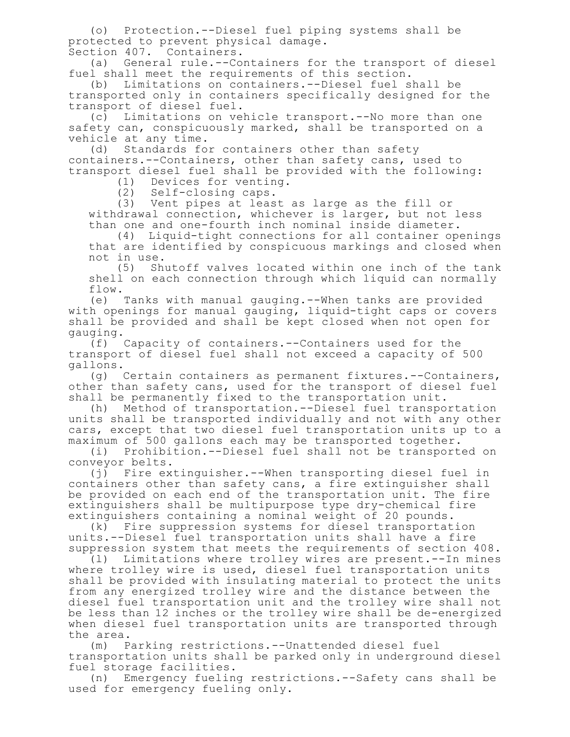(o) Protection.--Diesel fuel piping systems shall be protected to prevent physical damage. Section 407. Containers.

(a) General rule.--Containers for the transport of diesel fuel shall meet the requirements of this section.

(b) Limitations on containers.--Diesel fuel shall be transported only in containers specifically designed for the transport of diesel fuel.

(c) Limitations on vehicle transport.--No more than one safety can, conspicuously marked, shall be transported on a vehicle at any time.

(d) Standards for containers other than safety containers.--Containers, other than safety cans, used to transport diesel fuel shall be provided with the following:

(1) Devices for venting.

(2) Self-closing caps.

(3) Vent pipes at least as large as the fill or withdrawal connection, whichever is larger, but not less than one and one-fourth inch nominal inside diameter.

(4) Liquid-tight connections for all container openings that are identified by conspicuous markings and closed when not in use.

(5) Shutoff valves located within one inch of the tank shell on each connection through which liquid can normally flow.

(e) Tanks with manual gauging.--When tanks are provided with openings for manual gauging, liquid-tight caps or covers shall be provided and shall be kept closed when not open for gauging.

(f) Capacity of containers.--Containers used for the transport of diesel fuel shall not exceed a capacity of 500 gallons.

(g) Certain containers as permanent fixtures.--Containers, other than safety cans, used for the transport of diesel fuel shall be permanently fixed to the transportation unit.

(h) Method of transportation.--Diesel fuel transportation units shall be transported individually and not with any other cars, except that two diesel fuel transportation units up to a maximum of 500 gallons each may be transported together.

(i) Prohibition.--Diesel fuel shall not be transported on conveyor belts.

(j) Fire extinguisher.--When transporting diesel fuel in containers other than safety cans, a fire extinguisher shall be provided on each end of the transportation unit. The fire extinguishers shall be multipurpose type dry-chemical fire extinguishers containing a nominal weight of 20 pounds.

(k) Fire suppression systems for diesel transportation units.--Diesel fuel transportation units shall have a fire suppression system that meets the requirements of section 408.

(l) Limitations where trolley wires are present.--In mines where trolley wire is used, diesel fuel transportation units shall be provided with insulating material to protect the units from any energized trolley wire and the distance between the diesel fuel transportation unit and the trolley wire shall not be less than 12 inches or the trolley wire shall be de-energized when diesel fuel transportation units are transported through the area.

(m) Parking restrictions.--Unattended diesel fuel transportation units shall be parked only in underground diesel fuel storage facilities.

(n) Emergency fueling restrictions.--Safety cans shall be used for emergency fueling only.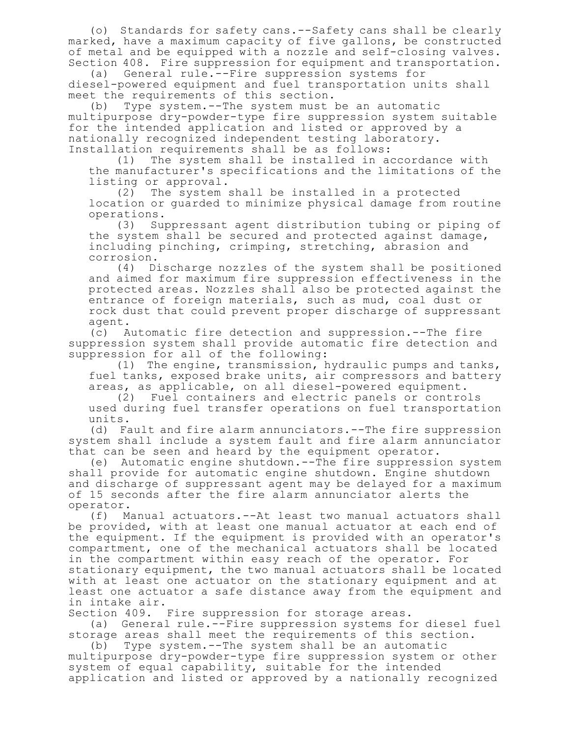(o) Standards for safety cans.--Safety cans shall be clearly marked, have a maximum capacity of five gallons, be constructed of metal and be equipped with a nozzle and self-closing valves. Section 408. Fire suppression for equipment and transportation.

(a) General rule.--Fire suppression systems for diesel-powered equipment and fuel transportation units shall meet the requirements of this section.

(b) Type system.--The system must be an automatic multipurpose dry-powder-type fire suppression system suitable for the intended application and listed or approved by a nationally recognized independent testing laboratory. Installation requirements shall be as follows:

(1) The system shall be installed in accordance with the manufacturer's specifications and the limitations of the listing or approval.

(2) The system shall be installed in a protected location or guarded to minimize physical damage from routine operations.

(3) Suppressant agent distribution tubing or piping of the system shall be secured and protected against damage, including pinching, crimping, stretching, abrasion and corrosion.

(4) Discharge nozzles of the system shall be positioned and aimed for maximum fire suppression effectiveness in the protected areas. Nozzles shall also be protected against the entrance of foreign materials, such as mud, coal dust or rock dust that could prevent proper discharge of suppressant agent.

(c) Automatic fire detection and suppression.--The fire suppression system shall provide automatic fire detection and suppression for all of the following:

(1) The engine, transmission, hydraulic pumps and tanks, fuel tanks, exposed brake units, air compressors and battery areas, as applicable, on all diesel-powered equipment.

(2) Fuel containers and electric panels or controls used during fuel transfer operations on fuel transportation units.

(d) Fault and fire alarm annunciators.--The fire suppression system shall include a system fault and fire alarm annunciator that can be seen and heard by the equipment operator.

(e) Automatic engine shutdown.--The fire suppression system shall provide for automatic engine shutdown. Engine shutdown and discharge of suppressant agent may be delayed for a maximum of 15 seconds after the fire alarm annunciator alerts the operator.

(f) Manual actuators.--At least two manual actuators shall be provided, with at least one manual actuator at each end of the equipment. If the equipment is provided with an operator's compartment, one of the mechanical actuators shall be located in the compartment within easy reach of the operator. For stationary equipment, the two manual actuators shall be located with at least one actuator on the stationary equipment and at least one actuator a safe distance away from the equipment and in intake air.

Section 409. Fire suppression for storage areas.

(a) General rule.--Fire suppression systems for diesel fuel storage areas shall meet the requirements of this section.

(b) Type system.--The system shall be an automatic multipurpose dry-powder-type fire suppression system or other system of equal capability, suitable for the intended application and listed or approved by a nationally recognized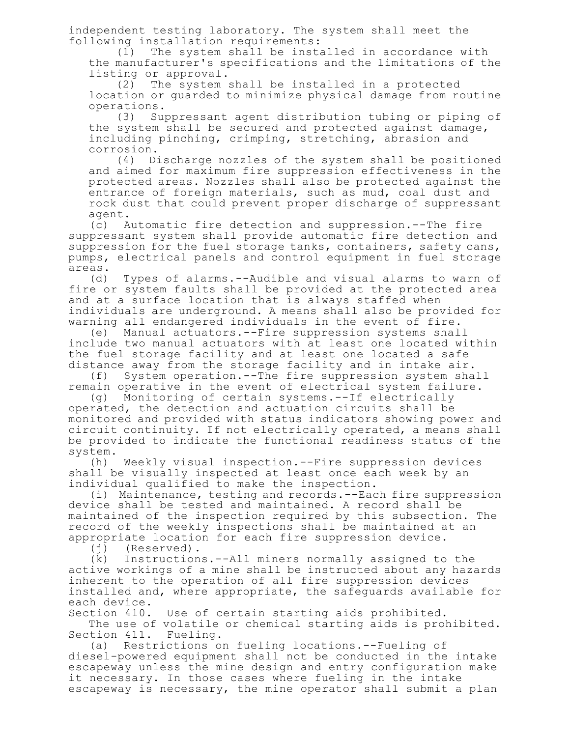independent testing laboratory. The system shall meet the following installation requirements:

(1) The system shall be installed in accordance with the manufacturer's specifications and the limitations of the listing or approval.

(2) The system shall be installed in a protected location or guarded to minimize physical damage from routine operations.

(3) Suppressant agent distribution tubing or piping of the system shall be secured and protected against damage, including pinching, crimping, stretching, abrasion and corrosion.

(4) Discharge nozzles of the system shall be positioned and aimed for maximum fire suppression effectiveness in the protected areas. Nozzles shall also be protected against the entrance of foreign materials, such as mud, coal dust and rock dust that could prevent proper discharge of suppressant agent.

(c) Automatic fire detection and suppression.--The fire suppressant system shall provide automatic fire detection and suppression for the fuel storage tanks, containers, safety cans, pumps, electrical panels and control equipment in fuel storage areas.

(d) Types of alarms.--Audible and visual alarms to warn of fire or system faults shall be provided at the protected area and at a surface location that is always staffed when individuals are underground. A means shall also be provided for warning all endangered individuals in the event of fire.

(e) Manual actuators.--Fire suppression systems shall include two manual actuators with at least one located within the fuel storage facility and at least one located a safe distance away from the storage facility and in intake air.<br>(f) System operation.--The fire suppression system sha

System operation.--The fire suppression system shall remain operative in the event of electrical system failure.

(g) Monitoring of certain systems.--If electrically operated, the detection and actuation circuits shall be monitored and provided with status indicators showing power and circuit continuity. If not electrically operated, a means shall be provided to indicate the functional readiness status of the system.

(h) Weekly visual inspection.--Fire suppression devices shall be visually inspected at least once each week by an individual qualified to make the inspection.

(i) Maintenance, testing and records.--Each fire suppression device shall be tested and maintained. A record shall be maintained of the inspection required by this subsection. The record of the weekly inspections shall be maintained at an appropriate location for each fire suppression device.

(j) (Reserved).<br>(k) Instruction Instructions.--All miners normally assigned to the active workings of a mine shall be instructed about any hazards inherent to the operation of all fire suppression devices installed and, where appropriate, the safeguards available for each device.

Section 410. Use of certain starting aids prohibited.

The use of volatile or chemical starting aids is prohibited. Section 411. Fueling.

(a) Restrictions on fueling locations.--Fueling of diesel-powered equipment shall not be conducted in the intake escapeway unless the mine design and entry configuration make it necessary. In those cases where fueling in the intake escapeway is necessary, the mine operator shall submit a plan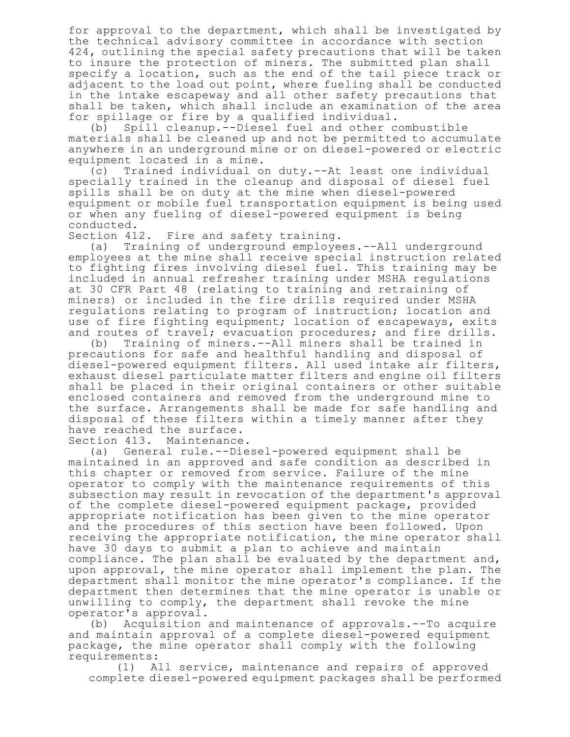for approval to the department, which shall be investigated by the technical advisory committee in accordance with section 424, outlining the special safety precautions that will be taken to insure the protection of miners. The submitted plan shall specify a location, such as the end of the tail piece track or adjacent to the load out point, where fueling shall be conducted in the intake escapeway and all other safety precautions that shall be taken, which shall include an examination of the area for spillage or fire by a qualified individual.

(b) Spill cleanup.--Diesel fuel and other combustible materials shall be cleaned up and not be permitted to accumulate anywhere in an underground mine or on diesel-powered or electric equipment located in a mine.

(c) Trained individual on duty.--At least one individual specially trained in the cleanup and disposal of diesel fuel spills shall be on duty at the mine when diesel-powered equipment or mobile fuel transportation equipment is being used or when any fueling of diesel-powered equipment is being

conducted.<br>Section 412. Fire and safety training.

(a) Training of underground employees.--All underground employees at the mine shall receive special instruction related to fighting fires involving diesel fuel. This training may be included in annual refresher training under MSHA regulations at 30 CFR Part 48 (relating to training and retraining of miners) or included in the fire drills required under MSHA regulations relating to program of instruction; location and use of fire fighting equipment; location of escapeways, exits and routes of travel; evacuation procedures; and fire drills.

(b) Training of miners.--All miners shall be trained in precautions for safe and healthful handling and disposal of diesel-powered equipment filters. All used intake air filters, exhaust diesel particulate matter filters and engine oil filters shall be placed in their original containers or other suitable enclosed containers and removed from the underground mine to the surface. Arrangements shall be made for safe handling and disposal of these filters within a timely manner after they have reached the surface.

Section 413. Maintenance.

(a) General rule.--Diesel-powered equipment shall be maintained in an approved and safe condition as described in this chapter or removed from service. Failure of the mine operator to comply with the maintenance requirements of this subsection may result in revocation of the department's approval of the complete diesel-powered equipment package, provided appropriate notification has been given to the mine operator and the procedures of this section have been followed. Upon receiving the appropriate notification, the mine operator shall have 30 days to submit a plan to achieve and maintain compliance. The plan shall be evaluated by the department and, upon approval, the mine operator shall implement the plan. The department shall monitor the mine operator's compliance. If the department then determines that the mine operator is unable or unwilling to comply, the department shall revoke the mine operator's approval.

(b) Acquisition and maintenance of approvals.--To acquire and maintain approval of a complete diesel-powered equipment package, the mine operator shall comply with the following requirements:

(1) All service, maintenance and repairs of approved complete diesel-powered equipment packages shall be performed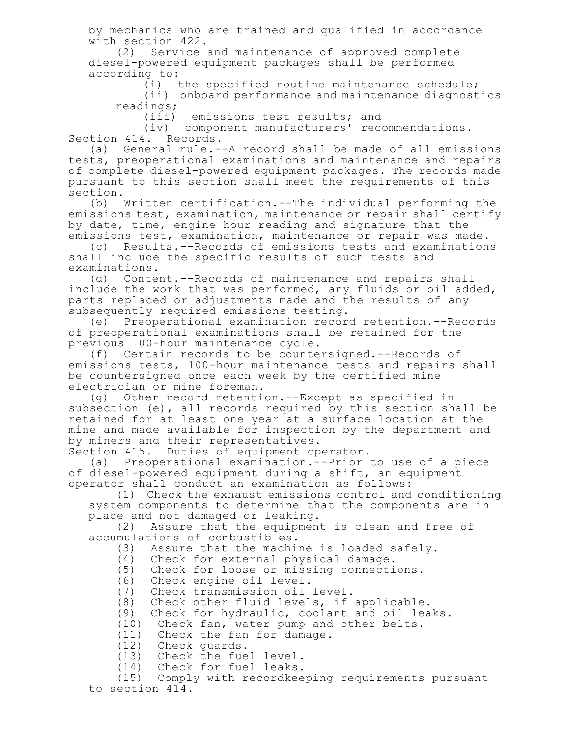by mechanics who are trained and qualified in accordance with section 422.

(2) Service and maintenance of approved complete diesel-powered equipment packages shall be performed according to:

(i) the specified routine maintenance schedule;

(ii) onboard performance and maintenance diagnostics readings;

(iii) emissions test results; and

(iv) component manufacturers' recommendations. Section 414. Records.

(a) General rule.--A record shall be made of all emissions tests, preoperational examinations and maintenance and repairs of complete diesel-powered equipment packages. The records made pursuant to this section shall meet the requirements of this section.

(b) Written certification.--The individual performing the emissions test, examination, maintenance or repair shall certify by date, time, engine hour reading and signature that the emissions test, examination, maintenance or repair was made.

(c) Results.--Records of emissions tests and examinations shall include the specific results of such tests and examinations.

(d) Content.--Records of maintenance and repairs shall include the work that was performed, any fluids or oil added, parts replaced or adjustments made and the results of any subsequently required emissions testing.

(e) Preoperational examination record retention.--Records of preoperational examinations shall be retained for the previous 100-hour maintenance cycle.

(f) Certain records to be countersigned.--Records of emissions tests, 100-hour maintenance tests and repairs shall be countersigned once each week by the certified mine electrician or mine foreman.

(g) Other record retention.--Except as specified in subsection (e), all records required by this section shall be retained for at least one year at a surface location at the mine and made available for inspection by the department and by miners and their representatives.

Section 415. Duties of equipment operator.

(a) Preoperational examination.--Prior to use of a piece of diesel-powered equipment during a shift, an equipment operator shall conduct an examination as follows:

(1) Check the exhaust emissions control and conditioning system components to determine that the components are in place and not damaged or leaking.

(2) Assure that the equipment is clean and free of accumulations of combustibles.

(3) Assure that the machine is loaded safely.

(4) Check for external physical damage.

(5) Check for loose or missing connections.

- (6) Check engine oil level.
- (7) Check transmission oil level.

(8) Check other fluid levels, if applicable.<br>(9) Check for hydraulic, coolant and oil lea

Check for hydraulic, coolant and oil leaks.

(10) Check fan, water pump and other belts.

(11) Check the fan for damage.

(12) Check guards.

(13) Check the fuel level.

(14) Check for fuel leaks.

(15) Comply with recordkeeping requirements pursuant to section 414.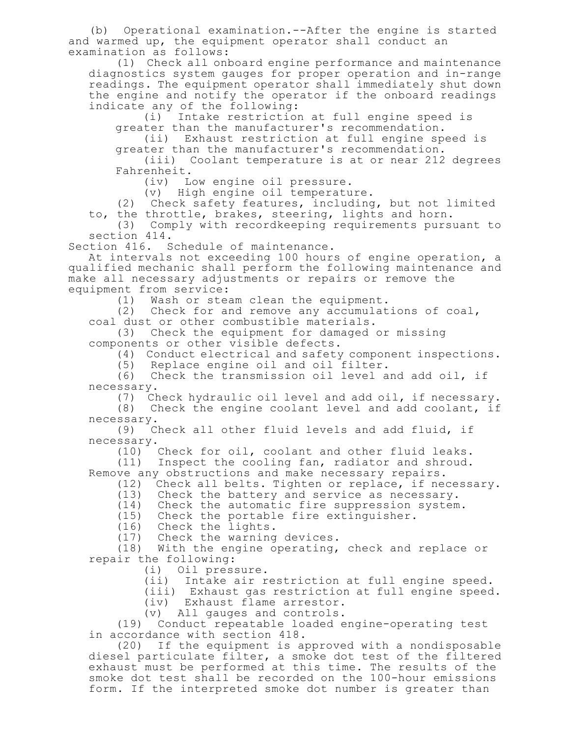(b) Operational examination.--After the engine is started and warmed up, the equipment operator shall conduct an examination as follows:

(1) Check all onboard engine performance and maintenance diagnostics system gauges for proper operation and in-range readings. The equipment operator shall immediately shut down the engine and notify the operator if the onboard readings indicate any of the following:

(i) Intake restriction at full engine speed is greater than the manufacturer's recommendation.

(ii) Exhaust restriction at full engine speed is greater than the manufacturer's recommendation.

(iii) Coolant temperature is at or near 212 degrees Fahrenheit.

(iv) Low engine oil pressure.

(v) High engine oil temperature.

(2) Check safety features, including, but not limited to, the throttle, brakes, steering, lights and horn.

(3) Comply with recordkeeping requirements pursuant to section 414.

Section 416. Schedule of maintenance.

At intervals not exceeding 100 hours of engine operation, a qualified mechanic shall perform the following maintenance and make all necessary adjustments or repairs or remove the equipment from service:

(1) Wash or steam clean the equipment.

(2) Check for and remove any accumulations of coal, coal dust or other combustible materials.

(3) Check the equipment for damaged or missing components or other visible defects.

(4) Conduct electrical and safety component inspections.

(5) Replace engine oil and oil filter.

(6) Check the transmission oil level and add oil, if necessary.

(7) Check hydraulic oil level and add oil, if necessary.

(8) Check the engine coolant level and add coolant, if necessary.

(9) Check all other fluid levels and add fluid, if necessary.

(10) Check for oil, coolant and other fluid leaks.

(11) Inspect the cooling fan, radiator and shroud. Remove any obstructions and make necessary repairs.

(12) Check all belts. Tighten or replace, if necessary.

(13) Check the battery and service as necessary.

(14) Check the automatic fire suppression system.

(15) Check the portable fire extinguisher.

(16) Check the lights.

(17) Check the warning devices.

(18) With the engine operating, check and replace or repair the following:

- (i) Oil pressure.
- (ii) Intake air restriction at full engine speed.

(iii) Exhaust gas restriction at full engine speed.

(iv) Exhaust flame arrestor.

(v) All gauges and controls.

(19) Conduct repeatable loaded engine-operating test in accordance with section 418.

(20) If the equipment is approved with a nondisposable diesel particulate filter, a smoke dot test of the filtered exhaust must be performed at this time. The results of the smoke dot test shall be recorded on the 100-hour emissions form. If the interpreted smoke dot number is greater than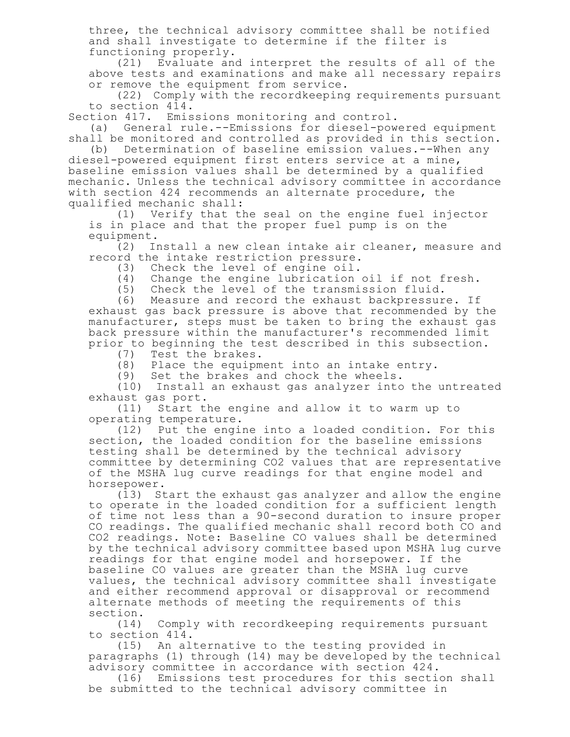three, the technical advisory committee shall be notified and shall investigate to determine if the filter is functioning properly.

(21) Evaluate and interpret the results of all of the above tests and examinations and make all necessary repairs or remove the equipment from service.

(22) Comply with the recordkeeping requirements pursuant to section 414.

Section 417. Emissions monitoring and control.

(a) General rule.--Emissions for diesel-powered equipment shall be monitored and controlled as provided in this section.

(b) Determination of baseline emission values.--When any diesel-powered equipment first enters service at a mine, baseline emission values shall be determined by a qualified mechanic. Unless the technical advisory committee in accordance with section 424 recommends an alternate procedure, the qualified mechanic shall:

(1) Verify that the seal on the engine fuel injector is in place and that the proper fuel pump is on the

equipment.<br>(2) In Install a new clean intake air cleaner, measure and record the intake restriction pressure.

(3) Check the level of engine oil.

- (4) Change the engine lubrication oil if not fresh.
- (5) Check the level of the transmission fluid.

(6) Measure and record the exhaust backpressure. If exhaust gas back pressure is above that recommended by the manufacturer, steps must be taken to bring the exhaust gas back pressure within the manufacturer's recommended limit prior to beginning the test described in this subsection.

(7) Test the brakes.

(8) Place the equipment into an intake entry.

(9) Set the brakes and chock the wheels.

(10) Install an exhaust gas analyzer into the untreated exhaust gas port.

(11) Start the engine and allow it to warm up to operating temperature.

(12) Put the engine into a loaded condition. For this section, the loaded condition for the baseline emissions testing shall be determined by the technical advisory committee by determining CO2 values that are representative of the MSHA lug curve readings for that engine model and horsepower.

(13) Start the exhaust gas analyzer and allow the engine to operate in the loaded condition for a sufficient length of time not less than a 90-second duration to insure proper CO readings. The qualified mechanic shall record both CO and CO2 readings. Note: Baseline CO values shall be determined by the technical advisory committee based upon MSHA lug curve readings for that engine model and horsepower. If the baseline CO values are greater than the MSHA lug curve values, the technical advisory committee shall investigate and either recommend approval or disapproval or recommend alternate methods of meeting the requirements of this section.

(14) Comply with recordkeeping requirements pursuant to section 414.

(15) An alternative to the testing provided in paragraphs (1) through (14) may be developed by the technical advisory committee in accordance with section 424.

(16) Emissions test procedures for this section shall be submitted to the technical advisory committee in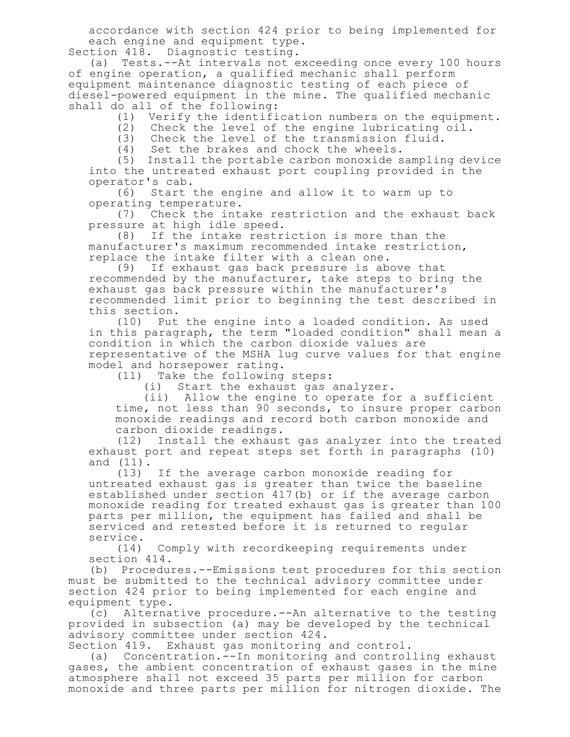accordance with section 424 prior to being implemented for each engine and equipment type. Section 418. Diagnostic testing.

(a) Tests.--At intervals not exceeding once every 100 hours of engine operation, a qualified mechanic shall perform equipment maintenance diagnostic testing of each piece of diesel-powered equipment in the mine. The qualified mechanic shall do all of the following:

(1) Verify the identification numbers on the equipment.

(2) Check the level of the engine lubricating oil.

(3) Check the level of the transmission fluid.

(4) Set the brakes and chock the wheels.

(5) Install the portable carbon monoxide sampling device into the untreated exhaust port coupling provided in the operator's cab.

(6) Start the engine and allow it to warm up to operating temperature.

(7) Check the intake restriction and the exhaust back pressure at high idle speed.

(8) If the intake restriction is more than the manufacturer's maximum recommended intake restriction, replace the intake filter with a clean one.

(9) If exhaust gas back pressure is above that recommended by the manufacturer, take steps to bring the exhaust gas back pressure within the manufacturer's recommended limit prior to beginning the test described in this section.

(10) Put the engine into a loaded condition. As used in this paragraph, the term "loaded condition" shall mean a condition in which the carbon dioxide values are representative of the MSHA lug curve values for that engine model and horsepower rating.

(11) Take the following steps:

(i) Start the exhaust gas analyzer.

(ii) Allow the engine to operate for a sufficient time, not less than 90 seconds, to insure proper carbon monoxide readings and record both carbon monoxide and carbon dioxide readings.

(12) Install the exhaust gas analyzer into the treated exhaust port and repeat steps set forth in paragraphs (10) and (11).

(13) If the average carbon monoxide reading for untreated exhaust gas is greater than twice the baseline established under section 417(b) or if the average carbon monoxide reading for treated exhaust gas is greater than 100 parts per million, the equipment has failed and shall be serviced and retested before it is returned to regular service.

(14) Comply with recordkeeping requirements under section 414.

(b) Procedures.--Emissions test procedures for this section must be submitted to the technical advisory committee under section 424 prior to being implemented for each engine and equipment type.

(c) Alternative procedure.--An alternative to the testing provided in subsection (a) may be developed by the technical advisory committee under section 424.

Section 419. Exhaust gas monitoring and control.

(a) Concentration.--In monitoring and controlling exhaust gases, the ambient concentration of exhaust gases in the mine atmosphere shall not exceed 35 parts per million for carbon monoxide and three parts per million for nitrogen dioxide. The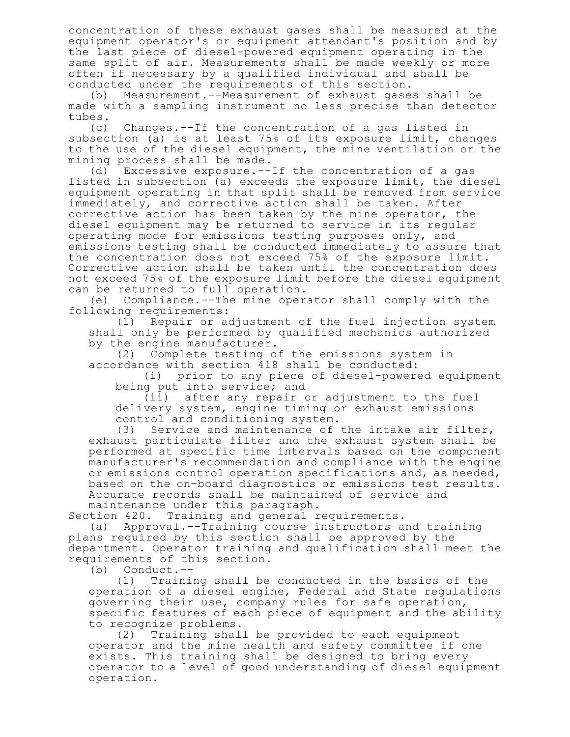concentration of these exhaust gases shall be measured at the equipment operator's or equipment attendant's position and by the last piece of diesel-powered equipment operating in the same split of air. Measurements shall be made weekly or more often if necessary by a qualified individual and shall be conducted under the requirements of this section.

(b) Measurement.--Measurement of exhaust gases shall be made with a sampling instrument no less precise than detector tubes.

(c) Changes.--If the concentration of a gas listed in subsection (a) is at least 75% of its exposure limit, changes to the use of the diesel equipment, the mine ventilation or the mining process shall be made.

(d) Excessive exposure.--If the concentration of a gas listed in subsection (a) exceeds the exposure limit, the diesel equipment operating in that split shall be removed from service immediately, and corrective action shall be taken. After corrective action has been taken by the mine operator, the diesel equipment may be returned to service in its regular operating mode for emissions testing purposes only, and emissions testing shall be conducted immediately to assure that the concentration does not exceed 75% of the exposure limit. Corrective action shall be taken until the concentration does not exceed 75% of the exposure limit before the diesel equipment can be returned to full operation.

(e) Compliance.--The mine operator shall comply with the following requirements:

(1) Repair or adjustment of the fuel injection system shall only be performed by qualified mechanics authorized by the engine manufacturer.

(2) Complete testing of the emissions system in accordance with section 418 shall be conducted:

(i) prior to any piece of diesel-powered equipment being put into service; and

(ii) after any repair or adjustment to the fuel delivery system, engine timing or exhaust emissions control and conditioning system.

(3) Service and maintenance of the intake air filter, exhaust particulate filter and the exhaust system shall be performed at specific time intervals based on the component manufacturer's recommendation and compliance with the engine or emissions control operation specifications and, as needed, based on the on-board diagnostics or emissions test results. Accurate records shall be maintained of service and maintenance under this paragraph.

Section 420. Training and general requirements.

(a) Approval.--Training course instructors and training plans required by this section shall be approved by the department. Operator training and qualification shall meet the requirements of this section.

(b) Conduct.--

(1) Training shall be conducted in the basics of the operation of a diesel engine, Federal and State regulations governing their use, company rules for safe operation, specific features of each piece of equipment and the ability to recognize problems.<br>(2) Training shal.

Training shall be provided to each equipment operator and the mine health and safety committee if one exists. This training shall be designed to bring every operator to a level of good understanding of diesel equipment operation.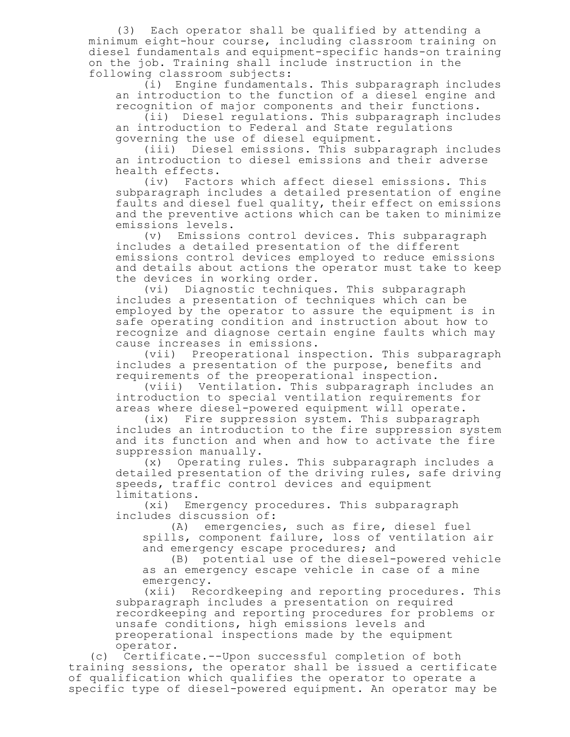(3) Each operator shall be qualified by attending a minimum eight-hour course, including classroom training on diesel fundamentals and equipment-specific hands-on training on the job. Training shall include instruction in the following classroom subjects:

(i) Engine fundamentals. This subparagraph includes an introduction to the function of a diesel engine and recognition of major components and their functions.

(ii) Diesel regulations. This subparagraph includes an introduction to Federal and State regulations governing the use of diesel equipment.

(iii) Diesel emissions. This subparagraph includes an introduction to diesel emissions and their adverse health effects.

(iv) Factors which affect diesel emissions. This subparagraph includes a detailed presentation of engine faults and diesel fuel quality, their effect on emissions and the preventive actions which can be taken to minimize emissions levels.

(v) Emissions control devices. This subparagraph includes a detailed presentation of the different emissions control devices employed to reduce emissions and details about actions the operator must take to keep the devices in working order.

(vi) Diagnostic techniques. This subparagraph includes a presentation of techniques which can be employed by the operator to assure the equipment is in safe operating condition and instruction about how to recognize and diagnose certain engine faults which may cause increases in emissions.

(vii) Preoperational inspection. This subparagraph includes a presentation of the purpose, benefits and requirements of the preoperational inspection.

(viii) Ventilation. This subparagraph includes an introduction to special ventilation requirements for areas where diesel-powered equipment will operate.

(ix) Fire suppression system. This subparagraph includes an introduction to the fire suppression system and its function and when and how to activate the fire suppression manually.

(x) Operating rules. This subparagraph includes a detailed presentation of the driving rules, safe driving speeds, traffic control devices and equipment limitations.

(xi) Emergency procedures. This subparagraph includes discussion of:

(A) emergencies, such as fire, diesel fuel spills, component failure, loss of ventilation air and emergency escape procedures; and

(B) potential use of the diesel-powered vehicle as an emergency escape vehicle in case of a mine emergency.

(xii) Recordkeeping and reporting procedures. This subparagraph includes a presentation on required recordkeeping and reporting procedures for problems or unsafe conditions, high emissions levels and preoperational inspections made by the equipment operator.

(c) Certificate.--Upon successful completion of both training sessions, the operator shall be issued a certificate of qualification which qualifies the operator to operate a specific type of diesel-powered equipment. An operator may be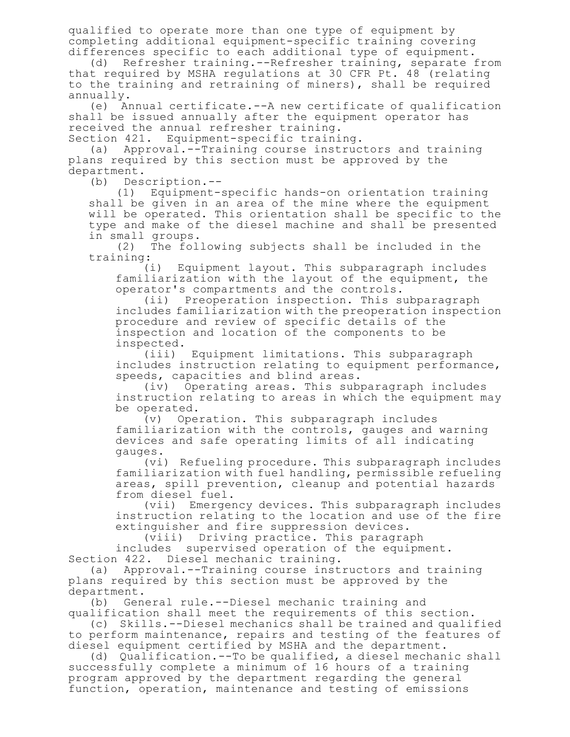qualified to operate more than one type of equipment by completing additional equipment-specific training covering differences specific to each additional type of equipment.

(d) Refresher training.--Refresher training, separate from that required by MSHA regulations at 30 CFR Pt. 48 (relating to the training and retraining of miners), shall be required annually.

(e) Annual certificate.--A new certificate of qualification shall be issued annually after the equipment operator has received the annual refresher training.

Section 421. Equipment-specific training.

(a) Approval.--Training course instructors and training plans required by this section must be approved by the department.

(b) Description.--

(1) Equipment-specific hands-on orientation training shall be given in an area of the mine where the equipment will be operated. This orientation shall be specific to the type and make of the diesel machine and shall be presented in small groups.

(2) The following subjects shall be included in the training:

(i) Equipment layout. This subparagraph includes familiarization with the layout of the equipment, the operator's compartments and the controls.

(ii) Preoperation inspection. This subparagraph includes familiarization with the preoperation inspection procedure and review of specific details of the inspection and location of the components to be inspected.

(iii) Equipment limitations. This subparagraph includes instruction relating to equipment performance, speeds, capacities and blind areas.

(iv) Operating areas. This subparagraph includes instruction relating to areas in which the equipment may be operated.

(v) Operation. This subparagraph includes familiarization with the controls, gauges and warning devices and safe operating limits of all indicating gauges.

(vi) Refueling procedure. This subparagraph includes familiarization with fuel handling, permissible refueling areas, spill prevention, cleanup and potential hazards from diesel fuel.

(vii) Emergency devices. This subparagraph includes instruction relating to the location and use of the fire extinguisher and fire suppression devices.

(viii) Driving practice. This paragraph includes supervised operation of the equipment. Section 422. Diesel mechanic training.

(a) Approval.--Training course instructors and training plans required by this section must be approved by the department.

(b) General rule.--Diesel mechanic training and qualification shall meet the requirements of this section.

(c) Skills.--Diesel mechanics shall be trained and qualified to perform maintenance, repairs and testing of the features of diesel equipment certified by MSHA and the department.

(d) Qualification.--To be qualified, a diesel mechanic shall successfully complete a minimum of 16 hours of a training program approved by the department regarding the general function, operation, maintenance and testing of emissions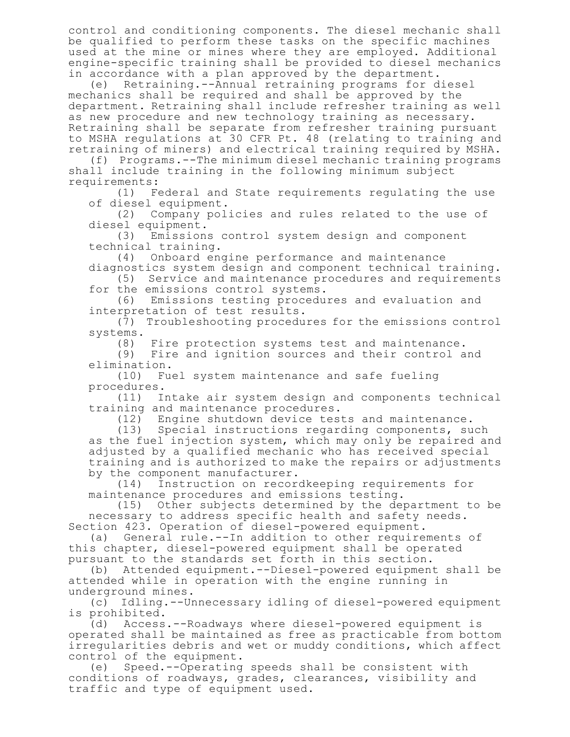control and conditioning components. The diesel mechanic shall be qualified to perform these tasks on the specific machines used at the mine or mines where they are employed. Additional engine-specific training shall be provided to diesel mechanics in accordance with a plan approved by the department.

(e) Retraining.--Annual retraining programs for diesel mechanics shall be required and shall be approved by the department. Retraining shall include refresher training as well as new procedure and new technology training as necessary. Retraining shall be separate from refresher training pursuant to MSHA regulations at 30 CFR Pt. 48 (relating to training and retraining of miners) and electrical training required by MSHA.

(f) Programs.--The minimum diesel mechanic training programs shall include training in the following minimum subject requirements:

(1) Federal and State requirements regulating the use of diesel equipment.

(2) Company policies and rules related to the use of diesel equipment.

(3) Emissions control system design and component technical training.

(4) Onboard engine performance and maintenance diagnostics system design and component technical training.

(5) Service and maintenance procedures and requirements for the emissions control systems.

(6) Emissions testing procedures and evaluation and interpretation of test results.

(7) Troubleshooting procedures for the emissions control systems.

(8) Fire protection systems test and maintenance.

(9) Fire and ignition sources and their control and elimination.

(10) Fuel system maintenance and safe fueling procedures.

(11) Intake air system design and components technical training and maintenance procedures.

(12) Engine shutdown device tests and maintenance.

(13) Special instructions regarding components, such as the fuel injection system, which may only be repaired and adjusted by a qualified mechanic who has received special training and is authorized to make the repairs or adjustments by the component manufacturer.

(14) Instruction on recordkeeping requirements for maintenance procedures and emissions testing.

(15) Other subjects determined by the department to be necessary to address specific health and safety needs. Section 423. Operation of diesel-powered equipment.

(a) General rule.--In addition to other requirements of this chapter, diesel-powered equipment shall be operated pursuant to the standards set forth in this section.

(b) Attended equipment.--Diesel-powered equipment shall be attended while in operation with the engine running in underground mines.

(c) Idling.--Unnecessary idling of diesel-powered equipment is prohibited.

(d) Access.--Roadways where diesel-powered equipment is operated shall be maintained as free as practicable from bottom irregularities debris and wet or muddy conditions, which affect control of the equipment.

(e) Speed.--Operating speeds shall be consistent with conditions of roadways, grades, clearances, visibility and traffic and type of equipment used.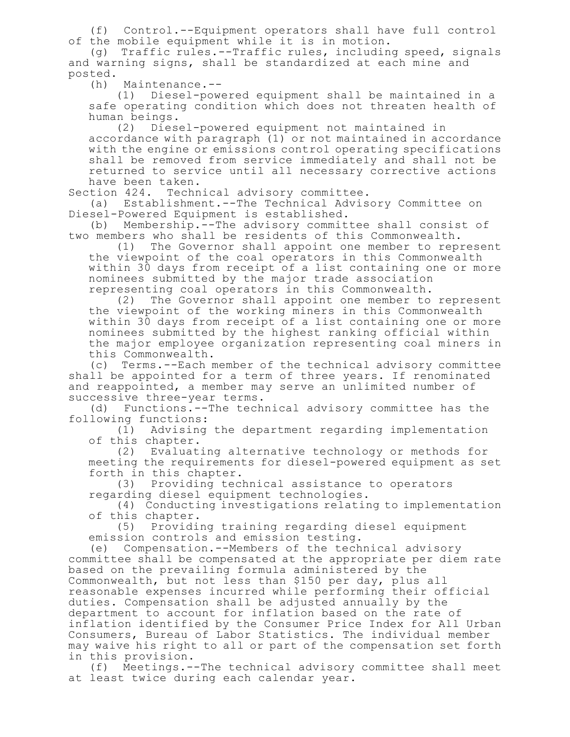(f) Control.--Equipment operators shall have full control of the mobile equipment while it is in motion.

(g) Traffic rules.--Traffic rules, including speed, signals and warning signs, shall be standardized at each mine and posted.

(h) Maintenance.--

(1) Diesel-powered equipment shall be maintained in a safe operating condition which does not threaten health of human beings.

(2) Diesel-powered equipment not maintained in accordance with paragraph (1) or not maintained in accordance with the engine or emissions control operating specifications shall be removed from service immediately and shall not be returned to service until all necessary corrective actions have been taken.

Section 424. Technical advisory committee.

(a) Establishment.--The Technical Advisory Committee on Diesel-Powered Equipment is established.

(b) Membership.--The advisory committee shall consist of two members who shall be residents of this Commonwealth.

(1) The Governor shall appoint one member to represent the viewpoint of the coal operators in this Commonwealth within 30 days from receipt of a list containing one or more nominees submitted by the major trade association representing coal operators in this Commonwealth.

(2) The Governor shall appoint one member to represent the viewpoint of the working miners in this Commonwealth within 30 days from receipt of a list containing one or more nominees submitted by the highest ranking official within the major employee organization representing coal miners in this Commonwealth.

(c) Terms.--Each member of the technical advisory committee shall be appointed for a term of three years. If renominated and reappointed, a member may serve an unlimited number of successive three-year terms.

(d) Functions.--The technical advisory committee has the following functions:

(1) Advising the department regarding implementation of this chapter.

(2) Evaluating alternative technology or methods for meeting the requirements for diesel-powered equipment as set forth in this chapter.

(3) Providing technical assistance to operators regarding diesel equipment technologies.

(4) Conducting investigations relating to implementation of this chapter.

(5) Providing training regarding diesel equipment emission controls and emission testing.

(e) Compensation.--Members of the technical advisory committee shall be compensated at the appropriate per diem rate based on the prevailing formula administered by the Commonwealth, but not less than \$150 per day, plus all reasonable expenses incurred while performing their official duties. Compensation shall be adjusted annually by the department to account for inflation based on the rate of inflation identified by the Consumer Price Index for All Urban Consumers, Bureau of Labor Statistics. The individual member may waive his right to all or part of the compensation set forth in this provision.

(f) Meetings.--The technical advisory committee shall meet at least twice during each calendar year.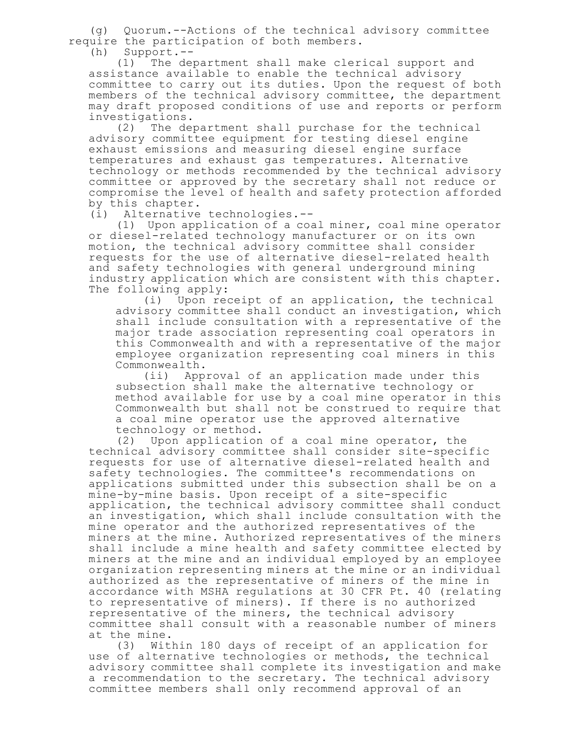(g) Quorum.--Actions of the technical advisory committee require the participation of both members.

(h) Support.--

(1) The department shall make clerical support and assistance available to enable the technical advisory committee to carry out its duties. Upon the request of both members of the technical advisory committee, the department may draft proposed conditions of use and reports or perform investigations.

(2) The department shall purchase for the technical advisory committee equipment for testing diesel engine exhaust emissions and measuring diesel engine surface temperatures and exhaust gas temperatures. Alternative technology or methods recommended by the technical advisory committee or approved by the secretary shall not reduce or compromise the level of health and safety protection afforded by this chapter.

(i) Alternative technologies.--

(1) Upon application of a coal miner, coal mine operator or diesel-related technology manufacturer or on its own motion, the technical advisory committee shall consider requests for the use of alternative diesel-related health and safety technologies with general underground mining industry application which are consistent with this chapter. The following apply:

(i) Upon receipt of an application, the technical advisory committee shall conduct an investigation, which shall include consultation with a representative of the major trade association representing coal operators in this Commonwealth and with a representative of the major employee organization representing coal miners in this Commonwealth.

(ii) Approval of an application made under this subsection shall make the alternative technology or method available for use by a coal mine operator in this Commonwealth but shall not be construed to require that a coal mine operator use the approved alternative technology or method.

(2) Upon application of a coal mine operator, the technical advisory committee shall consider site-specific requests for use of alternative diesel-related health and safety technologies. The committee's recommendations on applications submitted under this subsection shall be on a mine-by-mine basis. Upon receipt of a site-specific application, the technical advisory committee shall conduct an investigation, which shall include consultation with the mine operator and the authorized representatives of the miners at the mine. Authorized representatives of the miners shall include a mine health and safety committee elected by miners at the mine and an individual employed by an employee organization representing miners at the mine or an individual authorized as the representative of miners of the mine in accordance with MSHA regulations at 30 CFR Pt. 40 (relating to representative of miners). If there is no authorized representative of the miners, the technical advisory committee shall consult with a reasonable number of miners at the mine.

(3) Within 180 days of receipt of an application for use of alternative technologies or methods, the technical advisory committee shall complete its investigation and make a recommendation to the secretary. The technical advisory committee members shall only recommend approval of an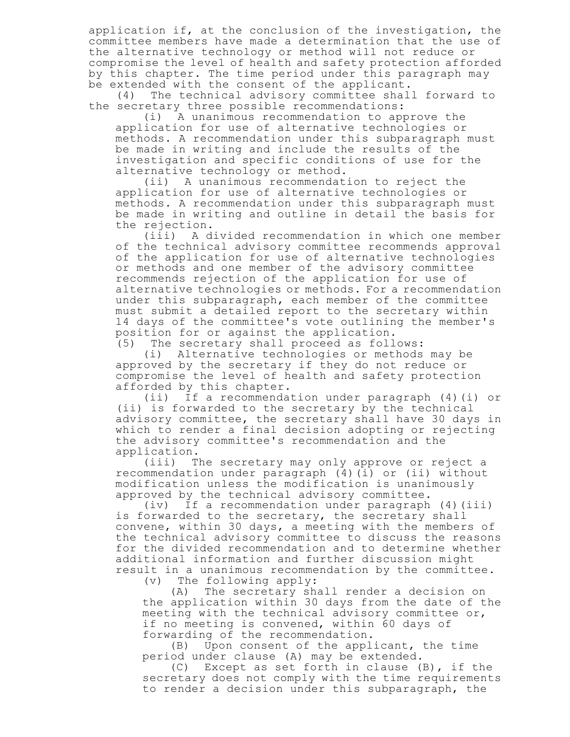application if, at the conclusion of the investigation, the committee members have made a determination that the use of the alternative technology or method will not reduce or compromise the level of health and safety protection afforded by this chapter. The time period under this paragraph may be extended with the consent of the applicant.

(4) The technical advisory committee shall forward to the secretary three possible recommendations:

(i) A unanimous recommendation to approve the application for use of alternative technologies or methods. A recommendation under this subparagraph must be made in writing and include the results of the investigation and specific conditions of use for the alternative technology or method.

(ii) A unanimous recommendation to reject the application for use of alternative technologies or methods. A recommendation under this subparagraph must be made in writing and outline in detail the basis for the rejection.

(iii) A divided recommendation in which one member of the technical advisory committee recommends approval of the application for use of alternative technologies or methods and one member of the advisory committee recommends rejection of the application for use of alternative technologies or methods. For a recommendation under this subparagraph, each member of the committee must submit a detailed report to the secretary within 14 days of the committee's vote outlining the member's position for or against the application.

(5) The secretary shall proceed as follows:

(i) Alternative technologies or methods may be approved by the secretary if they do not reduce or compromise the level of health and safety protection afforded by this chapter.

(ii) If a recommendation under paragraph (4)(i) or (ii) is forwarded to the secretary by the technical advisory committee, the secretary shall have 30 days in which to render a final decision adopting or rejecting the advisory committee's recommendation and the application.

(iii) The secretary may only approve or reject a recommendation under paragraph (4)(i) or (ii) without modification unless the modification is unanimously approved by the technical advisory committee.

(iv) If a recommendation under paragraph (4)(iii) is forwarded to the secretary, the secretary shall convene, within 30 days, a meeting with the members of the technical advisory committee to discuss the reasons for the divided recommendation and to determine whether additional information and further discussion might result in a unanimous recommendation by the committee.<br>(v) The following apply:

The following apply:

(A) The secretary shall render a decision on the application within 30 days from the date of the meeting with the technical advisory committee or, if no meeting is convened, within 60 days of forwarding of the recommendation.

(B) Upon consent of the applicant, the time period under clause (A) may be extended.

(C) Except as set forth in clause (B), if the secretary does not comply with the time requirements to render a decision under this subparagraph, the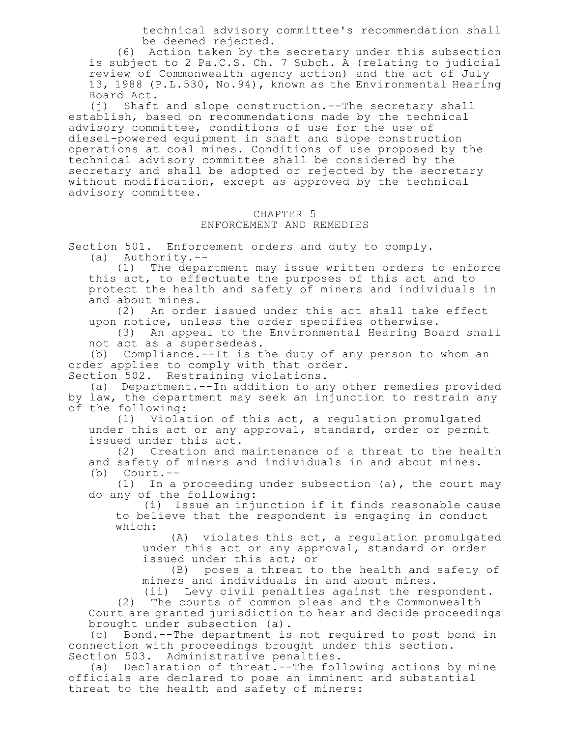technical advisory committee's recommendation shall be deemed rejected.

(6) Action taken by the secretary under this subsection is subject to 2 Pa.C.S. Ch. 7 Subch. A (relating to judicial review of Commonwealth agency action) and the act of July 13, 1988 (P.L.530, No.94), known as the Environmental Hearing Board Act.

(j) Shaft and slope construction.--The secretary shall establish, based on recommendations made by the technical advisory committee, conditions of use for the use of diesel-powered equipment in shaft and slope construction operations at coal mines. Conditions of use proposed by the technical advisory committee shall be considered by the secretary and shall be adopted or rejected by the secretary without modification, except as approved by the technical advisory committee.

## CHAPTER 5 ENFORCEMENT AND REMEDIES

Section 501. Enforcement orders and duty to comply. (a) Authority.--

(1) The department may issue written orders to enforce this act, to effectuate the purposes of this act and to protect the health and safety of miners and individuals in and about mines.

(2) An order issued under this act shall take effect upon notice, unless the order specifies otherwise.

(3) An appeal to the Environmental Hearing Board shall not act as a supersedeas.

(b) Compliance.--It is the duty of any person to whom an order applies to comply with that order. Section 502. Restraining violations.

(a) Department.--In addition to any other remedies provided by law, the department may seek an injunction to restrain any of the following:

(1) Violation of this act, a regulation promulgated under this act or any approval, standard, order or permit issued under this act.

(2) Creation and maintenance of a threat to the health and safety of miners and individuals in and about mines.<br>(b) Court.--(b) Court.--

(1) In a proceeding under subsection (a), the court may do any of the following:

(i) Issue an injunction if it finds reasonable cause to believe that the respondent is engaging in conduct which:

(A) violates this act, a regulation promulgated under this act or any approval, standard or order issued under this act; or

(B) poses a threat to the health and safety of miners and individuals in and about mines.

(ii) Levy civil penalties against the respondent.

(2) The courts of common pleas and the Commonwealth Court are granted jurisdiction to hear and decide proceedings brought under subsection (a).

(c) Bond.--The department is not required to post bond in connection with proceedings brought under this section. Section 503. Administrative penalties.

(a) Declaration of threat.--The following actions by mine officials are declared to pose an imminent and substantial threat to the health and safety of miners: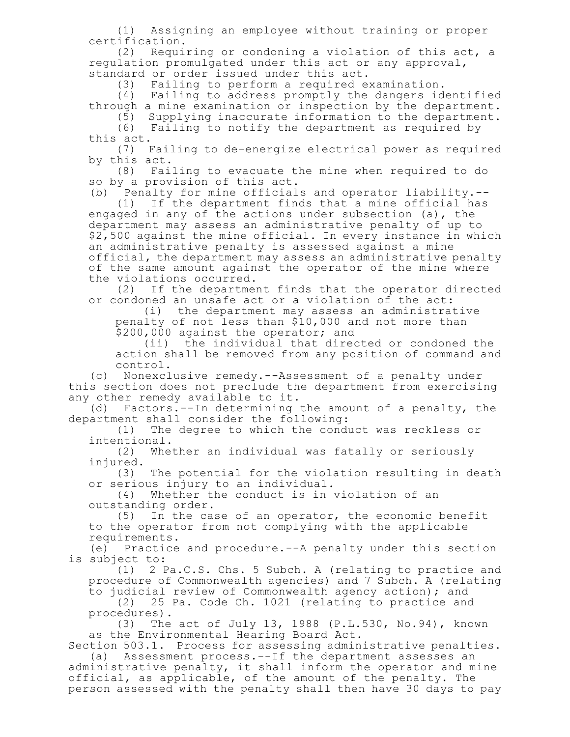(1) Assigning an employee without training or proper certification.

(2) Requiring or condoning a violation of this act, a regulation promulgated under this act or any approval, standard or order issued under this act.

(3) Failing to perform a required examination.

(4) Failing to address promptly the dangers identified through a mine examination or inspection by the department.

(5) Supplying inaccurate information to the department. (6) Failing to notify the department as required by this act.

(7) Failing to de-energize electrical power as required by this act.

(8) Failing to evacuate the mine when required to do so by a provision of this act.

(b) Penalty for mine officials and operator liability.--

(1) If the department finds that a mine official has engaged in any of the actions under subsection (a), the department may assess an administrative penalty of up to \$2,500 against the mine official. In every instance in which an administrative penalty is assessed against a mine official, the department may assess an administrative penalty of the same amount against the operator of the mine where the violations occurred.

(2) If the department finds that the operator directed or condoned an unsafe act or a violation of the act:

(i) the department may assess an administrative penalty of not less than \$10,000 and not more than \$200,000 against the operator; and

(ii) the individual that directed or condoned the action shall be removed from any position of command and control.

(c) Nonexclusive remedy.--Assessment of a penalty under this section does not preclude the department from exercising any other remedy available to it.

(d) Factors.--In determining the amount of a penalty, the department shall consider the following:

(1) The degree to which the conduct was reckless or intentional.

(2) Whether an individual was fatally or seriously injured.

(3) The potential for the violation resulting in death or serious injury to an individual.

(4) Whether the conduct is in violation of an outstanding order.

(5) In the case of an operator, the economic benefit to the operator from not complying with the applicable requirements.

(e) Practice and procedure.--A penalty under this section is subject to:

(1) 2 Pa.C.S. Chs. 5 Subch. A (relating to practice and procedure of Commonwealth agencies) and 7 Subch. A (relating to judicial review of Commonwealth agency action); and

(2) 25 Pa. Code Ch. 1021 (relating to practice and procedures).

(3) The act of July 13, 1988 (P.L.530, No.94), known as the Environmental Hearing Board Act.

Section 503.1. Process for assessing administrative penalties. (a) Assessment process.--If the department assesses an administrative penalty, it shall inform the operator and mine official, as applicable, of the amount of the penalty. The person assessed with the penalty shall then have 30 days to pay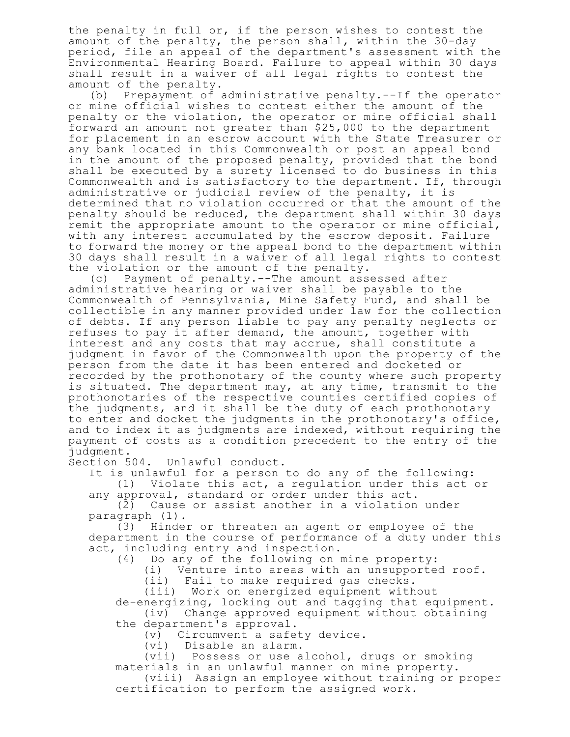the penalty in full or, if the person wishes to contest the amount of the penalty, the person shall, within the 30-day period, file an appeal of the department's assessment with the Environmental Hearing Board. Failure to appeal within 30 days shall result in a waiver of all legal rights to contest the amount of the penalty.

(b) Prepayment of administrative penalty.--If the operator or mine official wishes to contest either the amount of the penalty or the violation, the operator or mine official shall forward an amount not greater than \$25,000 to the department for placement in an escrow account with the State Treasurer or any bank located in this Commonwealth or post an appeal bond in the amount of the proposed penalty, provided that the bond shall be executed by a surety licensed to do business in this Commonwealth and is satisfactory to the department. If, through administrative or judicial review of the penalty, it is determined that no violation occurred or that the amount of the penalty should be reduced, the department shall within 30 days remit the appropriate amount to the operator or mine official, with any interest accumulated by the escrow deposit. Failure to forward the money or the appeal bond to the department within 30 days shall result in a waiver of all legal rights to contest the violation or the amount of the penalty.

(c) Payment of penalty.--The amount assessed after administrative hearing or waiver shall be payable to the Commonwealth of Pennsylvania, Mine Safety Fund, and shall be collectible in any manner provided under law for the collection of debts. If any person liable to pay any penalty neglects or refuses to pay it after demand, the amount, together with interest and any costs that may accrue, shall constitute a judgment in favor of the Commonwealth upon the property of the person from the date it has been entered and docketed or recorded by the prothonotary of the county where such property is situated. The department may, at any time, transmit to the prothonotaries of the respective counties certified copies of the judgments, and it shall be the duty of each prothonotary to enter and docket the judgments in the prothonotary's office, and to index it as judgments are indexed, without requiring the payment of costs as a condition precedent to the entry of the judgment.

Section 504. Unlawful conduct.

It is unlawful for a person to do any of the following:

(1) Violate this act, a regulation under this act or any approval, standard or order under this act.

(2) Cause or assist another in a violation under paragraph (1).

(3) Hinder or threaten an agent or employee of the department in the course of performance of a duty under this act, including entry and inspection.

(4) Do any of the following on mine property:

(i) Venture into areas with an unsupported roof.

(ii) Fail to make required gas checks.

(iii) Work on energized equipment without de-energizing, locking out and tagging that equipment.

(iv) Change approved equipment without obtaining the department's approval.

(v) Circumvent a safety device.

(vi) Disable an alarm.

(vii) Possess or use alcohol, drugs or smoking materials in an unlawful manner on mine property.

(viii) Assign an employee without training or proper certification to perform the assigned work.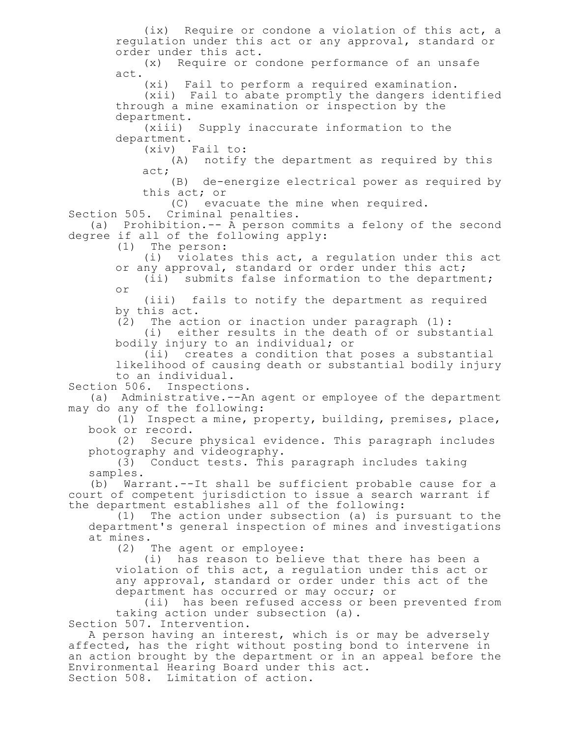(ix) Require or condone a violation of this act, a regulation under this act or any approval, standard or order under this act. (x) Require or condone performance of an unsafe act. (xi) Fail to perform a required examination. (xii) Fail to abate promptly the dangers identified through a mine examination or inspection by the department. (xiii) Supply inaccurate information to the department. (xiv) Fail to: (A) notify the department as required by this act; (B) de-energize electrical power as required by this act; or (C) evacuate the mine when required. Section 505. Criminal penalties. (a) Prohibition.-- A person commits a felony of the second degree if all of the following apply: (1) The person: (i) violates this act, a regulation under this act or any approval, standard or order under this act; (ii) submits false information to the department; or (iii) fails to notify the department as required by this act. (2) The action or inaction under paragraph (1): (i) either results in the death of or substantial bodily injury to an individual; or (ii) creates a condition that poses a substantial likelihood of causing death or substantial bodily injury to an individual. Section 506. Inspections. (a) Administrative.--An agent or employee of the department may do any of the following: (1) Inspect a mine, property, building, premises, place, book or record.<br>(2) Secure Secure physical evidence. This paragraph includes photography and videography. (3) Conduct tests. This paragraph includes taking samples. (b) Warrant.--It shall be sufficient probable cause for a court of competent jurisdiction to issue a search warrant if the department establishes all of the following:<br>(1) The action under subsection (a) is pu The action under subsection (a) is pursuant to the department's general inspection of mines and investigations at mines. (2) The agent or employee: (i) has reason to believe that there has been a violation of this act, a regulation under this act or any approval, standard or order under this act of the department has occurred or may occur; or (ii) has been refused access or been prevented from taking action under subsection (a). Section 507. Intervention. A person having an interest, which is or may be adversely affected, has the right without posting bond to intervene in an action brought by the department or in an appeal before the Environmental Hearing Board under this act. Section 508. Limitation of action.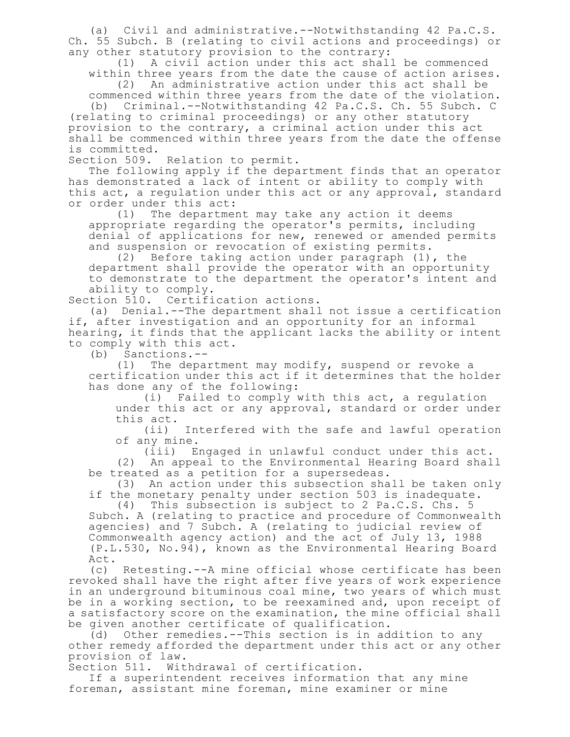(a) Civil and administrative.--Notwithstanding 42 Pa.C.S. Ch. 55 Subch. B (relating to civil actions and proceedings) or any other statutory provision to the contrary:

(1) A civil action under this act shall be commenced within three years from the date the cause of action arises.

(2) An administrative action under this act shall be commenced within three years from the date of the violation.

(b) Criminal.--Notwithstanding 42 Pa.C.S. Ch. 55 Subch. C (relating to criminal proceedings) or any other statutory provision to the contrary, a criminal action under this act shall be commenced within three years from the date the offense is committed.

Section 509. Relation to permit.

The following apply if the department finds that an operator has demonstrated a lack of intent or ability to comply with this act, a regulation under this act or any approval, standard or order under this act:

(1) The department may take any action it deems appropriate regarding the operator's permits, including denial of applications for new, renewed or amended permits and suspension or revocation of existing permits.

(2) Before taking action under paragraph (1), the department shall provide the operator with an opportunity to demonstrate to the department the operator's intent and ability to comply.

Section 510. Certification actions.

(a) Denial.--The department shall not issue a certification if, after investigation and an opportunity for an informal hearing, it finds that the applicant lacks the ability or intent to comply with this act.

(b) Sanctions.--

(1) The department may modify, suspend or revoke a certification under this act if it determines that the holder has done any of the following:

(i) Failed to comply with this act, a regulation under this act or any approval, standard or order under this act.

(ii) Interfered with the safe and lawful operation of any mine.

(iii) Engaged in unlawful conduct under this act.

(2) An appeal to the Environmental Hearing Board shall be treated as a petition for a supersedeas.

(3) An action under this subsection shall be taken only if the monetary penalty under section 503 is inadequate.

(4) This subsection is subject to 2 Pa.C.S. Chs. 5 Subch. A (relating to practice and procedure of Commonwealth agencies) and 7 Subch. A (relating to judicial review of Commonwealth agency action) and the act of July 13, 1988 (P.L.530, No.94), known as the Environmental Hearing Board Act.

(c) Retesting.--A mine official whose certificate has been revoked shall have the right after five years of work experience in an underground bituminous coal mine, two years of which must be in a working section, to be reexamined and, upon receipt of a satisfactory score on the examination, the mine official shall be given another certificate of qualification.

(d) Other remedies.--This section is in addition to any other remedy afforded the department under this act or any other provision of law.

Section 511. Withdrawal of certification.

If a superintendent receives information that any mine foreman, assistant mine foreman, mine examiner or mine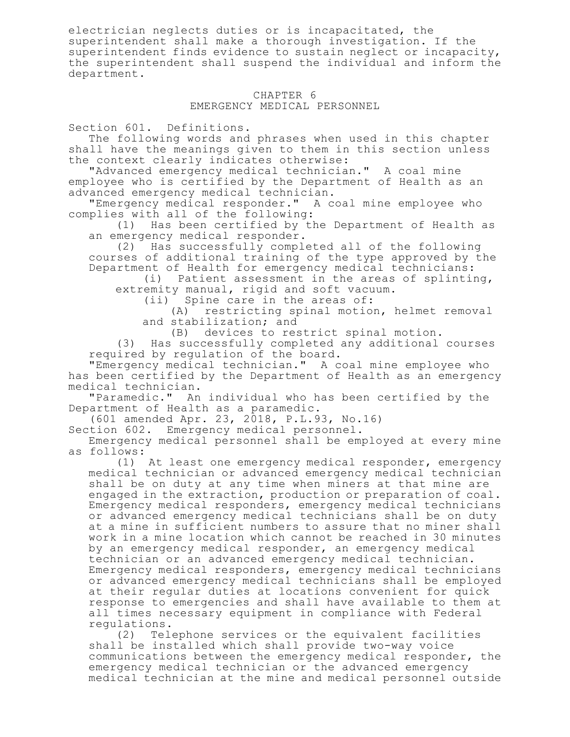electrician neglects duties or is incapacitated, the superintendent shall make a thorough investigation. If the superintendent finds evidence to sustain neglect or incapacity, the superintendent shall suspend the individual and inform the department.

## CHAPTER 6 EMERGENCY MEDICAL PERSONNEL

Section 601. Definitions.

The following words and phrases when used in this chapter shall have the meanings given to them in this section unless the context clearly indicates otherwise:

"Advanced emergency medical technician." A coal mine employee who is certified by the Department of Health as an advanced emergency medical technician.

"Emergency medical responder." A coal mine employee who complies with all of the following:

(1) Has been certified by the Department of Health as an emergency medical responder.

(2) Has successfully completed all of the following courses of additional training of the type approved by the Department of Health for emergency medical technicians:

(i) Patient assessment in the areas of splinting, extremity manual, rigid and soft vacuum.

(ii) Spine care in the areas of:

(A) restricting spinal motion, helmet removal and stabilization; and

(B) devices to restrict spinal motion.

(3) Has successfully completed any additional courses required by regulation of the board.

"Emergency medical technician." A coal mine employee who has been certified by the Department of Health as an emergency medical technician.

"Paramedic." An individual who has been certified by the Department of Health as a paramedic.

(601 amended Apr. 23, 2018, P.L.93, No.16)

Section 602. Emergency medical personnel.

Emergency medical personnel shall be employed at every mine as follows:

(1) At least one emergency medical responder, emergency medical technician or advanced emergency medical technician shall be on duty at any time when miners at that mine are engaged in the extraction, production or preparation of coal. Emergency medical responders, emergency medical technicians or advanced emergency medical technicians shall be on duty at a mine in sufficient numbers to assure that no miner shall work in a mine location which cannot be reached in 30 minutes by an emergency medical responder, an emergency medical technician or an advanced emergency medical technician. Emergency medical responders, emergency medical technicians or advanced emergency medical technicians shall be employed at their regular duties at locations convenient for quick response to emergencies and shall have available to them at all times necessary equipment in compliance with Federal regulations.

(2) Telephone services or the equivalent facilities shall be installed which shall provide two-way voice communications between the emergency medical responder, the emergency medical technician or the advanced emergency medical technician at the mine and medical personnel outside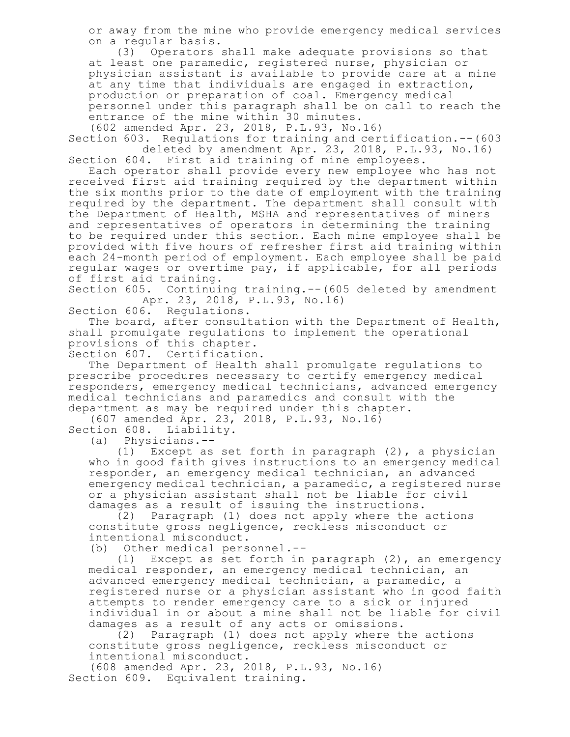or away from the mine who provide emergency medical services on a regular basis.

(3) Operators shall make adequate provisions so that at least one paramedic, registered nurse, physician or physician assistant is available to provide care at a mine at any time that individuals are engaged in extraction, production or preparation of coal. Emergency medical personnel under this paragraph shall be on call to reach the entrance of the mine within 30 minutes.

(602 amended Apr. 23, 2018, P.L.93, No.16)

Section 603. Regulations for training and certification.--(603 deleted by amendment Apr. 23, 2018, P.L.93, No.16) Section 604. First aid training of mine employees.

Each operator shall provide every new employee who has not received first aid training required by the department within the six months prior to the date of employment with the training required by the department. The department shall consult with the Department of Health, MSHA and representatives of miners and representatives of operators in determining the training to be required under this section. Each mine employee shall be provided with five hours of refresher first aid training within each 24-month period of employment. Each employee shall be paid regular wages or overtime pay, if applicable, for all periods of first aid training.

Section 605. Continuing training.--(605 deleted by amendment Apr. 23, 2018, P.L.93, No.16)

Section 606. Regulations.

The board, after consultation with the Department of Health, shall promulgate regulations to implement the operational provisions of this chapter.

Section 607. Certification.

The Department of Health shall promulgate regulations to prescribe procedures necessary to certify emergency medical responders, emergency medical technicians, advanced emergency medical technicians and paramedics and consult with the department as may be required under this chapter.

(607 amended Apr. 23, 2018, P.L.93, No.16)

Section 608. Liability.<br>(a) Physicians.--Physicians.--

(1) Except as set forth in paragraph (2), a physician who in good faith gives instructions to an emergency medical responder, an emergency medical technician, an advanced emergency medical technician, a paramedic, a registered nurse or a physician assistant shall not be liable for civil damages as a result of issuing the instructions.

(2) Paragraph (1) does not apply where the actions constitute gross negligence, reckless misconduct or intentional misconduct.

(b) Other medical personnel.--

(1) Except as set forth in paragraph (2), an emergency medical responder, an emergency medical technician, an advanced emergency medical technician, a paramedic, a registered nurse or a physician assistant who in good faith attempts to render emergency care to a sick or injured individual in or about a mine shall not be liable for civil damages as a result of any acts or omissions.

(2) Paragraph (1) does not apply where the actions constitute gross negligence, reckless misconduct or intentional misconduct.

(608 amended Apr. 23, 2018, P.L.93, No.16) Section 609. Equivalent training.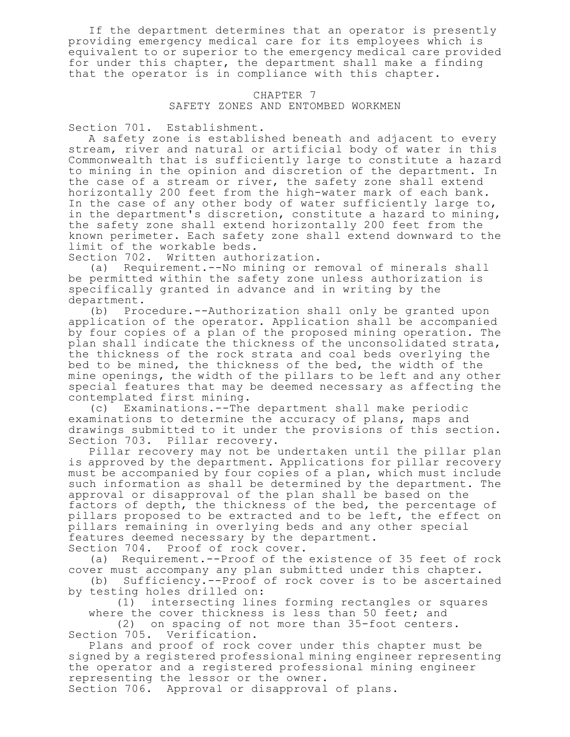If the department determines that an operator is presently providing emergency medical care for its employees which is equivalent to or superior to the emergency medical care provided for under this chapter, the department shall make a finding that the operator is in compliance with this chapter.

## CHAPTER 7 SAFETY ZONES AND ENTOMBED WORKMEN

Section 701. Establishment.

A safety zone is established beneath and adjacent to every stream, river and natural or artificial body of water in this Commonwealth that is sufficiently large to constitute a hazard to mining in the opinion and discretion of the department. In the case of a stream or river, the safety zone shall extend horizontally 200 feet from the high-water mark of each bank. In the case of any other body of water sufficiently large to, in the department's discretion, constitute a hazard to mining, the safety zone shall extend horizontally 200 feet from the known perimeter. Each safety zone shall extend downward to the limit of the workable beds.

Section 702. Written authorization.

(a) Requirement.--No mining or removal of minerals shall be permitted within the safety zone unless authorization is specifically granted in advance and in writing by the department.

(b) Procedure.--Authorization shall only be granted upon application of the operator. Application shall be accompanied by four copies of a plan of the proposed mining operation. The plan shall indicate the thickness of the unconsolidated strata, the thickness of the rock strata and coal beds overlying the bed to be mined, the thickness of the bed, the width of the mine openings, the width of the pillars to be left and any other special features that may be deemed necessary as affecting the contemplated first mining.

(c) Examinations.--The department shall make periodic examinations to determine the accuracy of plans, maps and drawings submitted to it under the provisions of this section. Section 703. Pillar recovery.

Pillar recovery may not be undertaken until the pillar plan is approved by the department. Applications for pillar recovery must be accompanied by four copies of a plan, which must include such information as shall be determined by the department. The approval or disapproval of the plan shall be based on the factors of depth, the thickness of the bed, the percentage of pillars proposed to be extracted and to be left, the effect on pillars remaining in overlying beds and any other special features deemed necessary by the department. Section 704. Proof of rock cover.

(a) Requirement.--Proof of the existence of 35 feet of rock cover must accompany any plan submitted under this chapter.

(b) Sufficiency.--Proof of rock cover is to be ascertained by testing holes drilled on:

(1) intersecting lines forming rectangles or squares where the cover thickness is less than 50 feet; and

(2) on spacing of not more than 35-foot centers. Section 705. Verification.

Plans and proof of rock cover under this chapter must be signed by a registered professional mining engineer representing the operator and a registered professional mining engineer representing the lessor or the owner.

Section 706. Approval or disapproval of plans.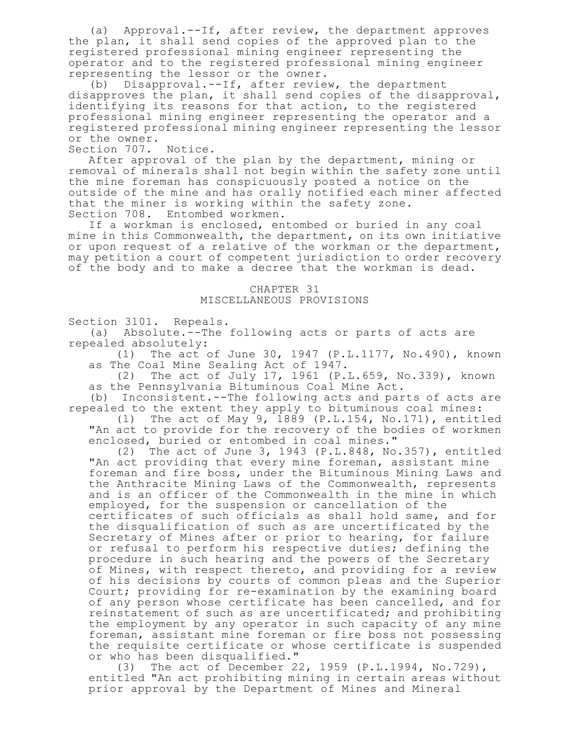(a) Approval.--If, after review, the department approves the plan, it shall send copies of the approved plan to the registered professional mining engineer representing the operator and to the registered professional mining engineer representing the lessor or the owner.

(b) Disapproval.--If, after review, the department disapproves the plan, it shall send copies of the disapproval, identifying its reasons for that action, to the registered professional mining engineer representing the operator and a registered professional mining engineer representing the lessor or the owner.

Section 707. Notice.

After approval of the plan by the department, mining or removal of minerals shall not begin within the safety zone until the mine foreman has conspicuously posted a notice on the outside of the mine and has orally notified each miner affected that the miner is working within the safety zone. Section 708. Entombed workmen.

If a workman is enclosed, entombed or buried in any coal mine in this Commonwealth, the department, on its own initiative or upon request of a relative of the workman or the department, may petition a court of competent jurisdiction to order recovery of the body and to make a decree that the workman is dead.

> CHAPTER 31 MISCELLANEOUS PROVISIONS

Section 3101. Repeals.

(a) Absolute.--The following acts or parts of acts are repealed absolutely:

(1) The act of June 30, 1947 (P.L.1177, No.490), known as The Coal Mine Sealing Act of 1947.

(2) The act of July 17, 1961 (P.L.659, No.339), known as the Pennsylvania Bituminous Coal Mine Act.

(b) Inconsistent.--The following acts and parts of acts are repealed to the extent they apply to bituminous coal mines:

(1) The act of May 9, 1889 (P.L.154, No.171), entitled "An act to provide for the recovery of the bodies of workmen enclosed, buried or entombed in coal mines."

(2) The act of June 3, 1943 (P.L.848, No.357), entitled "An act providing that every mine foreman, assistant mine foreman and fire boss, under the Bituminous Mining Laws and the Anthracite Mining Laws of the Commonwealth, represents and is an officer of the Commonwealth in the mine in which employed, for the suspension or cancellation of the certificates of such officials as shall hold same, and for the disqualification of such as are uncertificated by the Secretary of Mines after or prior to hearing, for failure or refusal to perform his respective duties; defining the procedure in such hearing and the powers of the Secretary of Mines, with respect thereto, and providing for a review of his decisions by courts of common pleas and the Superior Court; providing for re-examination by the examining board of any person whose certificate has been cancelled, and for reinstatement of such as are uncertificated; and prohibiting the employment by any operator in such capacity of any mine foreman, assistant mine foreman or fire boss not possessing the requisite certificate or whose certificate is suspended or who has been disqualified."

(3) The act of December 22, 1959 (P.L.1994, No.729), entitled "An act prohibiting mining in certain areas without prior approval by the Department of Mines and Mineral